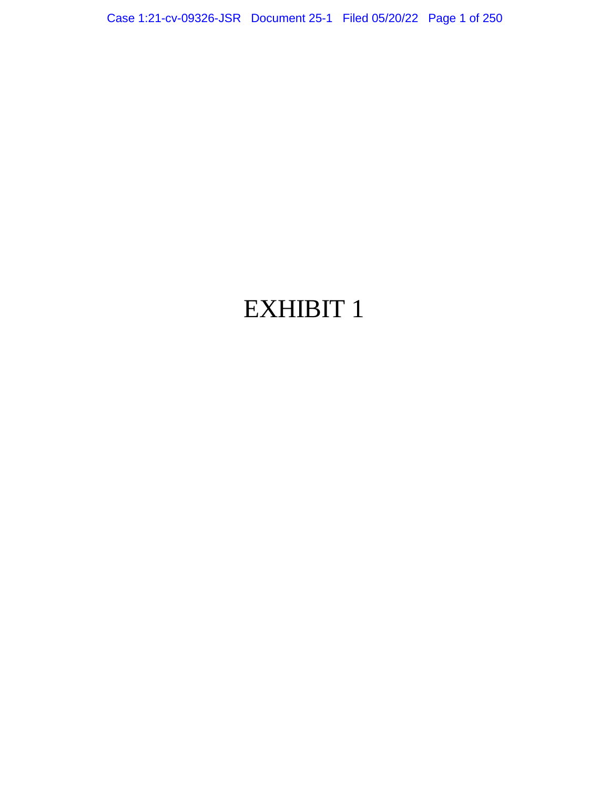# EXHIBIT 1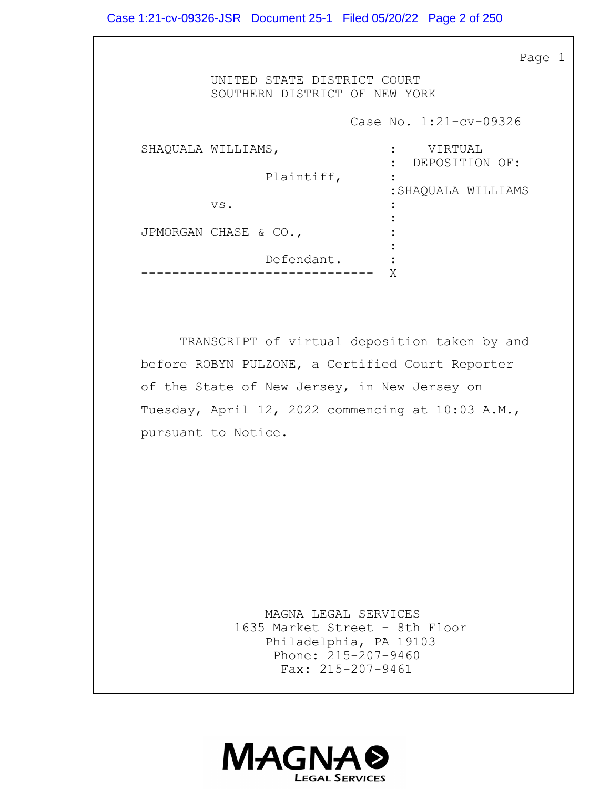UNITED STATE DISTRICT COURT SOUTHERN DISTRICT OF NEW YORK Case No. 1:21-cv-09326 SHAQUALA WILLIAMS, : VIRTUAL : DEPOSITION OF: Plaintiff, : :SHAQUALA WILLIAMS vs.  $\cdot$  : **Service Contract Contract Contract Contract Contract Contract Contract Contract Contract Contract Contract Contract** JPMORGAN CHASE & CO., **Service Contract Contract Contract Contract Contract Contract Contract Contract Contract Contract Contract Contract** Defendant. : ------------------------------ X

 TRANSCRIPT of virtual deposition taken by and before ROBYN PULZONE, a Certified Court Reporter of the State of New Jersey, in New Jersey on Tuesday, April 12, 2022 commencing at 10:03 A.M., pursuant to Notice.

> MAGNA LEGAL SERVICES 1635 Market Street - 8th Floor Philadelphia, PA 19103 Phone: 215-207-9460 Fax: 215-207-9461



Page 1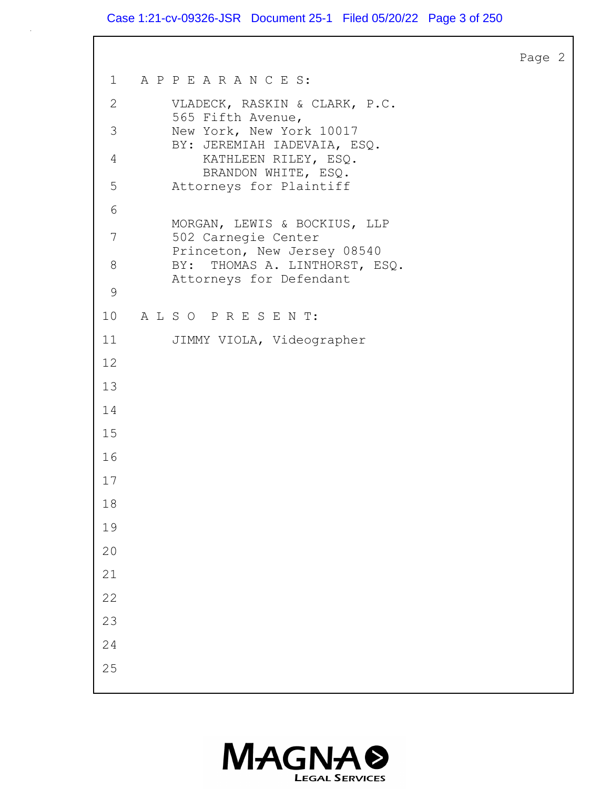#### Case 1:21-cv-09326-JSR Document 25-1 Filed 05/20/22 Page 3 of 250

1 A P P E A R A N C E S: 2 VLADECK, RASKIN & CLARK, P.C. 565 Fifth Avenue, 3 New York, New York 10017 BY: JEREMIAH IADEVAIA, ESQ. 4 KATHLEEN RILEY, ESQ. BRANDON WHITE, ESQ. 5 Attorneys for Plaintiff 6 MORGAN, LEWIS & BOCKIUS, LLP 7 502 Carnegie Center Princeton, New Jersey 08540 8 BY: THOMAS A. LINTHORST, ESQ. Attorneys for Defendant 9 10 A L S O P R E S E N T: 11 JIMMY VIOLA, Videographer 12 13 14 15 16 17 18 19 20 21 22 23 24 25

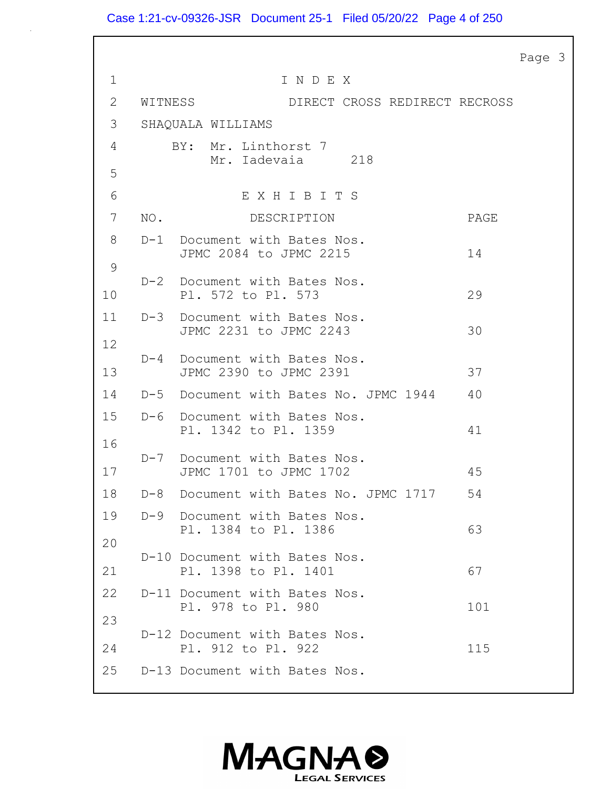#### Case 1:21-cv-09326-JSR Document 25-1 Filed 05/20/22 Page 4 of 250

Page 3 1 I N D E X 2 WITNESS DIRECT CROSS REDIRECT RECROSS 3 SHAQUALA WILLIAMS 4 BY: Mr. Linthorst 7 Mr. Iadevaia 218 5 6 E X H I B I T S 7 NO. DESCRIPTION PAGE 8 D-1 Document with Bates Nos. JPMC 2084 to JPMC 2215 14 9 D-2 Document with Bates Nos. 10 Pl. 572 to Pl. 573 29 11 D-3 Document with Bates Nos. JPMC 2231 to JPMC 2243 30 12 D-4 Document with Bates Nos. 13 JPMC 2390 to JPMC 2391 37 14 D-5 Document with Bates No. JPMC 1944 40 15 D-6 Document with Bates Nos. Pl. 1342 to Pl. 1359 41 16 D-7 Document with Bates Nos. 17 JPMC 1701 to JPMC 1702 45 18 D-8 Document with Bates No. JPMC 1717 54 19 D-9 Document with Bates Nos. Pl. 1384 to Pl. 1386 63 20 D-10 Document with Bates Nos. 21 Pl. 1398 to Pl. 1401 67 22 D-11 Document with Bates Nos. Pl. 978 to Pl. 980 101 23 D-12 Document with Bates Nos. 24 Pl. 912 to Pl. 922 115 25 D-13 Document with Bates Nos.

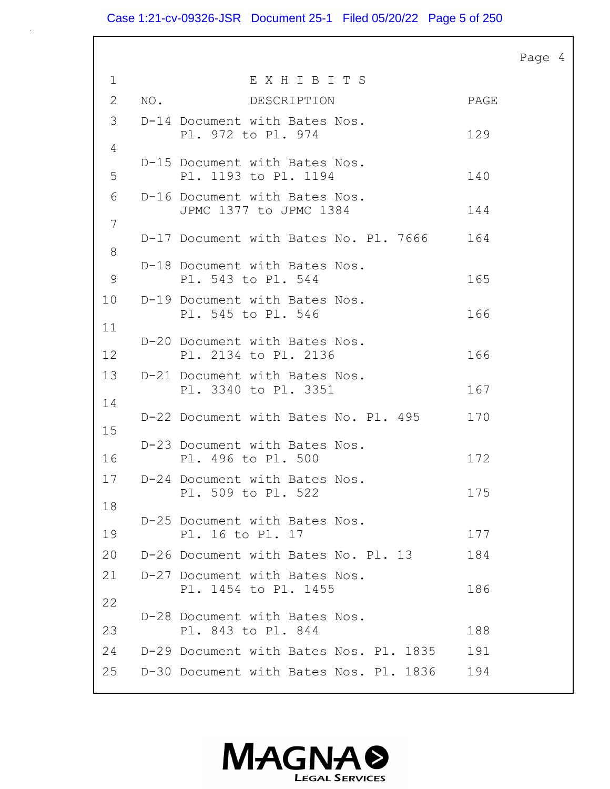## Case 1:21-cv-09326-JSR Document 25-1 Filed 05/20/22 Page 5 of 250

|                 |     |                                                         |      | Page 4 |  |
|-----------------|-----|---------------------------------------------------------|------|--------|--|
| $\mathbf 1$     |     | EXHIBITS                                                |      |        |  |
| $\overline{2}$  | NO. | DESCRIPTION                                             | PAGE |        |  |
| $\mathcal{S}$   |     | D-14 Document with Bates Nos.                           |      |        |  |
| 4               |     | Pl. 972 to Pl. 974                                      | 129  |        |  |
| 5               |     | D-15 Document with Bates Nos.<br>Pl. 1193 to Pl. 1194   | 140  |        |  |
| 6               |     | D-16 Document with Bates Nos.<br>JPMC 1377 to JPMC 1384 | 144  |        |  |
| 7               |     | D-17 Document with Bates No. Pl. 7666                   | 164  |        |  |
| 8               |     |                                                         |      |        |  |
| 9               |     | D-18 Document with Bates Nos.<br>Pl. 543 to Pl. 544     | 165  |        |  |
| 10 <sup>°</sup> |     | D-19 Document with Bates Nos.                           |      |        |  |
| 11              |     | Pl. 545 to Pl. 546                                      | 166  |        |  |
| 12              |     | D-20 Document with Bates Nos.<br>Pl. 2134 to Pl. 2136   | 166  |        |  |
| 13              |     | D-21 Document with Bates Nos.<br>Pl. 3340 to Pl. 3351   | 167  |        |  |
| 14              |     |                                                         |      |        |  |
| 15              |     | D-22 Document with Bates No. Pl. 495                    | 170  |        |  |
| 16              |     | D-23 Document with Bates Nos.<br>Pl. 496 to Pl. 500     | 172  |        |  |
| 17              |     | D-24 Document with Bates Nos.<br>Pl. 509 to Pl. 522     | 175  |        |  |
| 18              |     |                                                         |      |        |  |
| 19              |     | D-25 Document with Bates Nos.<br>Pl. 16 to Pl. 17       | 177  |        |  |
| 20              |     | D-26 Document with Bates No. Pl. 13                     | 184  |        |  |
| 21              |     | D-27 Document with Bates Nos.                           |      |        |  |
| 22              |     | Pl. 1454 to Pl. 1455                                    | 186  |        |  |
| 23              |     | D-28 Document with Bates Nos.<br>Pl. 843 to Pl. 844     | 188  |        |  |
| 24              |     | D-29 Document with Bates Nos. Pl. 1835                  | 191  |        |  |
| 25              |     | D-30 Document with Bates Nos. Pl. 1836                  | 194  |        |  |
|                 |     |                                                         |      |        |  |

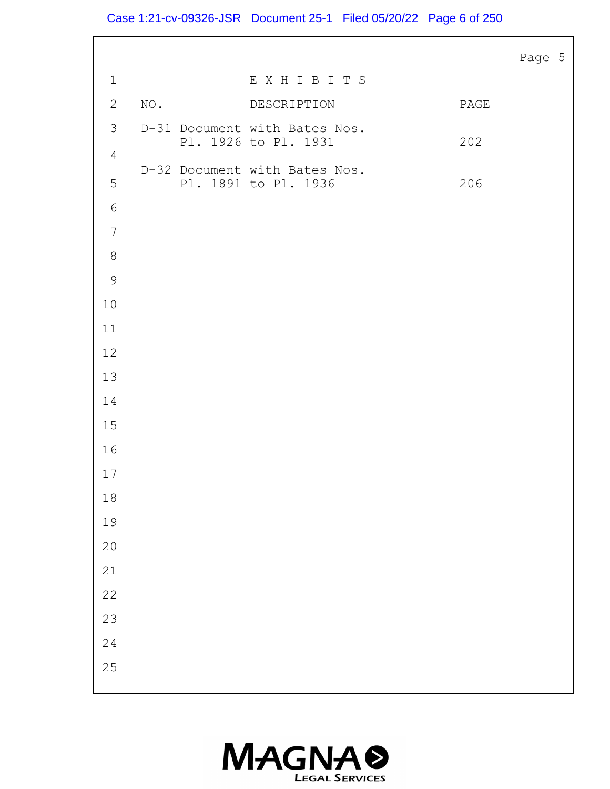### Case 1:21-cv-09326-JSR Document 25-1 Filed 05/20/22 Page 6 of 250

 $\Gamma$ 

|                  |     |                                                       |      | Page 5 |  |
|------------------|-----|-------------------------------------------------------|------|--------|--|
| $\,1\,$          |     | EXHIBITS                                              |      |        |  |
| $\mathbf{2}$     | NO. | DESCRIPTION                                           | PAGE |        |  |
| $\mathfrak{Z}$   |     | D-31 Document with Bates Nos.<br>Pl. 1926 to Pl. 1931 | 202  |        |  |
| $\overline{4}$   |     | D-32 Document with Bates Nos.                         |      |        |  |
| 5                |     | Pl. 1891 to Pl. 1936                                  | 206  |        |  |
| $\epsilon$       |     |                                                       |      |        |  |
| $\boldsymbol{7}$ |     |                                                       |      |        |  |
| $\,8\,$          |     |                                                       |      |        |  |
| 9                |     |                                                       |      |        |  |
| $10$             |     |                                                       |      |        |  |
| $11$             |     |                                                       |      |        |  |
| 12               |     |                                                       |      |        |  |
| 13               |     |                                                       |      |        |  |
| 14               |     |                                                       |      |        |  |
| $15$             |     |                                                       |      |        |  |
| 16               |     |                                                       |      |        |  |
| $17$             |     |                                                       |      |        |  |
| $1\,8$           |     |                                                       |      |        |  |
| 19               |     |                                                       |      |        |  |
| $20$             |     |                                                       |      |        |  |
| 21               |     |                                                       |      |        |  |
| 22               |     |                                                       |      |        |  |
| 23               |     |                                                       |      |        |  |
| 24               |     |                                                       |      |        |  |
| 25               |     |                                                       |      |        |  |
|                  |     |                                                       |      |        |  |

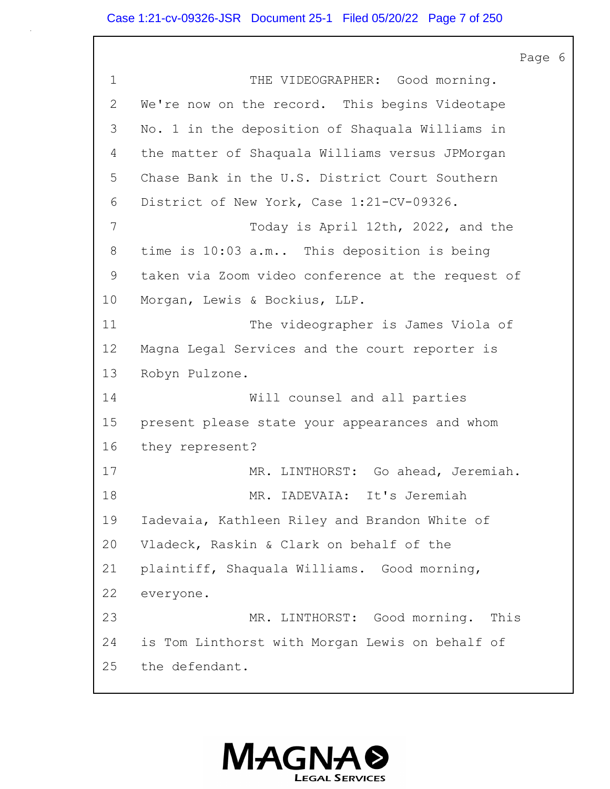1 THE VIDEOGRAPHER: Good morning. 2 We're now on the record. This begins Videotape 3 No. 1 in the deposition of Shaquala Williams in 4 the matter of Shaquala Williams versus JPMorgan 5 Chase Bank in the U.S. District Court Southern 6 District of New York, Case 1:21-CV-09326. 7 Today is April 12th, 2022, and the 8 time is 10:03 a.m.. This deposition is being 9 taken via Zoom video conference at the request of 10 Morgan, Lewis & Bockius, LLP. 11 The videographer is James Viola of 12 Magna Legal Services and the court reporter is 13 Robyn Pulzone. 14 Will counsel and all parties 15 present please state your appearances and whom 16 they represent? 17 MR. LINTHORST: Go ahead, Jeremiah. 18 MR. IADEVAIA: It's Jeremiah 19 Iadevaia, Kathleen Riley and Brandon White of 20 Vladeck, Raskin & Clark on behalf of the 21 plaintiff, Shaquala Williams. Good morning, 22 everyone. 23 MR. LINTHORST: Good morning. This 24 is Tom Linthorst with Morgan Lewis on behalf of 25 the defendant.

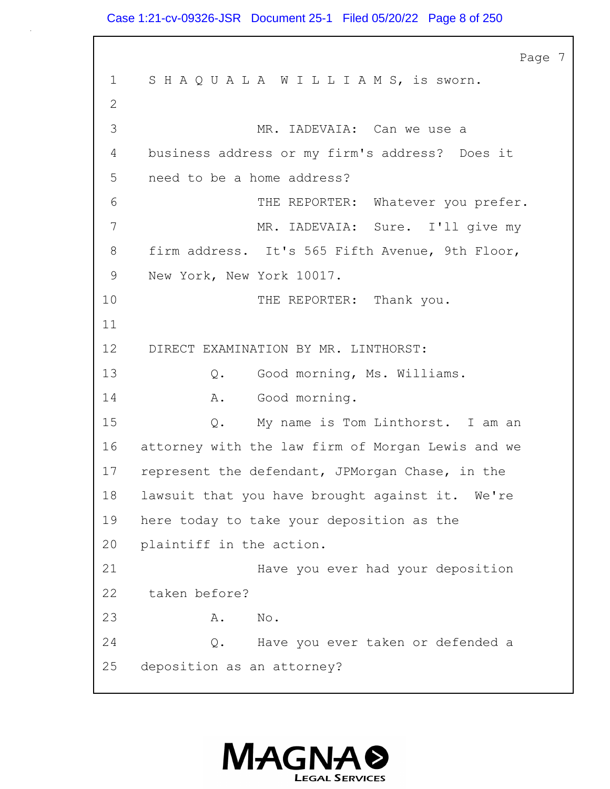Page 7 1 S H A Q U A L A W I L L I A M S, is sworn. 2 3 MR. IADEVAIA: Can we use a 4 business address or my firm's address? Does it 5 need to be a home address? 6 THE REPORTER: Whatever you prefer. 7 MR. IADEVAIA: Sure. I'll give my 8 firm address. It's 565 Fifth Avenue, 9th Floor, 9 New York, New York 10017. 10 THE REPORTER: Thank you. 11 12 DIRECT EXAMINATION BY MR. LINTHORST: 13 Q. Good morning, Ms. Williams. 14 A. Good morning. 15 Q. My name is Tom Linthorst. I am an 16 attorney with the law firm of Morgan Lewis and we 17 represent the defendant, JPMorgan Chase, in the 18 lawsuit that you have brought against it. We're 19 here today to take your deposition as the 20 plaintiff in the action. 21 Have you ever had your deposition 22 taken before? 23 A. No. 24 Q. Have you ever taken or defended a 25 deposition as an attorney?

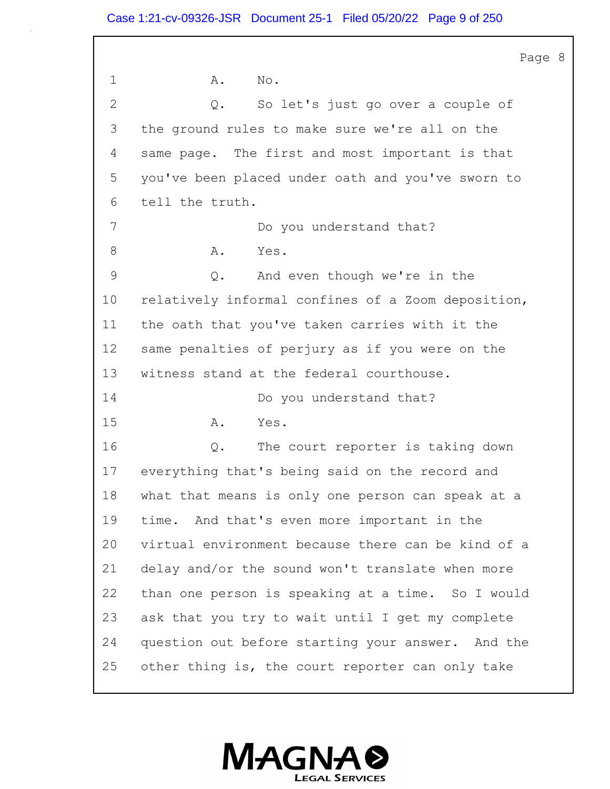Page 8 1 **A.** No. 2 Q. So let's just go over a couple of 3 the ground rules to make sure we're all on the 4 same page. The first and most important is that 5 you've been placed under oath and you've sworn to 6 tell the truth. 7 Do you understand that? 8 A. Yes. 9 Q. And even though we're in the 10 relatively informal confines of a Zoom deposition, 11 the oath that you've taken carries with it the 12 same penalties of perjury as if you were on the 13 witness stand at the federal courthouse. 14 Do you understand that? 15 A. Yes. 16 Q. The court reporter is taking down 17 everything that's being said on the record and 18 what that means is only one person can speak at a 19 time. And that's even more important in the 20 virtual environment because there can be kind of a 21 delay and/or the sound won't translate when more 22 than one person is speaking at a time. So I would 23 ask that you try to wait until I get my complete 24 question out before starting your answer. And the 25 other thing is, the court reporter can only take

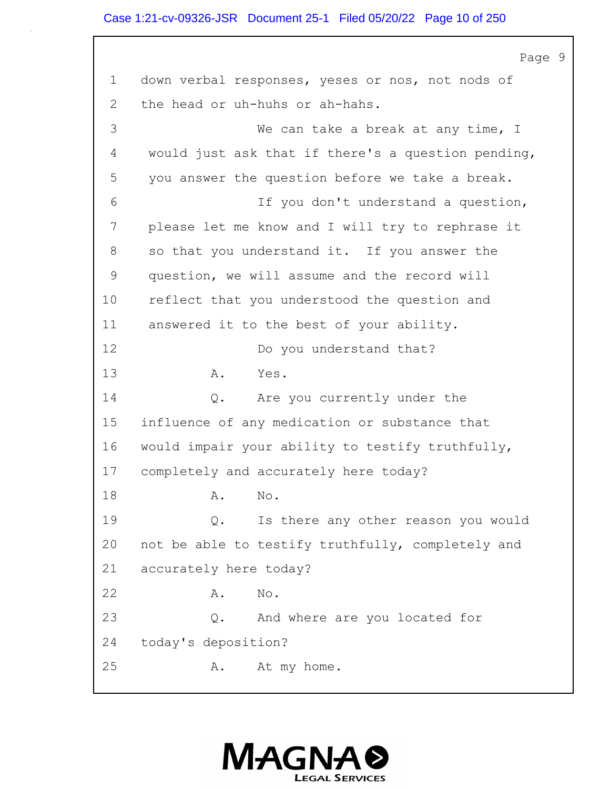#### Case 1:21-cv-09326-JSR Document 25-1 Filed 05/20/22 Page 10 of 250

Page 9 1 down verbal responses, yeses or nos, not nods of 2 the head or uh-huhs or ah-hahs. 3 We can take a break at any time, I 4 would just ask that if there's a question pending, 5 you answer the question before we take a break. 6 If you don't understand a question, 7 please let me know and I will try to rephrase it 8 so that you understand it. If you answer the 9 question, we will assume and the record will 10 reflect that you understood the question and 11 answered it to the best of your ability. 12 Do you understand that? 13 A. Yes. 14 Q. Are you currently under the 15 influence of any medication or substance that 16 would impair your ability to testify truthfully, 17 completely and accurately here today? 18 A. No. 19 Q. Is there any other reason you would 20 not be able to testify truthfully, completely and 21 accurately here today? 22 A. No. 23 Q. And where are you located for 24 today's deposition? 25 A. At my home.

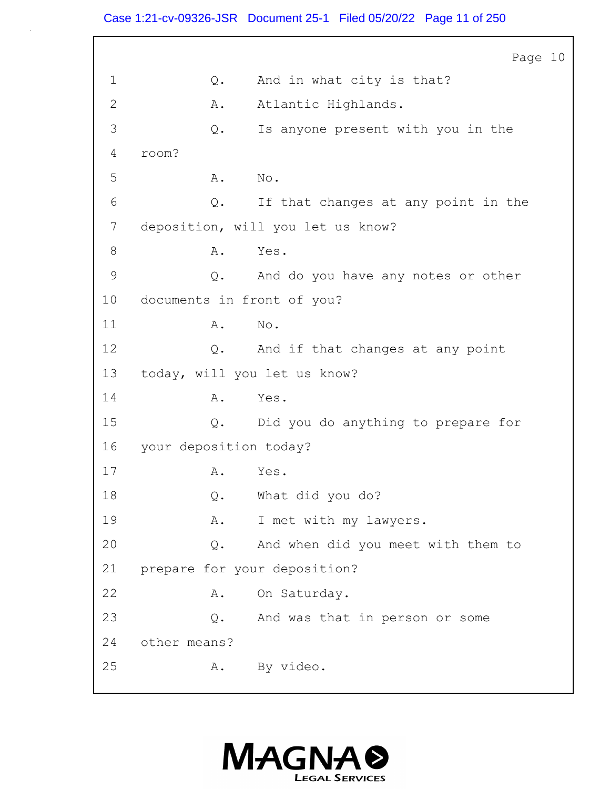Page 10 1 Q. And in what city is that? 2 A. Atlantic Highlands. 3 Q. Is anyone present with you in the 4 room? 5 A. No. 6 Q. If that changes at any point in the 7 deposition, will you let us know? 8 A. Yes. 9 Q. And do you have any notes or other 10 documents in front of you? 11 A. No. 12 Q. And if that changes at any point 13 today, will you let us know? 14 A. Yes. 15 Q. Did you do anything to prepare for 16 your deposition today? 17 A. Yes. 18 Q. What did you do? 19 A. I met with my lawyers. 20 Q. And when did you meet with them to 21 prepare for your deposition? 22 A. On Saturday. 23 Q. And was that in person or some 24 other means? 25 A. By video.

Case 1:21-cv-09326-JSR Document 25-1 Filed 05/20/22 Page 11 of 250

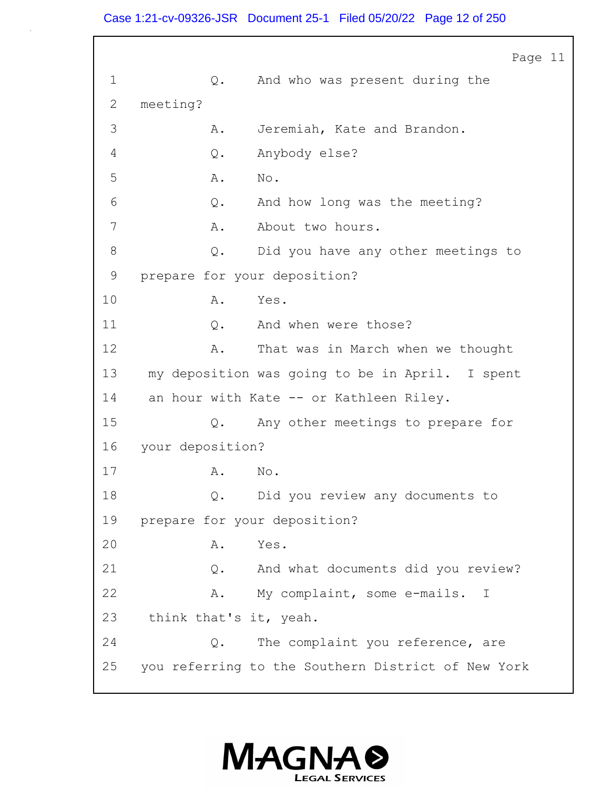#### Case 1:21-cv-09326-JSR Document 25-1 Filed 05/20/22 Page 12 of 250

Page 11 1 Q. And who was present during the 2 meeting? 3 A. Jeremiah, Kate and Brandon. 4 Q. Anybody else? 5 A. No. 6 Q. And how long was the meeting? 7 A. About two hours. 8 Q. Did you have any other meetings to 9 prepare for your deposition? 10 A. Yes. 11 0. And when were those? 12 A. That was in March when we thought 13 my deposition was going to be in April. I spent 14 an hour with Kate -- or Kathleen Riley. 15 Q. Any other meetings to prepare for 16 your deposition? 17 A. No. 18 Q. Did you review any documents to 19 prepare for your deposition? 20 A. Yes. 21 Q. And what documents did you review? 22 A. My complaint, some e-mails. I 23 think that's it, yeah. 24 Q. The complaint you reference, are 25 you referring to the Southern District of New York

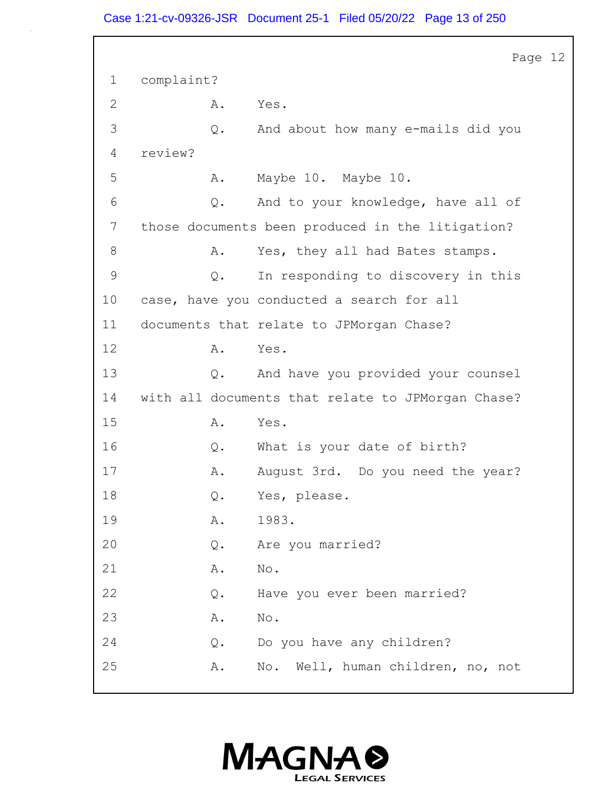```
Page 12
1 complaint?
2 A. Yes.
3 Q. And about how many e-mails did you
4 review?
5 A. Maybe 10. Maybe 10.
6 Q. And to your knowledge, have all of
7 those documents been produced in the litigation?
8 A. Yes, they all had Bates stamps.
9 Q. In responding to discovery in this
10 case, have you conducted a search for all
11 documents that relate to JPMorgan Chase?
12 A. Yes.
13 Q. And have you provided your counsel
14 with all documents that relate to JPMorgan Chase?
15 A. Yes.
16 Q. What is your date of birth?
17 A. August 3rd. Do you need the year?
18 Q. Yes, please.
19 A. 1983.
20 Q. Are you married?
21 A. No.
22 Q. Have you ever been married?
23 A. No.
24 Q. Do you have any children?
25 A. No. Well, human children, no, not
```
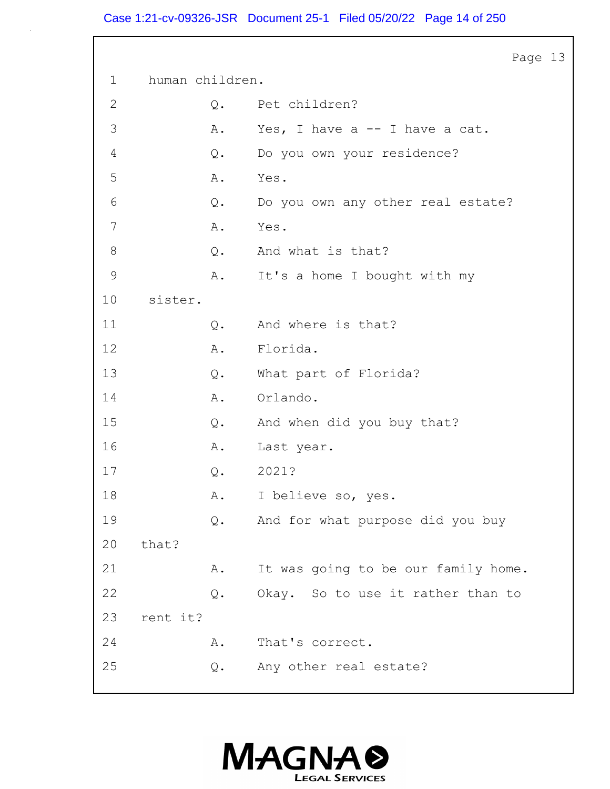## Case 1:21-cv-09326-JSR Document 25-1 Filed 05/20/22 Page 14 of 250

|              |                 |    |                                     | Page 13 |  |
|--------------|-----------------|----|-------------------------------------|---------|--|
| $\mathbf{1}$ | human children. |    |                                     |         |  |
| 2            |                 | Q. | Pet children?                       |         |  |
| 3            |                 | Α. | Yes, I have a -- I have a cat.      |         |  |
| 4            |                 | Q. | Do you own your residence?          |         |  |
| 5            |                 | Α. | Yes.                                |         |  |
| 6            |                 | Q. | Do you own any other real estate?   |         |  |
| 7            |                 | Α. | Yes.                                |         |  |
| 8            |                 | Q. | And what is that?                   |         |  |
| $\mathsf 9$  |                 | Α. | It's a home I bought with my        |         |  |
| 10           | sister.         |    |                                     |         |  |
| 11           |                 | Q. | And where is that?                  |         |  |
| 12           |                 | Α. | Florida.                            |         |  |
| 13           |                 | Q. | What part of Florida?               |         |  |
| 14           |                 | Α. | Orlando.                            |         |  |
| 15           |                 | Q. | And when did you buy that?          |         |  |
| 16           |                 | Α. | Last year.                          |         |  |
| 17           |                 | Q. | 2021?                               |         |  |
| 18           |                 | Α. | I believe so, yes.                  |         |  |
| 19           |                 | Q. | And for what purpose did you buy    |         |  |
| 20           | that?           |    |                                     |         |  |
| 21           |                 | Α. | It was going to be our family home. |         |  |
| 22           |                 | Q. | Okay. So to use it rather than to   |         |  |
| 23           | rent it?        |    |                                     |         |  |
| 24           |                 | Α. | That's correct.                     |         |  |
| 25           |                 | Q. | Any other real estate?              |         |  |
|              |                 |    |                                     |         |  |

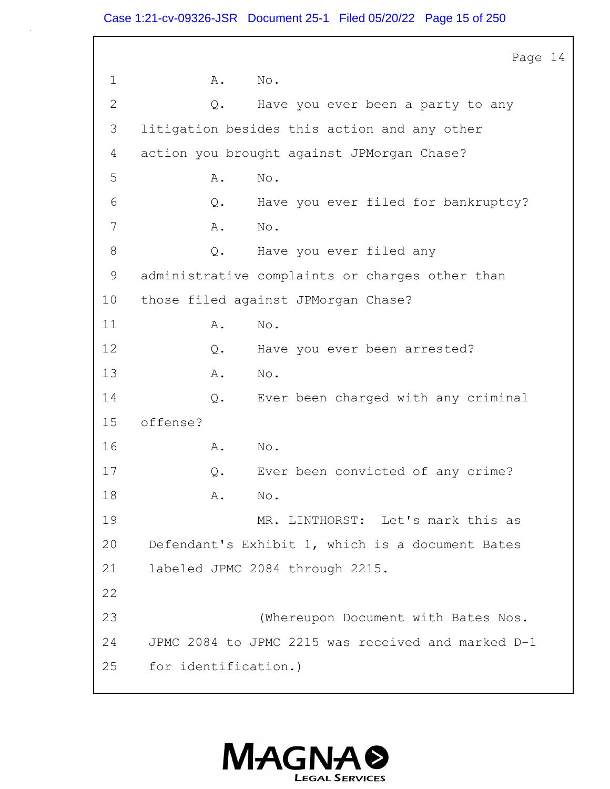#### Case 1:21-cv-09326-JSR Document 25-1 Filed 05/20/22 Page 15 of 250

Page 14 1 **A.** No. 2 Q. Have you ever been a party to any 3 litigation besides this action and any other 4 action you brought against JPMorgan Chase? 5 A. No. 6 Q. Have you ever filed for bankruptcy? 7 A. No. 8 Q. Have you ever filed any 9 administrative complaints or charges other than 10 those filed against JPMorgan Chase? 11 A. No. 12 Q. Have you ever been arrested? 13 A. No. 14 Q. Ever been charged with any criminal 15 offense? 16 **A.** No. 17 Q. Ever been convicted of any crime? 18 A. No. 19 MR. LINTHORST: Let's mark this as 20 Defendant's Exhibit 1, which is a document Bates 21 labeled JPMC 2084 through 2215. 22 23 (Whereupon Document with Bates Nos. 24 JPMC 2084 to JPMC 2215 was received and marked D-1 25 for identification.)

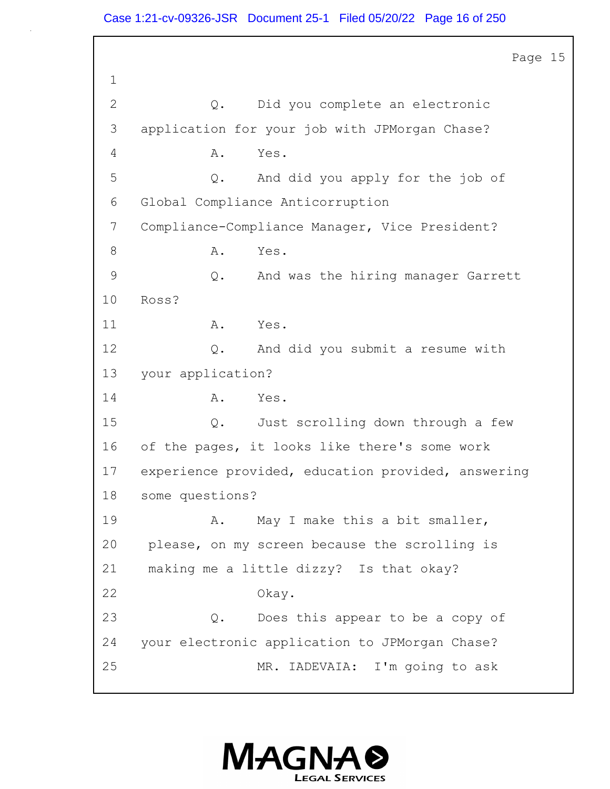Page 15 1 2 Q. Did you complete an electronic 3 application for your job with JPMorgan Chase? 4 A. Yes. 5 Q. And did you apply for the job of 6 Global Compliance Anticorruption 7 Compliance-Compliance Manager, Vice President? 8 A. Yes. 9 Q. And was the hiring manager Garrett 10 Ross? 11 A. Yes. 12 Q. And did you submit a resume with 13 your application? 14 A. Yes. 15 Q. Just scrolling down through a few 16 of the pages, it looks like there's some work 17 experience provided, education provided, answering 18 some questions? 19 A. May I make this a bit smaller, 20 please, on my screen because the scrolling is 21 making me a little dizzy? Is that okay? 22 Okay. 23 Q. Does this appear to be a copy of 24 your electronic application to JPMorgan Chase? 25 MR. IADEVAIA: I'm going to ask

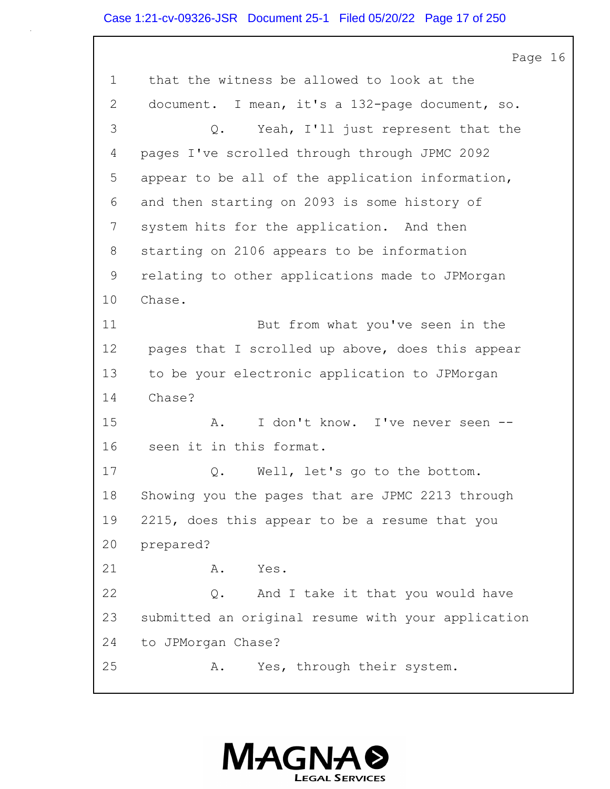#### Case 1:21-cv-09326-JSR Document 25-1 Filed 05/20/22 Page 17 of 250

Page 16 1 that the witness be allowed to look at the 2 document. I mean, it's a 132-page document, so. 3 Q. Yeah, I'll just represent that the 4 pages I've scrolled through through JPMC 2092 5 appear to be all of the application information, 6 and then starting on 2093 is some history of 7 system hits for the application. And then 8 starting on 2106 appears to be information 9 relating to other applications made to JPMorgan 10 Chase. 11 But from what you've seen in the 12 pages that I scrolled up above, does this appear 13 to be your electronic application to JPMorgan 14 Chase? 15 A. I don't know. I've never seen -- 16 seen it in this format. 17 Q. Well, let's go to the bottom. 18 Showing you the pages that are JPMC 2213 through 19 2215, does this appear to be a resume that you 20 prepared? 21 A. Yes. 22 Q. And I take it that you would have 23 submitted an original resume with your application 24 to JPMorgan Chase? 25 A. Yes, through their system.

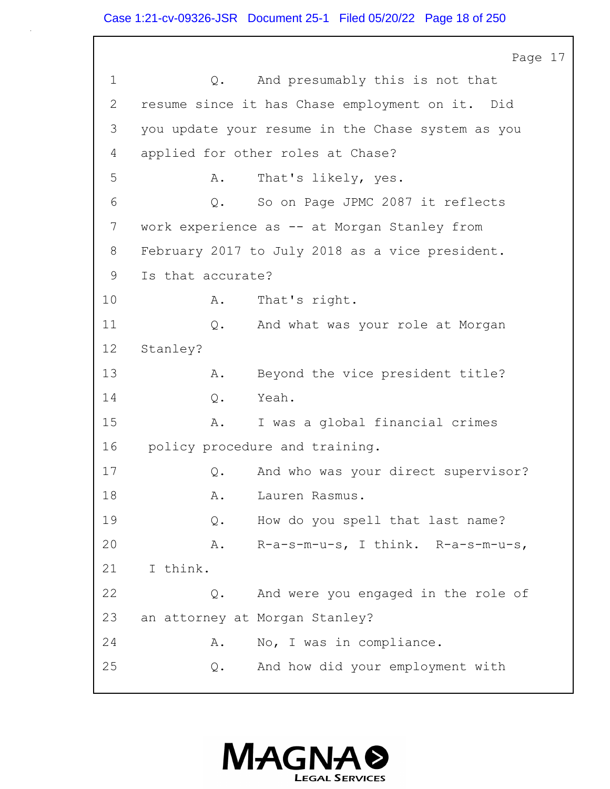Page 17 1 Q. And presumably this is not that 2 resume since it has Chase employment on it. Did 3 you update your resume in the Chase system as you 4 applied for other roles at Chase? 5 A. That's likely, yes. 6 Q. So on Page JPMC 2087 it reflects 7 work experience as -- at Morgan Stanley from 8 February 2017 to July 2018 as a vice president. 9 Is that accurate? 10 A. That's right. 11 Q. And what was your role at Morgan 12 Stanley? 13 A. Beyond the vice president title? 14 Q. Yeah. 15 A. I was a global financial crimes 16 policy procedure and training. 17 Q. And who was your direct supervisor? 18 A. Lauren Rasmus. 19 Q. How do you spell that last name? 20 A. R-a-s-m-u-s, I think. R-a-s-m-u-s, 21 I think. 22 Q. And were you engaged in the role of 23 an attorney at Morgan Stanley? 24 A. No, I was in compliance. 25 Q. And how did your employment with

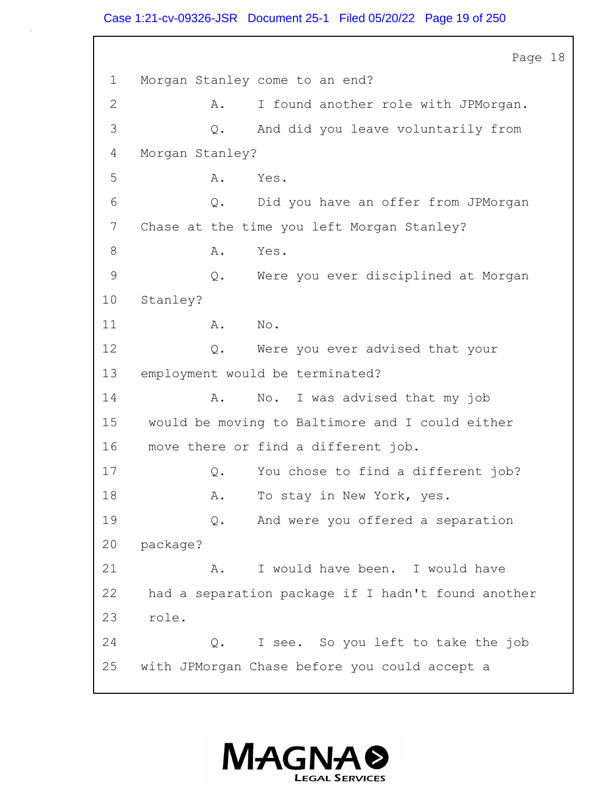#### Case 1:21-cv-09326-JSR Document 25-1 Filed 05/20/22 Page 19 of 250

Page 18 1 Morgan Stanley come to an end? 2 A. I found another role with JPMorgan. 3 Q. And did you leave voluntarily from 4 Morgan Stanley? 5 A. Yes. 6 Q. Did you have an offer from JPMorgan 7 Chase at the time you left Morgan Stanley? 8 A. Yes. 9 Q. Were you ever disciplined at Morgan 10 Stanley? 11 A. No. 12 Q. Were you ever advised that your 13 employment would be terminated? 14 A. No. I was advised that my job 15 would be moving to Baltimore and I could either 16 move there or find a different job. 17 Q. You chose to find a different job? 18 A. To stay in New York, yes. 19 Q. And were you offered a separation 20 package? 21 A. I would have been. I would have 22 had a separation package if I hadn't found another 23 role. 24 Q. I see. So you left to take the job 25 with JPMorgan Chase before you could accept a

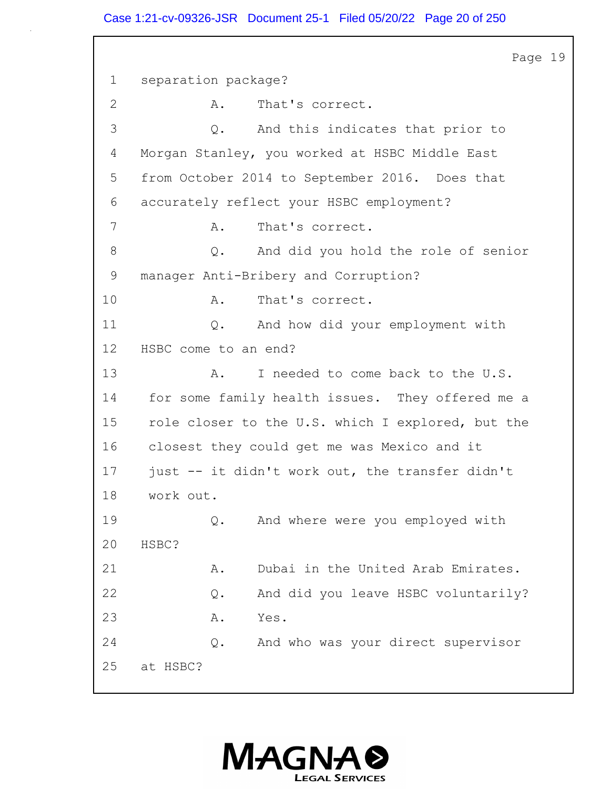#### Case 1:21-cv-09326-JSR Document 25-1 Filed 05/20/22 Page 20 of 250

Page 19 1 separation package? 2 A. That's correct. 3 Q. And this indicates that prior to 4 Morgan Stanley, you worked at HSBC Middle East 5 from October 2014 to September 2016. Does that 6 accurately reflect your HSBC employment? 7 A. That's correct. 8 Q. And did you hold the role of senior 9 manager Anti-Bribery and Corruption? 10 A. That's correct. 11 Q. And how did your employment with 12 HSBC come to an end? 13 A. I needed to come back to the U.S. 14 for some family health issues. They offered me a 15 role closer to the U.S. which I explored, but the 16 closest they could get me was Mexico and it 17 just -- it didn't work out, the transfer didn't 18 work out. 19 Q. And where were you employed with 20 HSBC? 21 A. Dubai in the United Arab Emirates. 22 Q. And did you leave HSBC voluntarily? 23 A. Yes. 24 Q. And who was your direct supervisor 25 at HSBC?

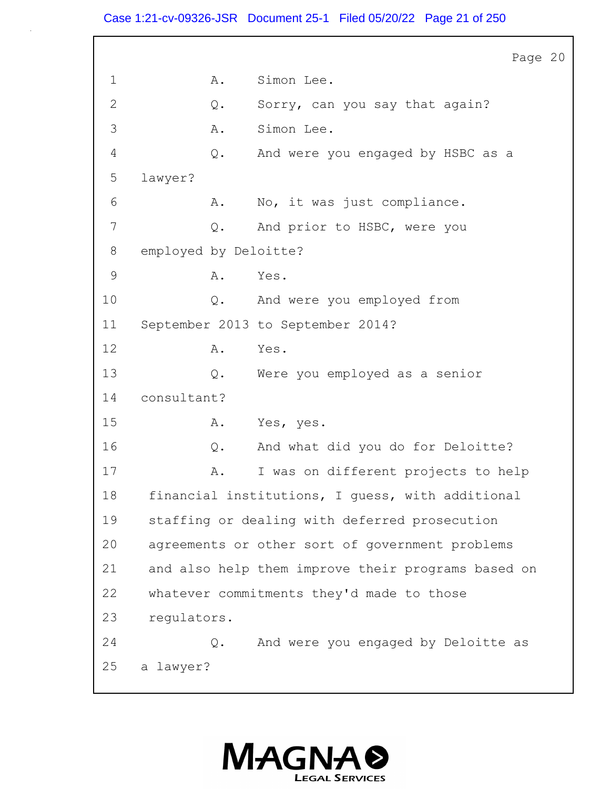## Page 20 1 A. Simon Lee. 2 Q. Sorry, can you say that again? 3 A. Simon Lee. 4 Q. And were you engaged by HSBC as a 5 lawyer? 6 A. No, it was just compliance. 7 Q. And prior to HSBC, were you 8 employed by Deloitte? 9 A. Yes. 10 Q. And were you employed from 11 September 2013 to September 2014? 12 A. Yes. 13 Q. Were you employed as a senior 14 consultant? 15 A. Yes, yes. 16 Q. And what did you do for Deloitte? 17 A. I was on different projects to help 18 financial institutions, I guess, with additional 19 staffing or dealing with deferred prosecution 20 agreements or other sort of government problems 21 and also help them improve their programs based on 22 whatever commitments they'd made to those 23 regulators. 24 Q. And were you engaged by Deloitte as 25 a lawyer?

Case 1:21-cv-09326-JSR Document 25-1 Filed 05/20/22 Page 21 of 250

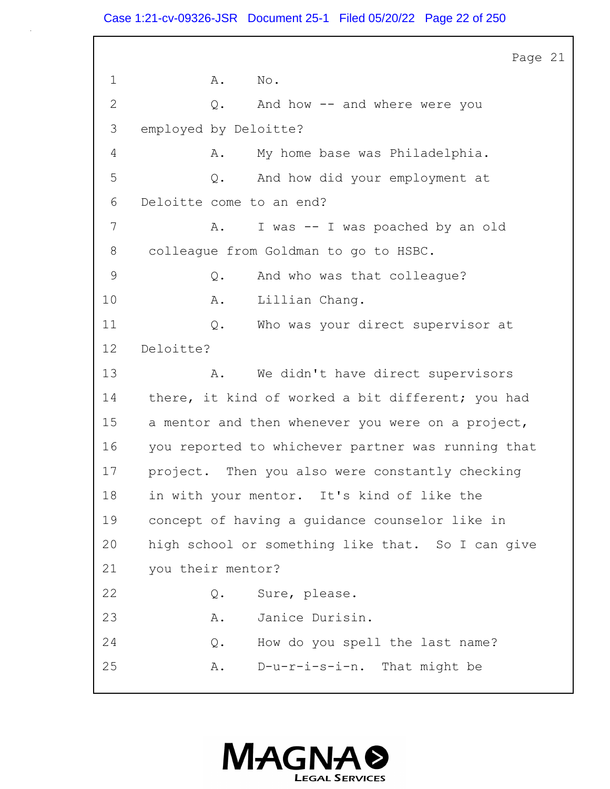#### Case 1:21-cv-09326-JSR Document 25-1 Filed 05/20/22 Page 22 of 250

Page 21 1 **A.** No. 2 0. And how -- and where were you 3 employed by Deloitte? 4 A. My home base was Philadelphia. 5 Q. And how did your employment at 6 Deloitte come to an end? 7 A. I was -- I was poached by an old 8 colleague from Goldman to go to HSBC. 9 Q. And who was that colleague? 10 A. Lillian Chang. 11 Q. Who was your direct supervisor at 12 Deloitte? 13 A. We didn't have direct supervisors 14 there, it kind of worked a bit different; you had 15 a mentor and then whenever you were on a project, 16 you reported to whichever partner was running that 17 project. Then you also were constantly checking 18 in with your mentor. It's kind of like the 19 concept of having a guidance counselor like in 20 high school or something like that. So I can give 21 you their mentor? 22 Q. Sure, please. 23 A. Janice Durisin. 24 Q. How do you spell the last name? 25 A. D-u-r-i-s-i-n. That might be

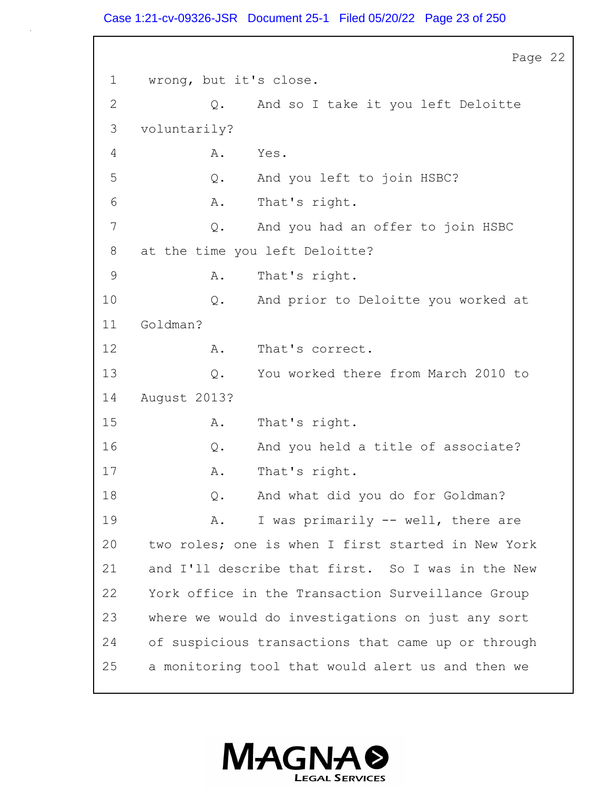#### Case 1:21-cv-09326-JSR Document 25-1 Filed 05/20/22 Page 23 of 250

Page 22 1 wrong, but it's close. 2 Q. And so I take it you left Deloitte 3 voluntarily? 4 A. Yes. 5 Q. And you left to join HSBC? 6 A. That's right. 7 Q. And you had an offer to join HSBC 8 at the time you left Deloitte? 9 A. That's right. 10 Q. And prior to Deloitte you worked at 11 Goldman? 12 A. That's correct. 13 Q. You worked there from March 2010 to 14 August 2013? 15 A. That's right. 16 Q. And you held a title of associate? 17 A. That's right. 18 Q. And what did you do for Goldman? 19 A. I was primarily -- well, there are 20 two roles; one is when I first started in New York 21 and I'll describe that first. So I was in the New 22 York office in the Transaction Surveillance Group 23 where we would do investigations on just any sort 24 of suspicious transactions that came up or through 25 a monitoring tool that would alert us and then we

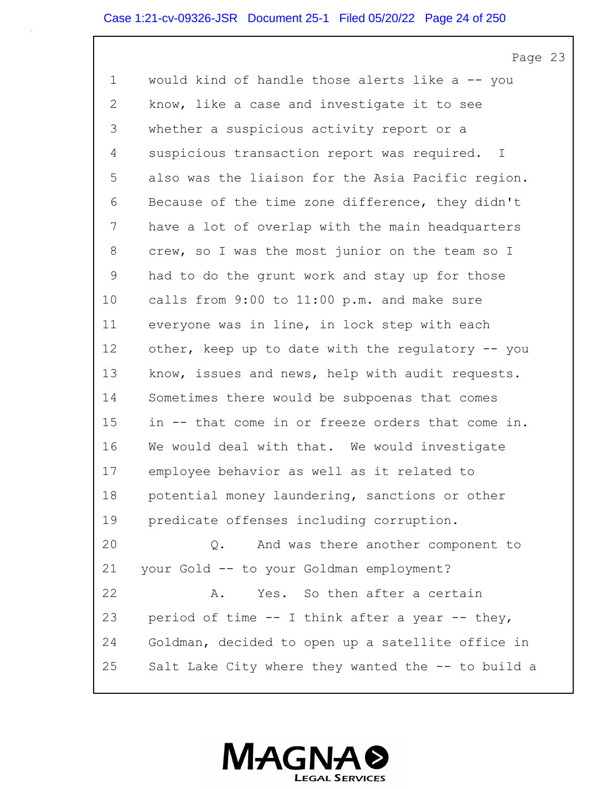#### Case 1:21-cv-09326-JSR Document 25-1 Filed 05/20/22 Page 24 of 250

Page 23

1 would kind of handle those alerts like a -- you 2 know, like a case and investigate it to see 3 whether a suspicious activity report or a 4 suspicious transaction report was required. I 5 also was the liaison for the Asia Pacific region. 6 Because of the time zone difference, they didn't 7 have a lot of overlap with the main headquarters 8 crew, so I was the most junior on the team so I 9 had to do the grunt work and stay up for those 10 calls from 9:00 to 11:00 p.m. and make sure 11 everyone was in line, in lock step with each 12 other, keep up to date with the regulatory -- you 13 know, issues and news, help with audit requests. 14 Sometimes there would be subpoenas that comes 15 in -- that come in or freeze orders that come in. 16 We would deal with that. We would investigate 17 employee behavior as well as it related to 18 potential money laundering, sanctions or other 19 predicate offenses including corruption. 20 Q. And was there another component to 21 your Gold -- to your Goldman employment? 22 A. Yes. So then after a certain 23 period of time -- I think after a year -- they, 24 Goldman, decided to open up a satellite office in 25 Salt Lake City where they wanted the -- to build a

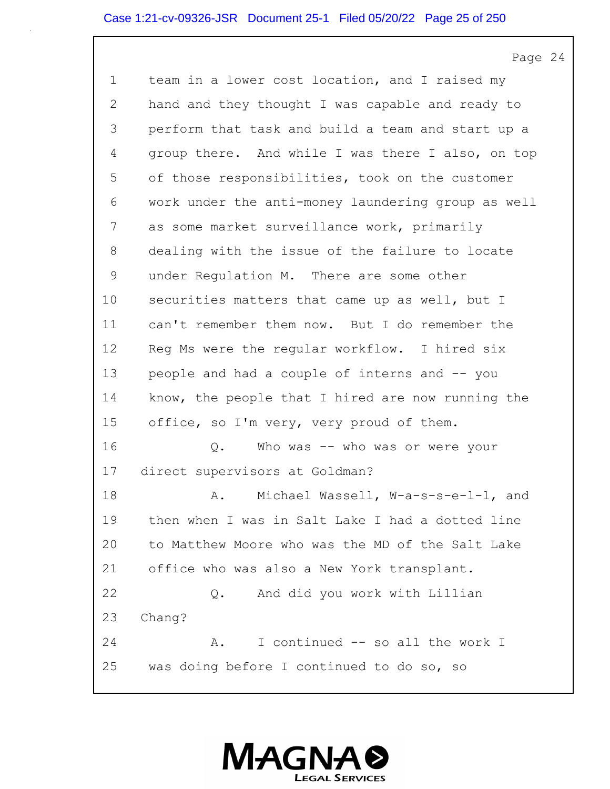#### Case 1:21-cv-09326-JSR Document 25-1 Filed 05/20/22 Page 25 of 250

Page 24

1 team in a lower cost location, and I raised my 2 hand and they thought I was capable and ready to 3 perform that task and build a team and start up a 4 group there. And while I was there I also, on top 5 of those responsibilities, took on the customer 6 work under the anti-money laundering group as well 7 as some market surveillance work, primarily 8 dealing with the issue of the failure to locate 9 under Regulation M. There are some other 10 securities matters that came up as well, but I 11 can't remember them now. But I do remember the 12 Reg Ms were the regular workflow. I hired six 13 people and had a couple of interns and -- you 14 know, the people that I hired are now running the 15 office, so I'm very, very proud of them. 16 Q. Who was -- who was or were your 17 direct supervisors at Goldman? 18 A. Michael Wassell, W-a-s-s-e-l-l, and 19 then when I was in Salt Lake I had a dotted line 20 to Matthew Moore who was the MD of the Salt Lake 21 office who was also a New York transplant. 22 Q. And did you work with Lillian 23 Chang? 24 A. I continued -- so all the work I 25 was doing before I continued to do so, so

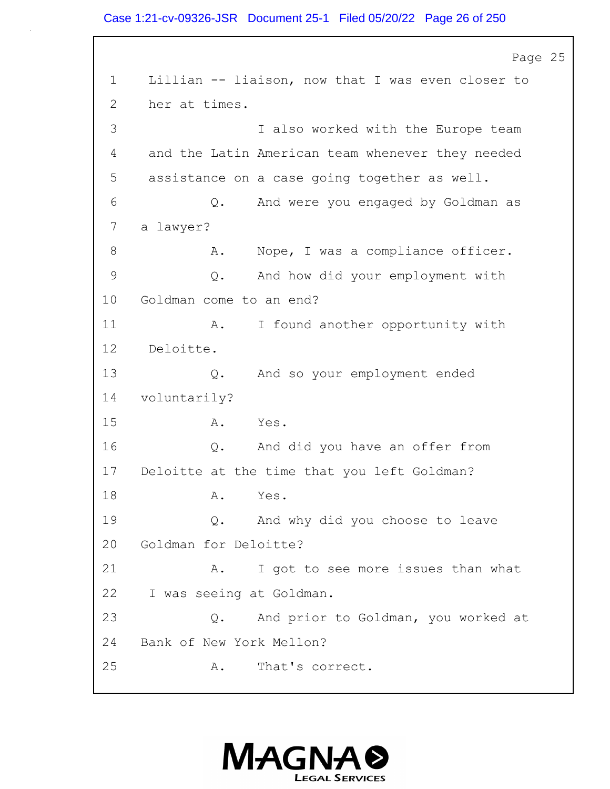#### Case 1:21-cv-09326-JSR Document 25-1 Filed 05/20/22 Page 26 of 250

Page 25 1 Lillian -- liaison, now that I was even closer to 2 her at times. 3 I also worked with the Europe team 4 and the Latin American team whenever they needed 5 assistance on a case going together as well. 6 Q. And were you engaged by Goldman as 7 a lawyer? 8 A. Nope, I was a compliance officer. 9 Q. And how did your employment with 10 Goldman come to an end? 11 A. I found another opportunity with 12 Deloitte. 13 Q. And so your employment ended 14 voluntarily? 15 A. Yes. 16 Q. And did you have an offer from 17 Deloitte at the time that you left Goldman? 18 A. Yes. 19 Q. And why did you choose to leave 20 Goldman for Deloitte? 21 A. I got to see more issues than what 22 I was seeing at Goldman. 23 Q. And prior to Goldman, you worked at 24 Bank of New York Mellon? 25 A. That's correct.

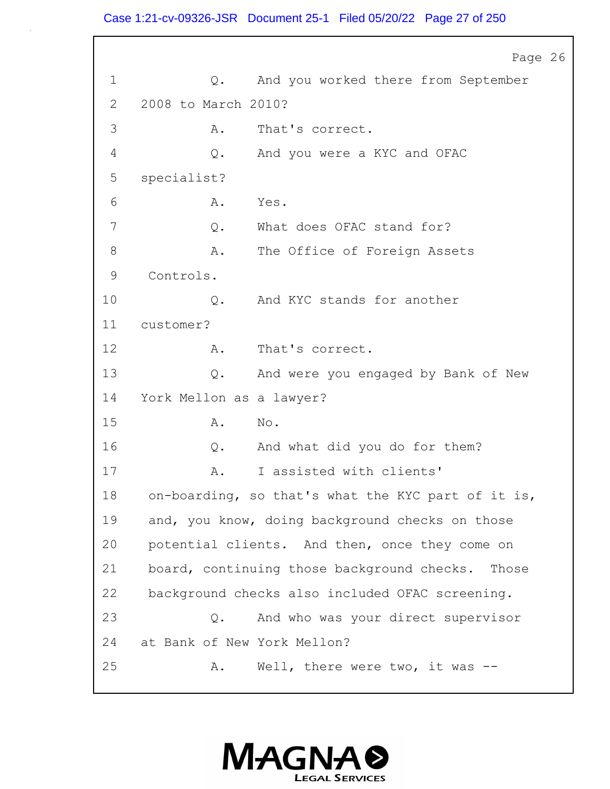#### Case 1:21-cv-09326-JSR Document 25-1 Filed 05/20/22 Page 27 of 250

Page 26 1 Q. And you worked there from September 2 2008 to March 2010? 3 A. That's correct. 4 Q. And you were a KYC and OFAC 5 specialist? 6 A. Yes. 7 Q. What does OFAC stand for? 8 A. The Office of Foreign Assets 9 Controls. 10 Q. And KYC stands for another 11 customer? 12 A. That's correct. 13 Q. And were you engaged by Bank of New 14 York Mellon as a lawyer? 15 **A.** No. 16 Q. And what did you do for them? 17 A. I assisted with clients' 18 on-boarding, so that's what the KYC part of it is, 19 and, you know, doing background checks on those 20 potential clients. And then, once they come on 21 board, continuing those background checks. Those 22 background checks also included OFAC screening. 23 Q. And who was your direct supervisor 24 at Bank of New York Mellon? 25 A. Well, there were two, it was --

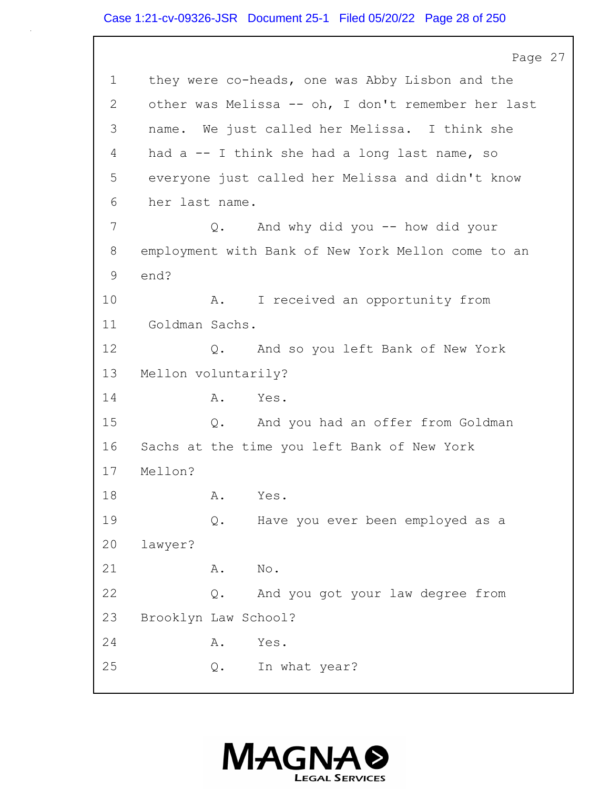Page 27 1 they were co-heads, one was Abby Lisbon and the 2 other was Melissa -- oh, I don't remember her last 3 name. We just called her Melissa. I think she 4 had a -- I think she had a long last name, so 5 everyone just called her Melissa and didn't know 6 her last name. 7 Q. And why did you -- how did your 8 employment with Bank of New York Mellon come to an 9 end? 10 A. I received an opportunity from 11 Goldman Sachs. 12 Q. And so you left Bank of New York 13 Mellon voluntarily? 14 A. Yes. 15 Q. And you had an offer from Goldman 16 Sachs at the time you left Bank of New York 17 Mellon? 18 A. Yes. 19 Q. Have you ever been employed as a 20 lawyer? 21 A. No. 22 Q. And you got your law degree from 23 Brooklyn Law School? 24 A. Yes. 25 Q. In what year?

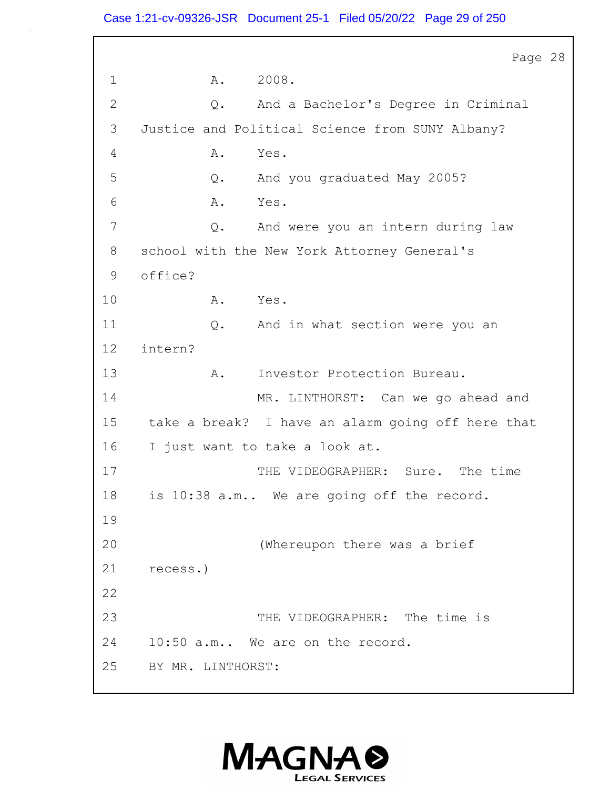#### Case 1:21-cv-09326-JSR Document 25-1 Filed 05/20/22 Page 29 of 250

Page 28 1 A. 2008. 2 Q. And a Bachelor's Degree in Criminal 3 Justice and Political Science from SUNY Albany? 4 A. Yes. 5 Q. And you graduated May 2005? 6 A. Yes. 7 Q. And were you an intern during law 8 school with the New York Attorney General's 9 office? 10 A. Yes. 11 Q. And in what section were you an 12 intern? 13 A. Investor Protection Bureau. 14 MR. LINTHORST: Can we go ahead and 15 take a break? I have an alarm going off here that 16 I just want to take a look at. 17 THE VIDEOGRAPHER: Sure. The time 18 is 10:38 a.m.. We are going off the record. 19 20 (Whereupon there was a brief 21 recess.) 22 23 THE VIDEOGRAPHER: The time is 24 10:50 a.m.. We are on the record. 25 BY MR. LINTHORST:

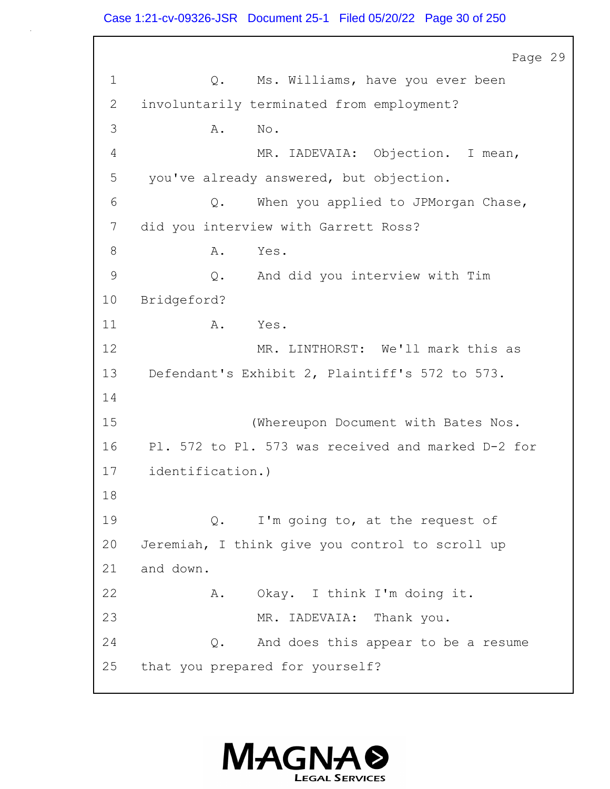#### Case 1:21-cv-09326-JSR Document 25-1 Filed 05/20/22 Page 30 of 250

Page 29 1 Q. Ms. Williams, have you ever been 2 involuntarily terminated from employment? 3 A. No. 4 MR. IADEVAIA: Objection. I mean, 5 you've already answered, but objection. 6 Q. When you applied to JPMorgan Chase, 7 did you interview with Garrett Ross? 8 A. Yes. 9 Q. And did you interview with Tim 10 Bridgeford? 11 A. Yes. 12 MR. LINTHORST: We'll mark this as 13 Defendant's Exhibit 2, Plaintiff's 572 to 573. 14 15 (Whereupon Document with Bates Nos. 16 Pl. 572 to Pl. 573 was received and marked D-2 for 17 identification.) 18 19 Q. I'm going to, at the request of 20 Jeremiah, I think give you control to scroll up 21 and down. 22 A. Okay. I think I'm doing it. 23 MR. IADEVAIA: Thank you. 24 Q. And does this appear to be a resume 25 that you prepared for yourself?

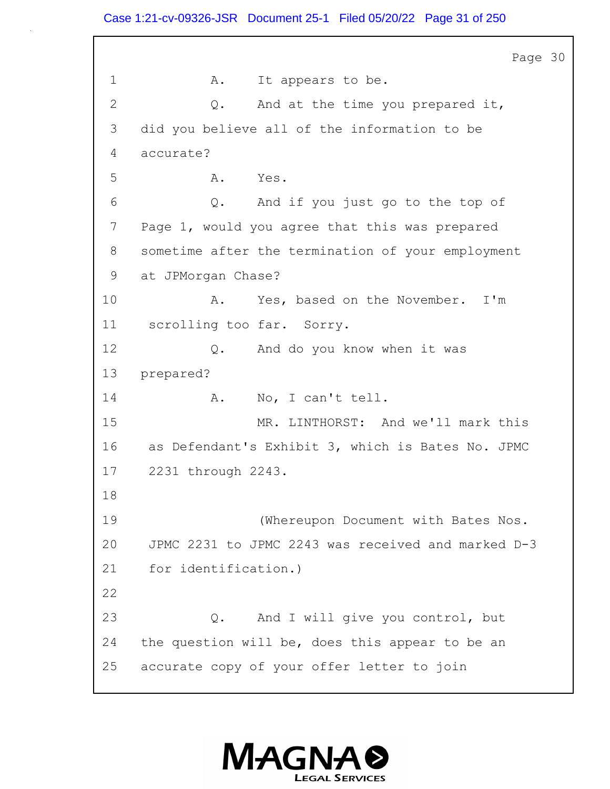#### Case 1:21-cv-09326-JSR Document 25-1 Filed 05/20/22 Page 31 of 250

Page 30 1 A. It appears to be. 2 Q. And at the time you prepared it, 3 did you believe all of the information to be 4 accurate? 5 A. Yes. 6 Q. And if you just go to the top of 7 Page 1, would you agree that this was prepared 8 sometime after the termination of your employment 9 at JPMorgan Chase? 10 A. Yes, based on the November. I'm 11 scrolling too far. Sorry. 12 Q. And do you know when it was 13 prepared? 14 A. No, I can't tell. 15 MR. LINTHORST: And we'll mark this 16 as Defendant's Exhibit 3, which is Bates No. JPMC 17 2231 through 2243. 18 19 **(Whereupon Document with Bates Nos.** 20 JPMC 2231 to JPMC 2243 was received and marked D-3 21 for identification.) 22 23 Q. And I will give you control, but 24 the question will be, does this appear to be an 25 accurate copy of your offer letter to join

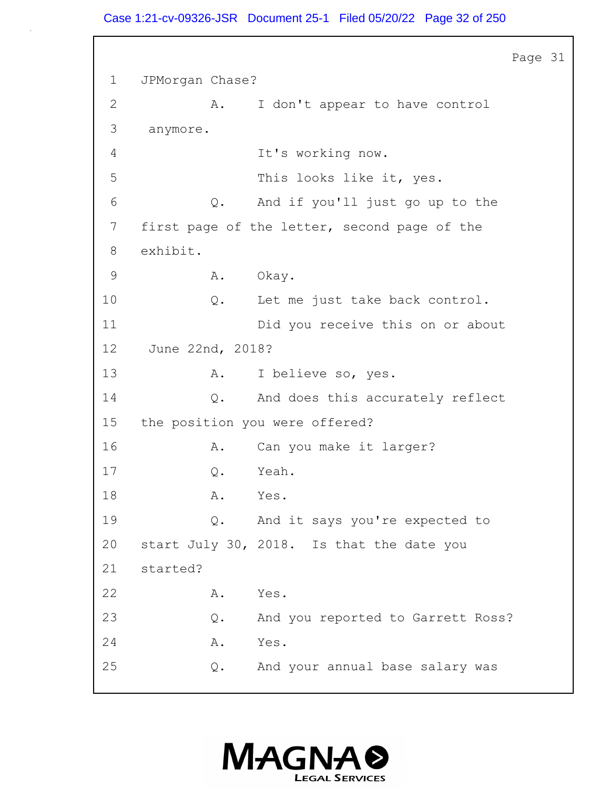#### Case 1:21-cv-09326-JSR Document 25-1 Filed 05/20/22 Page 32 of 250

```
Page 31
1 JPMorgan Chase?
2 A. I don't appear to have control
3 anymore.
4 It's working now.
5 This looks like it, yes.
6 Q. And if you'll just go up to the
7 first page of the letter, second page of the
8 exhibit.
9 A. Okay.
10 Q. Let me just take back control.
11 Did you receive this on or about
12 June 22nd, 2018?
13 A. I believe so, yes.
14 Q. And does this accurately reflect
15 the position you were offered?
16 A. Can you make it larger?
17 Q. Yeah.
18 A. Yes.
19 Q. And it says you're expected to
20 start July 30, 2018. Is that the date you
21 started?
22 A. Yes.
23 Q. And you reported to Garrett Ross?
24 A. Yes.
25 Q. And your annual base salary was
```
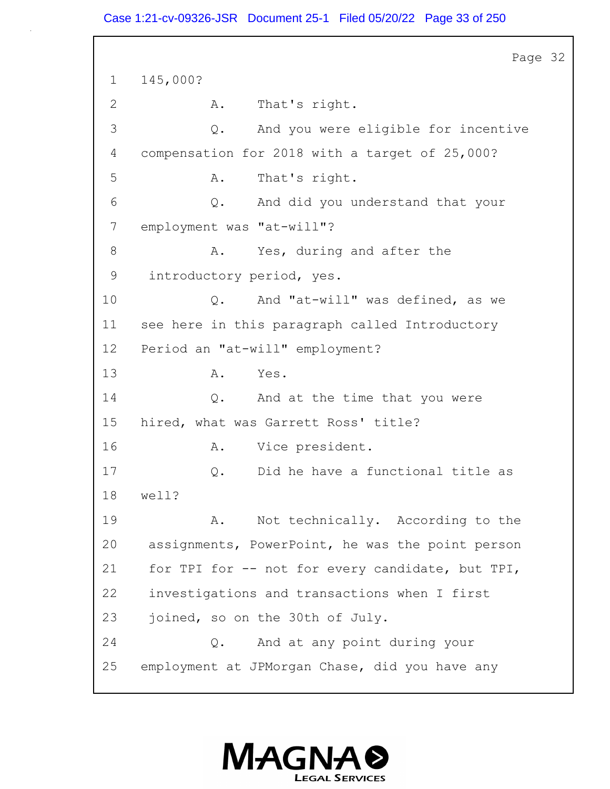Page 32 1 145,000? 2 A. That's right. 3 Q. And you were eligible for incentive 4 compensation for 2018 with a target of 25,000? 5 A. That's right. 6 Q. And did you understand that your 7 employment was "at-will"? 8 A. Yes, during and after the 9 introductory period, yes. 10 Q. And "at-will" was defined, as we 11 see here in this paragraph called Introductory 12 Period an "at-will" employment? 13 A. Yes. 14 Q. And at the time that you were 15 hired, what was Garrett Ross' title? 16 A. Vice president. 17 Q. Did he have a functional title as 18 well? 19 A. Not technically. According to the 20 assignments, PowerPoint, he was the point person 21 for TPI for -- not for every candidate, but TPI, 22 investigations and transactions when I first 23 joined, so on the 30th of July. 24 Q. And at any point during your 25 employment at JPMorgan Chase, did you have any

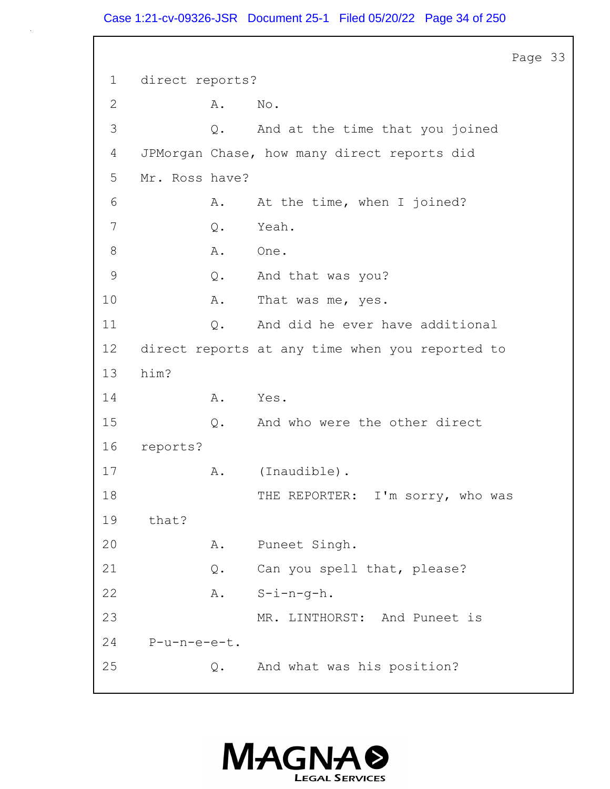#### Case 1:21-cv-09326-JSR Document 25-1 Filed 05/20/22 Page 34 of 250

```
Page 33
1 direct reports?
2 A. No.
3 Q. And at the time that you joined
4 JPMorgan Chase, how many direct reports did
5 Mr. Ross have?
6 A. At the time, when I joined?
7 Q. Yeah.
8 A. One.
9 Q. And that was you?
10 A. That was me, yes.
11 O. And did he ever have additional
12 direct reports at any time when you reported to
13 him?
14 A. Yes.
15 Q. And who were the other direct
16 reports?
17 A. (Inaudible).
18 THE REPORTER: I'm sorry, who was
19 that?
20 A. Puneet Singh.
21 Q. Can you spell that, please?
22 A. S-i-n-g-h.
23 MR. LINTHORST: And Puneet is
24 P-u-n-e-e-t.
25 Q. And what was his position?
```
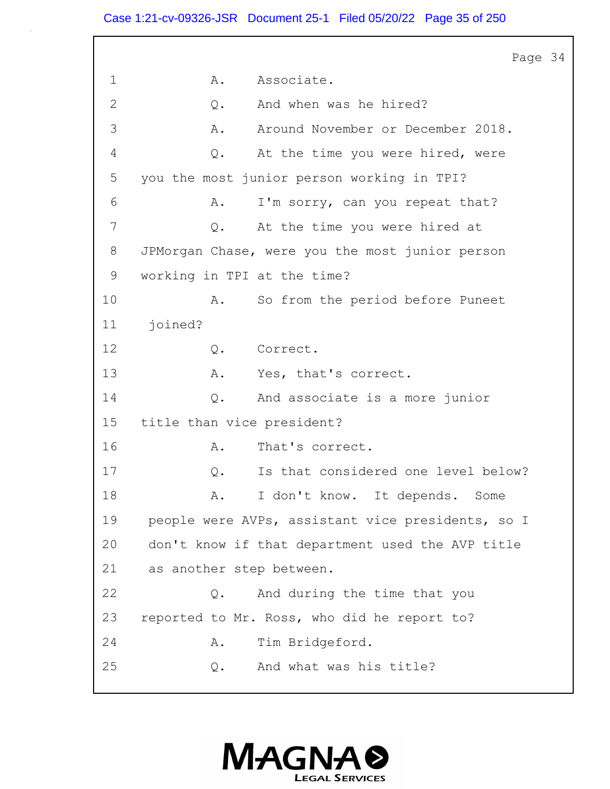#### Case 1:21-cv-09326-JSR Document 25-1 Filed 05/20/22 Page 35 of 250

Page 34 1 A. Associate. 2 Q. And when was he hired? 3 A. Around November or December 2018. 4 Q. At the time you were hired, were 5 you the most junior person working in TPI? 6 A. I'm sorry, can you repeat that? 7 Q. At the time you were hired at 8 JPMorgan Chase, were you the most junior person 9 working in TPI at the time? 10 A. So from the period before Puneet 11 joined? 12 Q. Correct. 13 A. Yes, that's correct. 14 Q. And associate is a more junior 15 title than vice president? 16 A. That's correct. 17 Q. Is that considered one level below? 18 A. I don't know. It depends. Some 19 people were AVPs, assistant vice presidents, so I 20 don't know if that department used the AVP title 21 as another step between. 22 Q. And during the time that you 23 reported to Mr. Ross, who did he report to? 24 A. Tim Bridgeford. 25 Q. And what was his title?

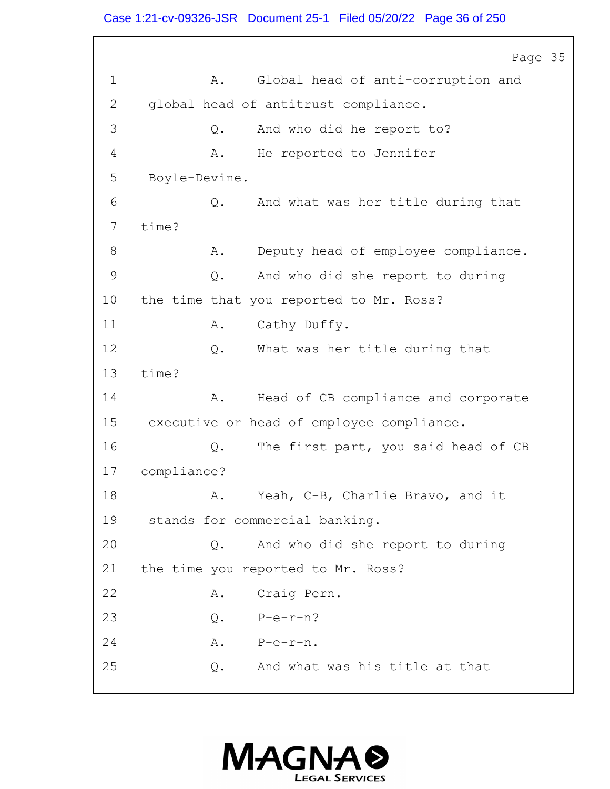#### Case 1:21-cv-09326-JSR Document 25-1 Filed 05/20/22 Page 36 of 250

Page 35 1 A. Global head of anti-corruption and 2 global head of antitrust compliance. 3 Q. And who did he report to? 4 A. He reported to Jennifer 5 Boyle-Devine. 6 Q. And what was her title during that 7 time? 8 A. Deputy head of employee compliance. 9 Q. And who did she report to during 10 the time that you reported to Mr. Ross? 11 A. Cathy Duffy. 12 Q. What was her title during that 13 time? 14 A. Head of CB compliance and corporate 15 executive or head of employee compliance. 16 Q. The first part, you said head of CB 17 compliance? 18 A. Yeah, C-B, Charlie Bravo, and it 19 stands for commercial banking. 20 Q. And who did she report to during 21 the time you reported to Mr. Ross? 22 A. Craig Pern. 23 Q. P-e-r-n? 24 A. P-e-r-n. 25 Q. And what was his title at that

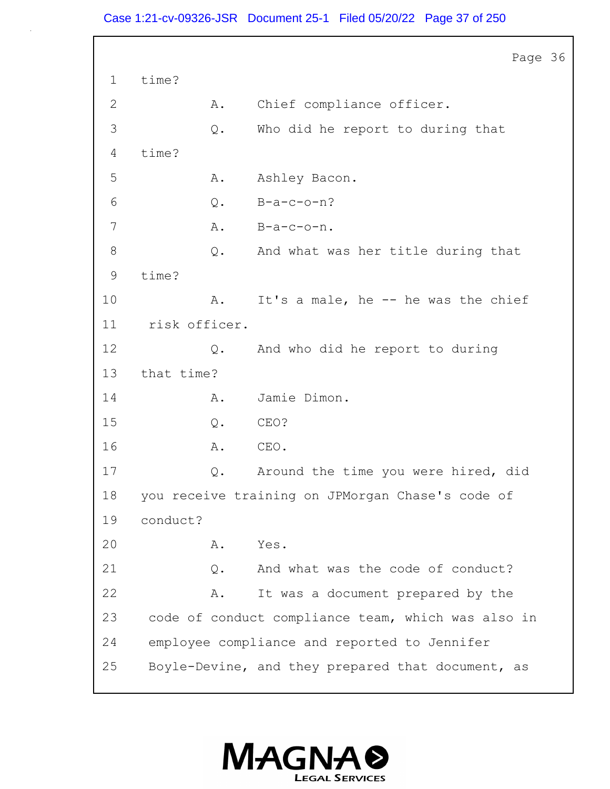#### Case 1:21-cv-09326-JSR Document 25-1 Filed 05/20/22 Page 37 of 250

```
Page 36
1 time?
2 A. Chief compliance officer.
3 Q. Who did he report to during that
4 time?
5 A. Ashley Bacon.
6 Q. B-a-c-o-n?
7 A. B-a-c-o-n.
8 Q. And what was her title during that
9 time?
10 A. It's a male, he -- he was the chief
11 risk officer.
12 Q. And who did he report to during
13 that time?
14 A. Jamie Dimon.
15 Q. CEO?
16 A. CEO.
17 Q. Around the time you were hired, did
18 you receive training on JPMorgan Chase's code of
19 conduct?
20 A. Yes.
21 Q. And what was the code of conduct?
22 A. It was a document prepared by the
23 code of conduct compliance team, which was also in
24 employee compliance and reported to Jennifer
25 Boyle-Devine, and they prepared that document, as
```
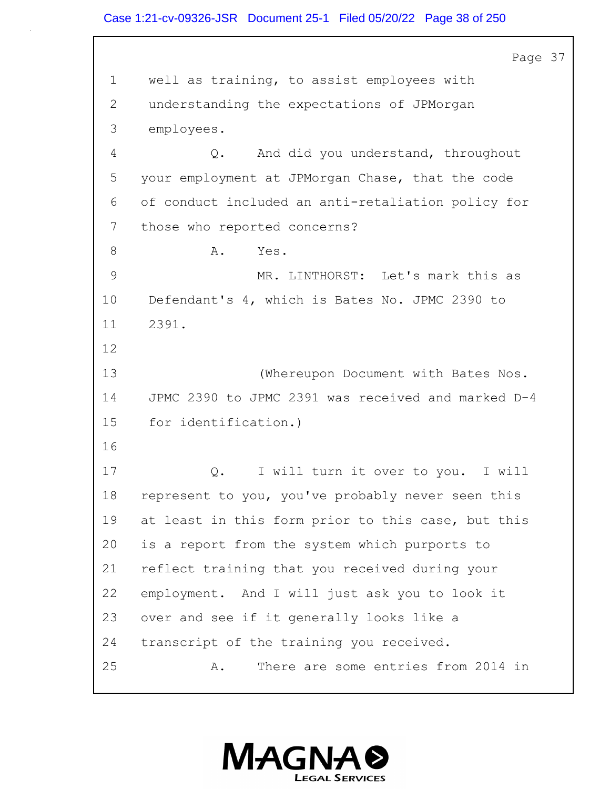### Case 1:21-cv-09326-JSR Document 25-1 Filed 05/20/22 Page 38 of 250

Page 37 1 well as training, to assist employees with 2 understanding the expectations of JPMorgan 3 employees. 4 Q. And did you understand, throughout 5 your employment at JPMorgan Chase, that the code 6 of conduct included an anti-retaliation policy for 7 those who reported concerns? 8 A. Yes. 9 MR. LINTHORST: Let's mark this as 10 Defendant's 4, which is Bates No. JPMC 2390 to 11 2391. 12 13 (Whereupon Document with Bates Nos. 14 JPMC 2390 to JPMC 2391 was received and marked D-4 15 for identification.) 16 17 Q. I will turn it over to you. I will 18 represent to you, you've probably never seen this 19 at least in this form prior to this case, but this 20 is a report from the system which purports to 21 reflect training that you received during your 22 employment. And I will just ask you to look it 23 over and see if it generally looks like a 24 transcript of the training you received. 25 A. There are some entries from 2014 in

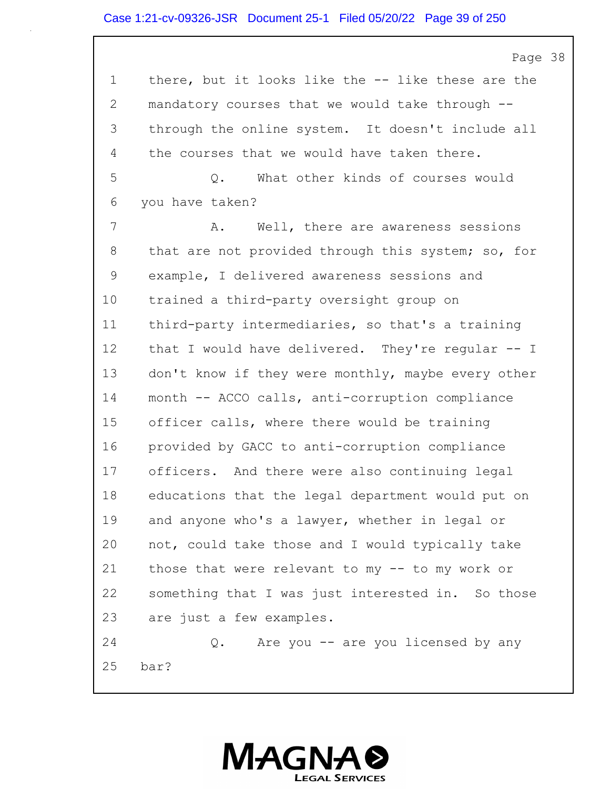# Case 1:21-cv-09326-JSR Document 25-1 Filed 05/20/22 Page 39 of 250

Page 38 1 there, but it looks like the -- like these are the 2 mandatory courses that we would take through -- 3 through the online system. It doesn't include all 4 the courses that we would have taken there. 5 Q. What other kinds of courses would 6 you have taken? 7 A. Well, there are awareness sessions 8 that are not provided through this system; so, for 9 example, I delivered awareness sessions and 10 trained a third-party oversight group on 11 third-party intermediaries, so that's a training 12 that I would have delivered. They're regular -- I 13 don't know if they were monthly, maybe every other 14 month -- ACCO calls, anti-corruption compliance 15 officer calls, where there would be training 16 provided by GACC to anti-corruption compliance 17 officers. And there were also continuing legal 18 educations that the legal department would put on 19 and anyone who's a lawyer, whether in legal or 20 not, could take those and I would typically take 21 those that were relevant to my -- to my work or 22 something that I was just interested in. So those 23 are just a few examples. 24 Q. Are you -- are you licensed by any 25 bar?

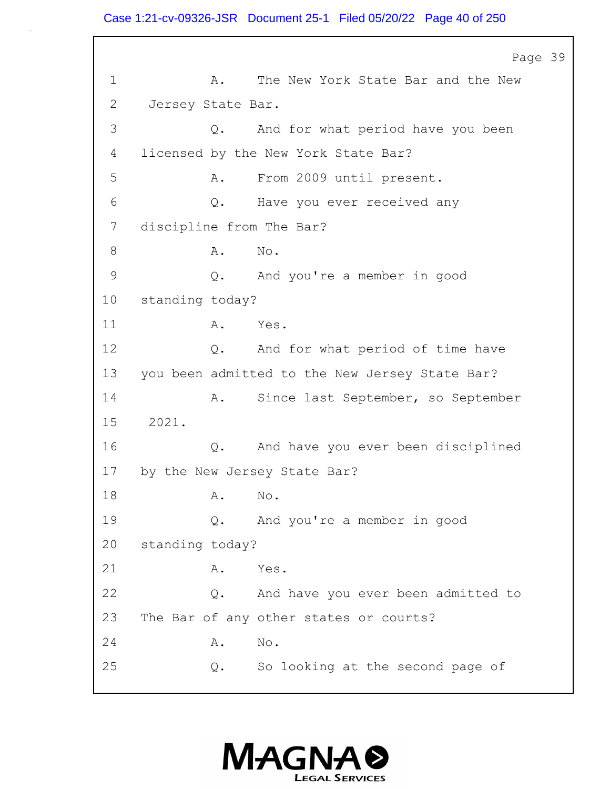## Case 1:21-cv-09326-JSR Document 25-1 Filed 05/20/22 Page 40 of 250

Page 39 1 A. The New York State Bar and the New 2 Jersey State Bar. 3 Q. And for what period have you been 4 licensed by the New York State Bar? 5 A. From 2009 until present. 6 Q. Have you ever received any 7 discipline from The Bar? 8 **A.** No. 9 Q. And you're a member in good 10 standing today? 11 A. Yes. 12 Q. And for what period of time have 13 you been admitted to the New Jersey State Bar? 14 A. Since last September, so September 15 2021. 16 Q. And have you ever been disciplined 17 by the New Jersey State Bar? 18 **A.** No. 19 Q. And you're a member in good 20 standing today? 21 A. Yes. 22 Q. And have you ever been admitted to 23 The Bar of any other states or courts? 24 A. No. 25 Q. So looking at the second page of

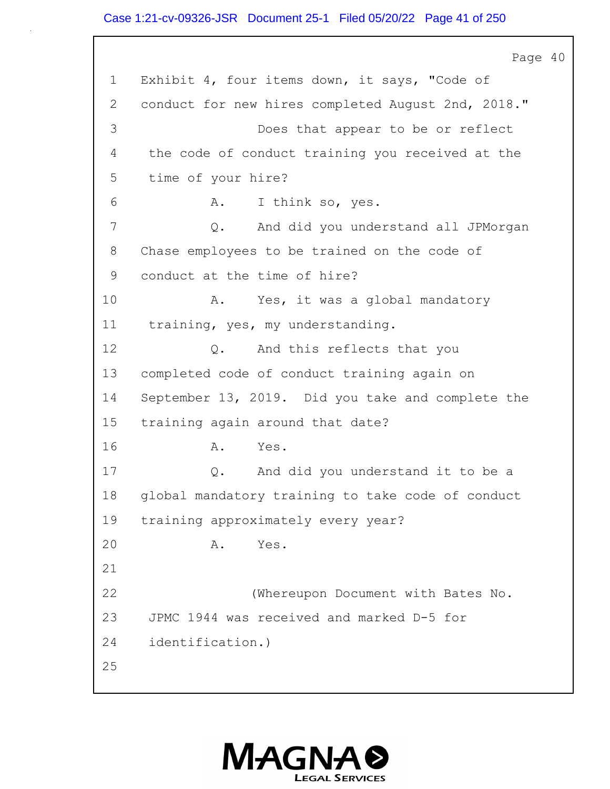# Case 1:21-cv-09326-JSR Document 25-1 Filed 05/20/22 Page 41 of 250

Page 40 1 Exhibit 4, four items down, it says, "Code of 2 conduct for new hires completed August 2nd, 2018." 3 Does that appear to be or reflect 4 the code of conduct training you received at the 5 time of your hire? 6 A. I think so, yes. 7 Q. And did you understand all JPMorgan 8 Chase employees to be trained on the code of 9 conduct at the time of hire? 10 A. Yes, it was a global mandatory 11 training, yes, my understanding. 12 Q. And this reflects that you 13 completed code of conduct training again on 14 September 13, 2019. Did you take and complete the 15 training again around that date? 16 A. Yes. 17 Q. And did you understand it to be a 18 global mandatory training to take code of conduct 19 training approximately every year? 20 A. Yes. 21 22 (Whereupon Document with Bates No. 23 JPMC 1944 was received and marked D-5 for 24 identification.) 25

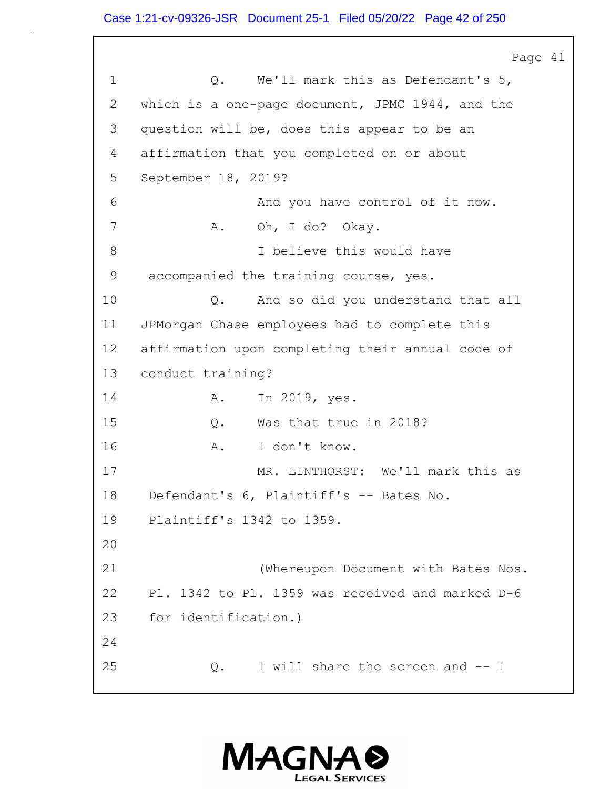### Case 1:21-cv-09326-JSR Document 25-1 Filed 05/20/22 Page 42 of 250

```
Page 41
1 Q. We'll mark this as Defendant's 5,
2 which is a one-page document, JPMC 1944, and the
3 question will be, does this appear to be an
4 affirmation that you completed on or about
5 September 18, 2019?
6 And you have control of it now.
7 A. Oh, I do? Okay.
8 I believe this would have
9 accompanied the training course, yes.
10 Q. And so did you understand that all
11 JPMorgan Chase employees had to complete this
12 affirmation upon completing their annual code of
13 conduct training?
14 A. In 2019, yes.
15 0. Was that true in 2018?
16 A. I don't know.
17 MR. LINTHORST: We'll mark this as
18 Defendant's 6, Plaintiff's -- Bates No.
19 Plaintiff's 1342 to 1359.
2021 (Whereupon Document with Bates Nos.
22 Pl. 1342 to Pl. 1359 was received and marked D-6
23 for identification.)
24
25 Q. I will share the screen and -- I
```
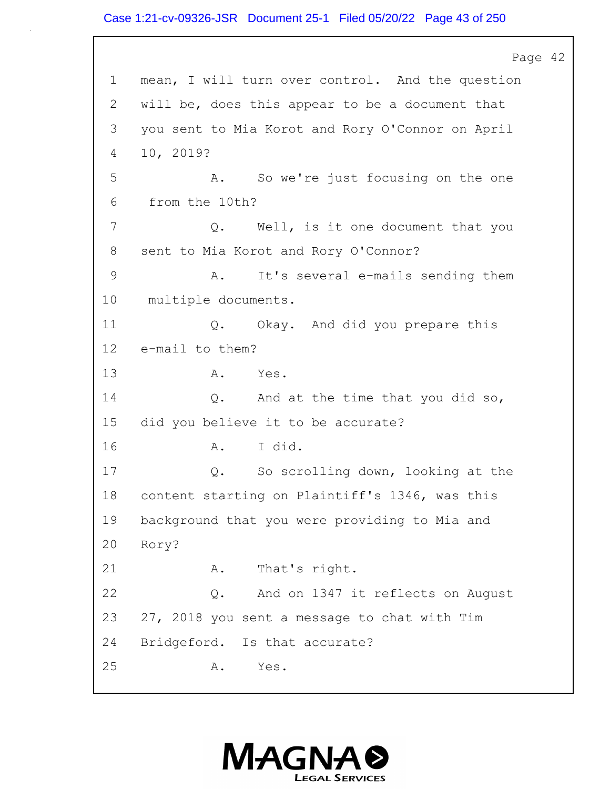## Case 1:21-cv-09326-JSR Document 25-1 Filed 05/20/22 Page 43 of 250

Page 42 1 mean, I will turn over control. And the question 2 will be, does this appear to be a document that 3 you sent to Mia Korot and Rory O'Connor on April 4 10, 2019? 5 A. So we're just focusing on the one 6 from the 10th? 7 Q. Well, is it one document that you 8 sent to Mia Korot and Rory O'Connor? 9 A. It's several e-mails sending them 10 multiple documents. 11 Q. Okay. And did you prepare this 12 e-mail to them? 13 A. Yes. 14 Q. And at the time that you did so, 15 did you believe it to be accurate? 16 A. I did. 17 Q. So scrolling down, looking at the 18 content starting on Plaintiff's 1346, was this 19 background that you were providing to Mia and 20 Rory? 21 A. That's right. 22 Q. And on 1347 it reflects on August 23 27, 2018 you sent a message to chat with Tim 24 Bridgeford. Is that accurate? 25 A. Yes.

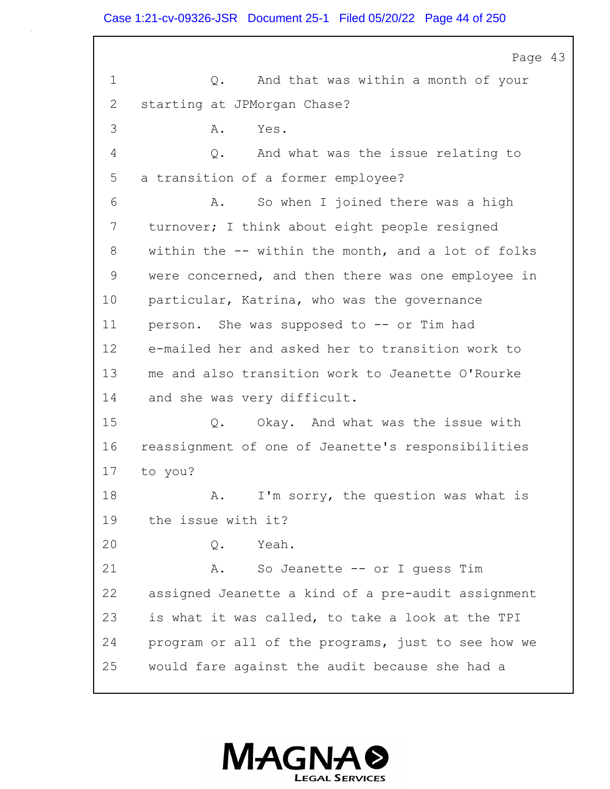### Case 1:21-cv-09326-JSR Document 25-1 Filed 05/20/22 Page 44 of 250

Page 43 1 Q. And that was within a month of your 2 starting at JPMorgan Chase? 3 A. Yes. 4 Q. And what was the issue relating to 5 a transition of a former employee? 6 A. So when I joined there was a high 7 turnover; I think about eight people resigned 8 within the -- within the month, and a lot of folks 9 were concerned, and then there was one employee in 10 particular, Katrina, who was the governance 11 person. She was supposed to -- or Tim had 12 e-mailed her and asked her to transition work to 13 me and also transition work to Jeanette O'Rourke 14 and she was very difficult. 15 Q. Okay. And what was the issue with 16 reassignment of one of Jeanette's responsibilities 17 to you? 18 A. I'm sorry, the question was what is 19 the issue with it? 20 Q. Yeah. 21 A. So Jeanette -- or I guess Tim 22 assigned Jeanette a kind of a pre-audit assignment 23 is what it was called, to take a look at the TPI 24 program or all of the programs, just to see how we 25 would fare against the audit because she had a

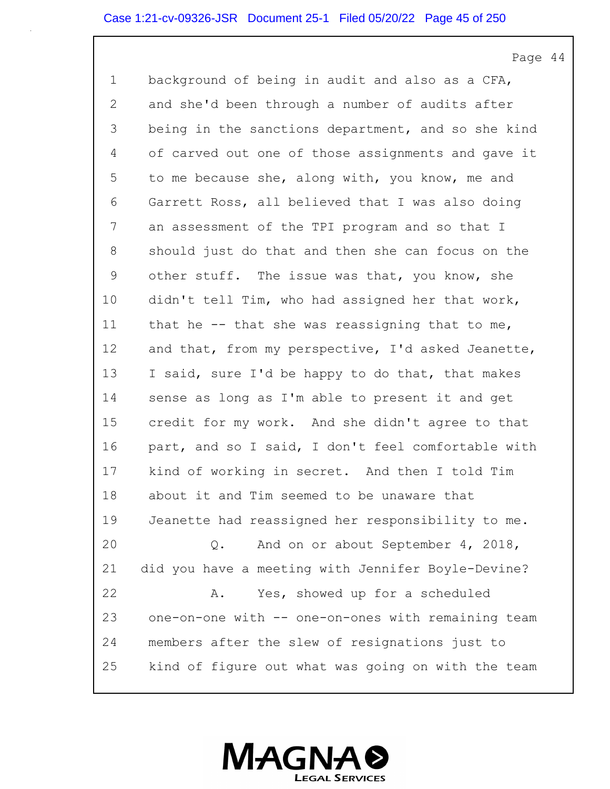Page 44

1 background of being in audit and also as a CFA, 2 and she'd been through a number of audits after 3 being in the sanctions department, and so she kind 4 of carved out one of those assignments and gave it 5 to me because she, along with, you know, me and 6 Garrett Ross, all believed that I was also doing 7 an assessment of the TPI program and so that I 8 should just do that and then she can focus on the 9 other stuff. The issue was that, you know, she 10 didn't tell Tim, who had assigned her that work, 11 that he -- that she was reassigning that to me, 12 and that, from my perspective, I'd asked Jeanette, 13 I said, sure I'd be happy to do that, that makes 14 sense as long as I'm able to present it and get 15 credit for my work. And she didn't agree to that 16 part, and so I said, I don't feel comfortable with 17 kind of working in secret. And then I told Tim 18 about it and Tim seemed to be unaware that 19 Jeanette had reassigned her responsibility to me. 20 Q. And on or about September 4, 2018, 21 did you have a meeting with Jennifer Boyle-Devine? 22 A. Yes, showed up for a scheduled 23 one-on-one with -- one-on-ones with remaining team 24 members after the slew of resignations just to 25 kind of figure out what was going on with the team

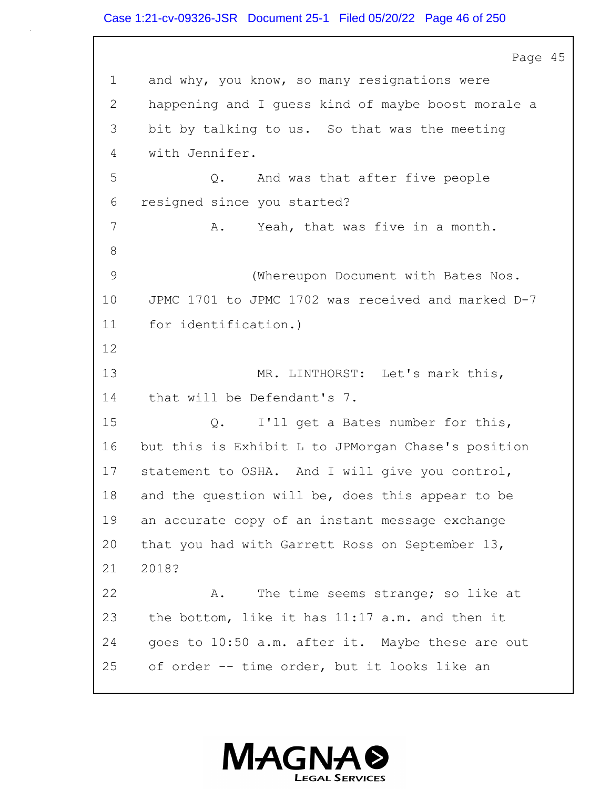### Case 1:21-cv-09326-JSR Document 25-1 Filed 05/20/22 Page 46 of 250

Page 45 1 and why, you know, so many resignations were 2 happening and I guess kind of maybe boost morale a 3 bit by talking to us. So that was the meeting 4 with Jennifer. 5 Q. And was that after five people 6 resigned since you started? 7 A. Yeah, that was five in a month. 8 9 (Whereupon Document with Bates Nos. 10 JPMC 1701 to JPMC 1702 was received and marked D-7 11 for identification.) 12 13 MR. LINTHORST: Let's mark this, 14 that will be Defendant's 7. 15 Q. I'll get a Bates number for this, 16 but this is Exhibit L to JPMorgan Chase's position 17 statement to OSHA. And I will give you control, 18 and the question will be, does this appear to be 19 an accurate copy of an instant message exchange 20 that you had with Garrett Ross on September 13, 21 2018? 22 A. The time seems strange; so like at 23 the bottom, like it has 11:17 a.m. and then it 24 goes to 10:50 a.m. after it. Maybe these are out 25 of order -- time order, but it looks like an

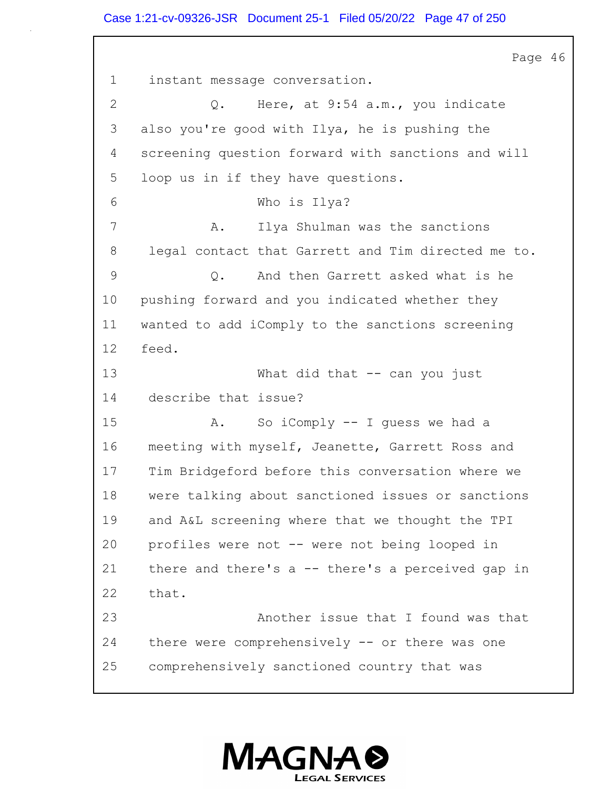### Case 1:21-cv-09326-JSR Document 25-1 Filed 05/20/22 Page 47 of 250

Page 46 1 instant message conversation. 2 0. Here, at 9:54 a.m., you indicate 3 also you're good with Ilya, he is pushing the 4 screening question forward with sanctions and will 5 loop us in if they have questions. 6 Who is Ilya? 7 A. Ilya Shulman was the sanctions 8 legal contact that Garrett and Tim directed me to. 9 Q. And then Garrett asked what is he 10 pushing forward and you indicated whether they 11 wanted to add iComply to the sanctions screening 12 feed. 13 What did that -- can you just 14 describe that issue? 15 A. So iComply -- I guess we had a 16 meeting with myself, Jeanette, Garrett Ross and 17 Tim Bridgeford before this conversation where we 18 were talking about sanctioned issues or sanctions 19 and A&L screening where that we thought the TPI 20 profiles were not -- were not being looped in 21 there and there's a -- there's a perceived gap in 22 that. 23 Another issue that I found was that 24 there were comprehensively -- or there was one 25 comprehensively sanctioned country that was

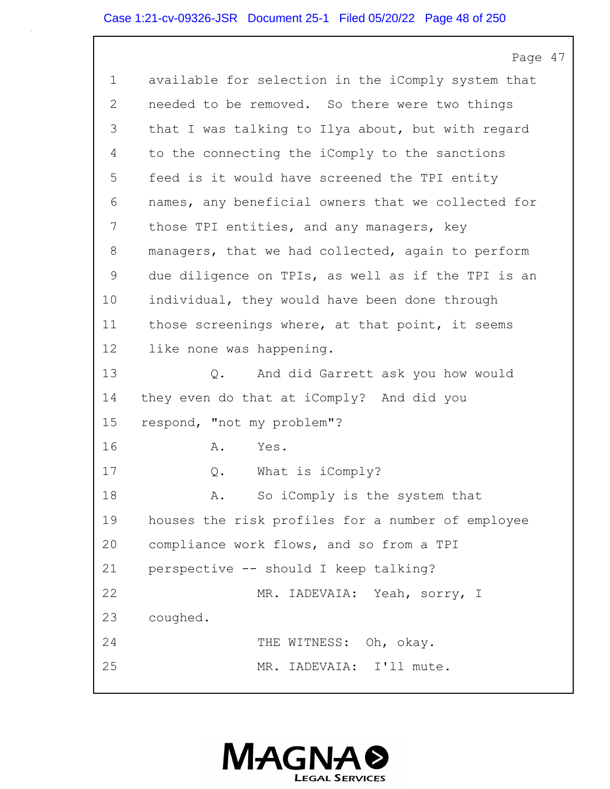Page 47 1 available for selection in the iComply system that 2 needed to be removed. So there were two things 3 that I was talking to Ilya about, but with regard 4 to the connecting the iComply to the sanctions 5 feed is it would have screened the TPI entity 6 names, any beneficial owners that we collected for 7 those TPI entities, and any managers, key 8 managers, that we had collected, again to perform 9 due diligence on TPIs, as well as if the TPI is an 10 individual, they would have been done through 11 those screenings where, at that point, it seems 12 like none was happening. 13 Q. And did Garrett ask you how would 14 they even do that at iComply? And did you 15 respond, "not my problem"? 16 A. Yes. 17 Q. What is iComply? 18 A. So iComply is the system that 19 houses the risk profiles for a number of employee 20 compliance work flows, and so from a TPI 21 perspective -- should I keep talking? 22 MR. IADEVAIA: Yeah, sorry, I 23 coughed. 24 THE WITNESS: Oh, okay. 25 MR. IADEVAIA: I'll mute.

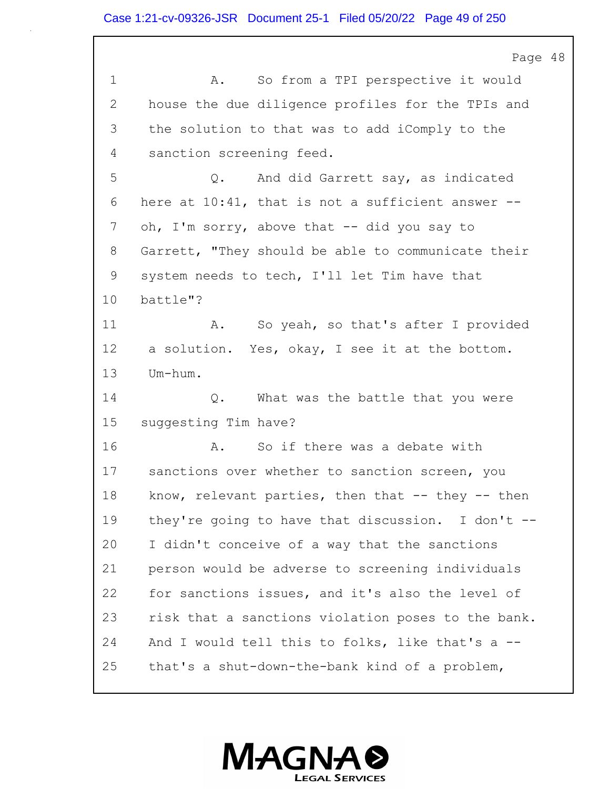Page 48 1 A. So from a TPI perspective it would 2 house the due diligence profiles for the TPIs and 3 the solution to that was to add iComply to the 4 sanction screening feed. 5 Q. And did Garrett say, as indicated 6 here at 10:41, that is not a sufficient answer -- 7 oh, I'm sorry, above that -- did you say to 8 Garrett, "They should be able to communicate their 9 system needs to tech, I'll let Tim have that 10 battle"? 11 A. So yeah, so that's after I provided 12 a solution. Yes, okay, I see it at the bottom. 13 Um-hum. 14 Q. What was the battle that you were 15 suggesting Tim have? 16 A. So if there was a debate with 17 sanctions over whether to sanction screen, you 18 know, relevant parties, then that -- they -- then 19 they're going to have that discussion. I don't -- 20 I didn't conceive of a way that the sanctions 21 person would be adverse to screening individuals 22 for sanctions issues, and it's also the level of 23 risk that a sanctions violation poses to the bank. 24 And I would tell this to folks, like that's a -- 25 that's a shut-down-the-bank kind of a problem,

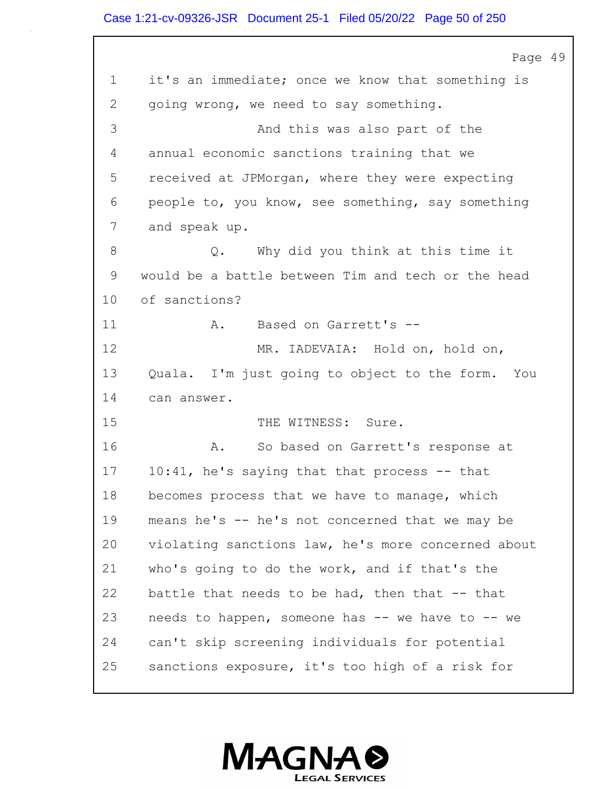### Case 1:21-cv-09326-JSR Document 25-1 Filed 05/20/22 Page 50 of 250

Page 49 1 it's an immediate; once we know that something is 2 going wrong, we need to say something. 3 And this was also part of the 4 annual economic sanctions training that we 5 received at JPMorgan, where they were expecting 6 people to, you know, see something, say something 7 and speak up. 8 Q. Why did you think at this time it 9 would be a battle between Tim and tech or the head 10 of sanctions? 11 A. Based on Garrett's --12 MR. IADEVAIA: Hold on, hold on, 13 Quala. I'm just going to object to the form. You 14 can answer. 15 THE WITNESS: Sure. 16 A. So based on Garrett's response at 17 10:41, he's saying that that process -- that 18 becomes process that we have to manage, which 19 means he's -- he's not concerned that we may be 20 violating sanctions law, he's more concerned about 21 who's going to do the work, and if that's the 22 battle that needs to be had, then that -- that 23 needs to happen, someone has  $-$  we have to  $-$  we 24 can't skip screening individuals for potential 25 sanctions exposure, it's too high of a risk for

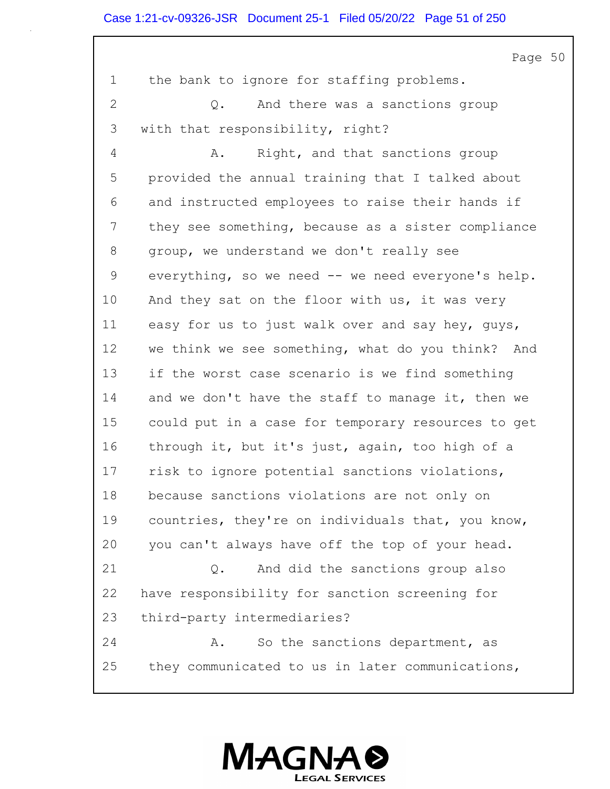### Case 1:21-cv-09326-JSR Document 25-1 Filed 05/20/22 Page 51 of 250

Page 50

1 the bank to ignore for staffing problems. 2 and there was a sanctions group 3 with that responsibility, right? 4 A. Right, and that sanctions group 5 provided the annual training that I talked about 6 and instructed employees to raise their hands if 7 they see something, because as a sister compliance 8 group, we understand we don't really see 9 everything, so we need -- we need everyone's help. 10 And they sat on the floor with us, it was very 11 easy for us to just walk over and say hey, guys, 12 we think we see something, what do you think? And 13 if the worst case scenario is we find something 14 and we don't have the staff to manage it, then we 15 could put in a case for temporary resources to get 16 through it, but it's just, again, too high of a 17 risk to ignore potential sanctions violations, 18 because sanctions violations are not only on 19 countries, they're on individuals that, you know, 20 you can't always have off the top of your head. 21 Q. And did the sanctions group also 22 have responsibility for sanction screening for 23 third-party intermediaries? 24 A. So the sanctions department, as 25 they communicated to us in later communications,

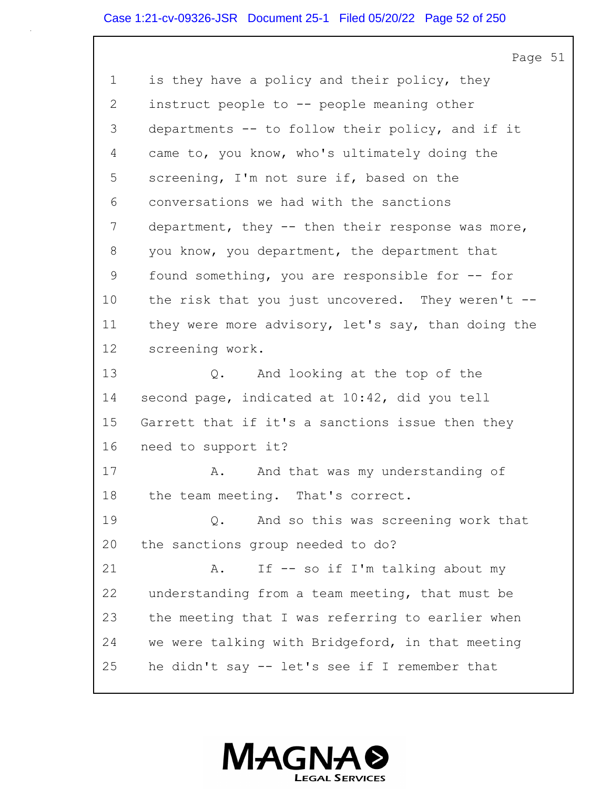# Case 1:21-cv-09326-JSR Document 25-1 Filed 05/20/22 Page 52 of 250

Page 51

1 is they have a policy and their policy, they 2 instruct people to -- people meaning other 3 departments -- to follow their policy, and if it 4 came to, you know, who's ultimately doing the 5 screening, I'm not sure if, based on the 6 conversations we had with the sanctions 7 department, they -- then their response was more, 8 you know, you department, the department that 9 found something, you are responsible for -- for 10 the risk that you just uncovered. They weren't -- 11 they were more advisory, let's say, than doing the 12 screening work. 13 Q. And looking at the top of the 14 second page, indicated at 10:42, did you tell 15 Garrett that if it's a sanctions issue then they 16 need to support it? 17 A. And that was my understanding of 18 the team meeting. That's correct. 19 Q. And so this was screening work that 20 the sanctions group needed to do? 21 A. If -- so if I'm talking about my 22 understanding from a team meeting, that must be 23 the meeting that I was referring to earlier when 24 we were talking with Bridgeford, in that meeting 25 he didn't say -- let's see if I remember that

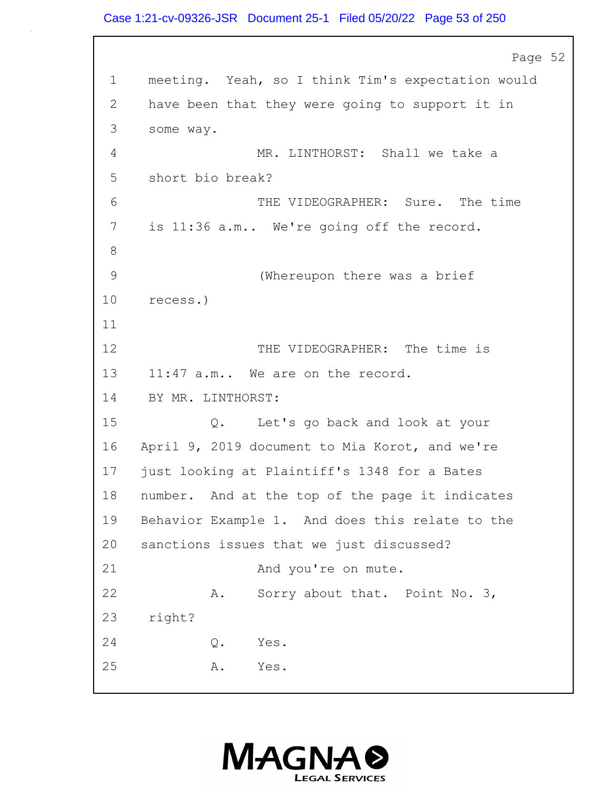# Case 1:21-cv-09326-JSR Document 25-1 Filed 05/20/22 Page 53 of 250

Page 52 1 meeting. Yeah, so I think Tim's expectation would 2 have been that they were going to support it in 3 some way. 4 MR. LINTHORST: Shall we take a 5 short bio break? 6 THE VIDEOGRAPHER: Sure. The time 7 is 11:36 a.m.. We're going off the record. 8 9 (Whereupon there was a brief 10 recess.) 11 12 THE VIDEOGRAPHER: The time is 13 11:47 a.m.. We are on the record. 14 BY MR. LINTHORST: 15 Q. Let's go back and look at your 16 April 9, 2019 document to Mia Korot, and we're 17 just looking at Plaintiff's 1348 for a Bates 18 number. And at the top of the page it indicates 19 Behavior Example 1. And does this relate to the 20 sanctions issues that we just discussed? 21 And you're on mute. 22 A. Sorry about that. Point No. 3, 23 right? 24 Q. Yes. 25 A. Yes.

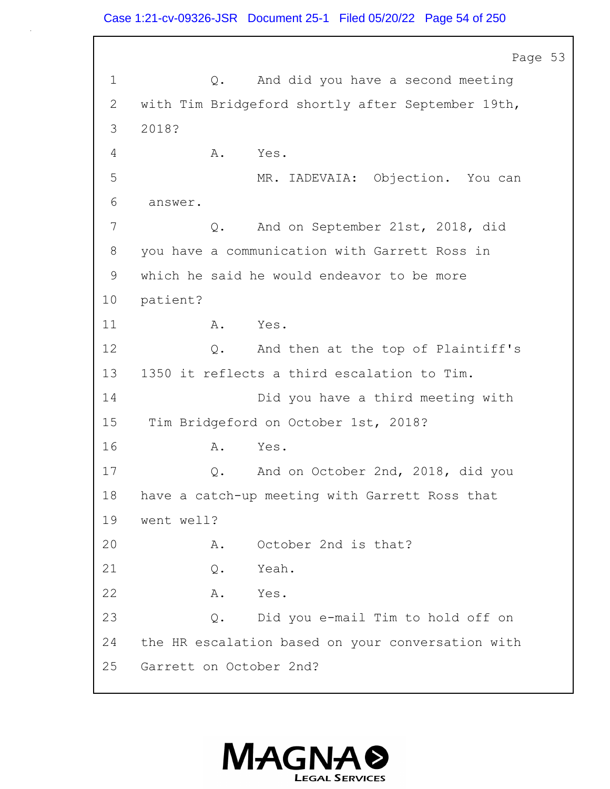## Case 1:21-cv-09326-JSR Document 25-1 Filed 05/20/22 Page 54 of 250

Page 53 1 Q. And did you have a second meeting 2 with Tim Bridgeford shortly after September 19th, 3 2018? 4 A. Yes. 5 MR. IADEVAIA: Objection. You can 6 answer. 7 Q. And on September 21st, 2018, did 8 you have a communication with Garrett Ross in 9 which he said he would endeavor to be more 10 patient? 11 A. Yes. 12 Q. And then at the top of Plaintiff's 13 1350 it reflects a third escalation to Tim. 14 Did you have a third meeting with 15 Tim Bridgeford on October 1st, 2018? 16 A. Yes. 17 Q. And on October 2nd, 2018, did you 18 have a catch-up meeting with Garrett Ross that 19 went well? 20 A. October 2nd is that? 21 Q. Yeah. 22 A. Yes. 23 Q. Did you e-mail Tim to hold off on 24 the HR escalation based on your conversation with 25 Garrett on October 2nd?

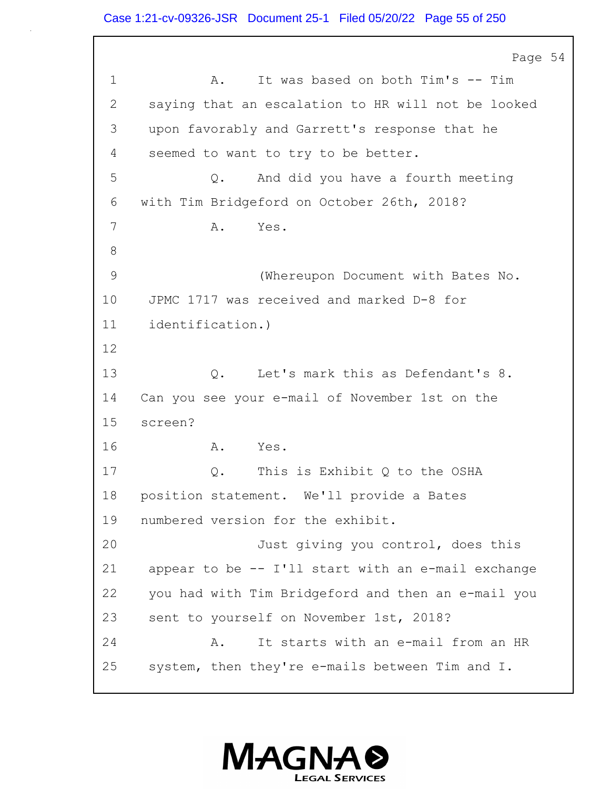## Case 1:21-cv-09326-JSR Document 25-1 Filed 05/20/22 Page 55 of 250

Page 54 1 A. It was based on both Tim's -- Tim 2 saying that an escalation to HR will not be looked 3 upon favorably and Garrett's response that he 4 seemed to want to try to be better. 5 Q. And did you have a fourth meeting 6 with Tim Bridgeford on October 26th, 2018? 7 A. Yes. 8 9 (Whereupon Document with Bates No. 10 JPMC 1717 was received and marked D-8 for 11 identification.) 12 13 Q. Let's mark this as Defendant's 8. 14 Can you see your e-mail of November 1st on the 15 screen? 16 A. Yes. 17 Q. This is Exhibit Q to the OSHA 18 position statement. We'll provide a Bates 19 numbered version for the exhibit. 20 Just giving you control, does this 21 appear to be -- I'll start with an e-mail exchange 22 you had with Tim Bridgeford and then an e-mail you 23 sent to yourself on November 1st, 2018? 24 A. It starts with an e-mail from an HR 25 system, then they're e-mails between Tim and I.

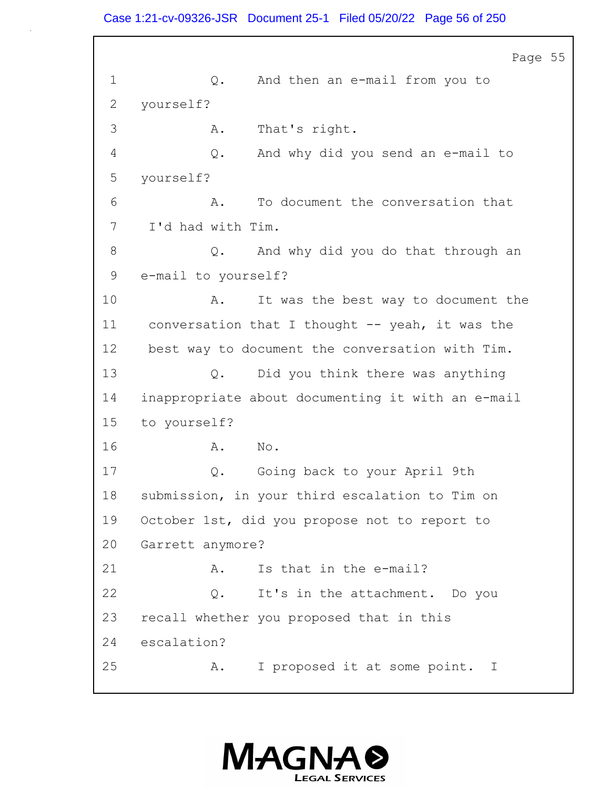Case 1:21-cv-09326-JSR Document 25-1 Filed 05/20/22 Page 56 of 250

Page 55 1 Q. And then an e-mail from you to 2 yourself? 3 A. That's right. 4 Q. And why did you send an e-mail to 5 yourself? 6 A. To document the conversation that 7 I'd had with Tim. 8 Q. And why did you do that through an 9 e-mail to yourself? 10 A. It was the best way to document the 11 conversation that I thought -- yeah, it was the 12 best way to document the conversation with Tim. 13 Q. Did you think there was anything 14 inappropriate about documenting it with an e-mail 15 to yourself? 16 **A.** No. 17 Q. Going back to your April 9th 18 submission, in your third escalation to Tim on 19 October 1st, did you propose not to report to 20 Garrett anymore? 21 A. Is that in the e-mail? 22 Q. It's in the attachment. Do you 23 recall whether you proposed that in this 24 escalation? 25 A. I proposed it at some point. I

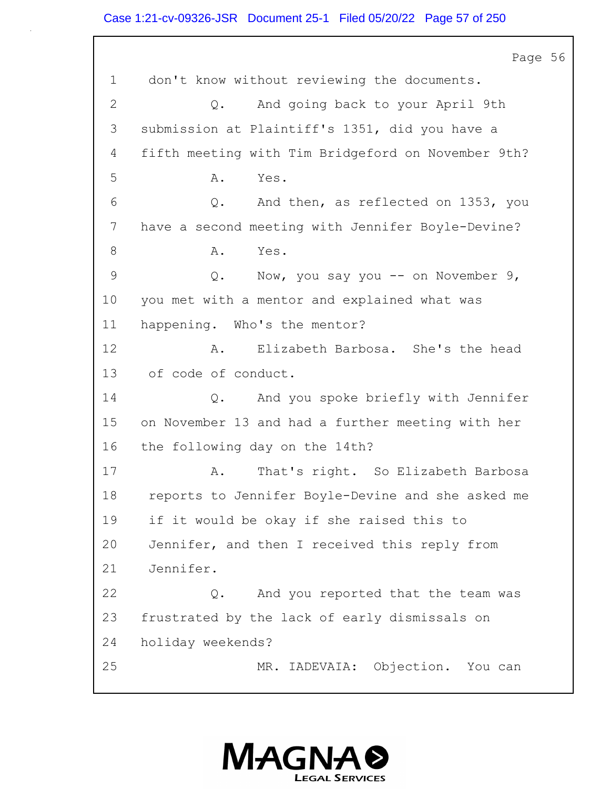# Case 1:21-cv-09326-JSR Document 25-1 Filed 05/20/22 Page 57 of 250

Page 56 1 don't know without reviewing the documents. 2 Q. And going back to your April 9th 3 submission at Plaintiff's 1351, did you have a 4 fifth meeting with Tim Bridgeford on November 9th? 5 A. Yes. 6 Q. And then, as reflected on 1353, you 7 have a second meeting with Jennifer Boyle-Devine? 8 A. Yes. 9 Q. Now, you say you -- on November 9, 10 you met with a mentor and explained what was 11 happening. Who's the mentor? 12 A. Elizabeth Barbosa. She's the head 13 of code of conduct. 14 Q. And you spoke briefly with Jennifer 15 on November 13 and had a further meeting with her 16 the following day on the 14th? 17 A. That's right. So Elizabeth Barbosa 18 reports to Jennifer Boyle-Devine and she asked me 19 if it would be okay if she raised this to 20 Jennifer, and then I received this reply from 21 Jennifer. 22 Q. And you reported that the team was 23 frustrated by the lack of early dismissals on 24 holiday weekends? 25 MR. IADEVAIA: Objection. You can

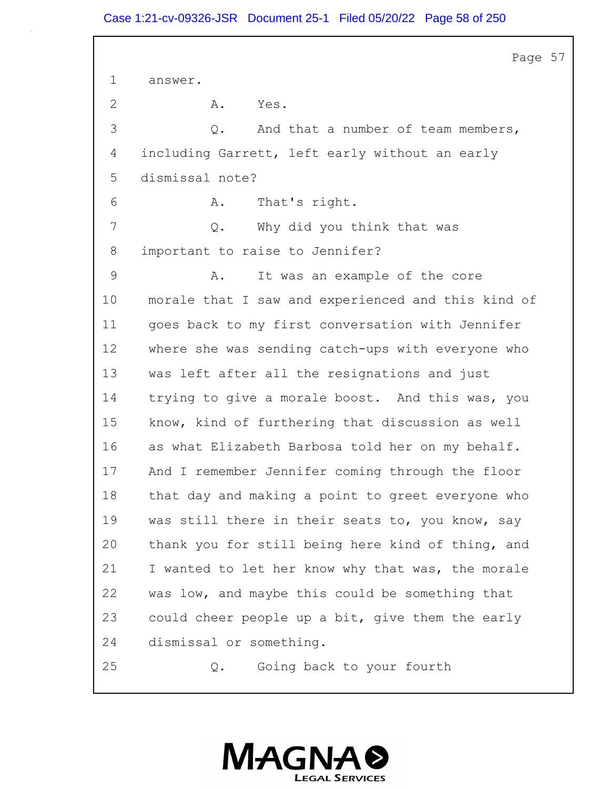### Case 1:21-cv-09326-JSR Document 25-1 Filed 05/20/22 Page 58 of 250

Page 57 1 answer. 2 A. Yes. 3 Q. And that a number of team members, 4 including Garrett, left early without an early 5 dismissal note? 6 A. That's right. 7 Q. Why did you think that was 8 important to raise to Jennifer? 9 A. It was an example of the core 10 morale that I saw and experienced and this kind of 11 goes back to my first conversation with Jennifer 12 where she was sending catch-ups with everyone who 13 was left after all the resignations and just 14 trying to give a morale boost. And this was, you 15 know, kind of furthering that discussion as well 16 as what Elizabeth Barbosa told her on my behalf. 17 And I remember Jennifer coming through the floor 18 that day and making a point to greet everyone who 19 was still there in their seats to, you know, say 20 thank you for still being here kind of thing, and 21 I wanted to let her know why that was, the morale 22 was low, and maybe this could be something that 23 could cheer people up a bit, give them the early 24 dismissal or something. 25 Q. Going back to your fourth

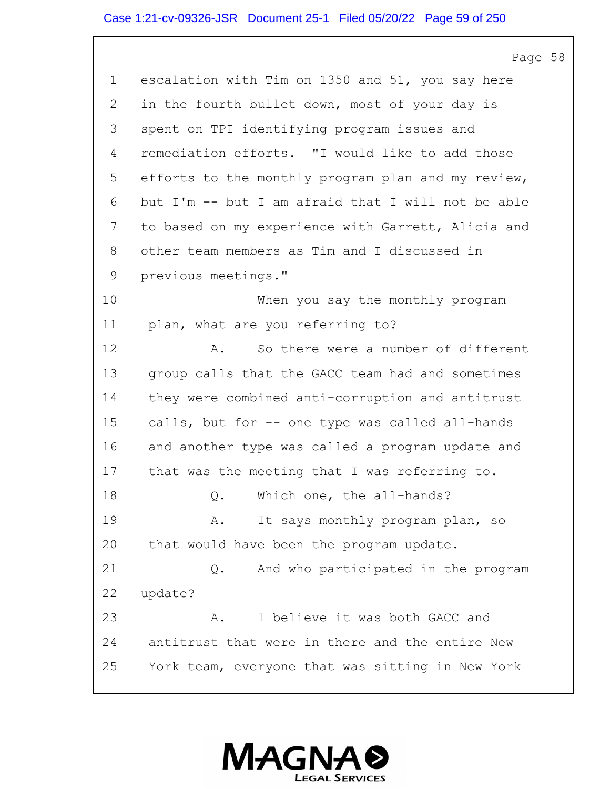Page 58

1 escalation with Tim on 1350 and 51, you say here 2 in the fourth bullet down, most of your day is 3 spent on TPI identifying program issues and 4 remediation efforts. "I would like to add those 5 efforts to the monthly program plan and my review, 6 but I'm -- but I am afraid that I will not be able 7 to based on my experience with Garrett, Alicia and 8 other team members as Tim and I discussed in 9 previous meetings." 10 When you say the monthly program 11 plan, what are you referring to? 12 A. So there were a number of different 13 group calls that the GACC team had and sometimes 14 they were combined anti-corruption and antitrust 15 calls, but for -- one type was called all-hands 16 and another type was called a program update and 17 that was the meeting that I was referring to. 18 Q. Which one, the all-hands? 19 A. It says monthly program plan, so 20 that would have been the program update. 21 Q. And who participated in the program 22 update? 23 A. I believe it was both GACC and 24 antitrust that were in there and the entire New 25 York team, everyone that was sitting in New York

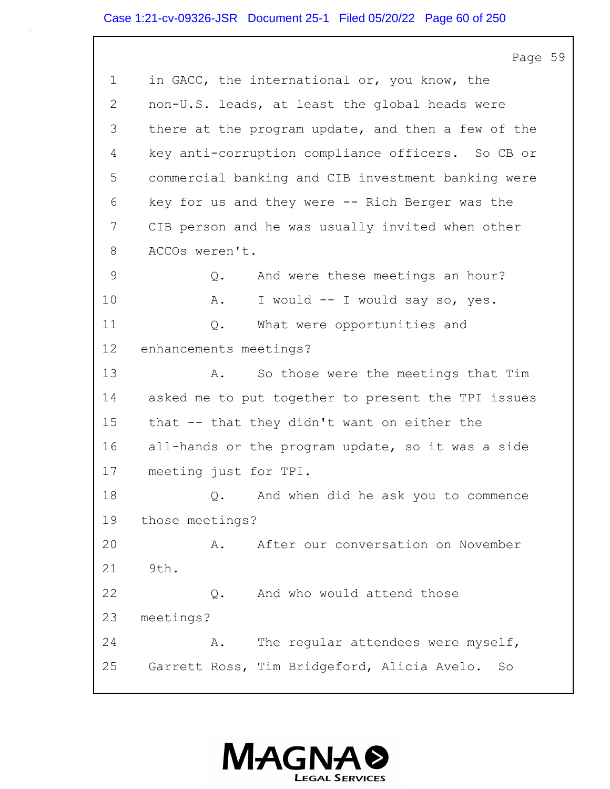Page 59

1 in GACC, the international or, you know, the 2 non-U.S. leads, at least the global heads were 3 there at the program update, and then a few of the 4 key anti-corruption compliance officers. So CB or 5 commercial banking and CIB investment banking were 6 key for us and they were -- Rich Berger was the 7 CIB person and he was usually invited when other 8 ACCOs weren't. 9 Q. And were these meetings an hour? 10 A. I would -- I would say so, yes. 11 Q. What were opportunities and 12 enhancements meetings? 13 A. So those were the meetings that Tim 14 asked me to put together to present the TPI issues 15 that -- that they didn't want on either the 16 all-hands or the program update, so it was a side 17 meeting just for TPI. 18 Q. And when did he ask you to commence 19 those meetings? 20 A. After our conversation on November 21 9th. 22 Q. And who would attend those 23 meetings? 24 A. The regular attendees were myself, 25 Garrett Ross, Tim Bridgeford, Alicia Avelo. So

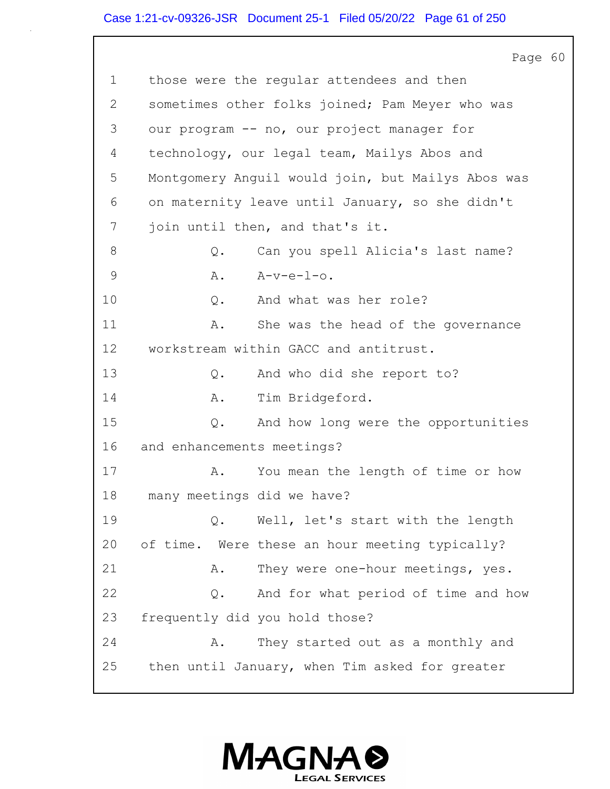Page 60 1 those were the regular attendees and then 2 sometimes other folks joined; Pam Meyer who was 3 our program -- no, our project manager for 4 technology, our legal team, Mailys Abos and 5 Montgomery Anguil would join, but Mailys Abos was 6 on maternity leave until January, so she didn't 7 join until then, and that's it. 8 Q. Can you spell Alicia's last name? 9 A. A-v-e-l-o. 10 Q. And what was her role? 11 A. She was the head of the governance 12 workstream within GACC and antitrust. 13 Q. And who did she report to? 14 A. Tim Bridgeford. 15 Q. And how long were the opportunities 16 and enhancements meetings? 17 A. You mean the length of time or how 18 many meetings did we have? 19 Q. Well, let's start with the length 20 of time. Were these an hour meeting typically? 21 A. They were one-hour meetings, yes. 22 Q. And for what period of time and how 23 frequently did you hold those? 24 A. They started out as a monthly and 25 then until January, when Tim asked for greater

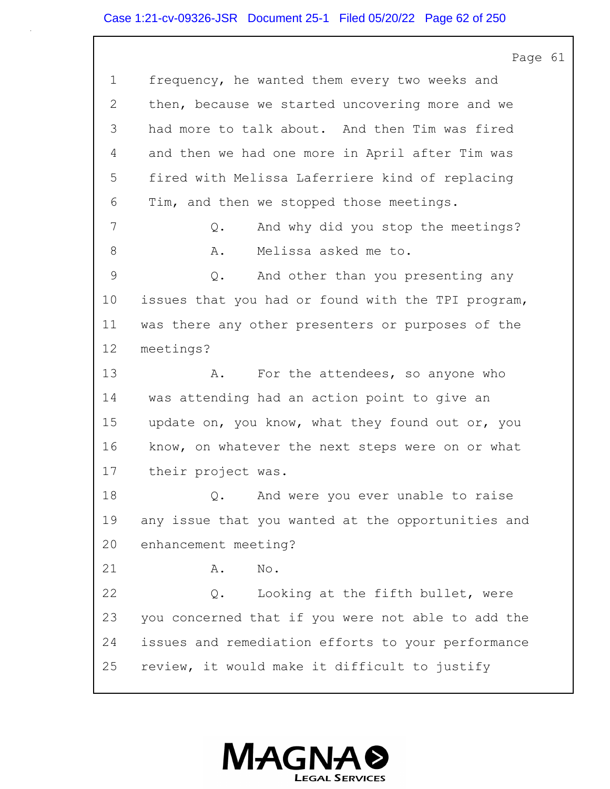Page 61

1 frequency, he wanted them every two weeks and 2 then, because we started uncovering more and we 3 had more to talk about. And then Tim was fired 4 and then we had one more in April after Tim was 5 fired with Melissa Laferriere kind of replacing 6 Tim, and then we stopped those meetings. 7 Q. And why did you stop the meetings? 8 A. Melissa asked me to. 9 Q. And other than you presenting any 10 issues that you had or found with the TPI program, 11 was there any other presenters or purposes of the 12 meetings? 13 A. For the attendees, so anyone who 14 was attending had an action point to give an 15 update on, you know, what they found out or, you 16 know, on whatever the next steps were on or what 17 their project was. 18 Q. And were you ever unable to raise 19 any issue that you wanted at the opportunities and 20 enhancement meeting? 21 A. No. 22 Q. Looking at the fifth bullet, were 23 you concerned that if you were not able to add the 24 issues and remediation efforts to your performance 25 review, it would make it difficult to justify

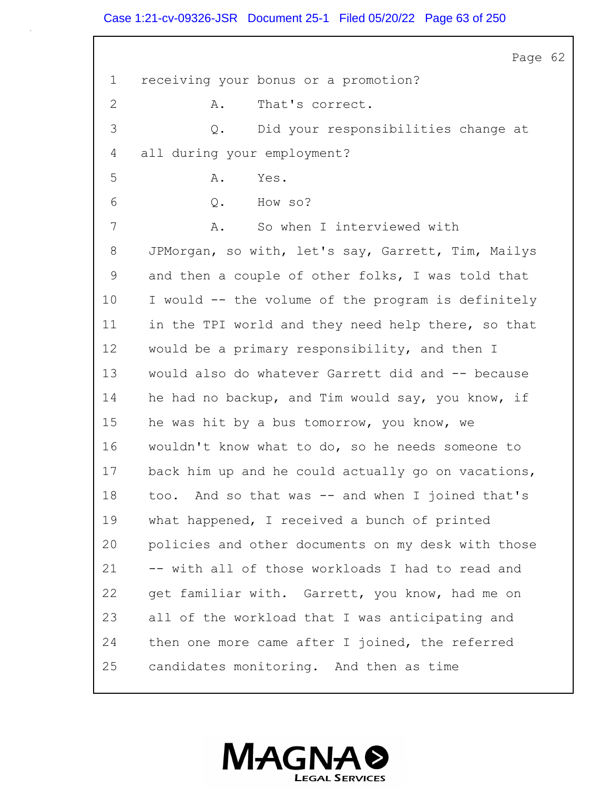### Case 1:21-cv-09326-JSR Document 25-1 Filed 05/20/22 Page 63 of 250

Page 62 1 receiving your bonus or a promotion? 2 A. That's correct. 3 Q. Did your responsibilities change at 4 all during your employment? 5 A. Yes. 6 Q. How so? 7 A. So when I interviewed with 8 JPMorgan, so with, let's say, Garrett, Tim, Mailys 9 and then a couple of other folks, I was told that 10 I would -- the volume of the program is definitely 11 in the TPI world and they need help there, so that 12 would be a primary responsibility, and then I 13 would also do whatever Garrett did and -- because 14 he had no backup, and Tim would say, you know, if 15 he was hit by a bus tomorrow, you know, we 16 wouldn't know what to do, so he needs someone to 17 back him up and he could actually go on vacations, 18 too. And so that was -- and when I joined that's 19 what happened, I received a bunch of printed 20 policies and other documents on my desk with those 21 -- with all of those workloads I had to read and 22 get familiar with. Garrett, you know, had me on 23 all of the workload that I was anticipating and 24 then one more came after I joined, the referred 25 candidates monitoring. And then as time

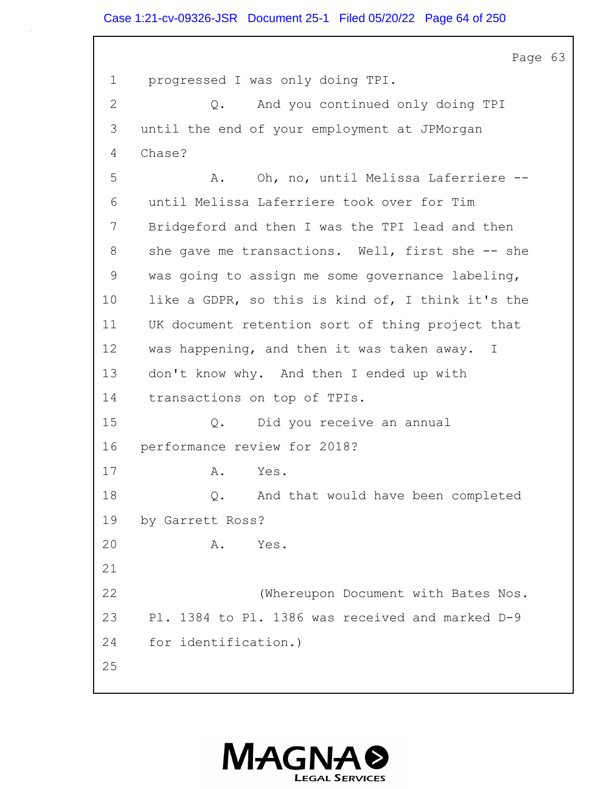Page 63 1 progressed I was only doing TPI. 2 Q. And you continued only doing TPI 3 until the end of your employment at JPMorgan 4 Chase? 5 A. Oh, no, until Melissa Laferriere -- 6 until Melissa Laferriere took over for Tim 7 Bridgeford and then I was the TPI lead and then 8 she gave me transactions. Well, first she -- she 9 was going to assign me some governance labeling, 10 like a GDPR, so this is kind of, I think it's the 11 UK document retention sort of thing project that 12 was happening, and then it was taken away. I 13 don't know why. And then I ended up with 14 transactions on top of TPIs. 15 Q. Did you receive an annual 16 performance review for 2018? 17 A. Yes. 18 Q. And that would have been completed 19 by Garrett Ross? 20 A. Yes. 21 22 (Whereupon Document with Bates Nos. 23 Pl. 1384 to Pl. 1386 was received and marked D-9 24 for identification.) 25

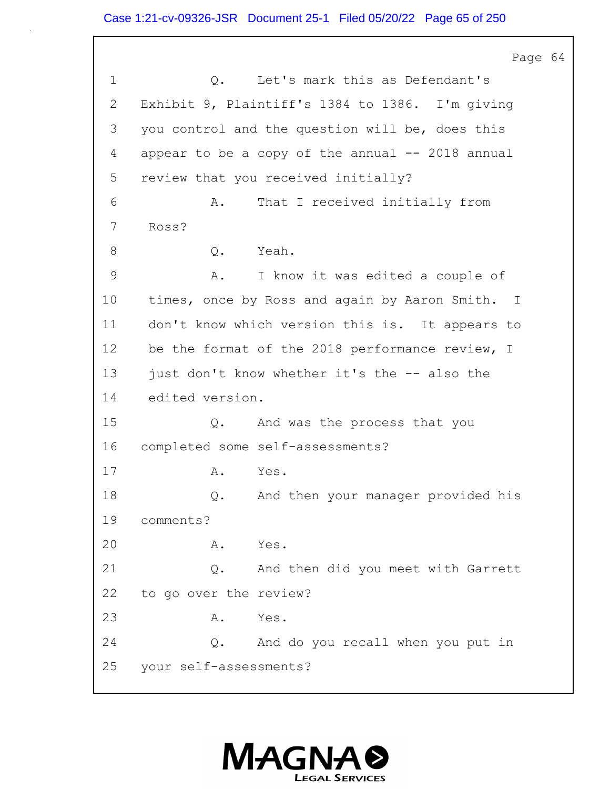### Case 1:21-cv-09326-JSR Document 25-1 Filed 05/20/22 Page 65 of 250

Page 64 1 Q. Let's mark this as Defendant's 2 Exhibit 9, Plaintiff's 1384 to 1386. I'm giving 3 you control and the question will be, does this 4 appear to be a copy of the annual -- 2018 annual 5 review that you received initially? 6 A. That I received initially from 7 Ross? 8 O. Yeah. 9 A. I know it was edited a couple of 10 times, once by Ross and again by Aaron Smith. I 11 don't know which version this is. It appears to 12 be the format of the 2018 performance review, I 13 just don't know whether it's the -- also the 14 edited version. 15 Q. And was the process that you 16 completed some self-assessments? 17 A. Yes. 18 Q. And then your manager provided his 19 comments? 20 A. Yes. 21 Q. And then did you meet with Garrett 22 to go over the review? 23 A. Yes. 24 Q. And do you recall when you put in 25 your self-assessments?

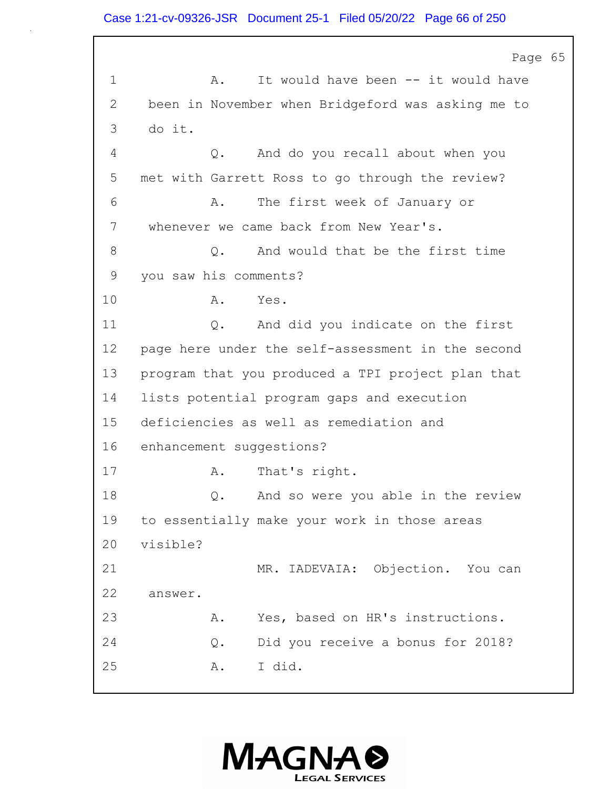## Case 1:21-cv-09326-JSR Document 25-1 Filed 05/20/22 Page 66 of 250

Page 65 1 A. It would have been -- it would have 2 been in November when Bridgeford was asking me to 3 do it. 4 Q. And do you recall about when you 5 met with Garrett Ross to go through the review? 6 A. The first week of January or 7 whenever we came back from New Year's. 8 6. And would that be the first time 9 you saw his comments? 10 A. Yes. 11 Q. And did you indicate on the first 12 page here under the self-assessment in the second 13 program that you produced a TPI project plan that 14 lists potential program gaps and execution 15 deficiencies as well as remediation and 16 enhancement suggestions? 17 A. That's right. 18 Q. And so were you able in the review 19 to essentially make your work in those areas 20 visible? 21 MR. IADEVAIA: Objection. You can 22 answer. 23 A. Yes, based on HR's instructions. 24 Q. Did you receive a bonus for 2018? 25 A. I did.

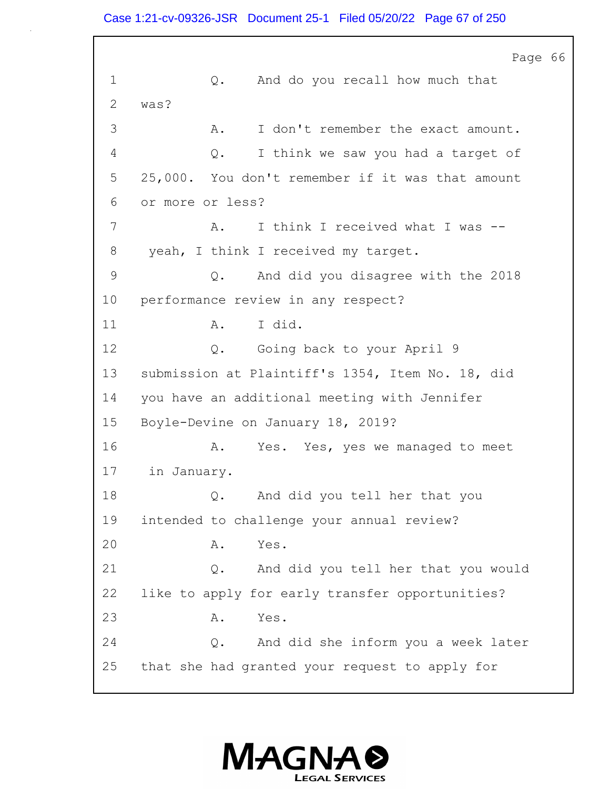#### Case 1:21-cv-09326-JSR Document 25-1 Filed 05/20/22 Page 67 of 250

Page 66 1 Q. And do you recall how much that 2 was? 3 A. I don't remember the exact amount. 4 Q. I think we saw you had a target of 5 25,000. You don't remember if it was that amount 6 or more or less? 7 A. I think I received what I was --8 yeah, I think I received my target. 9 Q. And did you disagree with the 2018 10 performance review in any respect? 11 A. I did. 12 Q. Going back to your April 9 13 submission at Plaintiff's 1354, Item No. 18, did 14 you have an additional meeting with Jennifer 15 Boyle-Devine on January 18, 2019? 16 A. Yes. Yes, yes we managed to meet 17 in January. 18 Q. And did you tell her that you 19 intended to challenge your annual review? 20 A. Yes. 21 Q. And did you tell her that you would 22 like to apply for early transfer opportunities? 23 A. Yes. 24 Q. And did she inform you a week later 25 that she had granted your request to apply for

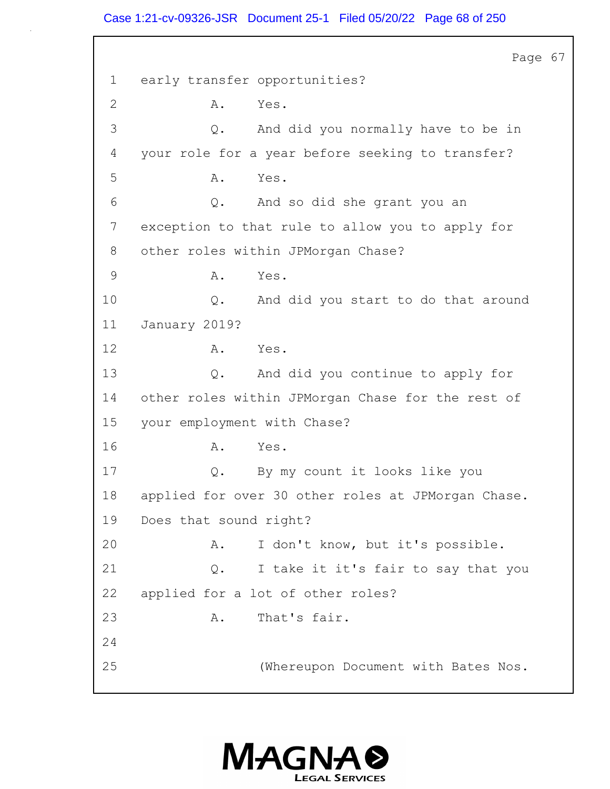# Case 1:21-cv-09326-JSR Document 25-1 Filed 05/20/22 Page 68 of 250

Page 67 1 early transfer opportunities? 2 A. Yes. 3 Q. And did you normally have to be in 4 your role for a year before seeking to transfer? 5 A. Yes. 6 Q. And so did she grant you an 7 exception to that rule to allow you to apply for 8 other roles within JPMorgan Chase? 9 A. Yes. 10 Q. And did you start to do that around 11 January 2019? 12 A. Yes. 13 Q. And did you continue to apply for 14 other roles within JPMorgan Chase for the rest of 15 your employment with Chase? 16 A. Yes. 17 Q. By my count it looks like you 18 applied for over 30 other roles at JPMorgan Chase. 19 Does that sound right? 20 A. I don't know, but it's possible. 21 Q. I take it it's fair to say that you 22 applied for a lot of other roles? 23 A. That's fair. 24 25 (Whereupon Document with Bates Nos.

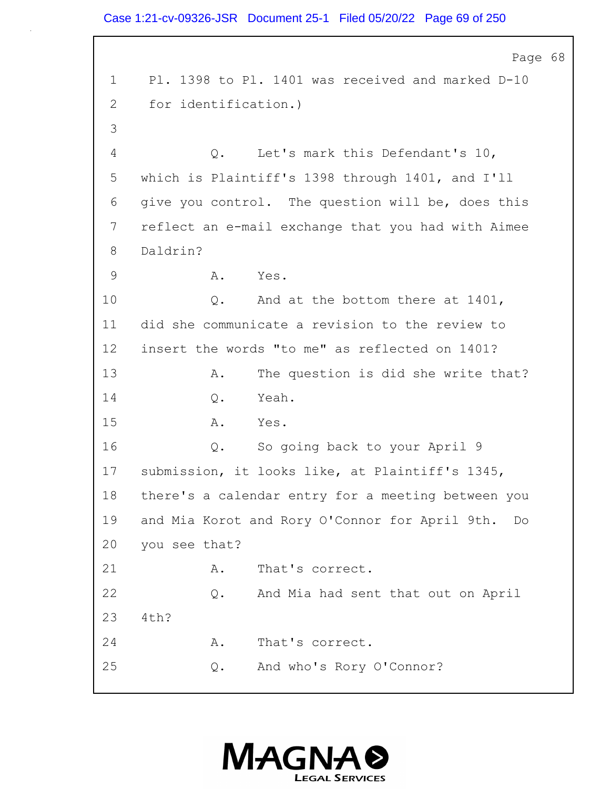### Case 1:21-cv-09326-JSR Document 25-1 Filed 05/20/22 Page 69 of 250

Page 68 1 Pl. 1398 to Pl. 1401 was received and marked D-10 2 for identification.) 3 4 Q. Let's mark this Defendant's 10, 5 which is Plaintiff's 1398 through 1401, and I'll 6 give you control. The question will be, does this 7 reflect an e-mail exchange that you had with Aimee 8 Daldrin? 9 A. Yes. 10 Q. And at the bottom there at 1401, 11 did she communicate a revision to the review to 12 insert the words "to me" as reflected on 1401? 13 A. The question is did she write that? 14 Q. Yeah. 15 A. Yes. 16 Q. So going back to your April 9 17 submission, it looks like, at Plaintiff's 1345, 18 there's a calendar entry for a meeting between you 19 and Mia Korot and Rory O'Connor for April 9th. Do 20 you see that? 21 A. That's correct. 22 Q. And Mia had sent that out on April 23 4th? 24 A. That's correct. 25 Q. And who's Rory O'Connor?

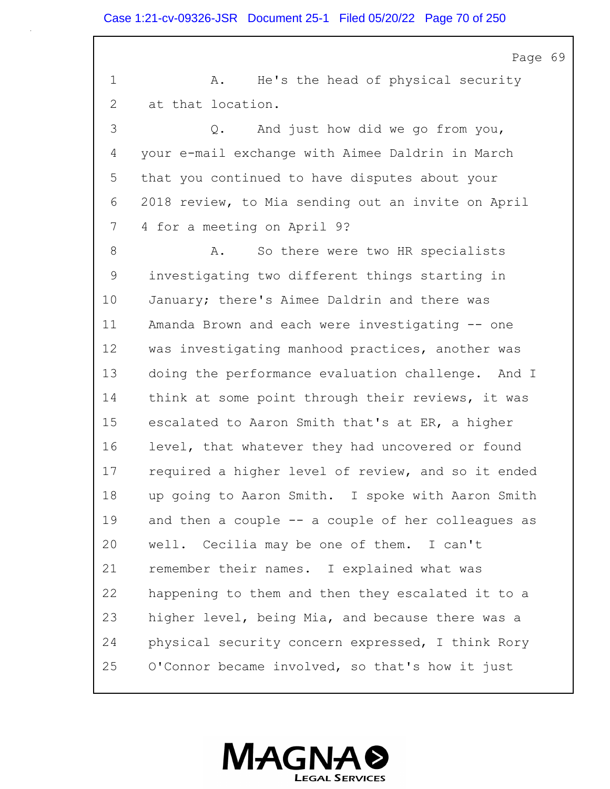Page 69

1 A. He's the head of physical security 2 at that location.

3 Q. And just how did we go from you, 4 your e-mail exchange with Aimee Daldrin in March 5 that you continued to have disputes about your 6 2018 review, to Mia sending out an invite on April 7 4 for a meeting on April 9?

8 A. So there were two HR specialists 9 investigating two different things starting in 10 January; there's Aimee Daldrin and there was 11 Amanda Brown and each were investigating -- one 12 was investigating manhood practices, another was 13 doing the performance evaluation challenge. And I 14 think at some point through their reviews, it was 15 escalated to Aaron Smith that's at ER, a higher 16 level, that whatever they had uncovered or found 17 required a higher level of review, and so it ended 18 up going to Aaron Smith. I spoke with Aaron Smith 19 and then a couple -- a couple of her colleagues as 20 well. Cecilia may be one of them. I can't 21 remember their names. I explained what was 22 happening to them and then they escalated it to a 23 higher level, being Mia, and because there was a 24 physical security concern expressed, I think Rory 25 O'Connor became involved, so that's how it just

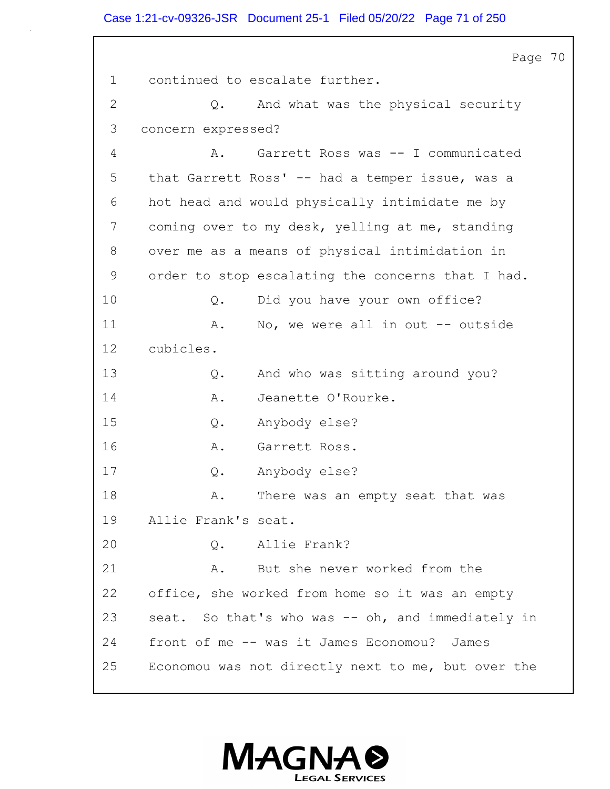Page 70 1 continued to escalate further. 2 Q. And what was the physical security 3 concern expressed? 4 A. Garrett Ross was -- I communicated 5 that Garrett Ross' -- had a temper issue, was a 6 hot head and would physically intimidate me by 7 coming over to my desk, yelling at me, standing 8 over me as a means of physical intimidation in 9 order to stop escalating the concerns that I had. 10 Q. Did you have your own office? 11 A. No, we were all in out -- outside 12 cubicles. 13 Q. And who was sitting around you? 14 A. Jeanette O'Rourke. 15 Q. Anybody else? 16 A. Garrett Ross. 17 Q. Anybody else? 18 A. There was an empty seat that was 19 Allie Frank's seat. 20 Q. Allie Frank? 21 A. But she never worked from the 22 office, she worked from home so it was an empty 23 seat. So that's who was -- oh, and immediately in 24 front of me -- was it James Economou? James 25 Economou was not directly next to me, but over the

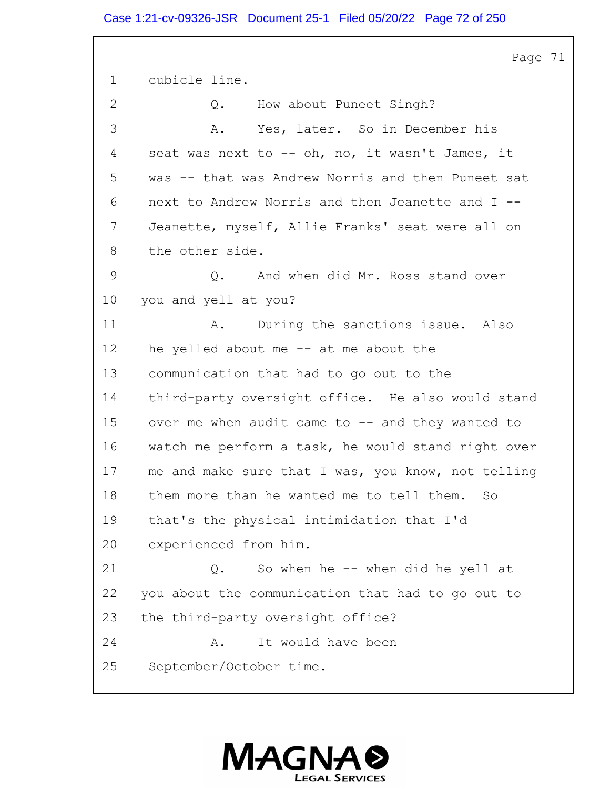Page 71 1 cubicle line. 2 Q. How about Puneet Singh? 3 A. Yes, later. So in December his 4 seat was next to -- oh, no, it wasn't James, it 5 was -- that was Andrew Norris and then Puneet sat 6 next to Andrew Norris and then Jeanette and I -- 7 Jeanette, myself, Allie Franks' seat were all on 8 the other side. 9 Q. And when did Mr. Ross stand over 10 you and yell at you? 11 A. During the sanctions issue. Also 12 he yelled about me -- at me about the 13 communication that had to go out to the 14 third-party oversight office. He also would stand 15 over me when audit came to -- and they wanted to 16 watch me perform a task, he would stand right over 17 me and make sure that I was, you know, not telling 18 them more than he wanted me to tell them. So 19 that's the physical intimidation that I'd 20 experienced from him. 21 Q. So when he -- when did he yell at 22 you about the communication that had to go out to 23 the third-party oversight office? 24 A. It would have been 25 September/October time.

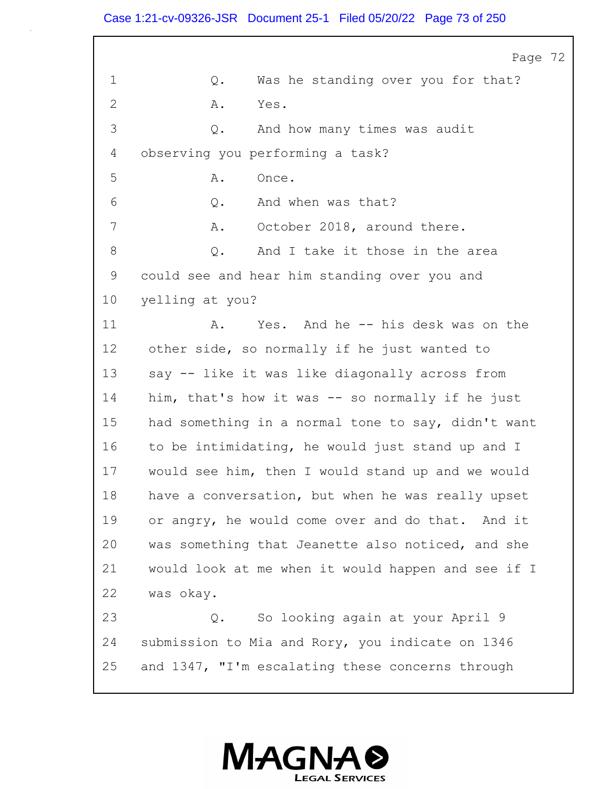### Case 1:21-cv-09326-JSR Document 25-1 Filed 05/20/22 Page 73 of 250

Page 72 1 Q. Was he standing over you for that? 2 A. Yes. 3 Q. And how many times was audit 4 observing you performing a task? 5 A. Once. 6 Q. And when was that? 7 A. October 2018, around there. 8 6 Q. And I take it those in the area 9 could see and hear him standing over you and 10 yelling at you? 11 A. Yes. And he -- his desk was on the 12 other side, so normally if he just wanted to 13 say -- like it was like diagonally across from 14 him, that's how it was -- so normally if he just 15 had something in a normal tone to say, didn't want 16 to be intimidating, he would just stand up and I 17 would see him, then I would stand up and we would 18 have a conversation, but when he was really upset 19 or angry, he would come over and do that. And it 20 was something that Jeanette also noticed, and she 21 would look at me when it would happen and see if I 22 was okay. 23 Q. So looking again at your April 9 24 submission to Mia and Rory, you indicate on 1346 25 and 1347, "I'm escalating these concerns through

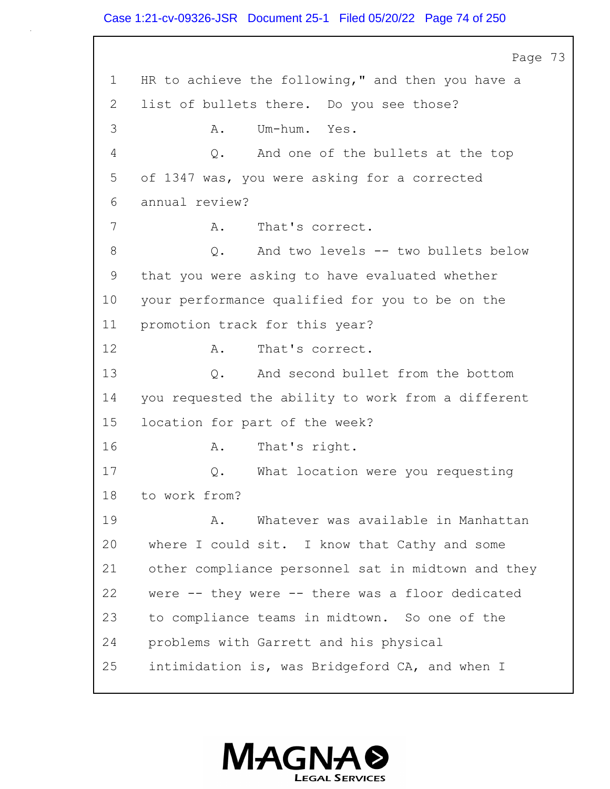# Case 1:21-cv-09326-JSR Document 25-1 Filed 05/20/22 Page 74 of 250

Page 73 1 HR to achieve the following," and then you have a 2 list of bullets there. Do you see those? 3 A. Um-hum. Yes. 4 Q. And one of the bullets at the top 5 of 1347 was, you were asking for a corrected 6 annual review? 7 A. That's correct. 8 6 O. And two levels -- two bullets below 9 that you were asking to have evaluated whether 10 your performance qualified for you to be on the 11 promotion track for this year? 12 A. That's correct. 13 Q. And second bullet from the bottom 14 you requested the ability to work from a different 15 location for part of the week? 16 A. That's right. 17 Q. What location were you requesting 18 to work from? 19 A. Whatever was available in Manhattan 20 where I could sit. I know that Cathy and some 21 other compliance personnel sat in midtown and they 22 were -- they were -- there was a floor dedicated 23 to compliance teams in midtown. So one of the 24 problems with Garrett and his physical 25 intimidation is, was Bridgeford CA, and when I

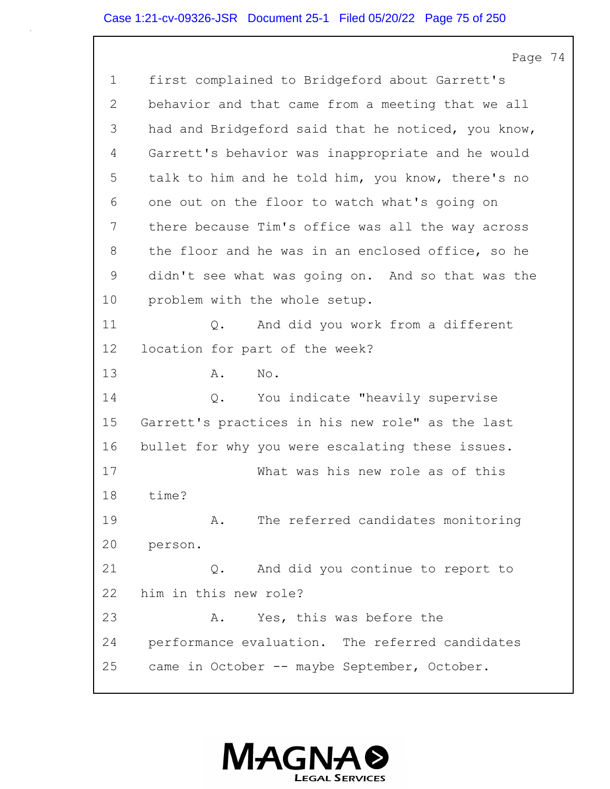Page 74 1 first complained to Bridgeford about Garrett's 2 behavior and that came from a meeting that we all 3 had and Bridgeford said that he noticed, you know, 4 Garrett's behavior was inappropriate and he would 5 talk to him and he told him, you know, there's no 6 one out on the floor to watch what's going on 7 there because Tim's office was all the way across 8 the floor and he was in an enclosed office, so he 9 didn't see what was going on. And so that was the 10 problem with the whole setup. 11 Q. And did you work from a different 12 location for part of the week? 13 A. No. 14 Q. You indicate "heavily supervise 15 Garrett's practices in his new role" as the last 16 bullet for why you were escalating these issues. 17 What was his new role as of this 18 time? 19 A. The referred candidates monitoring 20 person. 21 Q. And did you continue to report to 22 him in this new role? 23 A. Yes, this was before the 24 performance evaluation. The referred candidates 25 came in October -- maybe September, October.

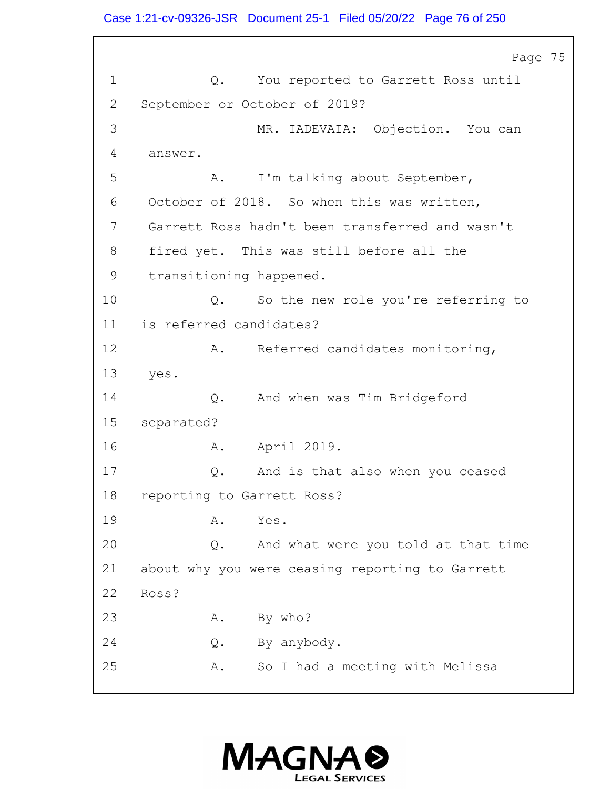Case 1:21-cv-09326-JSR Document 25-1 Filed 05/20/22 Page 76 of 250

Page 75 1 Q. You reported to Garrett Ross until 2 September or October of 2019? 3 MR. IADEVAIA: Objection. You can 4 answer. 5 A. I'm talking about September, 6 October of 2018. So when this was written, 7 Garrett Ross hadn't been transferred and wasn't 8 fired yet. This was still before all the 9 transitioning happened. 10 Q. So the new role you're referring to 11 is referred candidates? 12 A. Referred candidates monitoring, 13 yes. 14 Q. And when was Tim Bridgeford 15 separated? 16 A. April 2019. 17 Q. And is that also when you ceased 18 reporting to Garrett Ross? 19 A. Yes. 20 Q. And what were you told at that time 21 about why you were ceasing reporting to Garrett 22 Ross? 23 A. By who? 24 Q. By anybody. 25 A. So I had a meeting with Melissa

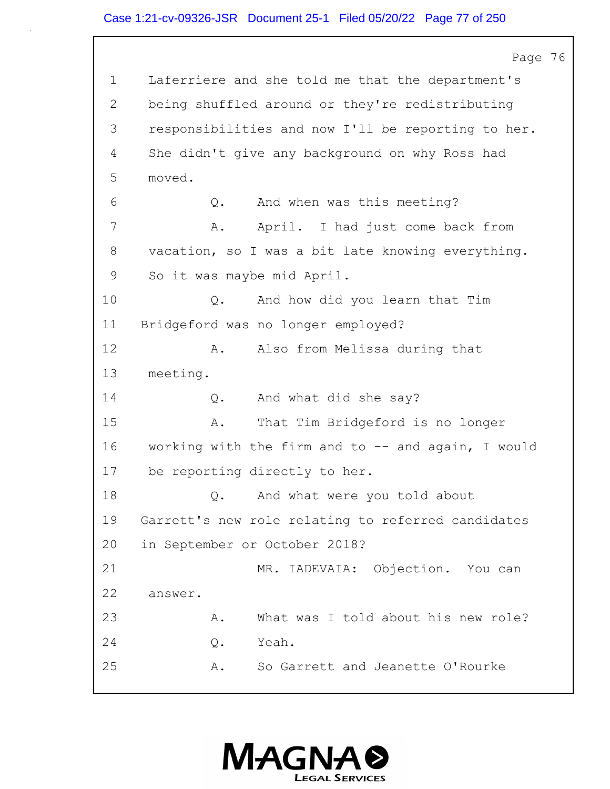Page 76 1 Laferriere and she told me that the department's 2 being shuffled around or they're redistributing 3 responsibilities and now I'll be reporting to her. 4 She didn't give any background on why Ross had 5 moved. 6 Q. And when was this meeting? 7 A. April. I had just come back from 8 vacation, so I was a bit late knowing everything. 9 So it was maybe mid April. 10 Q. And how did you learn that Tim 11 Bridgeford was no longer employed? 12 A. Also from Melissa during that 13 meeting. 14 Q. And what did she say? 15 A. That Tim Bridgeford is no longer 16 working with the firm and to -- and again, I would 17 be reporting directly to her. 18 Q. And what were you told about 19 Garrett's new role relating to referred candidates 20 in September or October 2018? 21 MR. IADEVAIA: Objection. You can 22 answer. 23 A. What was I told about his new role? 24 Q. Yeah. 25 A. So Garrett and Jeanette O'Rourke

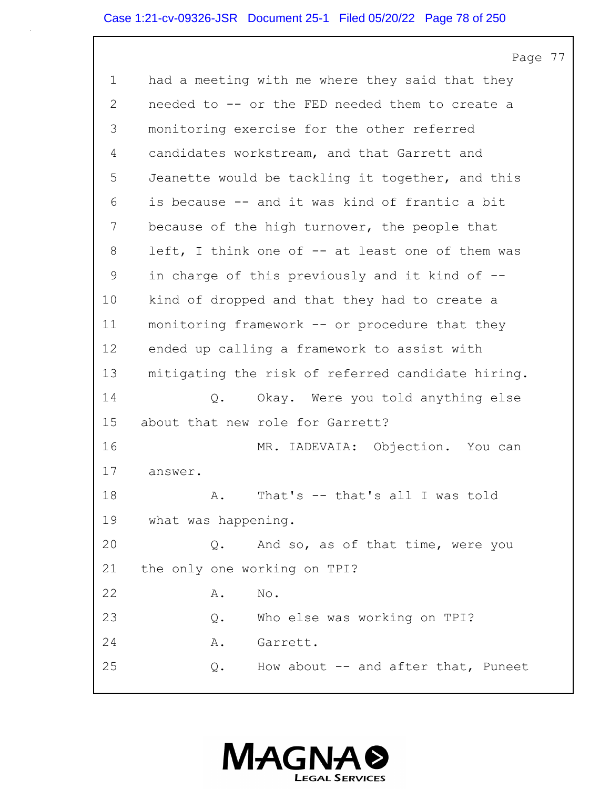Page 77

| $\mathbf 1$ | had a meeting with me where they said that they   |
|-------------|---------------------------------------------------|
| 2           | needed to -- or the FED needed them to create a   |
| 3           | monitoring exercise for the other referred        |
| 4           | candidates workstream, and that Garrett and       |
| 5           | Jeanette would be tackling it together, and this  |
| 6           | is because -- and it was kind of frantic a bit    |
| 7           | because of the high turnover, the people that     |
| 8           | left, I think one of -- at least one of them was  |
| 9           | in charge of this previously and it kind of --    |
| 10          | kind of dropped and that they had to create a     |
| 11          | monitoring framework -- or procedure that they    |
| 12          | ended up calling a framework to assist with       |
| 13          | mitigating the risk of referred candidate hiring. |
| 14          | Okay. Were you told anything else<br>Q.           |
| 15          | about that new role for Garrett?                  |
| 16          | MR. IADEVAIA: Objection. You can                  |
| 17          | answer.                                           |
| 18          | That's -- that's all I was told<br>Α.             |
| 19          | what was happening.                               |
| 20          | And so, as of that time, were you<br>Q.           |
| 21          | the only one working on TPI?                      |
| 22          | No.<br>Α.                                         |
| 23          | Who else was working on TPI?<br>Q.                |
| 24          | Garrett.<br>A.                                    |
| 25          | How about $--$ and after that, Puneet<br>Q.       |

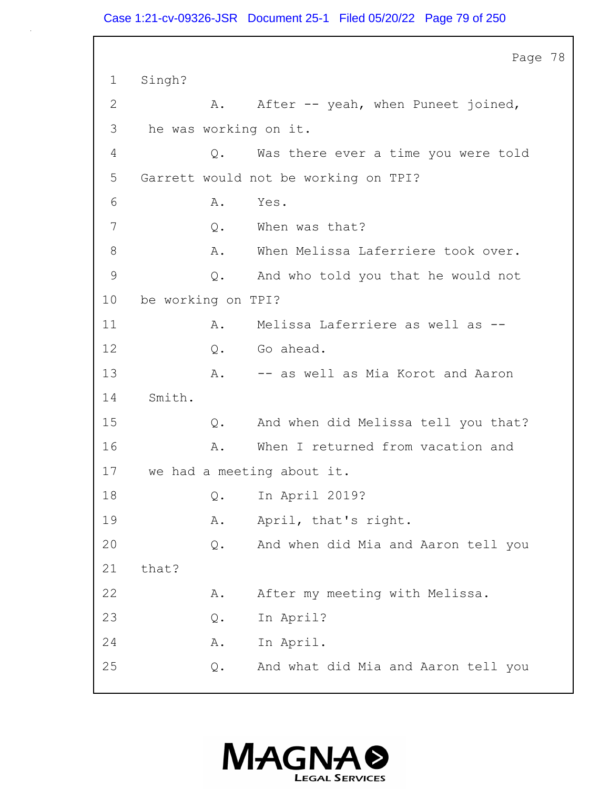# Case 1:21-cv-09326-JSR Document 25-1 Filed 05/20/22 Page 79 of 250

```
Page 78
1 Singh?
2 A. After -- yeah, when Puneet joined,
3 he was working on it.
4 Q. Was there ever a time you were told
5 Garrett would not be working on TPI?
6 A. Yes.
7 Q. When was that?
8 A. When Melissa Laferriere took over.
9 Q. And who told you that he would not
10 be working on TPI?
11 A. Melissa Laferriere as well as --
12 O. Go ahead.
13 A. -- as well as Mia Korot and Aaron
14 Smith.
15 Q. And when did Melissa tell you that?
16 A. When I returned from vacation and
17 we had a meeting about it.
18 Q. In April 2019?
19 A. April, that's right.
20 Q. And when did Mia and Aaron tell you
21 that?
22 A. After my meeting with Melissa.
23 Q. In April?
24 A. In April.
25 Q. And what did Mia and Aaron tell you
```
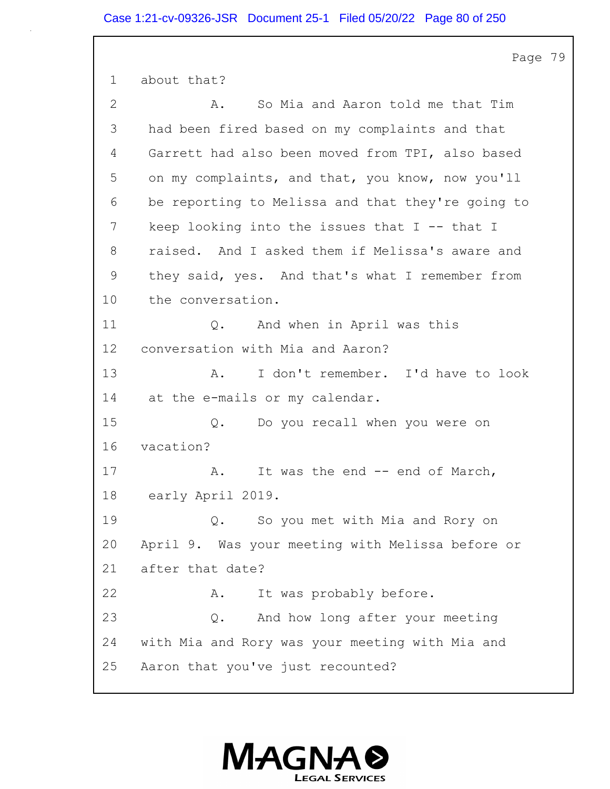```
Page 79
```
1 about that? 2 A. So Mia and Aaron told me that Tim 3 had been fired based on my complaints and that 4 Garrett had also been moved from TPI, also based 5 on my complaints, and that, you know, now you'll 6 be reporting to Melissa and that they're going to 7 keep looking into the issues that I -- that I 8 raised. And I asked them if Melissa's aware and 9 they said, yes. And that's what I remember from 10 the conversation. 11 Q. And when in April was this 12 conversation with Mia and Aaron? 13 A. I don't remember. I'd have to look 14 at the e-mails or my calendar. 15 Q. Do you recall when you were on 16 vacation? 17 A. It was the end -- end of March, 18 early April 2019. 19 Q. So you met with Mia and Rory on 20 April 9. Was your meeting with Melissa before or 21 after that date? 22 A. It was probably before. 23 Q. And how long after your meeting 24 with Mia and Rory was your meeting with Mia and 25 Aaron that you've just recounted?

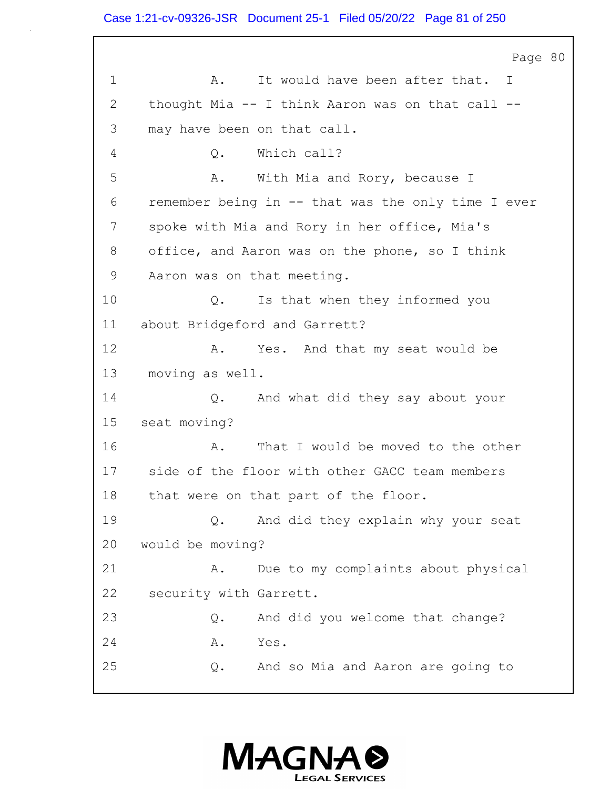# Case 1:21-cv-09326-JSR Document 25-1 Filed 05/20/22 Page 81 of 250

Page 80 1 A. It would have been after that. I 2 thought Mia -- I think Aaron was on that call -- 3 may have been on that call. 4 0. Which call? 5 A. With Mia and Rory, because I 6 remember being in -- that was the only time I ever 7 spoke with Mia and Rory in her office, Mia's 8 office, and Aaron was on the phone, so I think 9 Aaron was on that meeting. 10 Q. Is that when they informed you 11 about Bridgeford and Garrett? 12 A. Yes. And that my seat would be 13 moving as well. 14 Q. And what did they say about your 15 seat moving? 16 A. That I would be moved to the other 17 side of the floor with other GACC team members 18 that were on that part of the floor. 19 Q. And did they explain why your seat 20 would be moving? 21 A. Due to my complaints about physical 22 security with Garrett. 23 Q. And did you welcome that change? 24 A. Yes. 25 Q. And so Mia and Aaron are going to

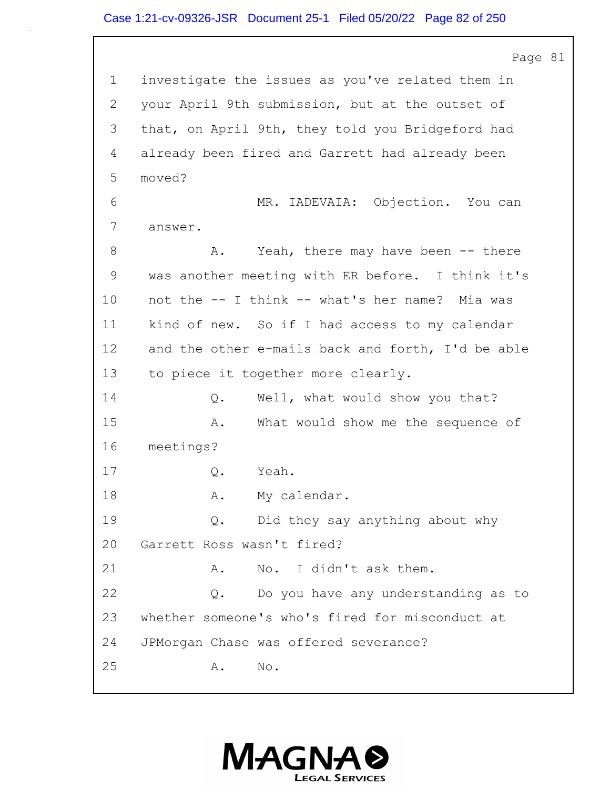Page 81 1 investigate the issues as you've related them in 2 your April 9th submission, but at the outset of 3 that, on April 9th, they told you Bridgeford had 4 already been fired and Garrett had already been 5 moved? 6 MR. IADEVAIA: Objection. You can 7 answer. 8 A. Yeah, there may have been -- there 9 was another meeting with ER before. I think it's 10 not the -- I think -- what's her name? Mia was 11 kind of new. So if I had access to my calendar 12 and the other e-mails back and forth, I'd be able 13 to piece it together more clearly. 14 Q. Well, what would show you that? 15 A. What would show me the sequence of 16 meetings? 17 Q. Yeah. 18 My calendar. 19 Q. Did they say anything about why 20 Garrett Ross wasn't fired? 21 A. No. I didn't ask them. 22 Q. Do you have any understanding as to 23 whether someone's who's fired for misconduct at 24 JPMorgan Chase was offered severance? 25 A. No.

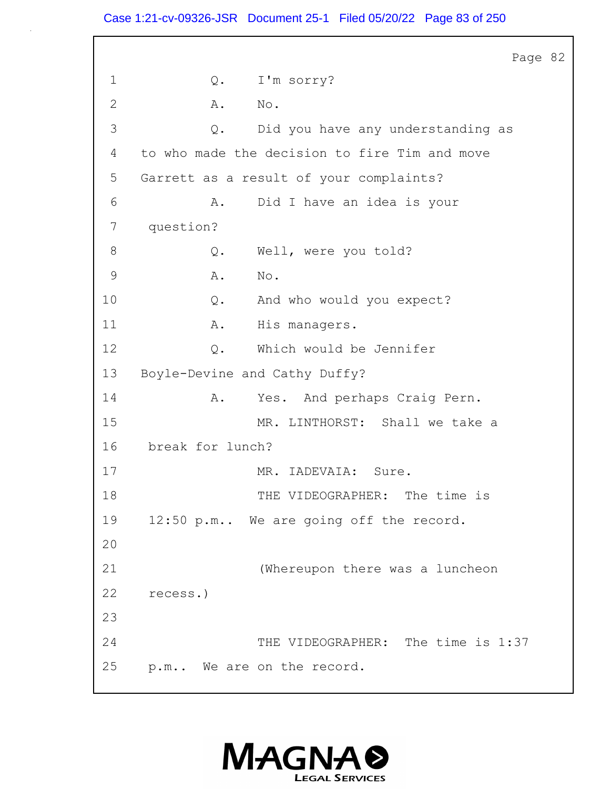# Case 1:21-cv-09326-JSR Document 25-1 Filed 05/20/22 Page 83 of 250

Page 82 1 Q. I'm sorry? 2 A. No. 3 Q. Did you have any understanding as 4 to who made the decision to fire Tim and move 5 Garrett as a result of your complaints? 6 A. Did I have an idea is your 7 question? 8 Q. Well, were you told? 9 A. No. 10 Q. And who would you expect? 11 A. His managers. 12 O. Which would be Jennifer 13 Boyle-Devine and Cathy Duffy? 14 A. Yes. And perhaps Craig Pern. 15 MR. LINTHORST: Shall we take a 16 break for lunch? 17 MR. IADEVAIA: Sure. 18 THE VIDEOGRAPHER: The time is 19 12:50 p.m.. We are going off the record. 20 21 (Whereupon there was a luncheon 22 recess.) 23 24 THE VIDEOGRAPHER: The time is 1:37 25 p.m.. We are on the record.

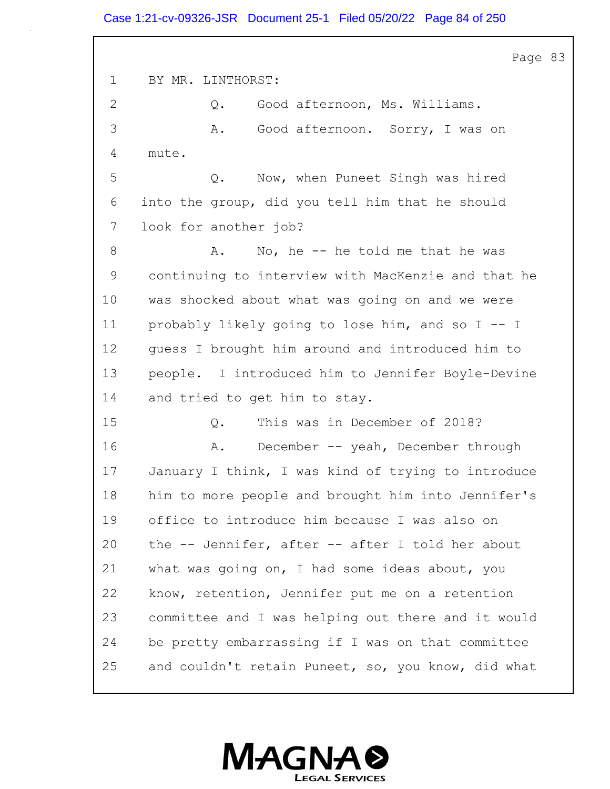#### Case 1:21-cv-09326-JSR Document 25-1 Filed 05/20/22 Page 84 of 250

Page 83 1 BY MR. LINTHORST: 2 Q. Good afternoon, Ms. Williams. 3 A. Good afternoon. Sorry, I was on 4 mute. 5 Q. Now, when Puneet Singh was hired 6 into the group, did you tell him that he should 7 look for another job? 8 A. No, he -- he told me that he was 9 continuing to interview with MacKenzie and that he 10 was shocked about what was going on and we were 11 probably likely going to lose him, and so I -- I 12 guess I brought him around and introduced him to 13 people. I introduced him to Jennifer Boyle-Devine 14 and tried to get him to stay. 15 Q. This was in December of 2018? 16 **A.** December -- yeah, December through 17 January I think, I was kind of trying to introduce 18 him to more people and brought him into Jennifer's 19 office to introduce him because I was also on 20 the -- Jennifer, after -- after I told her about 21 what was going on, I had some ideas about, you 22 know, retention, Jennifer put me on a retention 23 committee and I was helping out there and it would 24 be pretty embarrassing if I was on that committee 25 and couldn't retain Puneet, so, you know, did what

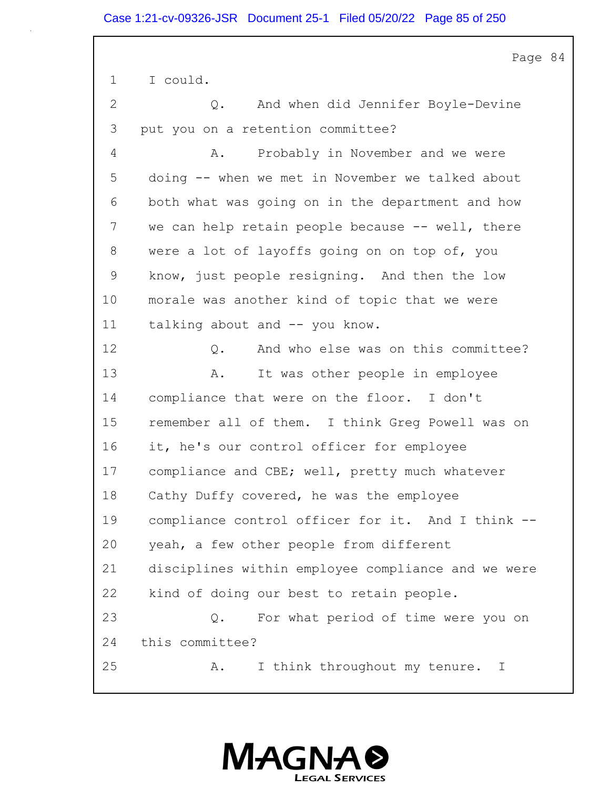Page 84

1 I could.

2 Q. And when did Jennifer Boyle-Devine 3 put you on a retention committee?

4 A. Probably in November and we were 5 doing -- when we met in November we talked about 6 both what was going on in the department and how 7 we can help retain people because -- well, there 8 were a lot of layoffs going on on top of, you 9 know, just people resigning. And then the low 10 morale was another kind of topic that we were 11 talking about and -- you know.

12 0. And who else was on this committee? 13 A. It was other people in employee 14 compliance that were on the floor. I don't 15 remember all of them. I think Greg Powell was on 16 it, he's our control officer for employee 17 compliance and CBE; well, pretty much whatever 18 Cathy Duffy covered, he was the employee 19 compliance control officer for it. And I think -- 20 yeah, a few other people from different 21 disciplines within employee compliance and we were 22 kind of doing our best to retain people. 23 Q. For what period of time were you on 24 this committee? 25 A. I think throughout my tenure. I

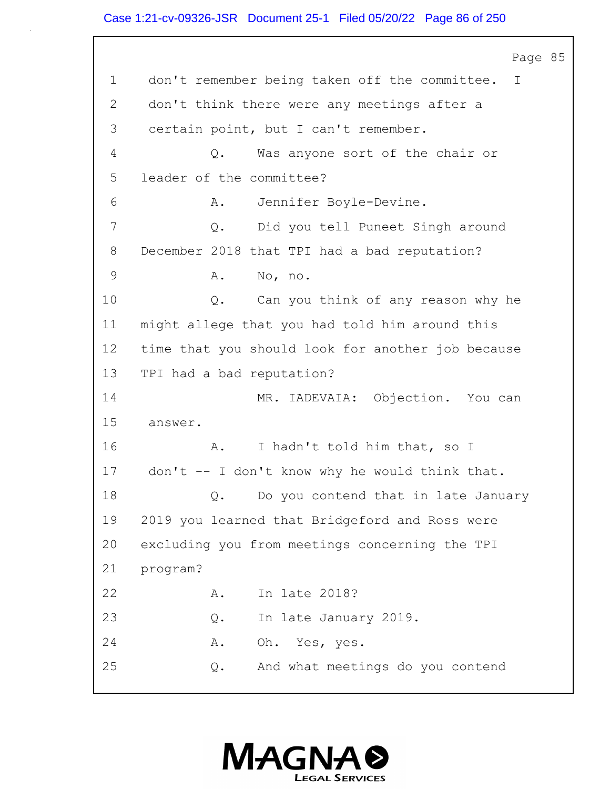# Case 1:21-cv-09326-JSR Document 25-1 Filed 05/20/22 Page 86 of 250

Page 85 1 don't remember being taken off the committee. I 2 don't think there were any meetings after a 3 certain point, but I can't remember. 4 Q. Was anyone sort of the chair or 5 leader of the committee? 6 A. Jennifer Boyle-Devine. 7 Q. Did you tell Puneet Singh around 8 December 2018 that TPI had a bad reputation? 9 A. No, no. 10 Q. Can you think of any reason why he 11 might allege that you had told him around this 12 time that you should look for another job because 13 TPI had a bad reputation? 14 MR. IADEVAIA: Objection. You can 15 answer. 16 A. I hadn't told him that, so I 17 don't -- I don't know why he would think that. 18 Q. Do you contend that in late January 19 2019 you learned that Bridgeford and Ross were 20 excluding you from meetings concerning the TPI 21 program? 22 A. In late 2018? 23 Q. In late January 2019. 24 A. Oh. Yes, yes. 25 Q. And what meetings do you contend

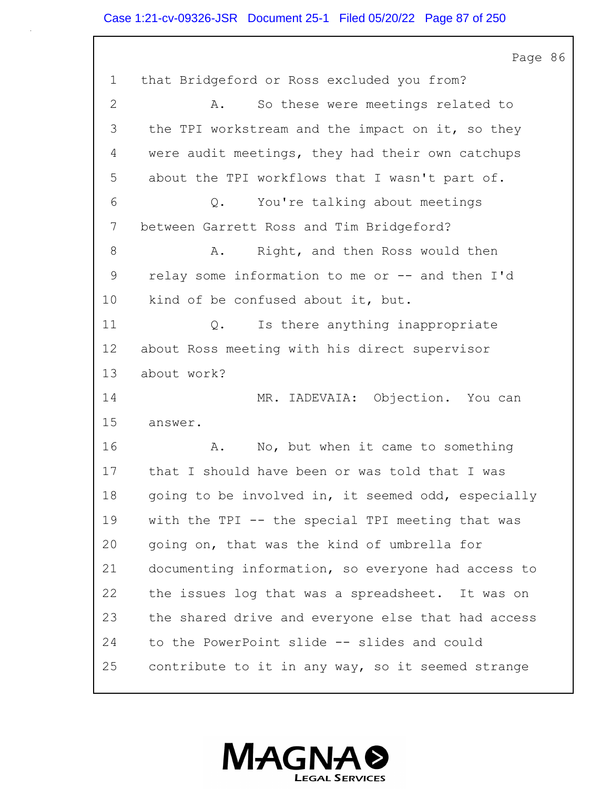Page 86 1 that Bridgeford or Ross excluded you from? 2 A. So these were meetings related to 3 the TPI workstream and the impact on it, so they 4 were audit meetings, they had their own catchups 5 about the TPI workflows that I wasn't part of. 6 Q. You're talking about meetings 7 between Garrett Ross and Tim Bridgeford? 8 A. Right, and then Ross would then 9 relay some information to me or -- and then I'd 10 kind of be confused about it, but. 11 Q. Is there anything inappropriate 12 about Ross meeting with his direct supervisor 13 about work? 14 MR. IADEVAIA: Objection. You can 15 answer. 16 **A.** No, but when it came to something 17 that I should have been or was told that I was 18 going to be involved in, it seemed odd, especially 19 with the TPI -- the special TPI meeting that was 20 going on, that was the kind of umbrella for 21 documenting information, so everyone had access to 22 the issues log that was a spreadsheet. It was on 23 the shared drive and everyone else that had access 24 to the PowerPoint slide -- slides and could 25 contribute to it in any way, so it seemed strange

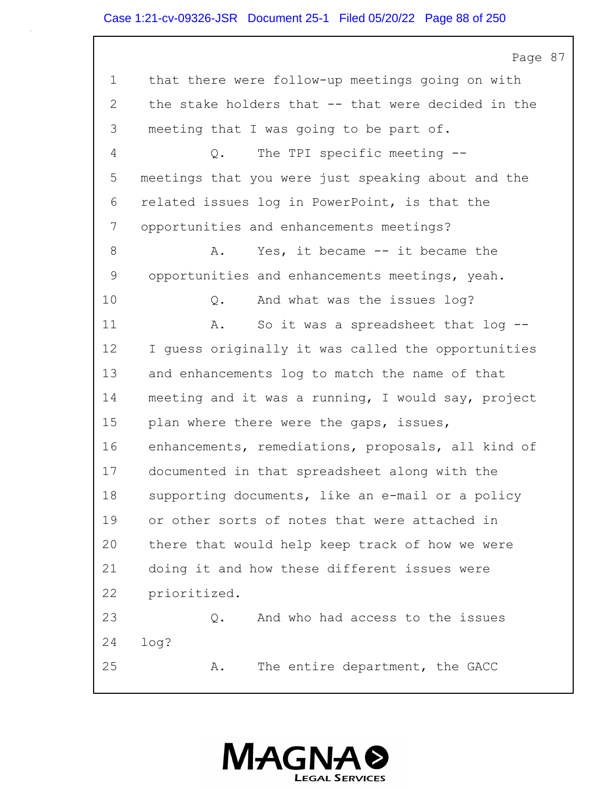# Case 1:21-cv-09326-JSR Document 25-1 Filed 05/20/22 Page 88 of 250

Page 87 1 that there were follow-up meetings going on with 2 the stake holders that -- that were decided in the 3 meeting that I was going to be part of. 4 Q. The TPI specific meeting -- 5 meetings that you were just speaking about and the 6 related issues log in PowerPoint, is that the 7 opportunities and enhancements meetings? 8 A. Yes, it became -- it became the 9 opportunities and enhancements meetings, yeah. 10 Q. And what was the issues log? 11 A. So it was a spreadsheet that log --12 I guess originally it was called the opportunities 13 and enhancements log to match the name of that 14 meeting and it was a running, I would say, project 15 plan where there were the gaps, issues, 16 enhancements, remediations, proposals, all kind of 17 documented in that spreadsheet along with the 18 supporting documents, like an e-mail or a policy 19 or other sorts of notes that were attached in 20 there that would help keep track of how we were 21 doing it and how these different issues were 22 prioritized. 23 Q. And who had access to the issues 24 log? 25 A. The entire department, the GACC

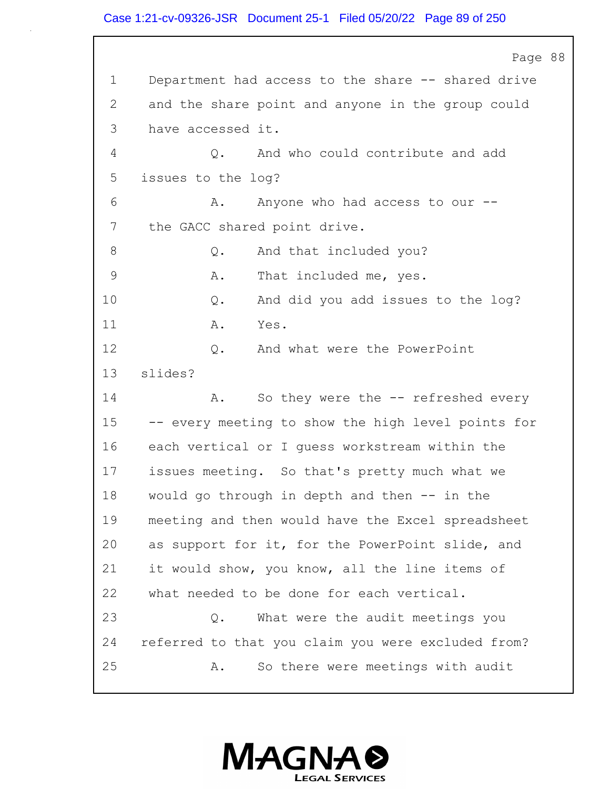# Case 1:21-cv-09326-JSR Document 25-1 Filed 05/20/22 Page 89 of 250

Page 88 1 Department had access to the share -- shared drive 2 and the share point and anyone in the group could 3 have accessed it. 4 Q. And who could contribute and add 5 issues to the log? 6 A. Anyone who had access to our --7 the GACC shared point drive. 8 Q. And that included you? 9 A. That included me, yes. 10 Q. And did you add issues to the log? 11 A. Yes. 12 Q. And what were the PowerPoint 13 slides? 14 A. So they were the -- refreshed every 15 -- every meeting to show the high level points for 16 each vertical or I guess workstream within the 17 issues meeting. So that's pretty much what we 18 would go through in depth and then -- in the 19 meeting and then would have the Excel spreadsheet 20 as support for it, for the PowerPoint slide, and 21 it would show, you know, all the line items of 22 what needed to be done for each vertical. 23 Q. What were the audit meetings you 24 referred to that you claim you were excluded from? 25 A. So there were meetings with audit

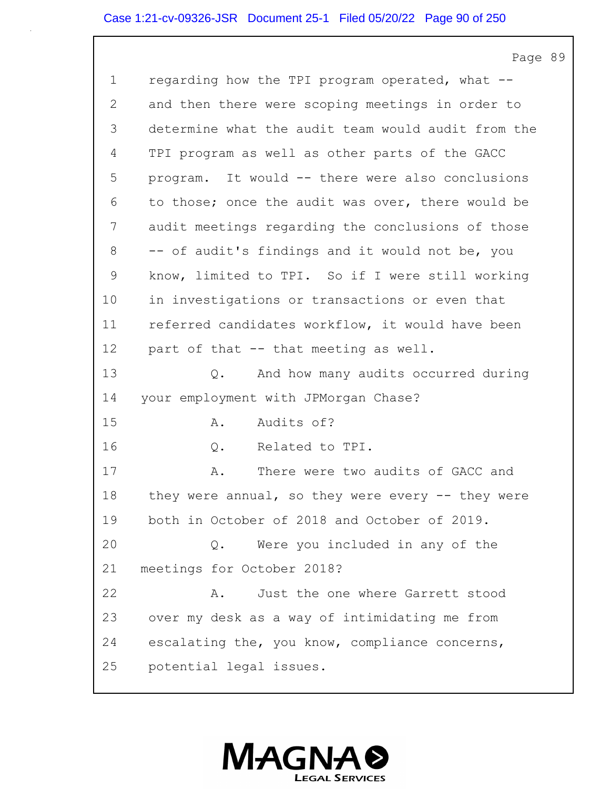Page 89 1 regarding how the TPI program operated, what -- 2 and then there were scoping meetings in order to 3 determine what the audit team would audit from the 4 TPI program as well as other parts of the GACC 5 program. It would -- there were also conclusions 6 to those; once the audit was over, there would be 7 audit meetings regarding the conclusions of those 8 -- of audit's findings and it would not be, you 9 know, limited to TPI. So if I were still working 10 in investigations or transactions or even that 11 referred candidates workflow, it would have been 12 part of that -- that meeting as well. 13 Q. And how many audits occurred during 14 your employment with JPMorgan Chase? 15 A. Audits of? 16 Q. Related to TPI. 17 A. There were two audits of GACC and 18 they were annual, so they were every -- they were 19 both in October of 2018 and October of 2019. 20 Q. Were you included in any of the 21 meetings for October 2018? 22 A. Just the one where Garrett stood 23 over my desk as a way of intimidating me from 24 escalating the, you know, compliance concerns, 25 potential legal issues.

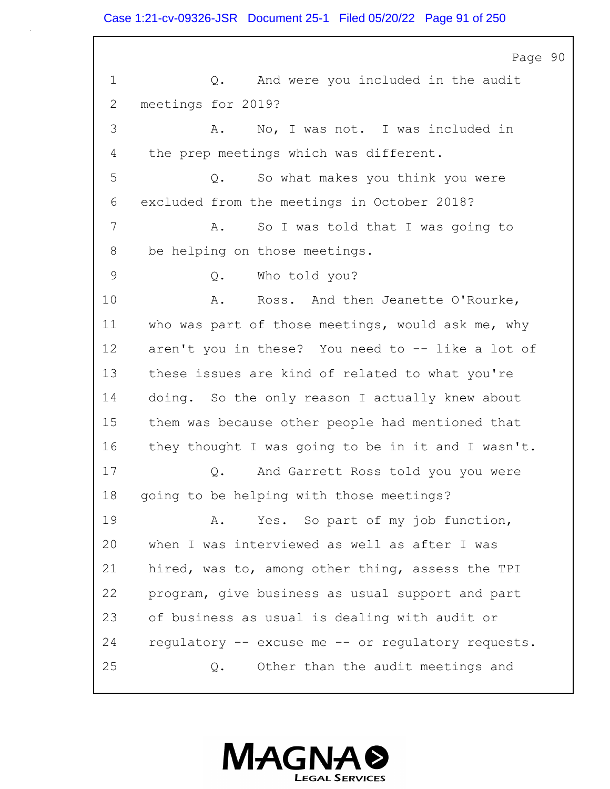# Case 1:21-cv-09326-JSR Document 25-1 Filed 05/20/22 Page 91 of 250

Page 90 1 Q. And were you included in the audit 2 meetings for 2019? 3 A. No, I was not. I was included in 4 the prep meetings which was different. 5 Q. So what makes you think you were 6 excluded from the meetings in October 2018? 7 A. So I was told that I was going to 8 be helping on those meetings. 9 Q. Who told you? 10 **A.** Ross. And then Jeanette O'Rourke, 11 who was part of those meetings, would ask me, why 12 aren't you in these? You need to -- like a lot of 13 these issues are kind of related to what you're 14 doing. So the only reason I actually knew about 15 them was because other people had mentioned that 16 they thought I was going to be in it and I wasn't. 17 Q. And Garrett Ross told you you were 18 going to be helping with those meetings? 19 A. Yes. So part of my job function, 20 when I was interviewed as well as after I was 21 hired, was to, among other thing, assess the TPI 22 program, give business as usual support and part 23 of business as usual is dealing with audit or 24 regulatory -- excuse me -- or regulatory requests. 25 Q. Other than the audit meetings and

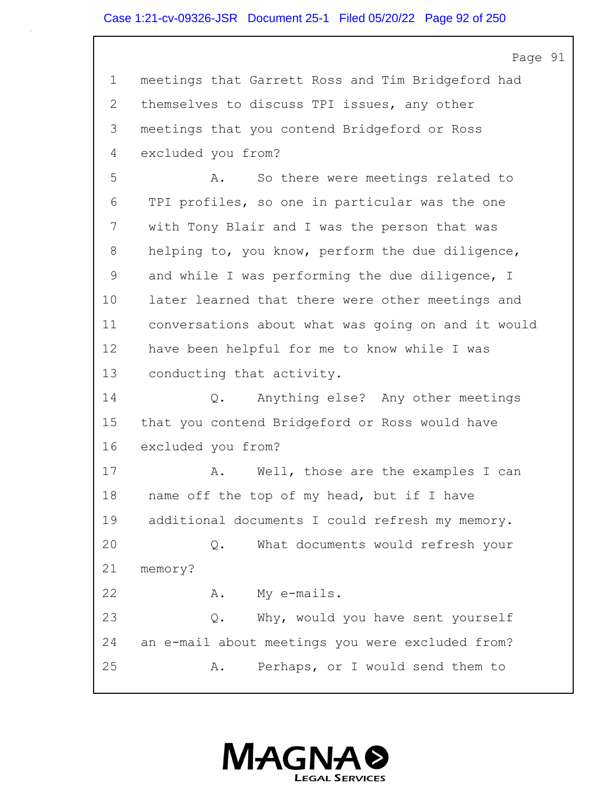Page 91

1 meetings that Garrett Ross and Tim Bridgeford had 2 themselves to discuss TPI issues, any other 3 meetings that you contend Bridgeford or Ross 4 excluded you from?

5 A. So there were meetings related to 6 TPI profiles, so one in particular was the one 7 with Tony Blair and I was the person that was 8 helping to, you know, perform the due diligence, 9 and while I was performing the due diligence, I 10 later learned that there were other meetings and 11 conversations about what was going on and it would 12 have been helpful for me to know while I was 13 conducting that activity.

14 Q. Anything else? Any other meetings 15 that you contend Bridgeford or Ross would have 16 excluded you from?

17 A. Well, those are the examples I can 18 name off the top of my head, but if I have 19 additional documents I could refresh my memory. 20 Q. What documents would refresh your 21 memory? 22 A. My e-mails. 23 Q. Why, would you have sent yourself 24 an e-mail about meetings you were excluded from? 25 A. Perhaps, or I would send them to

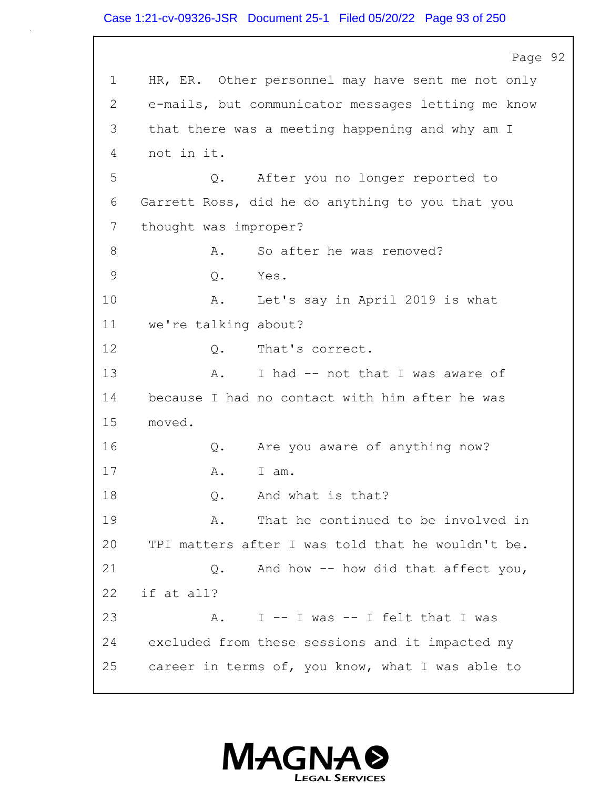### Case 1:21-cv-09326-JSR Document 25-1 Filed 05/20/22 Page 93 of 250

Page 92 1 HR, ER. Other personnel may have sent me not only 2 e-mails, but communicator messages letting me know 3 that there was a meeting happening and why am I 4 not in it. 5 Q. After you no longer reported to 6 Garrett Ross, did he do anything to you that you 7 thought was improper? 8 A. So after he was removed? 9 Q. Yes. 10 A. Let's say in April 2019 is what 11 we're talking about? 12 D. That's correct. 13 A. I had -- not that I was aware of 14 because I had no contact with him after he was 15 moved. 16 Q. Are you aware of anything now? 17 A. I am. 18 0. And what is that? 19 That he continued to be involved in 20 TPI matters after I was told that he wouldn't be. 21 Q. And how -- how did that affect you, 22 if at all? 23 A. I -- I was -- I felt that I was 24 excluded from these sessions and it impacted my 25 career in terms of, you know, what I was able to

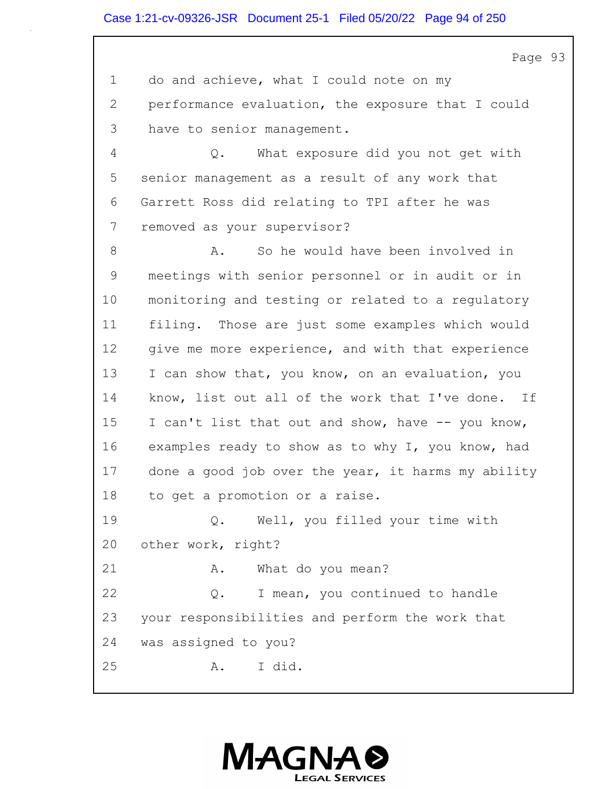```
Page 93
```
1 do and achieve, what I could note on my 2 performance evaluation, the exposure that I could 3 have to senior management. 4 Q. What exposure did you not get with 5 senior management as a result of any work that 6 Garrett Ross did relating to TPI after he was 7 removed as your supervisor? 8 A. So he would have been involved in 9 meetings with senior personnel or in audit or in 10 monitoring and testing or related to a regulatory 11 filing. Those are just some examples which would 12 give me more experience, and with that experience 13 I can show that, you know, on an evaluation, you 14 know, list out all of the work that I've done. If 15 I can't list that out and show, have -- you know, 16 examples ready to show as to why I, you know, had 17 done a good job over the year, it harms my ability 18 to get a promotion or a raise. 19 Q. Well, you filled your time with 20 other work, right? 21 A. What do you mean? 22 Q. I mean, you continued to handle 23 your responsibilities and perform the work that 24 was assigned to you? 25 A. I did.

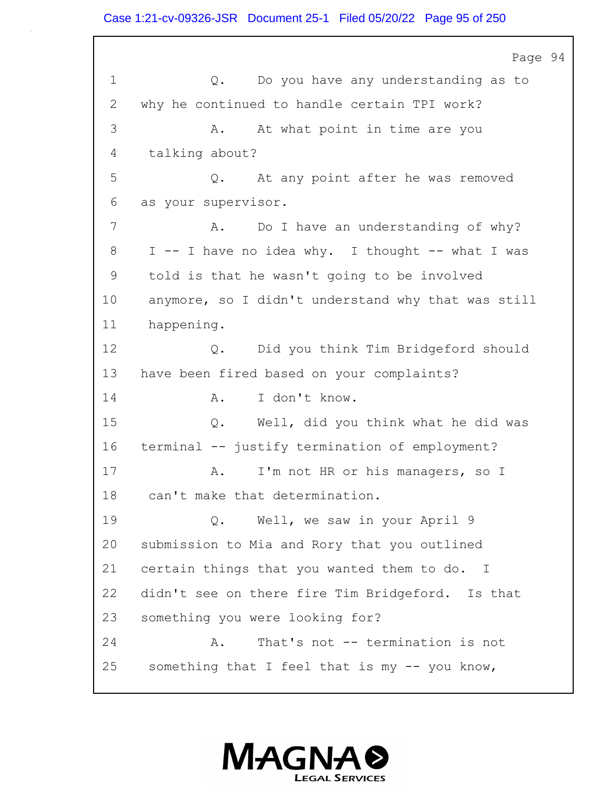### Case 1:21-cv-09326-JSR Document 25-1 Filed 05/20/22 Page 95 of 250

Page 94 1 Q. Do you have any understanding as to 2 why he continued to handle certain TPI work? 3 A. At what point in time are you 4 talking about? 5 Q. At any point after he was removed 6 as your supervisor. 7 A. Do I have an understanding of why?  $8$  I -- I have no idea why. I thought -- what I was 9 told is that he wasn't going to be involved 10 anymore, so I didn't understand why that was still 11 happening. 12 Q. Did you think Tim Bridgeford should 13 have been fired based on your complaints? 14 A. I don't know. 15 Q. Well, did you think what he did was 16 terminal -- justify termination of employment? 17 A. I'm not HR or his managers, so I 18 can't make that determination. 19 **Q.** Well, we saw in your April 9 20 submission to Mia and Rory that you outlined 21 certain things that you wanted them to do. I 22 didn't see on there fire Tim Bridgeford. Is that 23 something you were looking for? 24 A. That's not -- termination is not 25 something that I feel that is my -- you know,

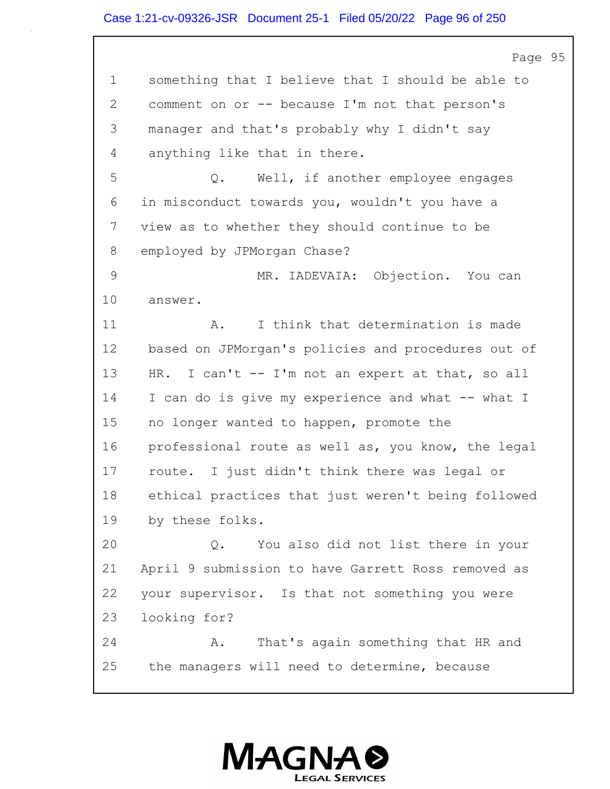# Case 1:21-cv-09326-JSR Document 25-1 Filed 05/20/22 Page 96 of 250

Page 95 1 something that I believe that I should be able to 2 comment on or -- because I'm not that person's 3 manager and that's probably why I didn't say 4 anything like that in there. 5 Q. Well, if another employee engages 6 in misconduct towards you, wouldn't you have a 7 view as to whether they should continue to be 8 employed by JPMorgan Chase? 9 MR. IADEVAIA: Objection. You can 10 answer. 11 A. I think that determination is made 12 based on JPMorgan's policies and procedures out of 13 HR. I can't -- I'm not an expert at that, so all 14 I can do is give my experience and what -- what I 15 no longer wanted to happen, promote the 16 professional route as well as, you know, the legal 17 route. I just didn't think there was legal or 18 ethical practices that just weren't being followed 19 by these folks. 20 Q. You also did not list there in your 21 April 9 submission to have Garrett Ross removed as 22 your supervisor. Is that not something you were 23 looking for? 24 A. That's again something that HR and 25 the managers will need to determine, because

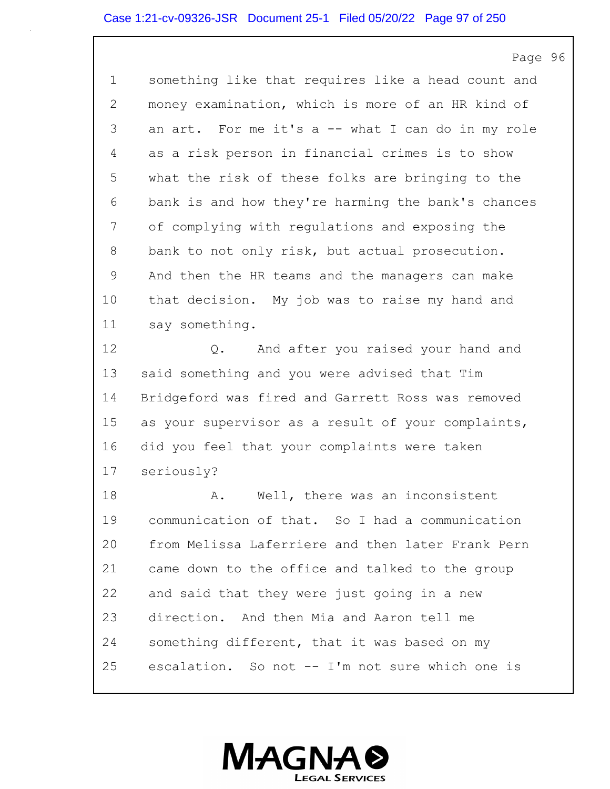Page 96

1 something like that requires like a head count and 2 money examination, which is more of an HR kind of 3 an art. For me it's a -- what I can do in my role 4 as a risk person in financial crimes is to show 5 what the risk of these folks are bringing to the 6 bank is and how they're harming the bank's chances 7 of complying with regulations and exposing the 8 bank to not only risk, but actual prosecution. 9 And then the HR teams and the managers can make 10 that decision. My job was to raise my hand and 11 say something.

12 Q. And after you raised your hand and 13 said something and you were advised that Tim 14 Bridgeford was fired and Garrett Ross was removed 15 as your supervisor as a result of your complaints, 16 did you feel that your complaints were taken 17 seriously?

18 A. Well, there was an inconsistent 19 communication of that. So I had a communication 20 from Melissa Laferriere and then later Frank Pern 21 came down to the office and talked to the group 22 and said that they were just going in a new 23 direction. And then Mia and Aaron tell me 24 something different, that it was based on my 25 escalation. So not -- I'm not sure which one is

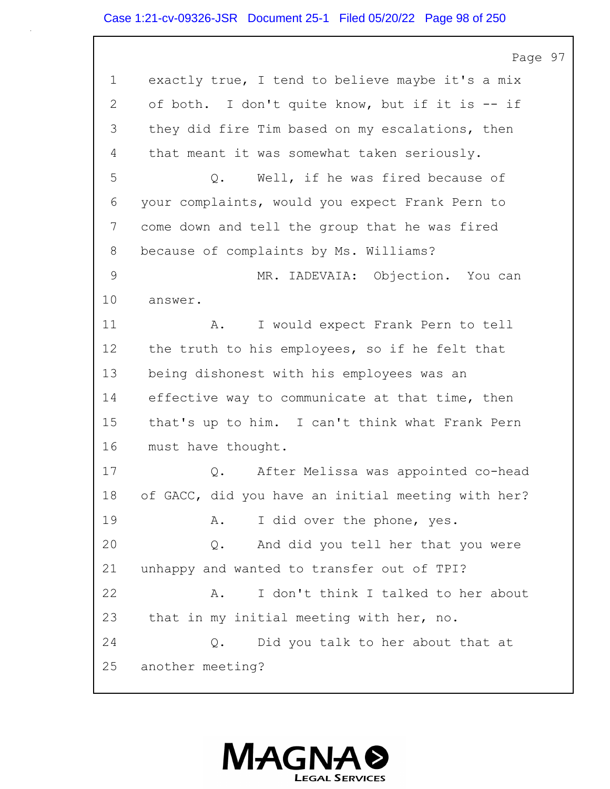# Case 1:21-cv-09326-JSR Document 25-1 Filed 05/20/22 Page 98 of 250

Page 97 1 exactly true, I tend to believe maybe it's a mix 2 of both. I don't quite know, but if it is -- if 3 they did fire Tim based on my escalations, then 4 that meant it was somewhat taken seriously. 5 Q. Well, if he was fired because of 6 your complaints, would you expect Frank Pern to 7 come down and tell the group that he was fired 8 because of complaints by Ms. Williams? 9 MR. IADEVAIA: Objection. You can 10 answer. 11 A. I would expect Frank Pern to tell 12 the truth to his employees, so if he felt that 13 being dishonest with his employees was an 14 effective way to communicate at that time, then 15 that's up to him. I can't think what Frank Pern 16 must have thought. 17 Q. After Melissa was appointed co-head 18 of GACC, did you have an initial meeting with her? 19 A. I did over the phone, yes. 20 Q. And did you tell her that you were 21 unhappy and wanted to transfer out of TPI? 22 A. I don't think I talked to her about 23 that in my initial meeting with her, no. 24 Q. Did you talk to her about that at 25 another meeting?

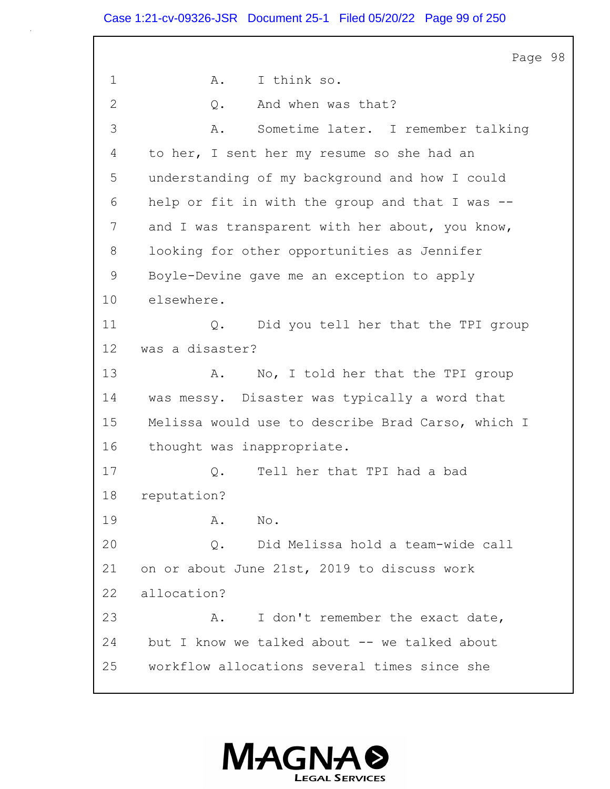# Case 1:21-cv-09326-JSR Document 25-1 Filed 05/20/22 Page 99 of 250

Page 98 1 A. I think so. 2 Q. And when was that? 3 A. Sometime later. I remember talking 4 to her, I sent her my resume so she had an 5 understanding of my background and how I could 6 help or fit in with the group and that I was -- 7 and I was transparent with her about, you know, 8 looking for other opportunities as Jennifer 9 Boyle-Devine gave me an exception to apply 10 elsewhere. 11 Q. Did you tell her that the TPI group 12 was a disaster? 13 A. No, I told her that the TPI group 14 was messy. Disaster was typically a word that 15 Melissa would use to describe Brad Carso, which I 16 thought was inappropriate. 17 Q. Tell her that TPI had a bad 18 reputation? 19 A. No. 20 Q. Did Melissa hold a team-wide call 21 on or about June 21st, 2019 to discuss work 22 allocation? 23 A. I don't remember the exact date, 24 but I know we talked about -- we talked about 25 workflow allocations several times since she

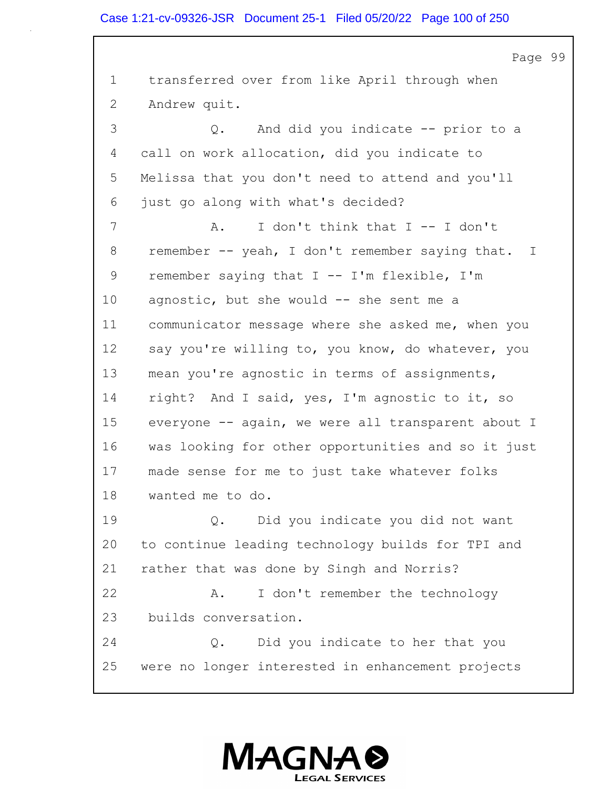# Case 1:21-cv-09326-JSR Document 25-1 Filed 05/20/22 Page 100 of 250

Page 99 1 transferred over from like April through when 2 Andrew quit. 3 Q. And did you indicate -- prior to a 4 call on work allocation, did you indicate to 5 Melissa that you don't need to attend and you'll 6 just go along with what's decided? 7 A. I don't think that I -- I don't 8 remember -- yeah, I don't remember saying that. I 9 remember saying that I -- I'm flexible, I'm 10 agnostic, but she would -- she sent me a 11 communicator message where she asked me, when you 12 say you're willing to, you know, do whatever, you 13 mean you're agnostic in terms of assignments, 14 right? And I said, yes, I'm agnostic to it, so 15 everyone -- again, we were all transparent about I 16 was looking for other opportunities and so it just 17 made sense for me to just take whatever folks 18 wanted me to do. 19 Q. Did you indicate you did not want 20 to continue leading technology builds for TPI and 21 rather that was done by Singh and Norris? 22 A. I don't remember the technology 23 builds conversation. 24 Q. Did you indicate to her that you 25 were no longer interested in enhancement projects

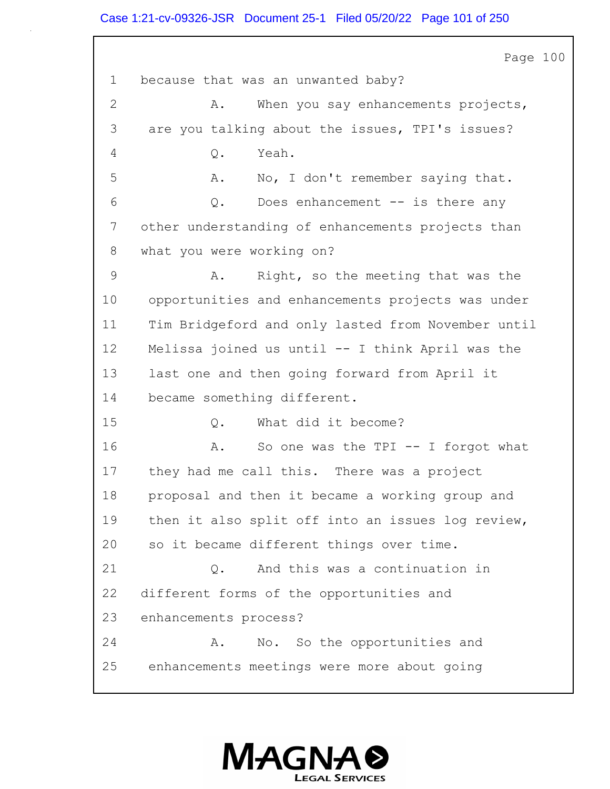# Case 1:21-cv-09326-JSR Document 25-1 Filed 05/20/22 Page 101 of 250

Page 100 1 because that was an unwanted baby? 2 A. When you say enhancements projects, 3 are you talking about the issues, TPI's issues? 4 Q. Yeah. 5 A. No, I don't remember saying that. 6 Q. Does enhancement -- is there any 7 other understanding of enhancements projects than 8 what you were working on? 9 A. Right, so the meeting that was the 10 opportunities and enhancements projects was under 11 Tim Bridgeford and only lasted from November until 12 Melissa joined us until -- I think April was the 13 last one and then going forward from April it 14 became something different. 15 0. What did it become? 16 A. So one was the TPI -- I forgot what 17 they had me call this. There was a project 18 proposal and then it became a working group and 19 then it also split off into an issues log review, 20 so it became different things over time. 21 Q. And this was a continuation in 22 different forms of the opportunities and 23 enhancements process? 24 A. No. So the opportunities and 25 enhancements meetings were more about going

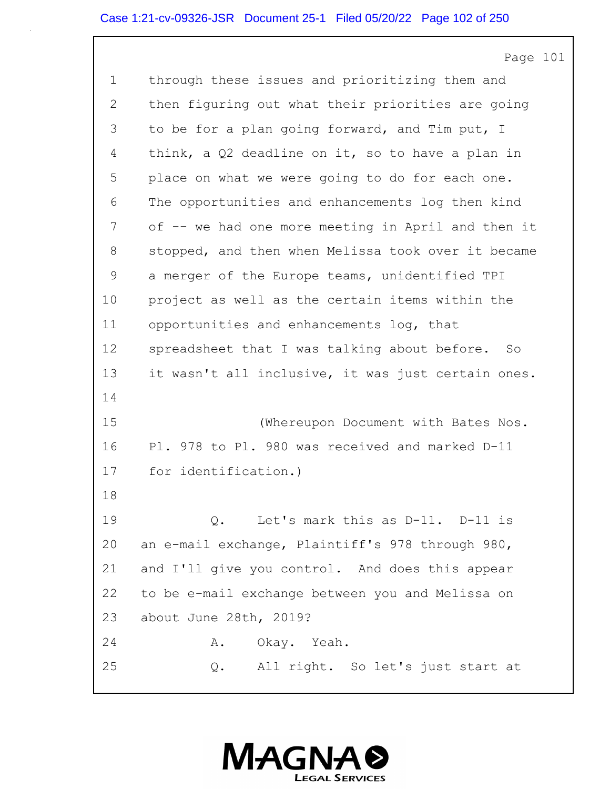# Case 1:21-cv-09326-JSR Document 25-1 Filed 05/20/22 Page 102 of 250

Page 101

1 through these issues and prioritizing them and 2 then figuring out what their priorities are going 3 to be for a plan going forward, and Tim put, I 4 think, a Q2 deadline on it, so to have a plan in 5 place on what we were going to do for each one. 6 The opportunities and enhancements log then kind 7 of -- we had one more meeting in April and then it 8 stopped, and then when Melissa took over it became 9 a merger of the Europe teams, unidentified TPI 10 project as well as the certain items within the 11 opportunities and enhancements log, that 12 spreadsheet that I was talking about before. So 13 it wasn't all inclusive, it was just certain ones. 14 15 (Whereupon Document with Bates Nos. 16 Pl. 978 to Pl. 980 was received and marked D-11 17 for identification.) 18 19 Q. Let's mark this as D-11. D-11 is 20 an e-mail exchange, Plaintiff's 978 through 980, 21 and I'll give you control. And does this appear 22 to be e-mail exchange between you and Melissa on 23 about June 28th, 2019? 24 A. Okay. Yeah. 25 Q. All right. So let's just start at

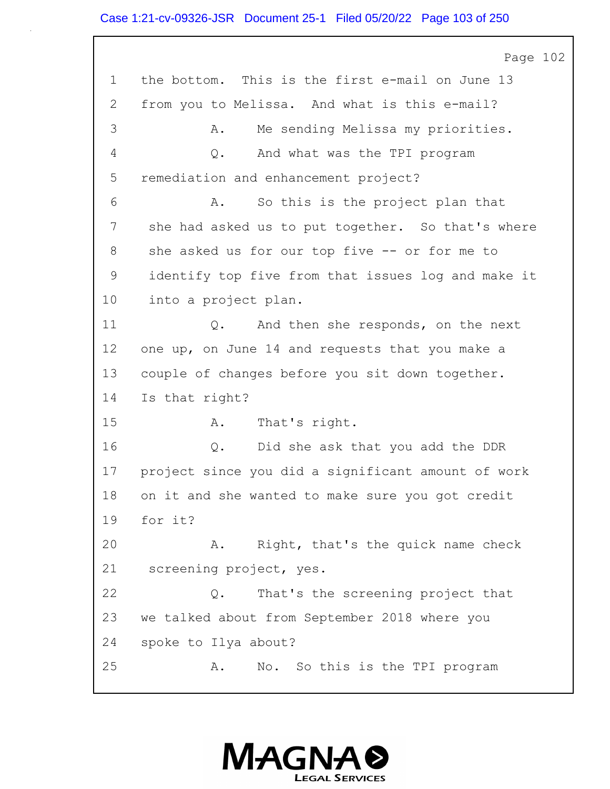# Case 1:21-cv-09326-JSR Document 25-1 Filed 05/20/22 Page 103 of 250

Page 102 1 the bottom. This is the first e-mail on June 13 2 from you to Melissa. And what is this e-mail? 3 A. Me sending Melissa my priorities. 4 Q. And what was the TPI program 5 remediation and enhancement project? 6 A. So this is the project plan that 7 she had asked us to put together. So that's where 8 she asked us for our top five -- or for me to 9 identify top five from that issues log and make it 10 into a project plan. 11 Q. And then she responds, on the next 12 one up, on June 14 and requests that you make a 13 couple of changes before you sit down together. 14 Is that right? 15 A. That's right. 16 Q. Did she ask that you add the DDR 17 project since you did a significant amount of work 18 on it and she wanted to make sure you got credit 19 for it? 20 A. Right, that's the quick name check 21 screening project, yes. 22 Q. That's the screening project that 23 we talked about from September 2018 where you 24 spoke to Ilya about? 25 A. No. So this is the TPI program

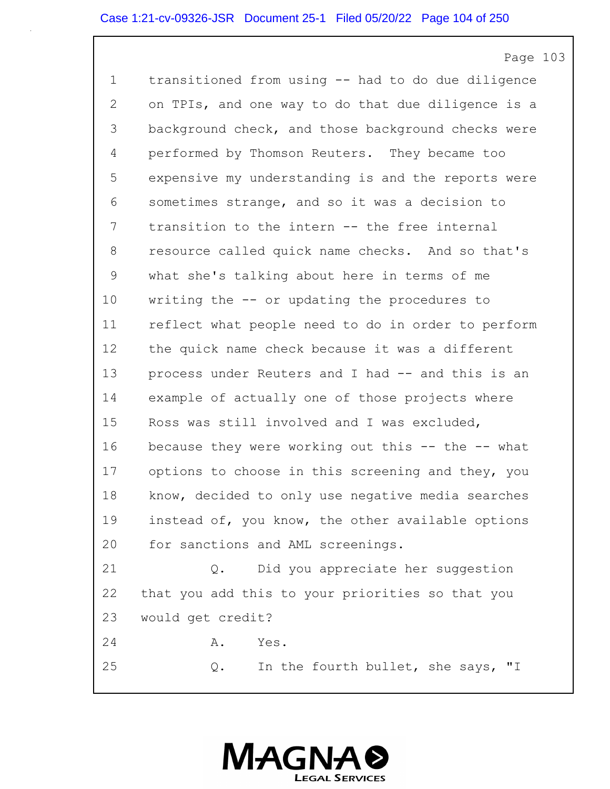Page 103

1 transitioned from using -- had to do due diligence 2 on TPIs, and one way to do that due diligence is a 3 background check, and those background checks were 4 performed by Thomson Reuters. They became too 5 expensive my understanding is and the reports were 6 sometimes strange, and so it was a decision to 7 transition to the intern -- the free internal 8 resource called quick name checks. And so that's 9 what she's talking about here in terms of me 10 writing the -- or updating the procedures to 11 reflect what people need to do in order to perform 12 the quick name check because it was a different 13 process under Reuters and I had -- and this is an 14 example of actually one of those projects where 15 Ross was still involved and I was excluded, 16 because they were working out this -- the -- what 17 options to choose in this screening and they, you 18 know, decided to only use negative media searches 19 instead of, you know, the other available options 20 for sanctions and AML screenings. 21 Q. Did you appreciate her suggestion 22 that you add this to your priorities so that you 23 would get credit? 24 A. Yes. 25 Q. In the fourth bullet, she says, "I

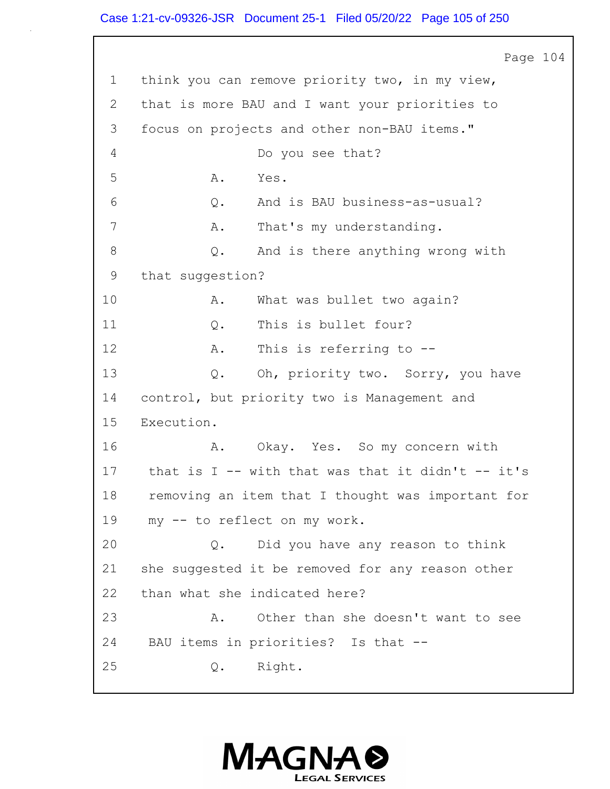# Case 1:21-cv-09326-JSR Document 25-1 Filed 05/20/22 Page 105 of 250

Page 104 1 think you can remove priority two, in my view, 2 that is more BAU and I want your priorities to 3 focus on projects and other non-BAU items." 4 Do you see that? 5 A. Yes. 6 Q. And is BAU business-as-usual? 7 A. That's my understanding. 8 Q. And is there anything wrong with 9 that suggestion? 10 A. What was bullet two again? 11 0. This is bullet four? 12 A. This is referring to -- 13 Q. Oh, priority two. Sorry, you have 14 control, but priority two is Management and 15 Execution. 16 A. Okay. Yes. So my concern with 17 that is I -- with that was that it didn't -- it's 18 removing an item that I thought was important for 19 my -- to reflect on my work. 20 Q. Did you have any reason to think 21 she suggested it be removed for any reason other 22 than what she indicated here? 23 A. Other than she doesn't want to see 24 BAU items in priorities? Is that -- 25 Q. Right.

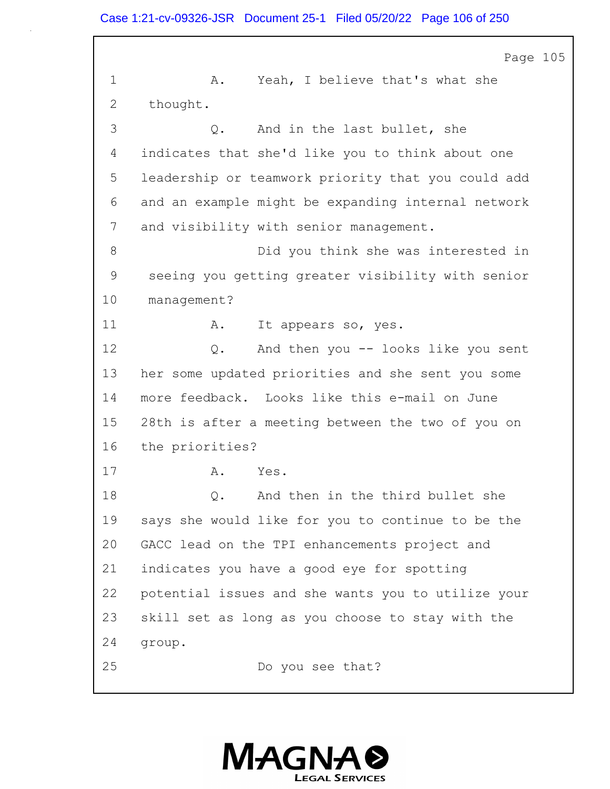Page 105 1 A. Yeah, I believe that's what she 2 thought. 3 Q. And in the last bullet, she 4 indicates that she'd like you to think about one 5 leadership or teamwork priority that you could add 6 and an example might be expanding internal network 7 and visibility with senior management. 8 Did you think she was interested in 9 seeing you getting greater visibility with senior 10 management? 11 A. It appears so, yes. 12 Q. And then you -- looks like you sent 13 her some updated priorities and she sent you some 14 more feedback. Looks like this e-mail on June 15 28th is after a meeting between the two of you on 16 the priorities? 17 A. Yes. 18 Q. And then in the third bullet she 19 says she would like for you to continue to be the 20 GACC lead on the TPI enhancements project and 21 indicates you have a good eye for spotting 22 potential issues and she wants you to utilize your 23 skill set as long as you choose to stay with the 24 group. 25 Do you see that?

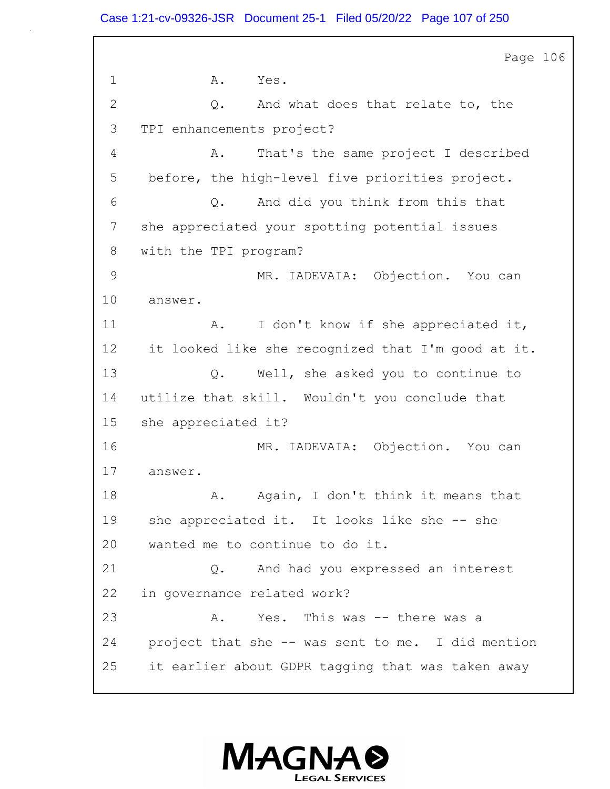Page 106 1 A. Yes. 2 Q. And what does that relate to, the 3 TPI enhancements project? 4 A. That's the same project I described 5 before, the high-level five priorities project. 6 Q. And did you think from this that 7 she appreciated your spotting potential issues 8 with the TPI program? 9 MR. IADEVAIA: Objection. You can 10 answer. 11 A. I don't know if she appreciated it, 12 it looked like she recognized that I'm good at it. 13 Q. Well, she asked you to continue to 14 utilize that skill. Wouldn't you conclude that 15 she appreciated it? 16 MR. IADEVAIA: Objection. You can 17 answer. 18 A. Again, I don't think it means that 19 she appreciated it. It looks like she -- she 20 wanted me to continue to do it. 21 Q. And had you expressed an interest 22 in governance related work? 23 A. Yes. This was -- there was a 24 project that she -- was sent to me. I did mention 25 it earlier about GDPR tagging that was taken away

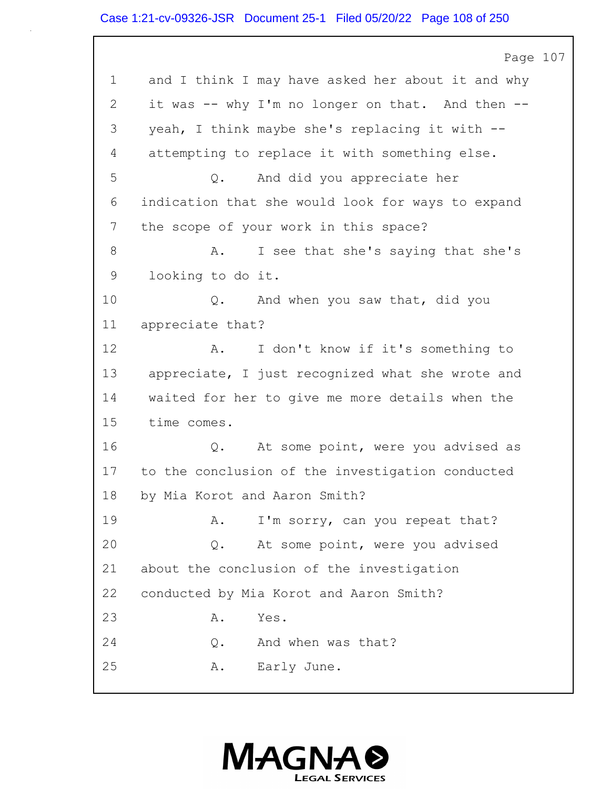# Case 1:21-cv-09326-JSR Document 25-1 Filed 05/20/22 Page 108 of 250

Page 107 1 and I think I may have asked her about it and why 2 it was -- why I'm no longer on that. And then --3 yeah, I think maybe she's replacing it with -- 4 attempting to replace it with something else. 5 Q. And did you appreciate her 6 indication that she would look for ways to expand 7 the scope of your work in this space? 8 A. I see that she's saying that she's 9 looking to do it. 10 Q. And when you saw that, did you 11 appreciate that? 12 A. I don't know if it's something to 13 appreciate, I just recognized what she wrote and 14 waited for her to give me more details when the 15 time comes. 16 Q. At some point, were you advised as 17 to the conclusion of the investigation conducted 18 by Mia Korot and Aaron Smith? 19 A. I'm sorry, can you repeat that? 20 Q. At some point, were you advised 21 about the conclusion of the investigation 22 conducted by Mia Korot and Aaron Smith? 23 A. Yes. 24 Q. And when was that? 25 A. Early June.

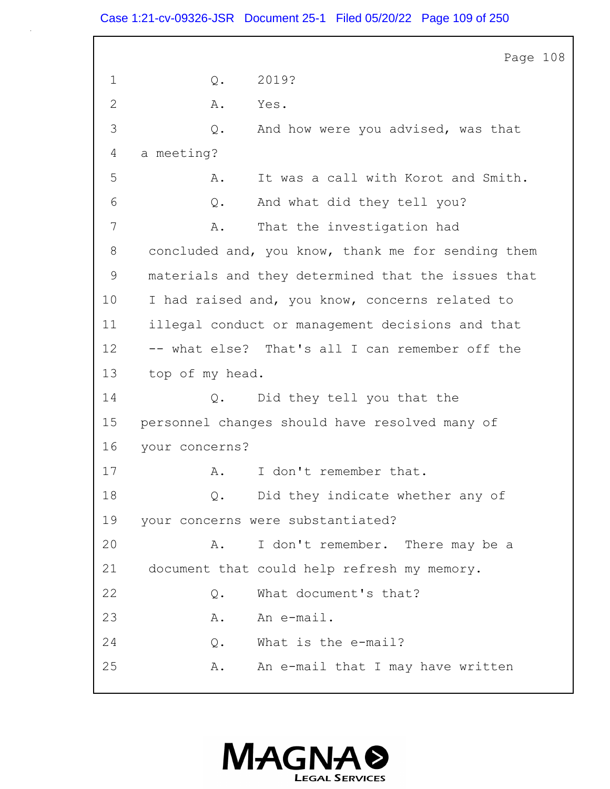Page 108 1 Q. 2019? 2 A. Yes. 3 Q. And how were you advised, was that 4 a meeting? 5 A. It was a call with Korot and Smith. 6 Q. And what did they tell you? 7 A. That the investigation had 8 concluded and, you know, thank me for sending them 9 materials and they determined that the issues that 10 I had raised and, you know, concerns related to 11 illegal conduct or management decisions and that 12 -- what else? That's all I can remember off the 13 top of my head. 14 Q. Did they tell you that the 15 personnel changes should have resolved many of 16 your concerns? 17 A. I don't remember that. 18 Q. Did they indicate whether any of 19 your concerns were substantiated? 20 A. I don't remember. There may be a 21 document that could help refresh my memory. 22 C. What document's that? 23 A. An e-mail. 24 Q. What is the e-mail? 25 A. An e-mail that I may have written

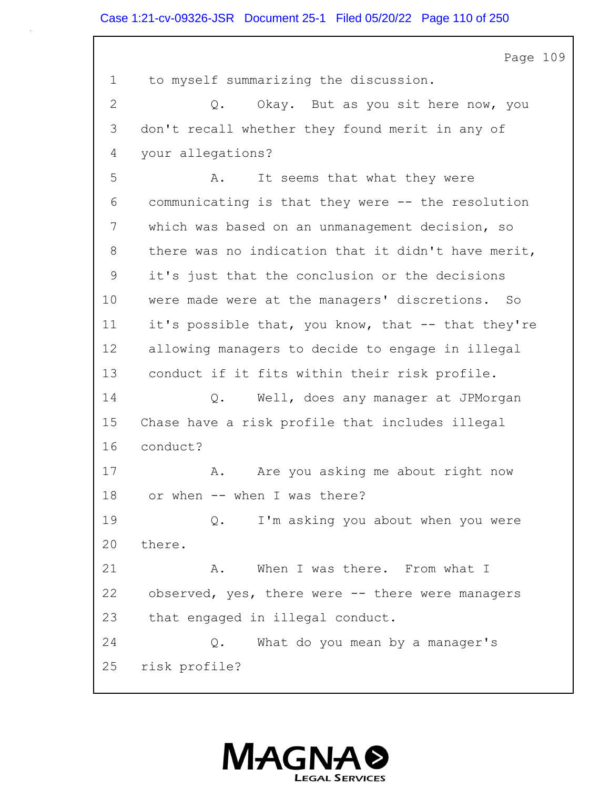Page 109 1 to myself summarizing the discussion. 2 Q. Okay. But as you sit here now, you 3 don't recall whether they found merit in any of 4 your allegations? 5 A. It seems that what they were 6 communicating is that they were -- the resolution 7 which was based on an unmanagement decision, so 8 there was no indication that it didn't have merit, 9 it's just that the conclusion or the decisions 10 were made were at the managers' discretions. So 11 it's possible that, you know, that -- that they're 12 allowing managers to decide to engage in illegal 13 conduct if it fits within their risk profile. 14 Q. Well, does any manager at JPMorgan 15 Chase have a risk profile that includes illegal 16 conduct? 17 A. Are you asking me about right now 18 or when -- when I was there? 19 Q. I'm asking you about when you were 20 there. 21 A. When I was there. From what I 22 observed, yes, there were -- there were managers 23 that engaged in illegal conduct. 24 Q. What do you mean by a manager's 25 risk profile?

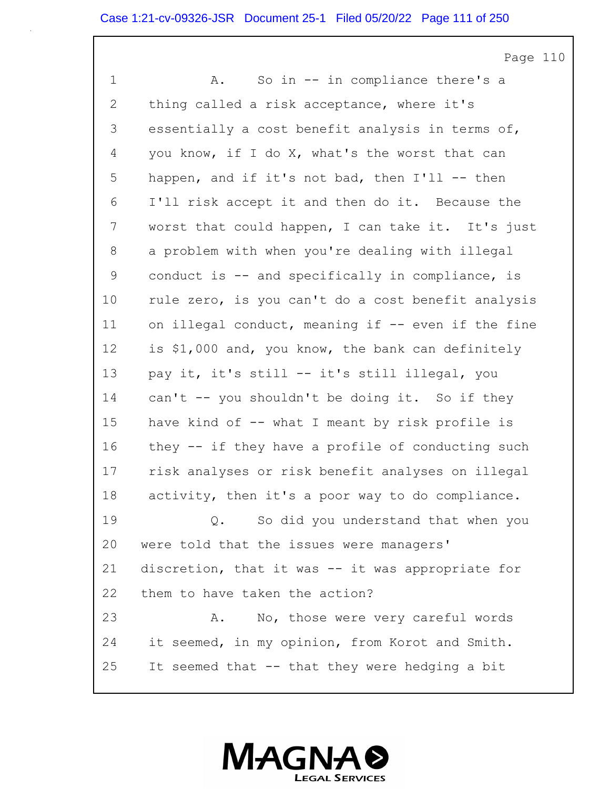#### Case 1:21-cv-09326-JSR Document 25-1 Filed 05/20/22 Page 111 of 250

Page 110

1 A. So in -- in compliance there's a 2 thing called a risk acceptance, where it's 3 essentially a cost benefit analysis in terms of, 4 you know, if I do X, what's the worst that can 5 happen, and if it's not bad, then I'll -- then 6 I'll risk accept it and then do it. Because the 7 worst that could happen, I can take it. It's just 8 a problem with when you're dealing with illegal 9 conduct is -- and specifically in compliance, is 10 rule zero, is you can't do a cost benefit analysis 11 on illegal conduct, meaning if -- even if the fine 12 is \$1,000 and, you know, the bank can definitely 13 pay it, it's still -- it's still illegal, you 14 can't -- you shouldn't be doing it. So if they 15 have kind of -- what I meant by risk profile is 16 they -- if they have a profile of conducting such 17 risk analyses or risk benefit analyses on illegal 18 activity, then it's a poor way to do compliance. 19 Q. So did you understand that when you 20 were told that the issues were managers' 21 discretion, that it was -- it was appropriate for 22 them to have taken the action? 23 A. No, those were very careful words 24 it seemed, in my opinion, from Korot and Smith. 25 It seemed that -- that they were hedging a bit

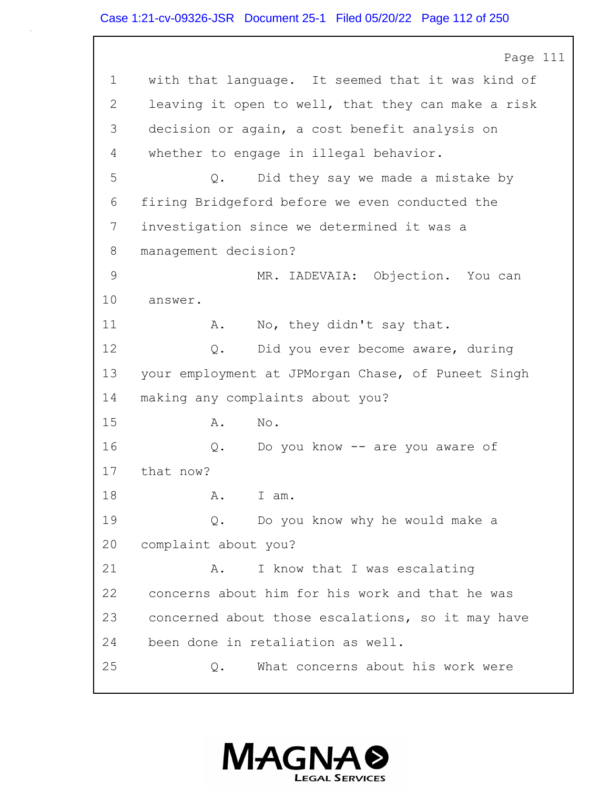# Case 1:21-cv-09326-JSR Document 25-1 Filed 05/20/22 Page 112 of 250

Page 111 1 with that language. It seemed that it was kind of 2 leaving it open to well, that they can make a risk 3 decision or again, a cost benefit analysis on 4 whether to engage in illegal behavior. 5 Q. Did they say we made a mistake by 6 firing Bridgeford before we even conducted the 7 investigation since we determined it was a 8 management decision? 9 MR. IADEVAIA: Objection. You can 10 answer. 11 A. No, they didn't say that. 12 Q. Did you ever become aware, during 13 your employment at JPMorgan Chase, of Puneet Singh 14 making any complaints about you? 15 **A.** No. 16 Q. Do you know -- are you aware of 17 that now? 18 A. I am. 19 Q. Do you know why he would make a 20 complaint about you? 21 A. I know that I was escalating 22 concerns about him for his work and that he was 23 concerned about those escalations, so it may have 24 been done in retaliation as well. 25 Q. What concerns about his work were

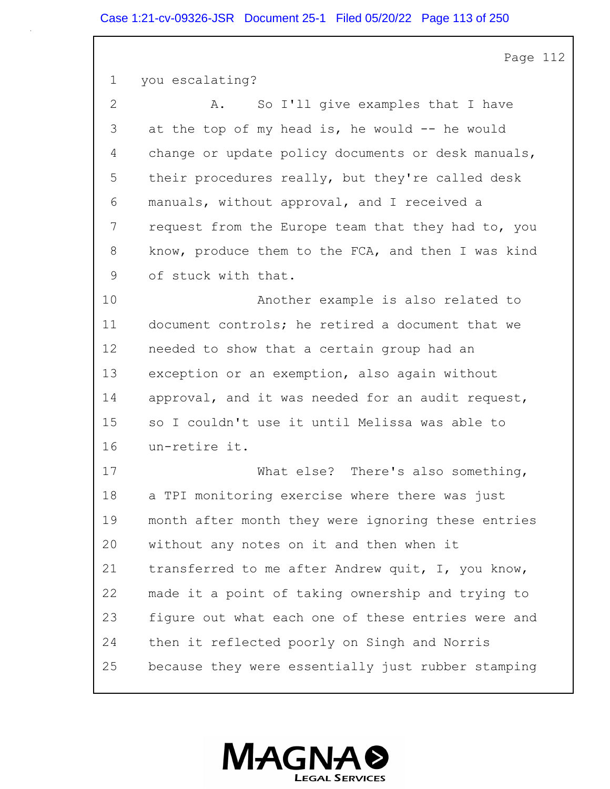Page 112

1 you escalating?

2 A. So I'll give examples that I have 3 at the top of my head is, he would -- he would 4 change or update policy documents or desk manuals, 5 their procedures really, but they're called desk 6 manuals, without approval, and I received a 7 request from the Europe team that they had to, you 8 know, produce them to the FCA, and then I was kind 9 of stuck with that.

10 Another example is also related to 11 document controls; he retired a document that we 12 needed to show that a certain group had an 13 exception or an exemption, also again without 14 approval, and it was needed for an audit request, 15 so I couldn't use it until Melissa was able to 16 un-retire it.

17 What else? There's also something, 18 a TPI monitoring exercise where there was just 19 month after month they were ignoring these entries 20 without any notes on it and then when it 21 transferred to me after Andrew quit, I, you know, 22 made it a point of taking ownership and trying to 23 figure out what each one of these entries were and 24 then it reflected poorly on Singh and Norris 25 because they were essentially just rubber stamping

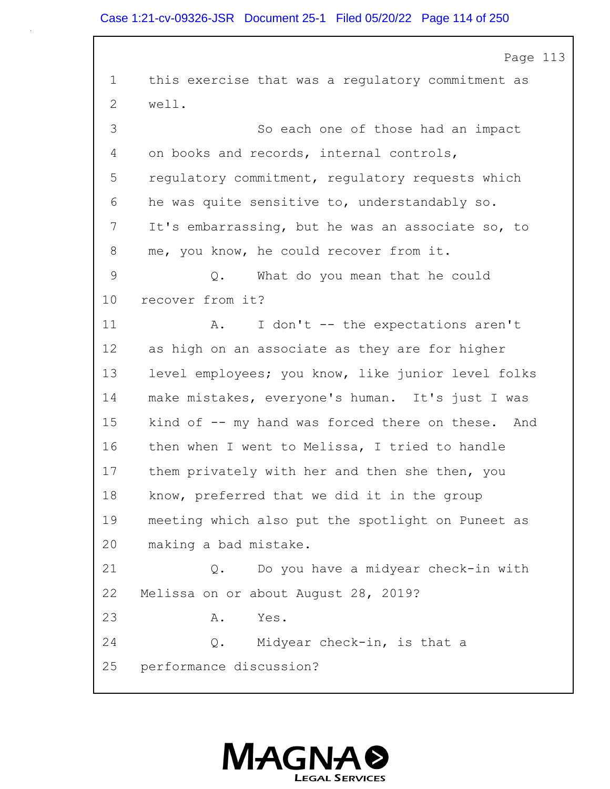Case 1:21-cv-09326-JSR Document 25-1 Filed 05/20/22 Page 114 of 250

Page 113 1 this exercise that was a regulatory commitment as 2 well. 3 So each one of those had an impact 4 on books and records, internal controls, 5 regulatory commitment, regulatory requests which 6 he was quite sensitive to, understandably so. 7 It's embarrassing, but he was an associate so, to 8 me, you know, he could recover from it. 9 Q. What do you mean that he could 10 recover from it? 11 A. I don't -- the expectations aren't 12 as high on an associate as they are for higher 13 level employees; you know, like junior level folks 14 make mistakes, everyone's human. It's just I was 15 kind of -- my hand was forced there on these. And 16 then when I went to Melissa, I tried to handle 17 them privately with her and then she then, you 18 know, preferred that we did it in the group 19 meeting which also put the spotlight on Puneet as 20 making a bad mistake. 21 Q. Do you have a midyear check-in with 22 Melissa on or about August 28, 2019? 23 A. Yes. 24 Q. Midyear check-in, is that a 25 performance discussion?

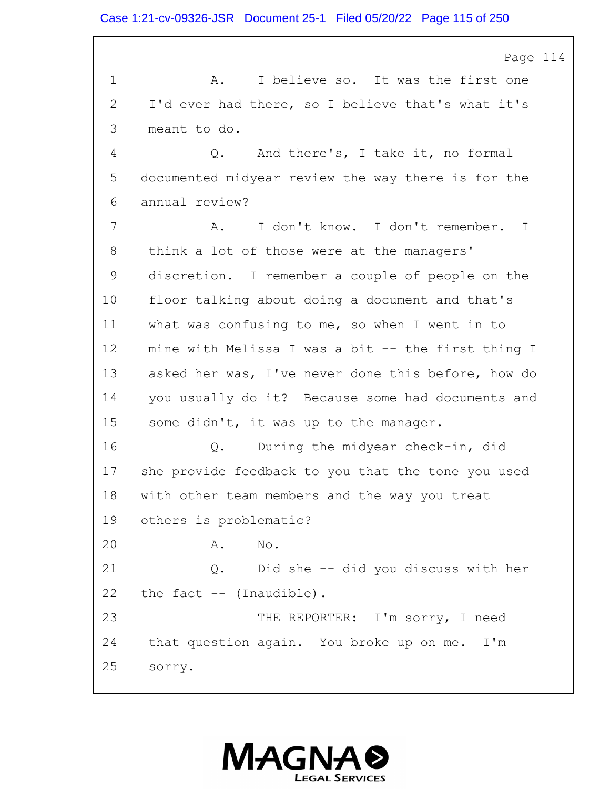#### Case 1:21-cv-09326-JSR Document 25-1 Filed 05/20/22 Page 115 of 250

Page 114 1 A. I believe so. It was the first one 2 I'd ever had there, so I believe that's what it's 3 meant to do. 4 Q. And there's, I take it, no formal 5 documented midyear review the way there is for the 6 annual review? 7 A. I don't know. I don't remember. I 8 think a lot of those were at the managers' 9 discretion. I remember a couple of people on the 10 floor talking about doing a document and that's 11 what was confusing to me, so when I went in to 12 mine with Melissa I was a bit -- the first thing I 13 asked her was, I've never done this before, how do 14 you usually do it? Because some had documents and 15 some didn't, it was up to the manager. 16 Q. During the midyear check-in, did 17 she provide feedback to you that the tone you used 18 with other team members and the way you treat 19 others is problematic? 20 A. No. 21 Q. Did she -- did you discuss with her 22 the fact -- (Inaudible). 23 THE REPORTER: I'm sorry, I need 24 that question again. You broke up on me. I'm 25 sorry.

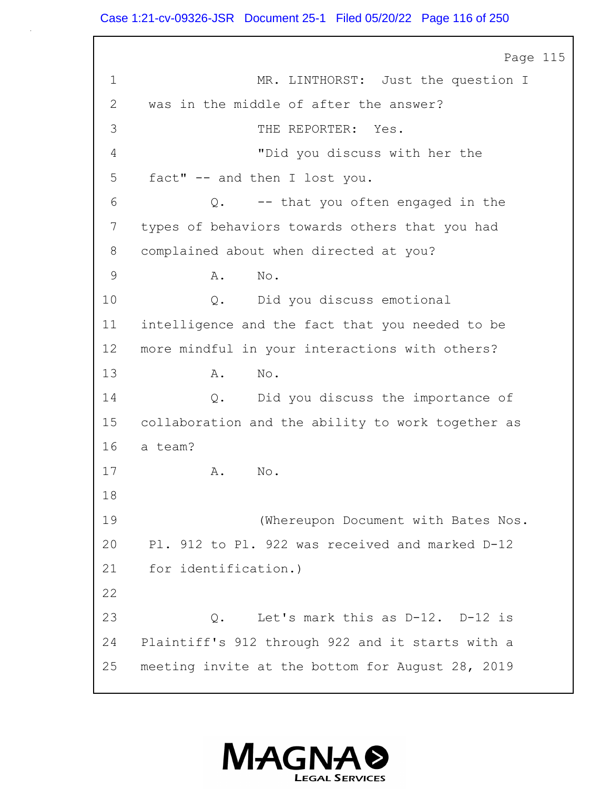#### Case 1:21-cv-09326-JSR Document 25-1 Filed 05/20/22 Page 116 of 250

Page 115 1 MR. LINTHORST: Just the question I 2 was in the middle of after the answer? 3 THE REPORTER: Yes. 4 "Did you discuss with her the 5 fact" -- and then I lost you. 6 Q. -- that you often engaged in the 7 types of behaviors towards others that you had 8 complained about when directed at you? 9 A. No. 10 Q. Did you discuss emotional 11 intelligence and the fact that you needed to be 12 more mindful in your interactions with others? 13 A. No. 14 Q. Did you discuss the importance of 15 collaboration and the ability to work together as 16 a team? 17 A. No. 18 19 **(Whereupon Document with Bates Nos.** 20 Pl. 912 to Pl. 922 was received and marked D-12 21 for identification.) 22 23 Q. Let's mark this as D-12. D-12 is 24 Plaintiff's 912 through 922 and it starts with a 25 meeting invite at the bottom for August 28, 2019

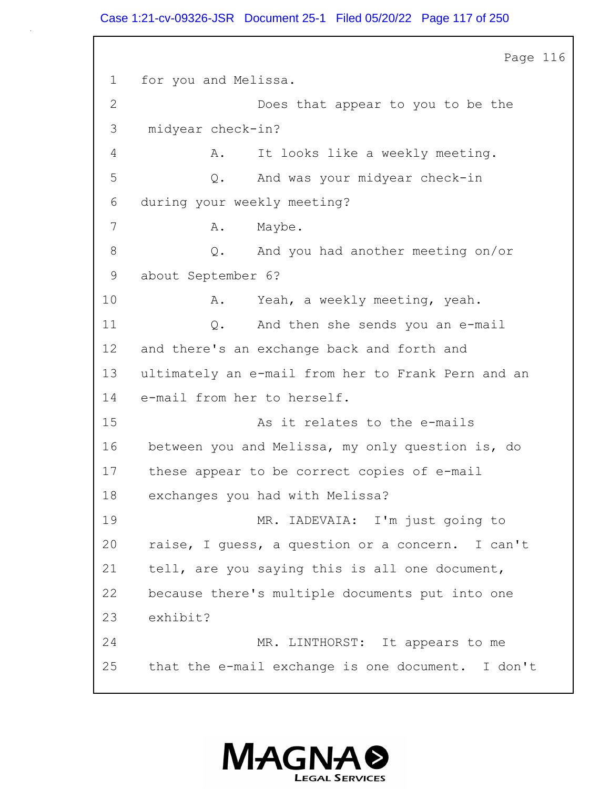### Case 1:21-cv-09326-JSR Document 25-1 Filed 05/20/22 Page 117 of 250

Page 116 1 for you and Melissa. 2 Does that appear to you to be the 3 midyear check-in? 4 A. It looks like a weekly meeting. 5 Q. And was your midyear check-in 6 during your weekly meeting? 7 A. Maybe. 8 Q. And you had another meeting on/or 9 about September 6? 10 A. Yeah, a weekly meeting, yeah. 11 Q. And then she sends you an e-mail 12 and there's an exchange back and forth and 13 ultimately an e-mail from her to Frank Pern and an 14 e-mail from her to herself. 15 As it relates to the e-mails 16 between you and Melissa, my only question is, do 17 these appear to be correct copies of e-mail 18 exchanges you had with Melissa? 19 MR. IADEVAIA: I'm just going to 20 raise, I guess, a question or a concern. I can't 21 tell, are you saying this is all one document, 22 because there's multiple documents put into one 23 exhibit? 24 MR. LINTHORST: It appears to me 25 that the e-mail exchange is one document. I don't

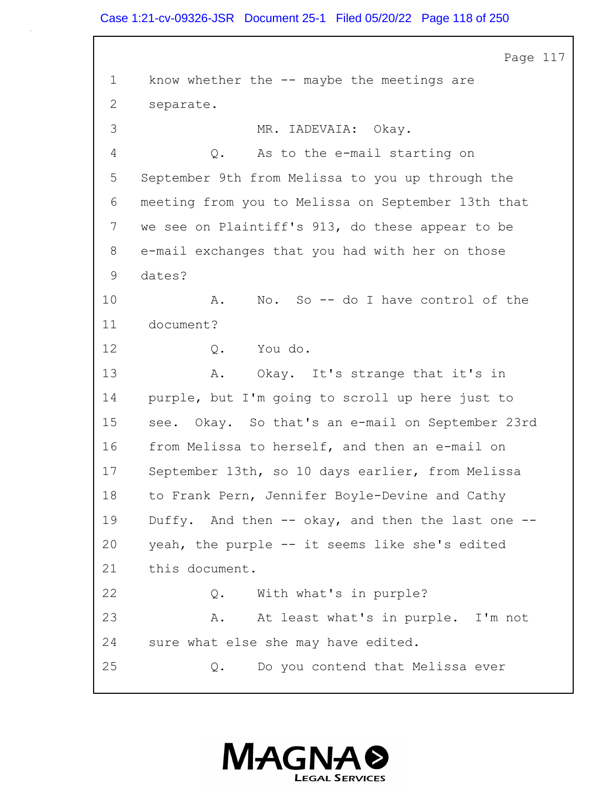### Case 1:21-cv-09326-JSR Document 25-1 Filed 05/20/22 Page 118 of 250

Page 117 1 know whether the -- maybe the meetings are 2 separate. 3 MR. IADEVAIA: Okay. 4 Q. As to the e-mail starting on 5 September 9th from Melissa to you up through the 6 meeting from you to Melissa on September 13th that 7 we see on Plaintiff's 913, do these appear to be 8 e-mail exchanges that you had with her on those 9 dates? 10 A. No. So -- do I have control of the 11 document? 12 Q. You do. 13 A. Okay. It's strange that it's in 14 purple, but I'm going to scroll up here just to 15 see. Okay. So that's an e-mail on September 23rd 16 from Melissa to herself, and then an e-mail on 17 September 13th, so 10 days earlier, from Melissa 18 to Frank Pern, Jennifer Boyle-Devine and Cathy 19 Duffy. And then -- okay, and then the last one --20 yeah, the purple -- it seems like she's edited 21 this document. 22 Q. With what's in purple? 23 A. At least what's in purple. I'm not 24 sure what else she may have edited. 25 Q. Do you contend that Melissa ever

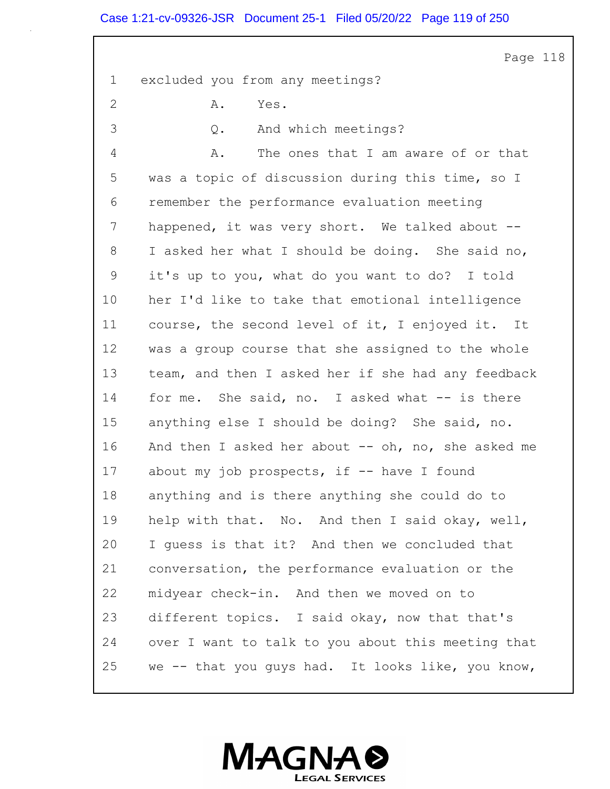Page 118

1 excluded you from any meetings?

2 A. Yes.

3 Q. And which meetings?

4 A. The ones that I am aware of or that 5 was a topic of discussion during this time, so I 6 remember the performance evaluation meeting 7 happened, it was very short. We talked about --8 I asked her what I should be doing. She said no, 9 it's up to you, what do you want to do? I told 10 her I'd like to take that emotional intelligence 11 course, the second level of it, I enjoyed it. It 12 was a group course that she assigned to the whole 13 team, and then I asked her if she had any feedback 14 for me. She said, no. I asked what -- is there 15 anything else I should be doing? She said, no. 16 And then I asked her about -- oh, no, she asked me 17 about my job prospects, if -- have I found 18 anything and is there anything she could do to 19 help with that. No. And then I said okay, well, 20 I guess is that it? And then we concluded that 21 conversation, the performance evaluation or the 22 midyear check-in. And then we moved on to 23 different topics. I said okay, now that that's 24 over I want to talk to you about this meeting that 25 we -- that you guys had. It looks like, you know,

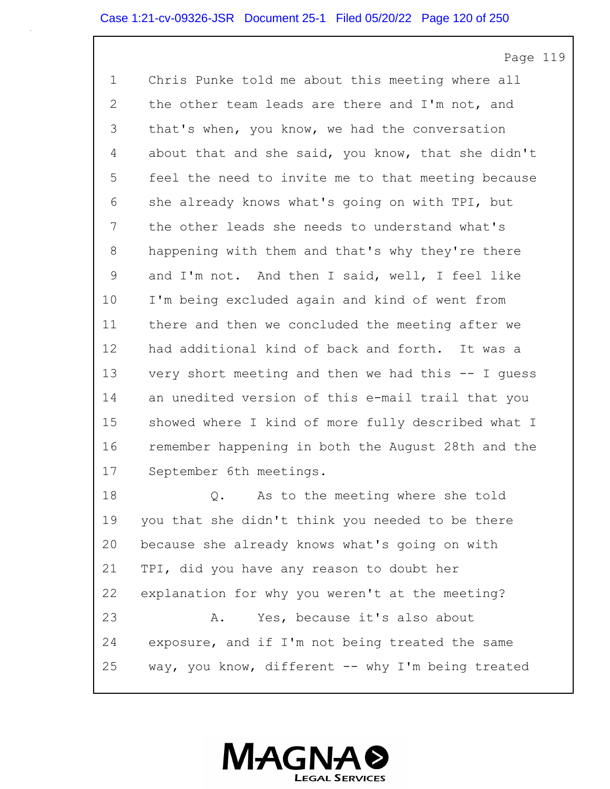Page 119

1 Chris Punke told me about this meeting where all 2 the other team leads are there and I'm not, and 3 that's when, you know, we had the conversation 4 about that and she said, you know, that she didn't 5 feel the need to invite me to that meeting because 6 she already knows what's going on with TPI, but 7 the other leads she needs to understand what's 8 happening with them and that's why they're there 9 and I'm not. And then I said, well, I feel like 10 I'm being excluded again and kind of went from 11 there and then we concluded the meeting after we 12 had additional kind of back and forth. It was a 13 very short meeting and then we had this -- I guess 14 an unedited version of this e-mail trail that you 15 showed where I kind of more fully described what I 16 remember happening in both the August 28th and the 17 September 6th meetings.

18 Q. As to the meeting where she told 19 you that she didn't think you needed to be there 20 because she already knows what's going on with 21 TPI, did you have any reason to doubt her 22 explanation for why you weren't at the meeting? 23 A. Yes, because it's also about 24 exposure, and if I'm not being treated the same 25 way, you know, different -- why I'm being treated

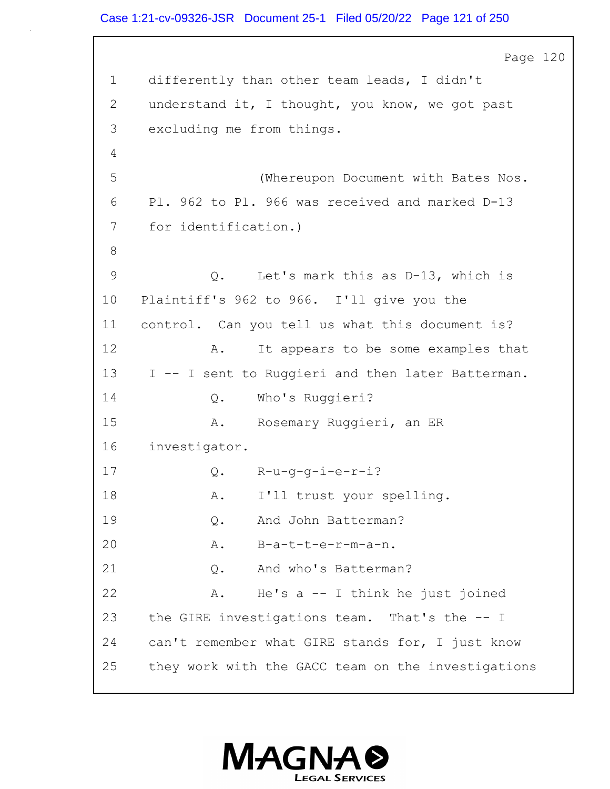Case 1:21-cv-09326-JSR Document 25-1 Filed 05/20/22 Page 121 of 250

Page 120 1 differently than other team leads, I didn't 2 understand it, I thought, you know, we got past 3 excluding me from things. 4 5 (Whereupon Document with Bates Nos. 6 Pl. 962 to Pl. 966 was received and marked D-13 7 for identification.) 8 9 Q. Let's mark this as D-13, which is 10 Plaintiff's 962 to 966. I'll give you the 11 control. Can you tell us what this document is? 12 A. It appears to be some examples that 13 I -- I sent to Ruggieri and then later Batterman. 14 Q. Who's Ruggieri? 15 A. Rosemary Ruggieri, an ER 16 investigator. 17 Q. R-u-g-g-i-e-r-i? 18 A. I'll trust your spelling. 19 Q. And John Batterman? 20 A. B-a-t-t-e-r-m-a-n. 21 Q. And who's Batterman? 22 A. He's a -- I think he just joined 23 the GIRE investigations team. That's the -- I 24 can't remember what GIRE stands for, I just know 25 they work with the GACC team on the investigations

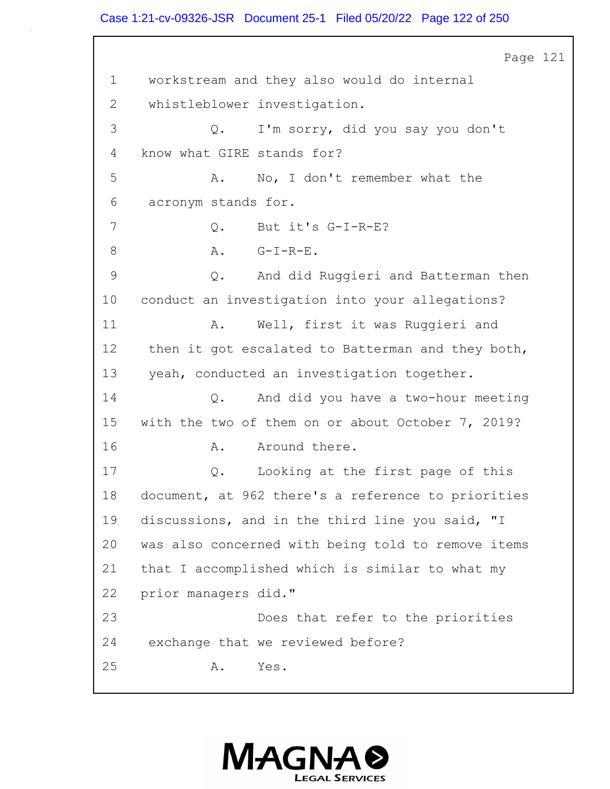## Case 1:21-cv-09326-JSR Document 25-1 Filed 05/20/22 Page 122 of 250

Page 121 1 workstream and they also would do internal 2 whistleblower investigation. 3 Q. I'm sorry, did you say you don't 4 know what GIRE stands for? 5 A. No, I don't remember what the 6 acronym stands for. 7 Q. But it's G-I-R-E? 8 A. G-I-R-E. 9 Q. And did Ruggieri and Batterman then 10 conduct an investigation into your allegations? 11 A. Well, first it was Ruggieri and 12 then it got escalated to Batterman and they both, 13 yeah, conducted an investigation together. 14 Q. And did you have a two-hour meeting 15 with the two of them on or about October 7, 2019? 16 A. Around there. 17 Q. Looking at the first page of this 18 document, at 962 there's a reference to priorities 19 discussions, and in the third line you said, "I 20 was also concerned with being told to remove items 21 that I accomplished which is similar to what my 22 prior managers did." 23 Does that refer to the priorities 24 exchange that we reviewed before? 25 A. Yes.

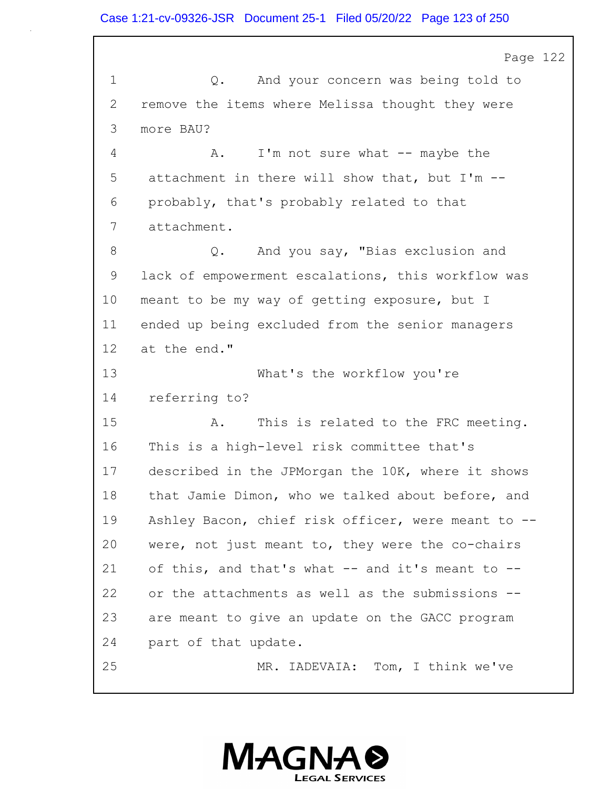Page 122 1 Q. And your concern was being told to 2 remove the items where Melissa thought they were 3 more BAU? 4 A. I'm not sure what -- maybe the 5 attachment in there will show that, but I'm -- 6 probably, that's probably related to that 7 attachment. 8 a. And you say, "Bias exclusion and 9 lack of empowerment escalations, this workflow was 10 meant to be my way of getting exposure, but I 11 ended up being excluded from the senior managers 12 at the end." 13 What's the workflow you're 14 referring to? 15 A. This is related to the FRC meeting. 16 This is a high-level risk committee that's 17 described in the JPMorgan the 10K, where it shows 18 that Jamie Dimon, who we talked about before, and 19 Ashley Bacon, chief risk officer, were meant to -- 20 were, not just meant to, they were the co-chairs 21 of this, and that's what  $--$  and it's meant to  $--$ 22 or the attachments as well as the submissions -- 23 are meant to give an update on the GACC program 24 part of that update. 25 MR. IADEVAIA: Tom, I think we've

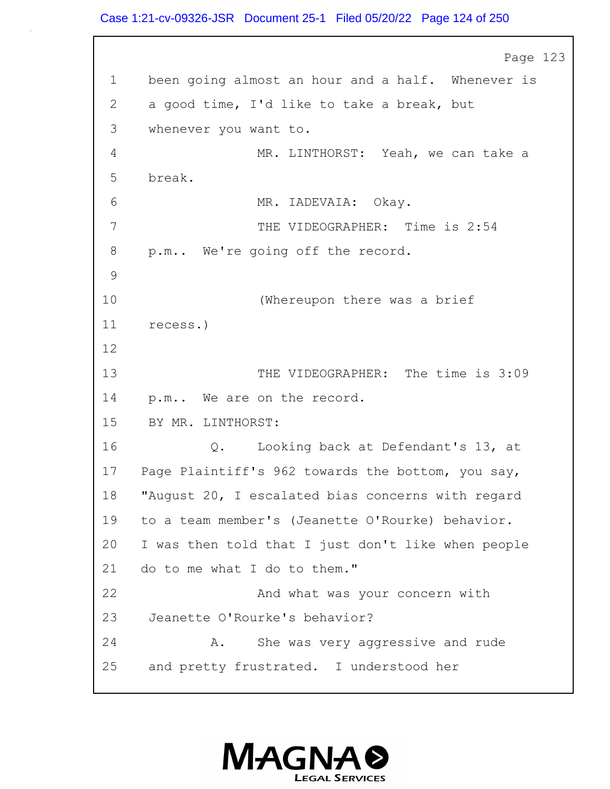# Case 1:21-cv-09326-JSR Document 25-1 Filed 05/20/22 Page 124 of 250

Page 123 1 been going almost an hour and a half. Whenever is 2 a good time, I'd like to take a break, but 3 whenever you want to. 4 MR. LINTHORST: Yeah, we can take a 5 break. 6 MR. IADEVAIA: Okay. 7 THE VIDEOGRAPHER: Time is 2:54 8 p.m.. We're going off the record. 9 10 (Whereupon there was a brief 11 recess.) 12 13 THE VIDEOGRAPHER: The time is 3:09 14 p.m.. We are on the record. 15 BY MR. LINTHORST: 16 Q. Looking back at Defendant's 13, at 17 Page Plaintiff's 962 towards the bottom, you say, 18 "August 20, I escalated bias concerns with regard 19 to a team member's (Jeanette O'Rourke) behavior. 20 I was then told that I just don't like when people 21 do to me what I do to them." 22 And what was your concern with 23 Jeanette O'Rourke's behavior? 24 A. She was very aggressive and rude 25 and pretty frustrated. I understood her

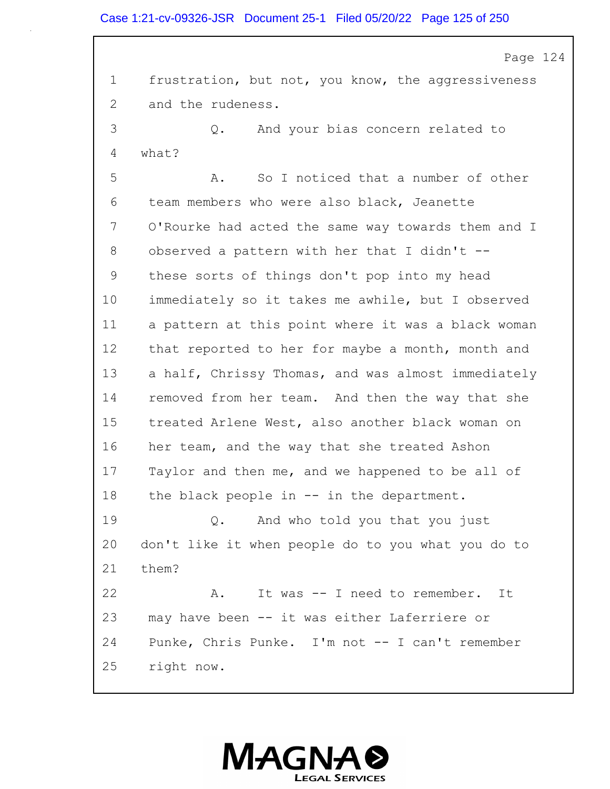### Case 1:21-cv-09326-JSR Document 25-1 Filed 05/20/22 Page 125 of 250

Page 124 1 frustration, but not, you know, the aggressiveness 2 and the rudeness. 3 Q. And your bias concern related to 4 what? 5 A. So I noticed that a number of other 6 team members who were also black, Jeanette 7 O'Rourke had acted the same way towards them and I 8 observed a pattern with her that I didn't -- 9 these sorts of things don't pop into my head 10 immediately so it takes me awhile, but I observed 11 a pattern at this point where it was a black woman 12 that reported to her for maybe a month, month and 13 a half, Chrissy Thomas, and was almost immediately 14 removed from her team. And then the way that she 15 treated Arlene West, also another black woman on 16 her team, and the way that she treated Ashon 17 Taylor and then me, and we happened to be all of 18 the black people in -- in the department. 19 Q. And who told you that you just 20 don't like it when people do to you what you do to 21 them? 22 A. It was -- I need to remember. It 23 may have been -- it was either Laferriere or 24 Punke, Chris Punke. I'm not -- I can't remember 25 right now.

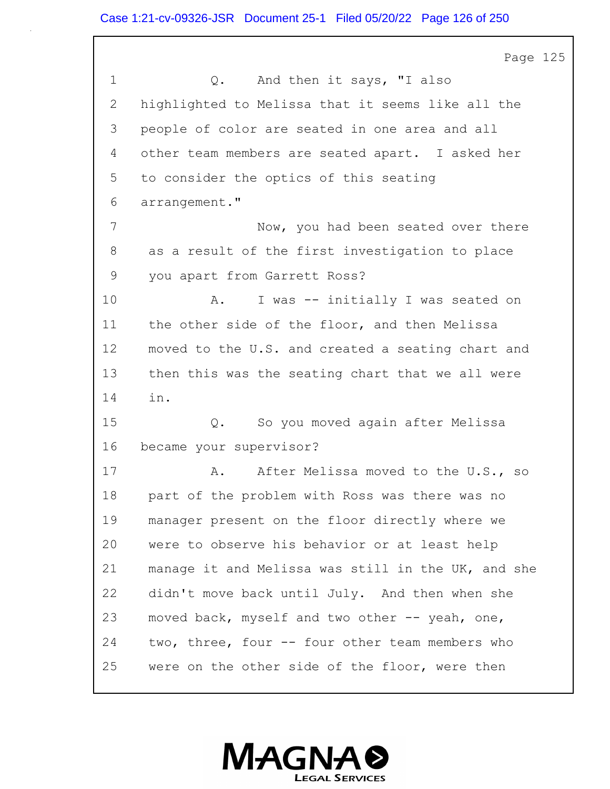Page 125

1 Q. And then it says, "I also 2 highlighted to Melissa that it seems like all the 3 people of color are seated in one area and all 4 other team members are seated apart. I asked her 5 to consider the optics of this seating 6 arrangement." 7 Now, you had been seated over there 8 as a result of the first investigation to place 9 you apart from Garrett Ross? 10 A. I was -- initially I was seated on 11 the other side of the floor, and then Melissa 12 moved to the U.S. and created a seating chart and 13 then this was the seating chart that we all were 14 in. 15 Q. So you moved again after Melissa 16 became your supervisor? 17 A. After Melissa moved to the U.S., so 18 part of the problem with Ross was there was no 19 manager present on the floor directly where we 20 were to observe his behavior or at least help 21 manage it and Melissa was still in the UK, and she 22 didn't move back until July. And then when she 23 moved back, myself and two other -- yeah, one, 24 two, three, four -- four other team members who 25 were on the other side of the floor, were then

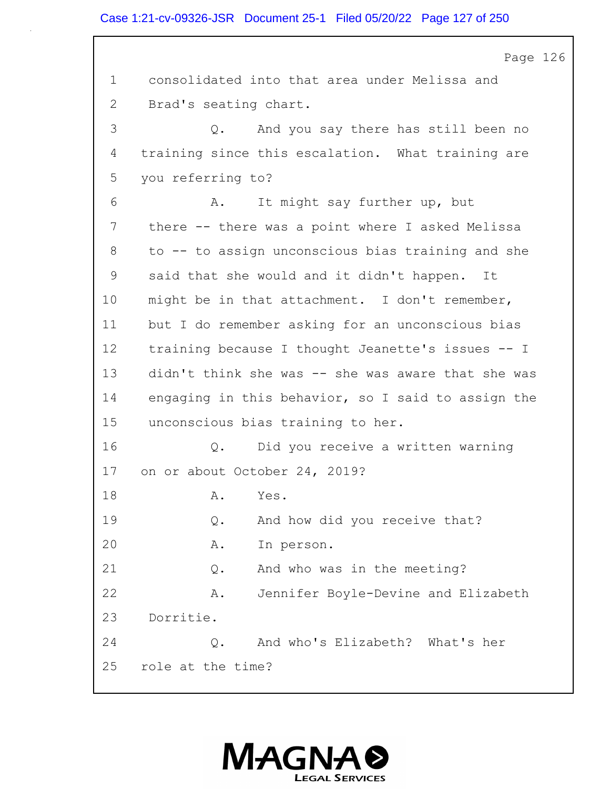# Case 1:21-cv-09326-JSR Document 25-1 Filed 05/20/22 Page 127 of 250

Page 126 1 consolidated into that area under Melissa and 2 Brad's seating chart. 3 Q. And you say there has still been no 4 training since this escalation. What training are 5 you referring to? 6 A. It might say further up, but 7 there -- there was a point where I asked Melissa 8 to -- to assign unconscious bias training and she 9 said that she would and it didn't happen. It 10 might be in that attachment. I don't remember, 11 but I do remember asking for an unconscious bias 12 training because I thought Jeanette's issues -- I 13 didn't think she was -- she was aware that she was 14 engaging in this behavior, so I said to assign the 15 unconscious bias training to her. 16 Q. Did you receive a written warning 17 on or about October 24, 2019? 18 A. Yes. 19 Q. And how did you receive that? 20 A. In person. 21 Q. And who was in the meeting? 22 A. Jennifer Boyle-Devine and Elizabeth 23 Dorritie. 24 Q. And who's Elizabeth? What's her 25 role at the time?

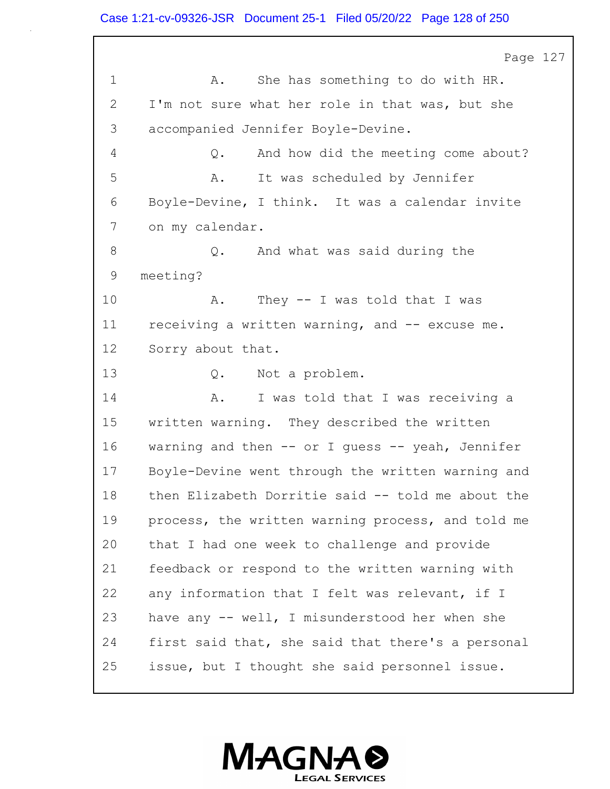### Case 1:21-cv-09326-JSR Document 25-1 Filed 05/20/22 Page 128 of 250

Page 127 1 A. She has something to do with HR. 2 I'm not sure what her role in that was, but she 3 accompanied Jennifer Boyle-Devine. 4 Q. And how did the meeting come about? 5 A. It was scheduled by Jennifer 6 Boyle-Devine, I think. It was a calendar invite 7 on my calendar. 8 Q. And what was said during the 9 meeting? 10 A. They -- I was told that I was 11 receiving a written warning, and -- excuse me. 12 Sorry about that. 13 Q. Not a problem. 14 A. I was told that I was receiving a 15 written warning. They described the written 16 warning and then -- or I guess -- yeah, Jennifer 17 Boyle-Devine went through the written warning and 18 then Elizabeth Dorritie said -- told me about the 19 process, the written warning process, and told me 20 that I had one week to challenge and provide 21 feedback or respond to the written warning with 22 any information that I felt was relevant, if I 23 have any -- well, I misunderstood her when she 24 first said that, she said that there's a personal 25 issue, but I thought she said personnel issue.

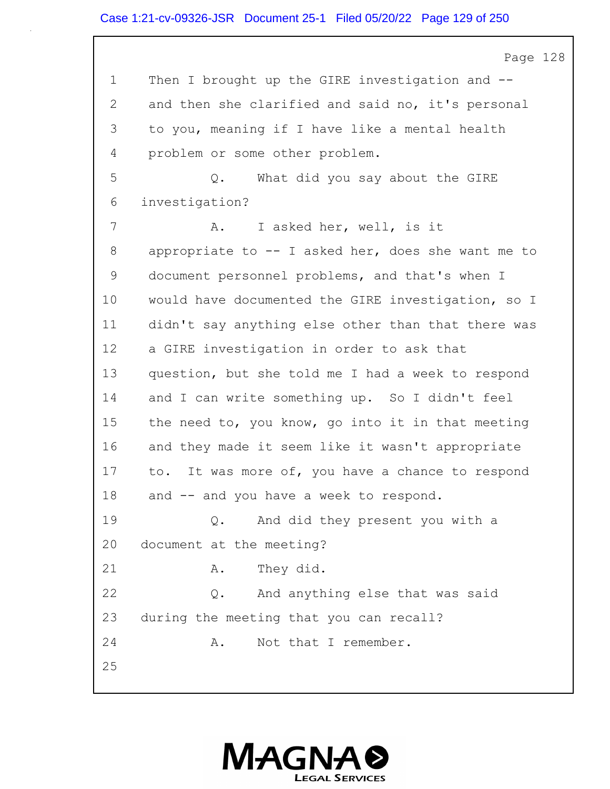# Case 1:21-cv-09326-JSR Document 25-1 Filed 05/20/22 Page 129 of 250

Page 128 1 Then I brought up the GIRE investigation and -- 2 and then she clarified and said no, it's personal 3 to you, meaning if I have like a mental health 4 problem or some other problem. 5 Q. What did you say about the GIRE 6 investigation? 7 A. I asked her, well, is it 8 appropriate to -- I asked her, does she want me to 9 document personnel problems, and that's when I 10 would have documented the GIRE investigation, so I 11 didn't say anything else other than that there was 12 a GIRE investigation in order to ask that 13 question, but she told me I had a week to respond 14 and I can write something up. So I didn't feel 15 the need to, you know, go into it in that meeting 16 and they made it seem like it wasn't appropriate 17 to. It was more of, you have a chance to respond 18 and -- and you have a week to respond. 19 Q. And did they present you with a 20 document at the meeting? 21 A. They did. 22 Q. And anything else that was said 23 during the meeting that you can recall? 24 A. Not that I remember. 25

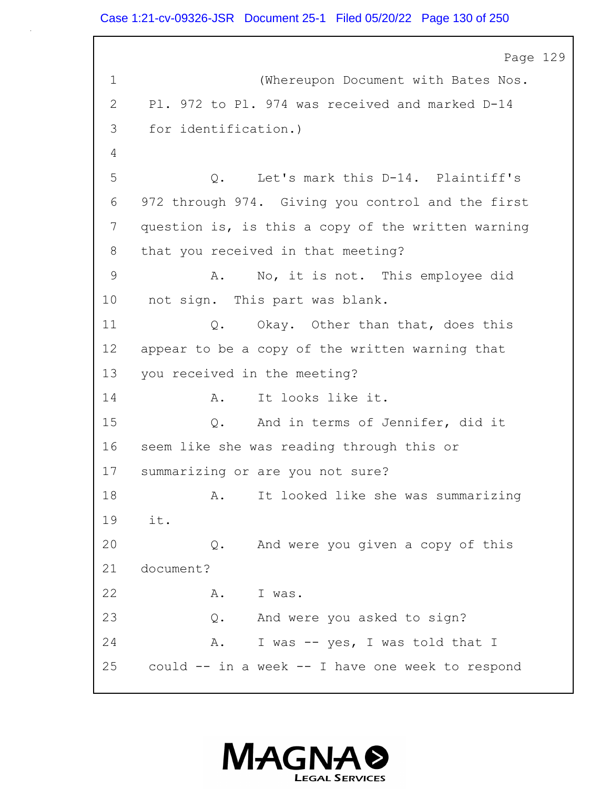#### Case 1:21-cv-09326-JSR Document 25-1 Filed 05/20/22 Page 130 of 250

Page 129 1 (Whereupon Document with Bates Nos. 2 Pl. 972 to Pl. 974 was received and marked D-14 3 for identification.) 4 5 Q. Let's mark this D-14. Plaintiff's 6 972 through 974. Giving you control and the first 7 question is, is this a copy of the written warning 8 that you received in that meeting? 9 A. No, it is not. This employee did 10 not sign. This part was blank. 11 Q. Okay. Other than that, does this 12 appear to be a copy of the written warning that 13 you received in the meeting? 14 A. It looks like it. 15 Q. And in terms of Jennifer, did it 16 seem like she was reading through this or 17 summarizing or are you not sure? 18 A. It looked like she was summarizing 19 it. 20 Q. And were you given a copy of this 21 document? 22 A. I was. 23 Q. And were you asked to sign? 24 A. I was -- yes, I was told that I 25 could -- in a week -- I have one week to respond

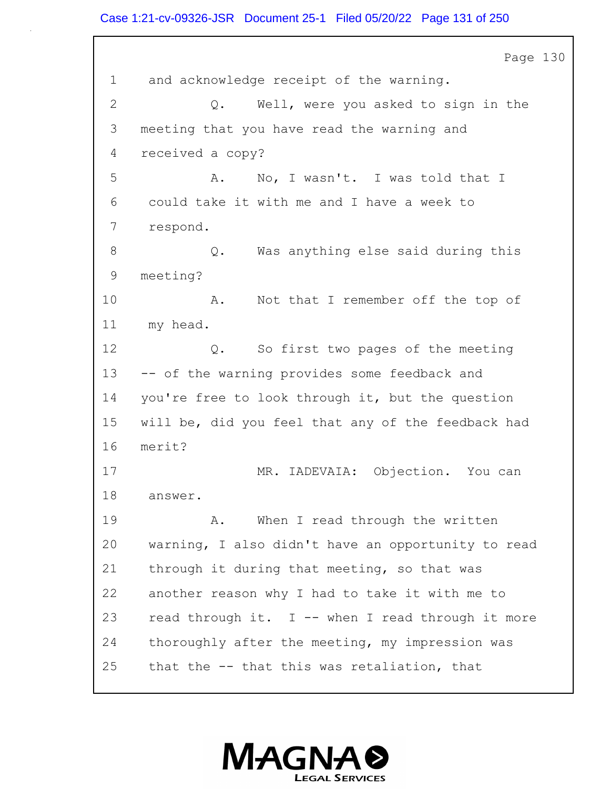#### Case 1:21-cv-09326-JSR Document 25-1 Filed 05/20/22 Page 131 of 250

Page 130 1 and acknowledge receipt of the warning. 2 Q. Well, were you asked to sign in the 3 meeting that you have read the warning and 4 received a copy? 5 A. No, I wasn't. I was told that I 6 could take it with me and I have a week to 7 respond. 8 Q. Was anything else said during this 9 meeting? 10 A. Not that I remember off the top of 11 my head. 12 Q. So first two pages of the meeting 13 -- of the warning provides some feedback and 14 you're free to look through it, but the question 15 will be, did you feel that any of the feedback had 16 merit? 17 MR. IADEVAIA: Objection. You can 18 answer. 19 A. When I read through the written 20 warning, I also didn't have an opportunity to read 21 through it during that meeting, so that was 22 another reason why I had to take it with me to 23 read through it.  $I$  -- when I read through it more 24 thoroughly after the meeting, my impression was 25 that the -- that this was retaliation, that

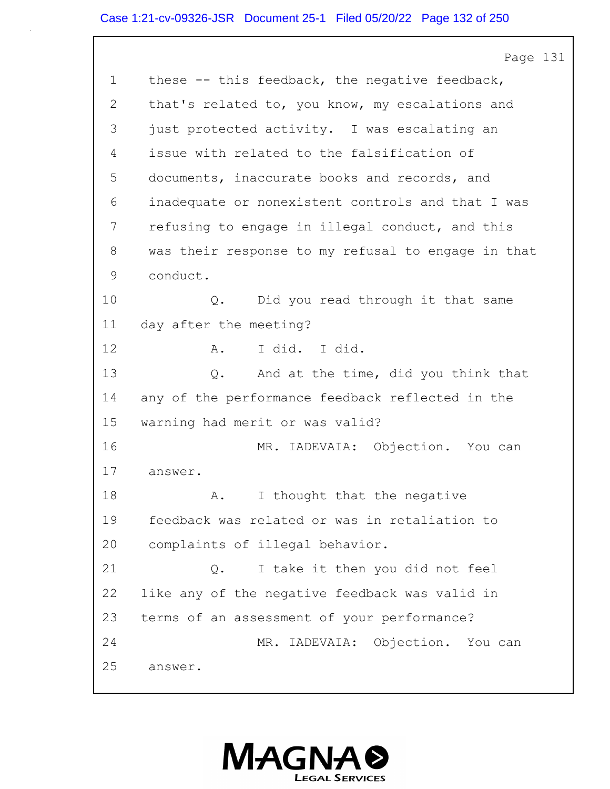Page 131 1 these -- this feedback, the negative feedback, 2 that's related to, you know, my escalations and 3 just protected activity. I was escalating an 4 issue with related to the falsification of 5 documents, inaccurate books and records, and 6 inadequate or nonexistent controls and that I was 7 refusing to engage in illegal conduct, and this 8 was their response to my refusal to engage in that 9 conduct. 10 Q. Did you read through it that same 11 day after the meeting? 12 A. I did. I did. 13 Q. And at the time, did you think that 14 any of the performance feedback reflected in the 15 warning had merit or was valid? 16 MR. IADEVAIA: Objection. You can 17 answer. 18 A. I thought that the negative 19 feedback was related or was in retaliation to 20 complaints of illegal behavior. 21 Q. I take it then you did not feel 22 like any of the negative feedback was valid in 23 terms of an assessment of your performance? 24 MR. IADEVAIA: Objection. You can 25 answer.

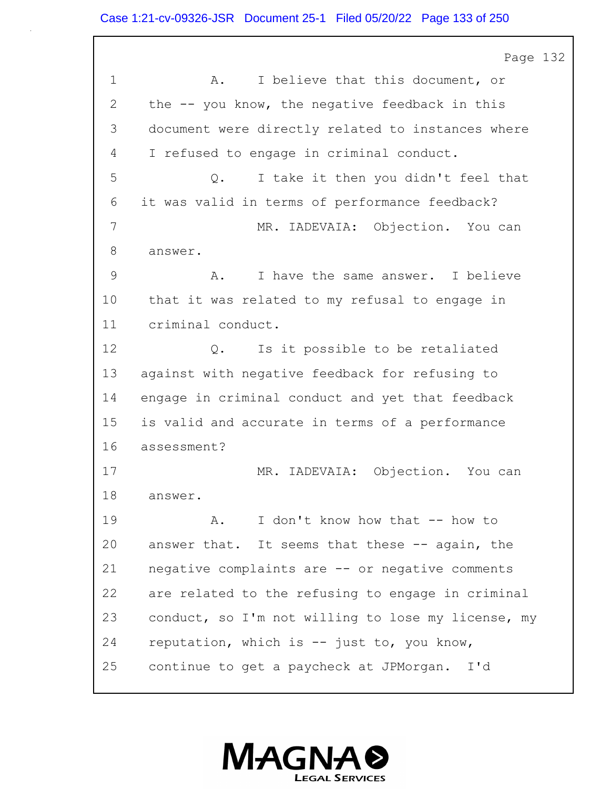#### Case 1:21-cv-09326-JSR Document 25-1 Filed 05/20/22 Page 133 of 250

Page 132 1 A. I believe that this document, or 2 the -- you know, the negative feedback in this 3 document were directly related to instances where 4 I refused to engage in criminal conduct. 5 Q. I take it then you didn't feel that 6 it was valid in terms of performance feedback? 7 MR. IADEVAIA: Objection. You can 8 answer. 9 A. I have the same answer. I believe 10 that it was related to my refusal to engage in 11 criminal conduct. 12 Q. Is it possible to be retaliated 13 against with negative feedback for refusing to 14 engage in criminal conduct and yet that feedback 15 is valid and accurate in terms of a performance 16 assessment? 17 MR. IADEVAIA: Objection. You can 18 answer. 19 A. I don't know how that -- how to 20 answer that. It seems that these -- again, the 21 negative complaints are -- or negative comments 22 are related to the refusing to engage in criminal 23 conduct, so I'm not willing to lose my license, my 24 reputation, which is -- just to, you know, 25 continue to get a paycheck at JPMorgan. I'd

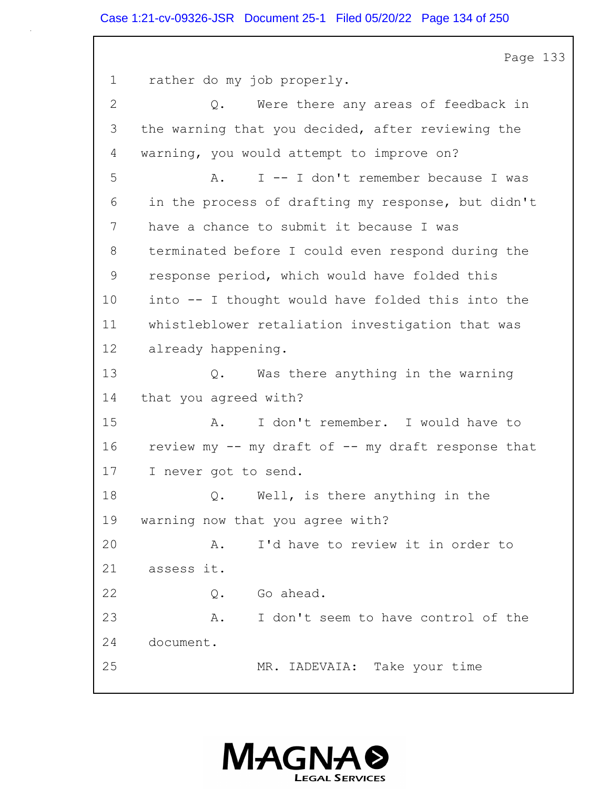Page 133

1 rather do my job properly.

2 Q. Were there any areas of feedback in 3 the warning that you decided, after reviewing the 4 warning, you would attempt to improve on? 5 A. I -- I don't remember because I was 6 in the process of drafting my response, but didn't 7 have a chance to submit it because I was 8 terminated before I could even respond during the 9 response period, which would have folded this 10 into -- I thought would have folded this into the 11 whistleblower retaliation investigation that was 12 already happening. 13 Q. Was there anything in the warning 14 that you agreed with? 15 A. I don't remember. I would have to 16 review my -- my draft of -- my draft response that 17 I never got to send. 18 Q. Well, is there anything in the 19 warning now that you agree with? 20 A. I'd have to review it in order to 21 assess it. 22 Q. Go ahead. 23 A. I don't seem to have control of the 24 document. 25 MR. IADEVAIA: Take your time

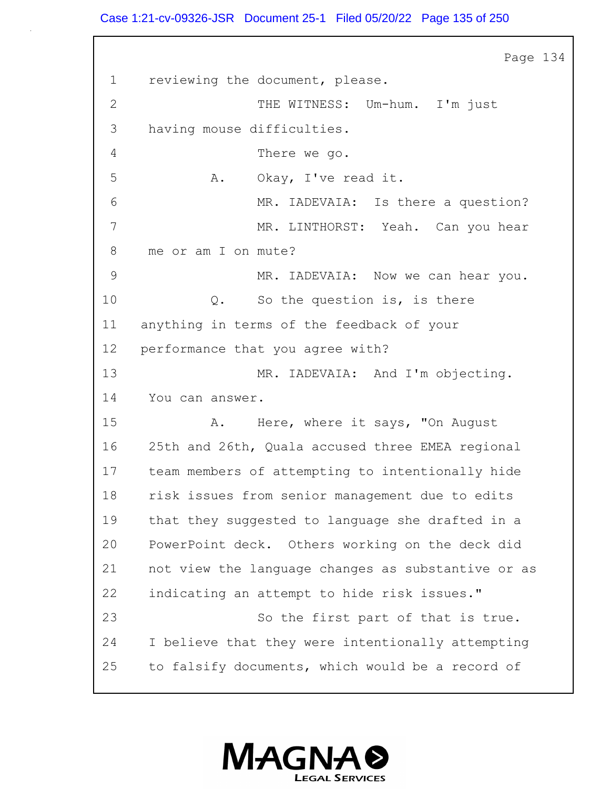#### Case 1:21-cv-09326-JSR Document 25-1 Filed 05/20/22 Page 135 of 250

Page 134 1 reviewing the document, please. 2 THE WITNESS: Um-hum. I'm just 3 having mouse difficulties. 4 There we go. 5 A. Okay, I've read it. 6 MR. IADEVAIA: Is there a question? 7 MR. LINTHORST: Yeah. Can you hear 8 me or am I on mute? 9 MR. IADEVAIA: Now we can hear you. 10  $Q.$  So the question is, is there 11 anything in terms of the feedback of your 12 performance that you agree with? 13 MR. IADEVAIA: And I'm objecting. 14 You can answer. 15 A. Here, where it says, "On August 16 25th and 26th, Quala accused three EMEA regional 17 team members of attempting to intentionally hide 18 risk issues from senior management due to edits 19 that they suggested to language she drafted in a 20 PowerPoint deck. Others working on the deck did 21 not view the language changes as substantive or as 22 indicating an attempt to hide risk issues." 23 So the first part of that is true. 24 I believe that they were intentionally attempting 25 to falsify documents, which would be a record of

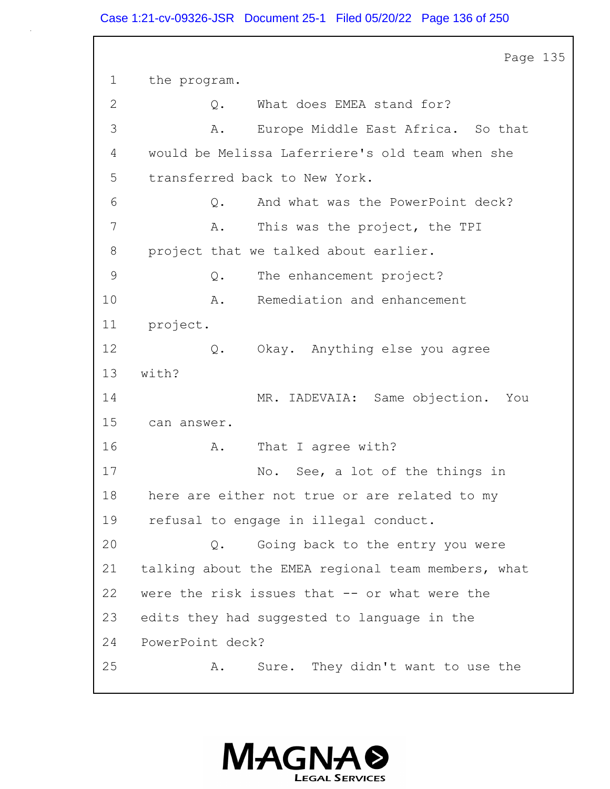Page 135 1 the program. 2 O. What does EMEA stand for? 3 A. Europe Middle East Africa. So that 4 would be Melissa Laferriere's old team when she 5 transferred back to New York. 6 Q. And what was the PowerPoint deck? 7 A. This was the project, the TPI 8 project that we talked about earlier. 9 Q. The enhancement project? 10 A. Remediation and enhancement 11 project. 12 Q. Okay. Anything else you agree 13 with? 14 MR. IADEVAIA: Same objection. You 15 can answer. 16 A. That I agree with? 17 No. See, a lot of the things in 18 here are either not true or are related to my 19 refusal to engage in illegal conduct. 20 Q. Going back to the entry you were 21 talking about the EMEA regional team members, what 22 were the risk issues that -- or what were the 23 edits they had suggested to language in the 24 PowerPoint deck? 25 A. Sure. They didn't want to use the

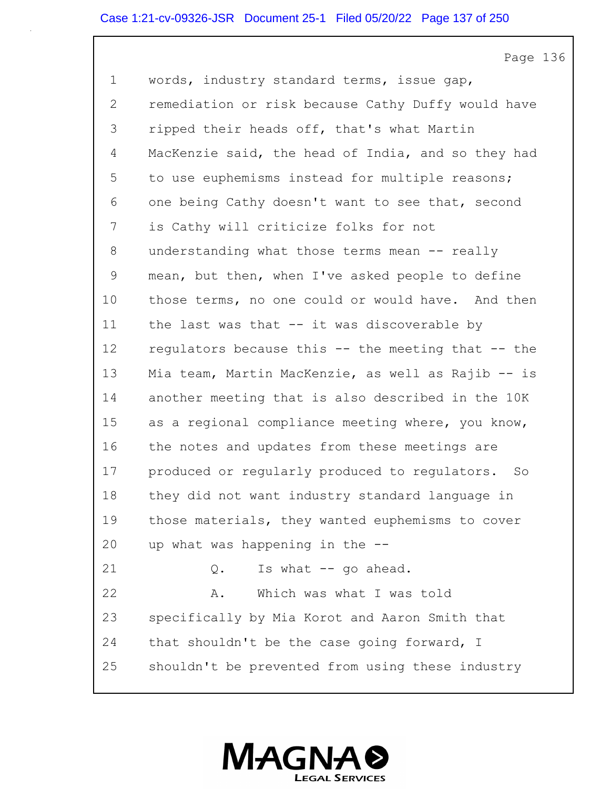# Case 1:21-cv-09326-JSR Document 25-1 Filed 05/20/22 Page 137 of 250

Page 136

1 words, industry standard terms, issue gap, 2 remediation or risk because Cathy Duffy would have 3 ripped their heads off, that's what Martin 4 MacKenzie said, the head of India, and so they had 5 to use euphemisms instead for multiple reasons; 6 one being Cathy doesn't want to see that, second 7 is Cathy will criticize folks for not 8 understanding what those terms mean -- really 9 mean, but then, when I've asked people to define 10 those terms, no one could or would have. And then 11 the last was that -- it was discoverable by 12 regulators because this -- the meeting that -- the 13 Mia team, Martin MacKenzie, as well as Rajib -- is 14 another meeting that is also described in the 10K 15 as a regional compliance meeting where, you know, 16 the notes and updates from these meetings are 17 produced or regularly produced to regulators. So 18 they did not want industry standard language in 19 those materials, they wanted euphemisms to cover 20 up what was happening in the -- 21 Q. Is what -- go ahead. 22 A. Which was what I was told 23 specifically by Mia Korot and Aaron Smith that 24 that shouldn't be the case going forward, I 25 shouldn't be prevented from using these industry

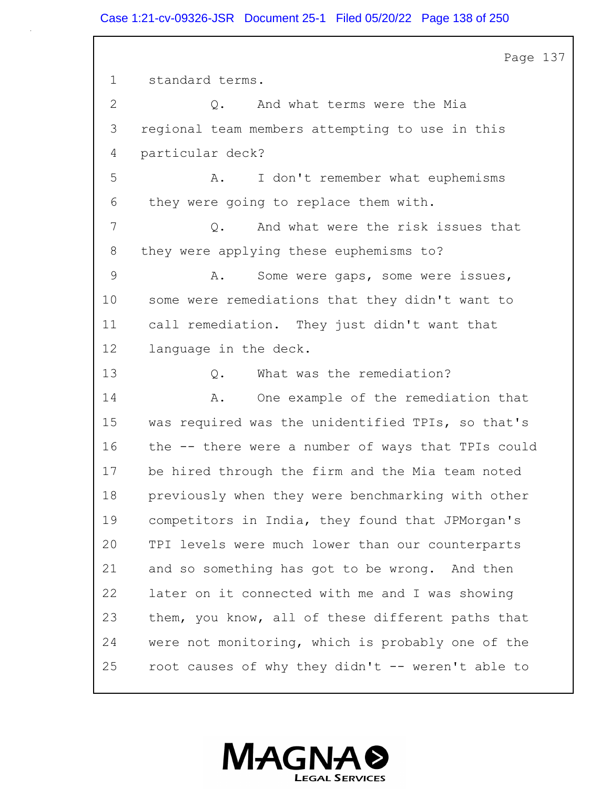1 standard terms. 2 Q. And what terms were the Mia 3 regional team members attempting to use in this 4 particular deck? 5 A. I don't remember what euphemisms 6 they were going to replace them with. 7 6. And what were the risk issues that 8 they were applying these euphemisms to? 9 A. Some were gaps, some were issues, 10 some were remediations that they didn't want to 11 call remediation. They just didn't want that 12 language in the deck. 13 0. What was the remediation? 14 A. One example of the remediation that 15 was required was the unidentified TPIs, so that's 16 the -- there were a number of ways that TPIs could 17 be hired through the firm and the Mia team noted 18 previously when they were benchmarking with other 19 competitors in India, they found that JPMorgan's 20 TPI levels were much lower than our counterparts 21 and so something has got to be wrong. And then 22 later on it connected with me and I was showing 23 them, you know, all of these different paths that 24 were not monitoring, which is probably one of the 25 root causes of why they didn't -- weren't able to

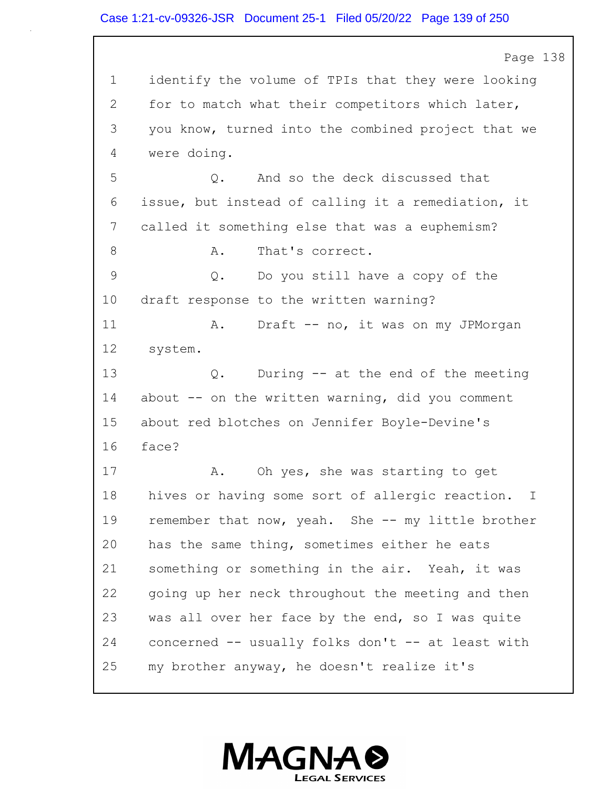Page 138 1 identify the volume of TPIs that they were looking 2 for to match what their competitors which later, 3 you know, turned into the combined project that we 4 were doing. 5 Q. And so the deck discussed that 6 issue, but instead of calling it a remediation, it 7 called it something else that was a euphemism? 8 A. That's correct. 9 Q. Do you still have a copy of the 10 draft response to the written warning? 11 A. Draft -- no, it was on my JPMorgan 12 system. 13 Q. During -- at the end of the meeting 14 about -- on the written warning, did you comment 15 about red blotches on Jennifer Boyle-Devine's 16 face? 17 A. Oh yes, she was starting to get 18 hives or having some sort of allergic reaction. I 19 remember that now, yeah. She -- my little brother 20 has the same thing, sometimes either he eats 21 something or something in the air. Yeah, it was 22 going up her neck throughout the meeting and then 23 was all over her face by the end, so I was quite 24 concerned -- usually folks don't -- at least with 25 my brother anyway, he doesn't realize it's

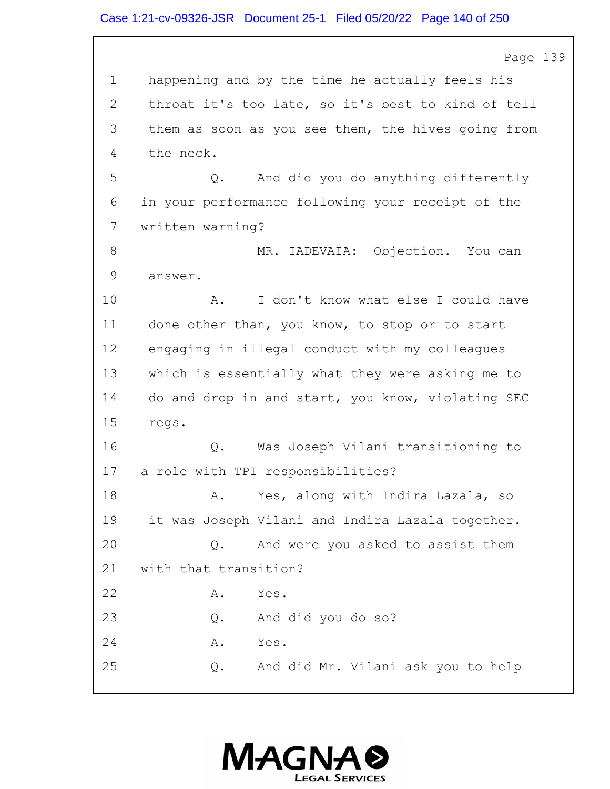# Case 1:21-cv-09326-JSR Document 25-1 Filed 05/20/22 Page 140 of 250

Page 139 1 happening and by the time he actually feels his 2 throat it's too late, so it's best to kind of tell 3 them as soon as you see them, the hives going from 4 the neck. 5 Q. And did you do anything differently 6 in your performance following your receipt of the 7 written warning? 8 MR. IADEVAIA: Objection. You can 9 answer. 10 **A.** I don't know what else I could have 11 done other than, you know, to stop or to start 12 engaging in illegal conduct with my colleagues 13 which is essentially what they were asking me to 14 do and drop in and start, you know, violating SEC 15 regs. 16 Q. Was Joseph Vilani transitioning to 17 a role with TPI responsibilities? 18 A. Yes, along with Indira Lazala, so 19 it was Joseph Vilani and Indira Lazala together. 20 Q. And were you asked to assist them 21 with that transition? 22 A. Yes. 23 Q. And did you do so? 24 A. Yes. 25 Q. And did Mr. Vilani ask you to help

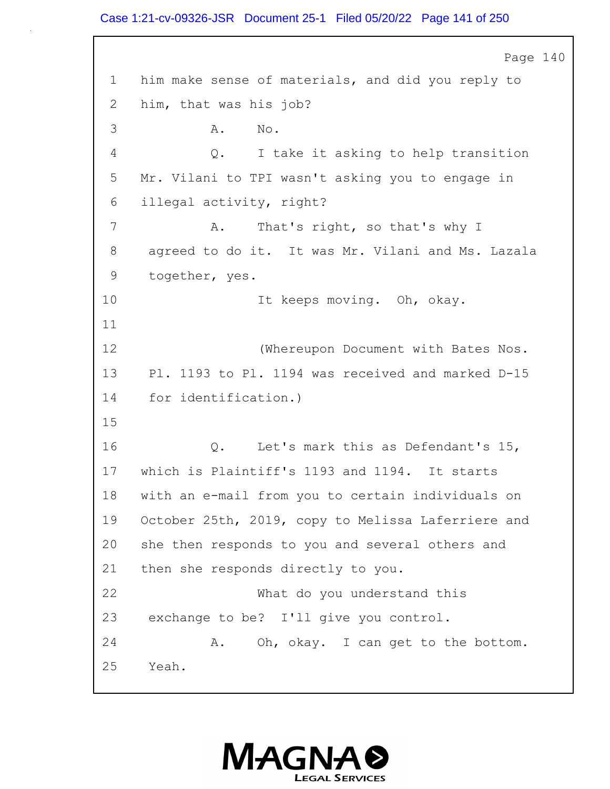# Case 1:21-cv-09326-JSR Document 25-1 Filed 05/20/22 Page 141 of 250

Page 140 1 him make sense of materials, and did you reply to 2 him, that was his job? 3 A. No. 4 Q. I take it asking to help transition 5 Mr. Vilani to TPI wasn't asking you to engage in 6 illegal activity, right? 7 A. That's right, so that's why I 8 agreed to do it. It was Mr. Vilani and Ms. Lazala 9 together, yes. 10 It keeps moving. Oh, okay. 11 12 **(Whereupon Document with Bates Nos.** 13 Pl. 1193 to Pl. 1194 was received and marked D-15 14 for identification.) 15 16 Q. Let's mark this as Defendant's 15, 17 which is Plaintiff's 1193 and 1194. It starts 18 with an e-mail from you to certain individuals on 19 October 25th, 2019, copy to Melissa Laferriere and 20 she then responds to you and several others and 21 then she responds directly to you. 22 What do you understand this 23 exchange to be? I'll give you control. 24 A. Oh, okay. I can get to the bottom. 25 Yeah.

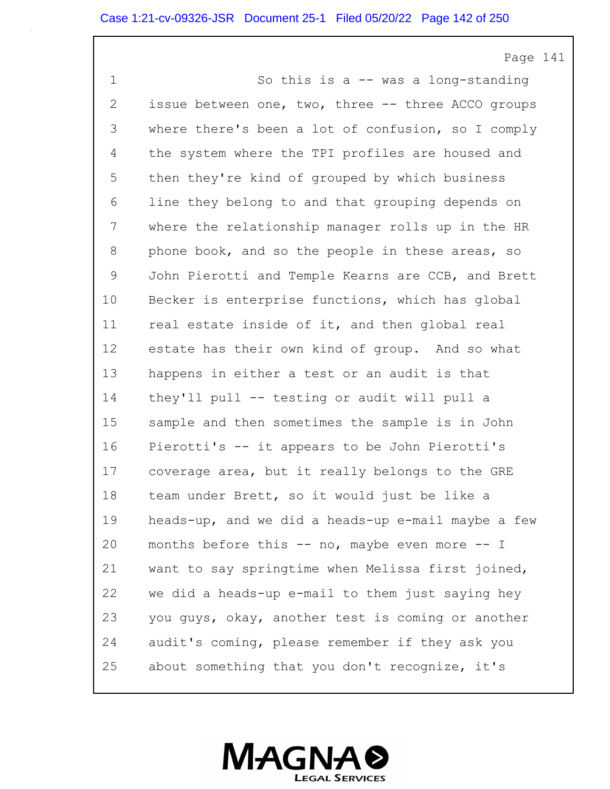Page 141

1 So this is a -- was a long-standing 2 issue between one, two, three -- three ACCO groups 3 where there's been a lot of confusion, so I comply 4 the system where the TPI profiles are housed and 5 then they're kind of grouped by which business 6 line they belong to and that grouping depends on 7 where the relationship manager rolls up in the HR 8 phone book, and so the people in these areas, so 9 John Pierotti and Temple Kearns are CCB, and Brett 10 Becker is enterprise functions, which has global 11 real estate inside of it, and then global real 12 estate has their own kind of group. And so what 13 happens in either a test or an audit is that 14 they'll pull -- testing or audit will pull a 15 sample and then sometimes the sample is in John 16 Pierotti's -- it appears to be John Pierotti's 17 coverage area, but it really belongs to the GRE 18 team under Brett, so it would just be like a 19 heads-up, and we did a heads-up e-mail maybe a few 20 months before this -- no, maybe even more -- I 21 want to say springtime when Melissa first joined, 22 we did a heads-up e-mail to them just saying hey 23 you guys, okay, another test is coming or another 24 audit's coming, please remember if they ask you 25 about something that you don't recognize, it's

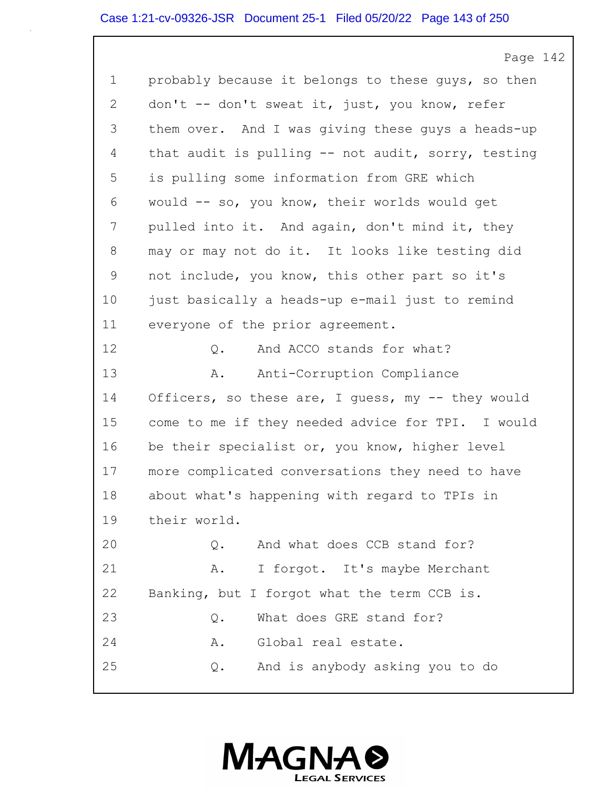# Case 1:21-cv-09326-JSR Document 25-1 Filed 05/20/22 Page 143 of 250

Page 142 1 probably because it belongs to these guys, so then 2 don't -- don't sweat it, just, you know, refer 3 them over. And I was giving these guys a heads-up 4 that audit is pulling -- not audit, sorry, testing 5 is pulling some information from GRE which 6 would -- so, you know, their worlds would get 7 pulled into it. And again, don't mind it, they 8 may or may not do it. It looks like testing did 9 not include, you know, this other part so it's 10 just basically a heads-up e-mail just to remind 11 everyone of the prior agreement. 12 O. And ACCO stands for what? 13 A. Anti-Corruption Compliance 14 Officers, so these are, I guess, my -- they would 15 come to me if they needed advice for TPI. I would 16 be their specialist or, you know, higher level 17 more complicated conversations they need to have 18 about what's happening with regard to TPIs in 19 their world. 20 Q. And what does CCB stand for? 21 A. I forgot. It's maybe Merchant 22 Banking, but I forgot what the term CCB is. 23 O. What does GRE stand for? 24 A. Global real estate. 25 Q. And is anybody asking you to do

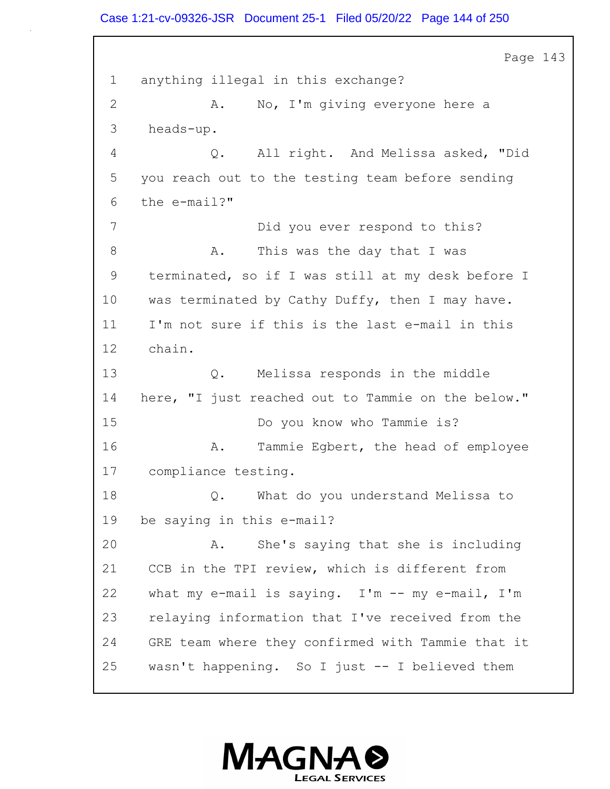### Case 1:21-cv-09326-JSR Document 25-1 Filed 05/20/22 Page 144 of 250

Page 143 1 anything illegal in this exchange? 2 A. No, I'm giving everyone here a 3 heads-up. 4 Q. All right. And Melissa asked, "Did 5 you reach out to the testing team before sending 6 the e-mail?" 7 Did you ever respond to this? 8 A. This was the day that I was 9 terminated, so if I was still at my desk before I 10 was terminated by Cathy Duffy, then I may have. 11 I'm not sure if this is the last e-mail in this 12 chain. 13 Q. Melissa responds in the middle 14 here, "I just reached out to Tammie on the below." 15 Do you know who Tammie is? 16 **A.** Tammie Egbert, the head of employee 17 compliance testing. 18 Q. What do you understand Melissa to 19 be saying in this e-mail? 20 A. She's saying that she is including 21 CCB in the TPI review, which is different from 22 what my e-mail is saying. I'm -- my e-mail, I'm 23 relaying information that I've received from the 24 GRE team where they confirmed with Tammie that it 25 wasn't happening. So I just -- I believed them

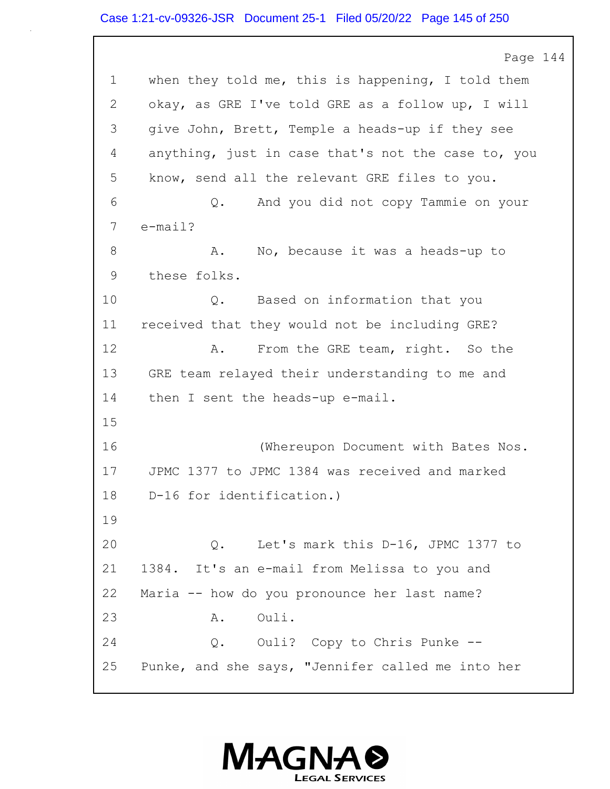Page 144 1 when they told me, this is happening, I told them 2 okay, as GRE I've told GRE as a follow up, I will 3 give John, Brett, Temple a heads-up if they see 4 anything, just in case that's not the case to, you 5 know, send all the relevant GRE files to you. 6 Q. And you did not copy Tammie on your 7 e-mail? 8 A. No, because it was a heads-up to 9 these folks. 10 Q. Based on information that you 11 received that they would not be including GRE? 12 A. From the GRE team, right. So the 13 GRE team relayed their understanding to me and 14 then I sent the heads-up e-mail. 15 16 (Whereupon Document with Bates Nos. 17 JPMC 1377 to JPMC 1384 was received and marked 18 D-16 for identification.) 19 20 Q. Let's mark this D-16, JPMC 1377 to 21 1384. It's an e-mail from Melissa to you and 22 Maria -- how do you pronounce her last name? 23 A. Ouli. 24 Q. Ouli? Copy to Chris Punke --25 Punke, and she says, "Jennifer called me into her

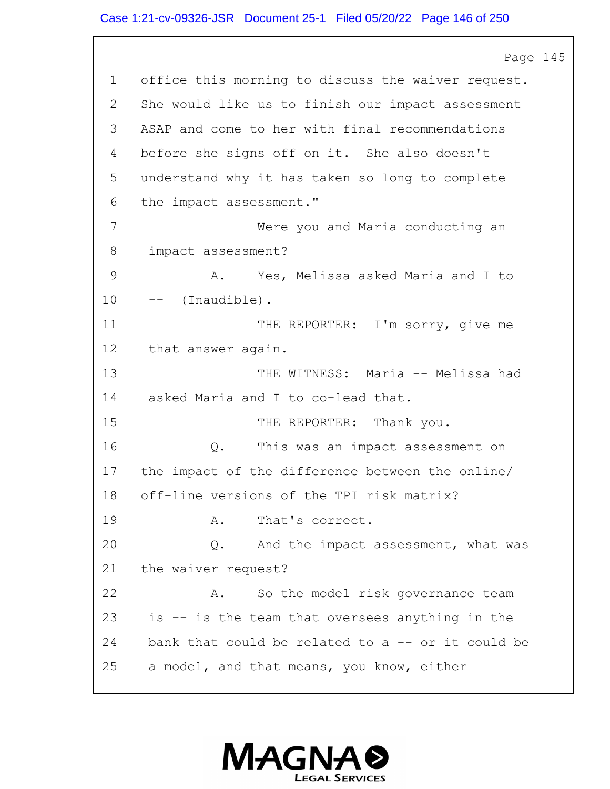Page 145 1 office this morning to discuss the waiver request. 2 She would like us to finish our impact assessment 3 ASAP and come to her with final recommendations 4 before she signs off on it. She also doesn't 5 understand why it has taken so long to complete 6 the impact assessment." 7 Were you and Maria conducting an 8 impact assessment? 9 A. Yes, Melissa asked Maria and I to 10 -- (Inaudible). 11 THE REPORTER: I'm sorry, give me 12 that answer again. 13 THE WITNESS: Maria -- Melissa had 14 asked Maria and I to co-lead that. 15 THE REPORTER: Thank you. 16 Q. This was an impact assessment on 17 the impact of the difference between the online/ 18 off-line versions of the TPI risk matrix? 19 A. That's correct. 20 Q. And the impact assessment, what was 21 the waiver request? 22 A. So the model risk governance team 23 is -- is the team that oversees anything in the 24 bank that could be related to a -- or it could be 25 a model, and that means, you know, either

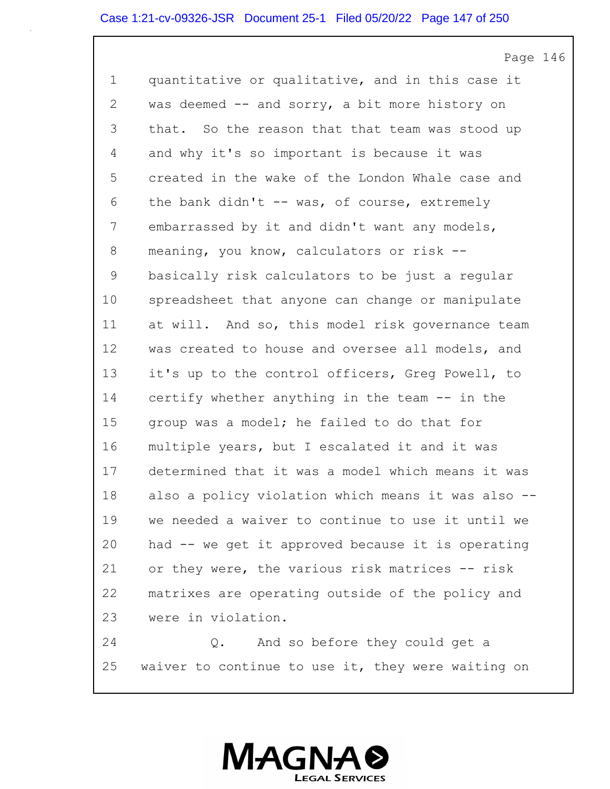Page 146

1 quantitative or qualitative, and in this case it 2 was deemed -- and sorry, a bit more history on 3 that. So the reason that that team was stood up 4 and why it's so important is because it was 5 created in the wake of the London Whale case and 6 the bank didn't -- was, of course, extremely 7 embarrassed by it and didn't want any models, 8 meaning, you know, calculators or risk --9 basically risk calculators to be just a regular 10 spreadsheet that anyone can change or manipulate 11 at will. And so, this model risk governance team 12 was created to house and oversee all models, and 13 it's up to the control officers, Greg Powell, to 14 certify whether anything in the team -- in the 15 group was a model; he failed to do that for 16 multiple years, but I escalated it and it was 17 determined that it was a model which means it was 18 also a policy violation which means it was also -- 19 we needed a waiver to continue to use it until we 20 had -- we get it approved because it is operating 21 or they were, the various risk matrices -- risk 22 matrixes are operating outside of the policy and 23 were in violation. 24 Q. And so before they could get a 25 waiver to continue to use it, they were waiting on

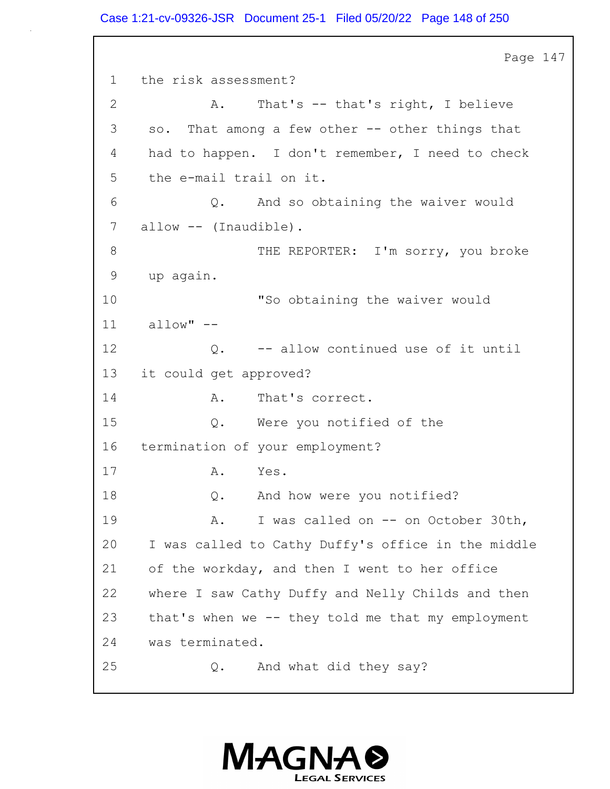Page 147 1 the risk assessment? 2 A. That's -- that's right, I believe 3 so. That among a few other -- other things that 4 had to happen. I don't remember, I need to check 5 the e-mail trail on it. 6 Q. And so obtaining the waiver would 7 allow -- (Inaudible). 8 THE REPORTER: I'm sorry, you broke 9 up again. 10 "So obtaining the waiver would 11 allow" -- 12 Q. -- allow continued use of it until 13 it could get approved? 14 A. That's correct. 15 Q. Were you notified of the 16 termination of your employment? 17 A. Yes. 18 Q. And how were you notified? 19 A. I was called on -- on October 30th, 20 I was called to Cathy Duffy's office in the middle 21 of the workday, and then I went to her office 22 where I saw Cathy Duffy and Nelly Childs and then 23 that's when we -- they told me that my employment 24 was terminated. 25 Q. And what did they say?

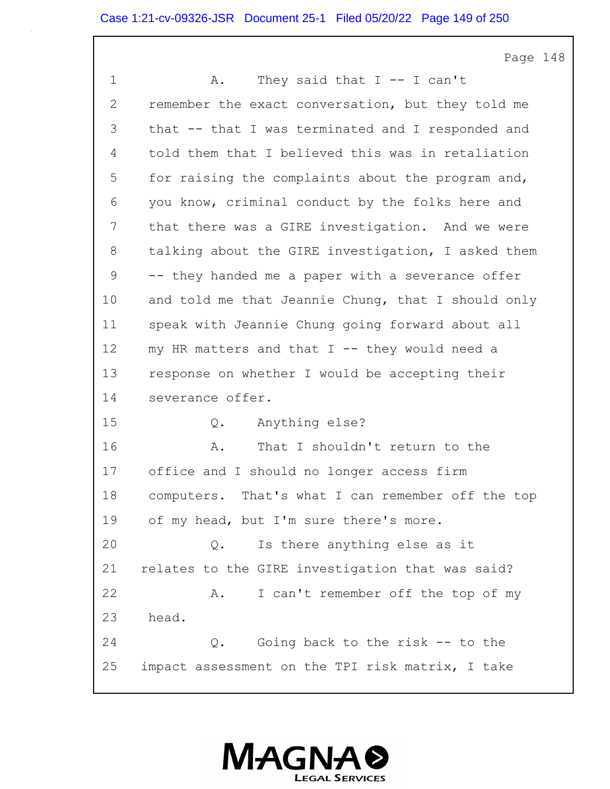Page 148

1 A. They said that I -- I can't 2 remember the exact conversation, but they told me 3 that -- that I was terminated and I responded and 4 told them that I believed this was in retaliation 5 for raising the complaints about the program and, 6 you know, criminal conduct by the folks here and 7 that there was a GIRE investigation. And we were 8 talking about the GIRE investigation, I asked them 9 -- they handed me a paper with a severance offer 10 and told me that Jeannie Chung, that I should only 11 speak with Jeannie Chung going forward about all 12 my HR matters and that I -- they would need a 13 response on whether I would be accepting their 14 severance offer. 15 Q. Anything else? 16 A. That I shouldn't return to the 17 office and I should no longer access firm 18 computers. That's what I can remember off the top 19 of my head, but I'm sure there's more. 20 Q. Is there anything else as it 21 relates to the GIRE investigation that was said? 22 A. I can't remember off the top of my 23 head. 24 Q. Going back to the risk -- to the 25 impact assessment on the TPI risk matrix, I take

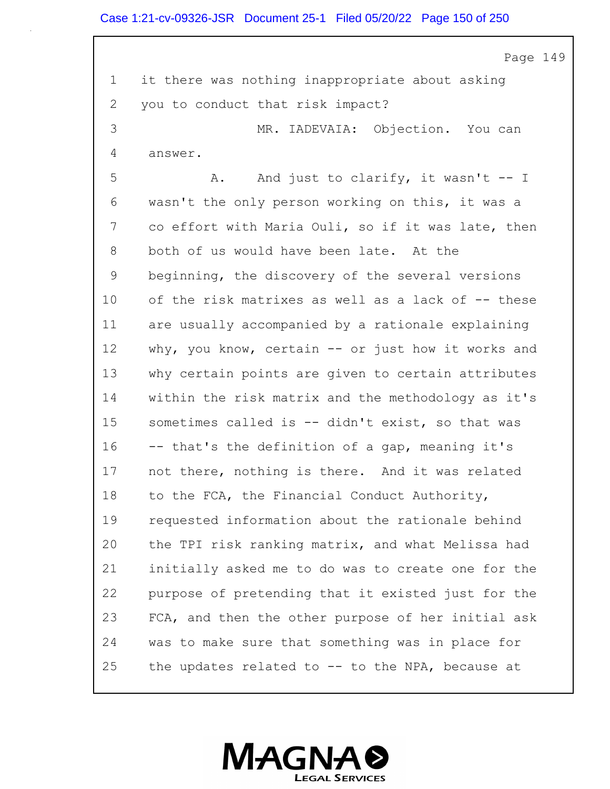### Case 1:21-cv-09326-JSR Document 25-1 Filed 05/20/22 Page 150 of 250

Page 149 1 it there was nothing inappropriate about asking 2 you to conduct that risk impact? 3 MR. IADEVAIA: Objection. You can 4 answer. 5 A. And just to clarify, it wasn't -- I 6 wasn't the only person working on this, it was a 7 co effort with Maria Ouli, so if it was late, then 8 both of us would have been late. At the 9 beginning, the discovery of the several versions 10 of the risk matrixes as well as a lack of -- these 11 are usually accompanied by a rationale explaining 12 why, you know, certain -- or just how it works and 13 why certain points are given to certain attributes 14 within the risk matrix and the methodology as it's 15 sometimes called is -- didn't exist, so that was 16 -- that's the definition of a gap, meaning it's 17 not there, nothing is there. And it was related 18 to the FCA, the Financial Conduct Authority, 19 requested information about the rationale behind 20 the TPI risk ranking matrix, and what Melissa had 21 initially asked me to do was to create one for the 22 purpose of pretending that it existed just for the 23 FCA, and then the other purpose of her initial ask 24 was to make sure that something was in place for 25 the updates related to -- to the NPA, because at

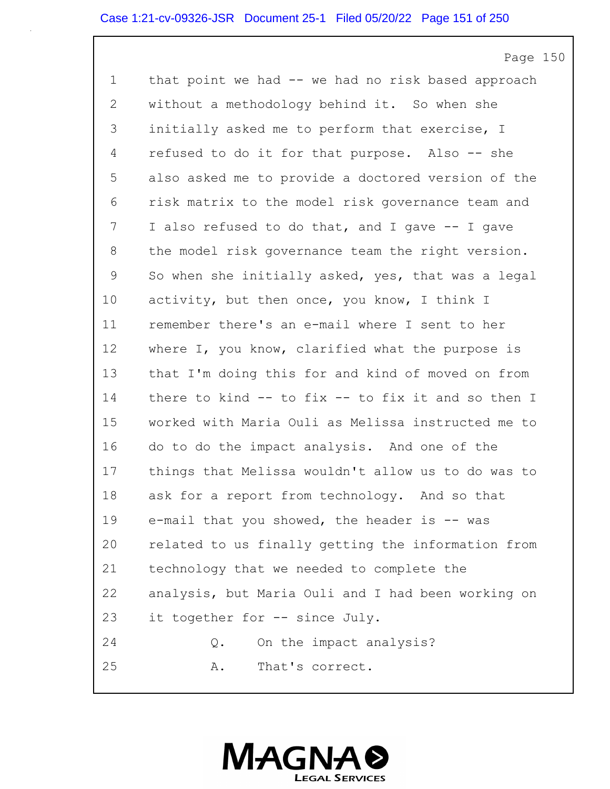Page 150

1 that point we had -- we had no risk based approach 2 without a methodology behind it. So when she 3 initially asked me to perform that exercise, I 4 refused to do it for that purpose. Also -- she 5 also asked me to provide a doctored version of the 6 risk matrix to the model risk governance team and 7 I also refused to do that, and I gave -- I gave 8 the model risk governance team the right version. 9 So when she initially asked, yes, that was a legal 10 activity, but then once, you know, I think I 11 remember there's an e-mail where I sent to her 12 where I, you know, clarified what the purpose is 13 that I'm doing this for and kind of moved on from 14 there to kind -- to fix -- to fix it and so then I 15 worked with Maria Ouli as Melissa instructed me to 16 do to do the impact analysis. And one of the 17 things that Melissa wouldn't allow us to do was to 18 ask for a report from technology. And so that 19 e-mail that you showed, the header is -- was 20 related to us finally getting the information from 21 technology that we needed to complete the 22 analysis, but Maria Ouli and I had been working on 23 it together for -- since July. 24 Q. On the impact analysis? 25 A. That's correct.

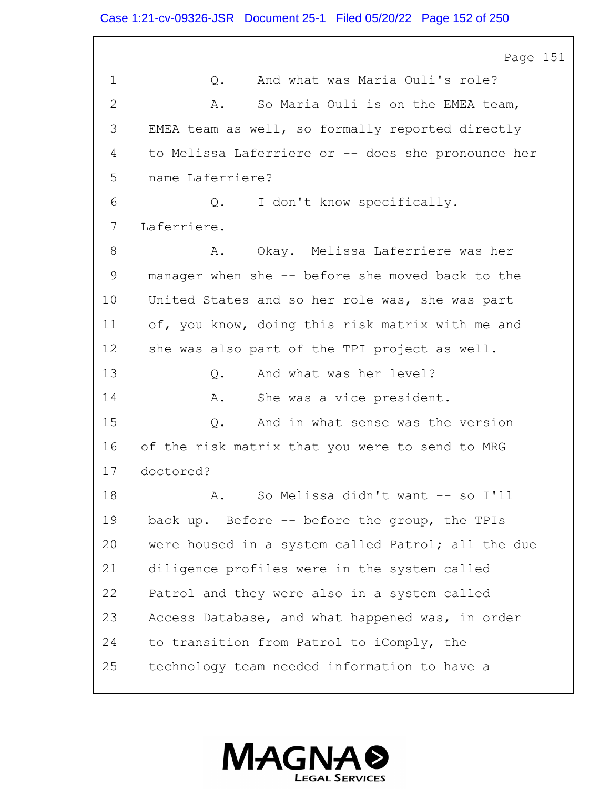### Case 1:21-cv-09326-JSR Document 25-1 Filed 05/20/22 Page 152 of 250

Page 151 1 C. And what was Maria Ouli's role? 2 A. So Maria Ouli is on the EMEA team, 3 EMEA team as well, so formally reported directly 4 to Melissa Laferriere or -- does she pronounce her 5 name Laferriere? 6 Q. I don't know specifically. 7 Laferriere. 8 A. Okay. Melissa Laferriere was her 9 manager when she -- before she moved back to the 10 United States and so her role was, she was part 11 of, you know, doing this risk matrix with me and 12 she was also part of the TPI project as well. 13 Q. And what was her level? 14 A. She was a vice president. 15 Q. And in what sense was the version 16 of the risk matrix that you were to send to MRG 17 doctored? 18 A. So Melissa didn't want -- so I'll 19 back up. Before -- before the group, the TPIs 20 were housed in a system called Patrol; all the due 21 diligence profiles were in the system called 22 Patrol and they were also in a system called 23 Access Database, and what happened was, in order 24 to transition from Patrol to iComply, the 25 technology team needed information to have a

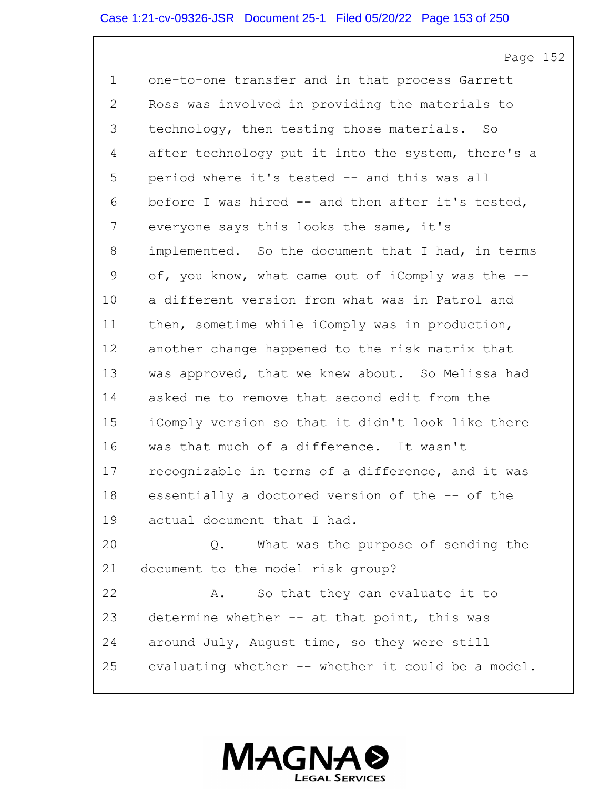Page 152

1 one-to-one transfer and in that process Garrett 2 Ross was involved in providing the materials to 3 technology, then testing those materials. So 4 after technology put it into the system, there's a 5 period where it's tested -- and this was all 6 before I was hired -- and then after it's tested, 7 everyone says this looks the same, it's 8 implemented. So the document that I had, in terms 9 of, you know, what came out of iComply was the -- 10 a different version from what was in Patrol and 11 then, sometime while iComply was in production, 12 another change happened to the risk matrix that 13 was approved, that we knew about. So Melissa had 14 asked me to remove that second edit from the 15 iComply version so that it didn't look like there 16 was that much of a difference. It wasn't 17 recognizable in terms of a difference, and it was 18 essentially a doctored version of the -- of the 19 actual document that I had. 20 Q. What was the purpose of sending the 21 document to the model risk group? 22 A. So that they can evaluate it to 23 determine whether -- at that point, this was 24 around July, August time, so they were still 25 evaluating whether -- whether it could be a model.

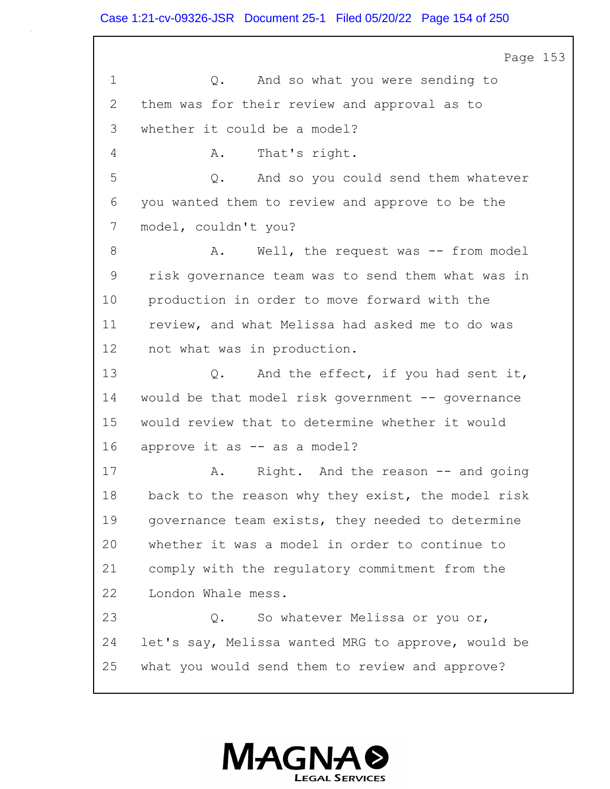# Case 1:21-cv-09326-JSR Document 25-1 Filed 05/20/22 Page 154 of 250

Page 153

| $\mathbf 1$ | Q. And so what you were sending to                   |
|-------------|------------------------------------------------------|
| 2           | them was for their review and approval as to         |
| 3           | whether it could be a model?                         |
| 4           | That's right.<br>Α.                                  |
| 5           | And so you could send them whatever<br>Q.            |
| 6           | you wanted them to review and approve to be the      |
| 7           | model, couldn't you?                                 |
| 8           | A. Well, the request was -- from model               |
| 9           | risk governance team was to send them what was in    |
| 10          | production in order to move forward with the         |
| 11          | review, and what Melissa had asked me to do was      |
| 12          | not what was in production.                          |
| 13          | And the effect, if you had sent it,<br>$Q_{\bullet}$ |
| 14          | would be that model risk government -- governance    |
| 15          | would review that to determine whether it would      |
| 16          | approve it as -- as a model?                         |
| 17          | Right. And the reason -- and going<br>A.             |
| 18          | back to the reason why they exist, the model risk    |
| 19          | governance team exists, they needed to determine     |
| 20          | whether it was a model in order to continue to       |
| 21          | comply with the regulatory commitment from the       |
| 22          | London Whale mess.                                   |
| 23          | So whatever Melissa or you or,<br>$Q$ .              |
| 24          | let's say, Melissa wanted MRG to approve, would be   |
| 25          | what you would send them to review and approve?      |
|             |                                                      |

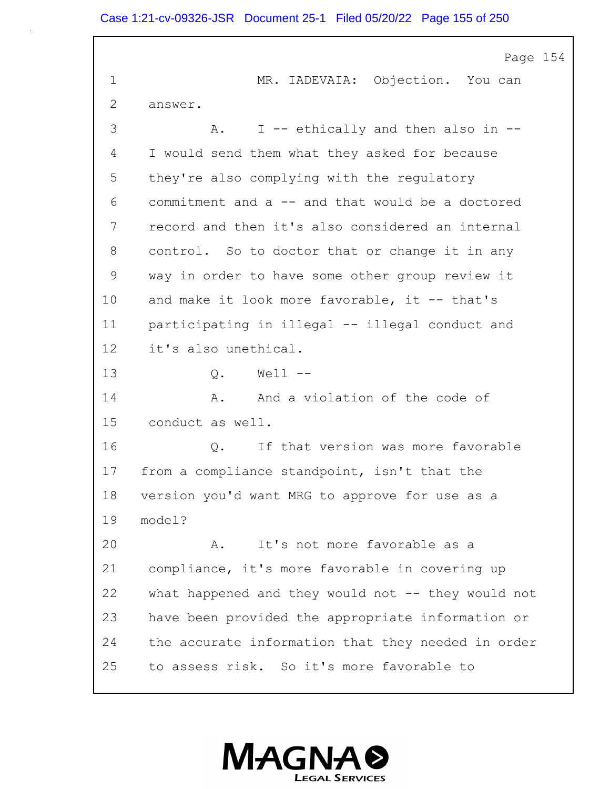Page 154 1 MR. IADEVAIA: Objection. You can 2 answer. 3 A. I -- ethically and then also in --4 I would send them what they asked for because 5 they're also complying with the regulatory 6 commitment and a -- and that would be a doctored 7 record and then it's also considered an internal 8 control. So to doctor that or change it in any 9 way in order to have some other group review it 10 and make it look more favorable, it -- that's 11 participating in illegal -- illegal conduct and 12 it's also unethical. 13 Q. Well -- 14 A. And a violation of the code of 15 conduct as well. 16 Q. If that version was more favorable 17 from a compliance standpoint, isn't that the 18 version you'd want MRG to approve for use as a 19 model? 20 A. It's not more favorable as a 21 compliance, it's more favorable in covering up 22 what happened and they would not -- they would not 23 have been provided the appropriate information or 24 the accurate information that they needed in order 25 to assess risk. So it's more favorable to

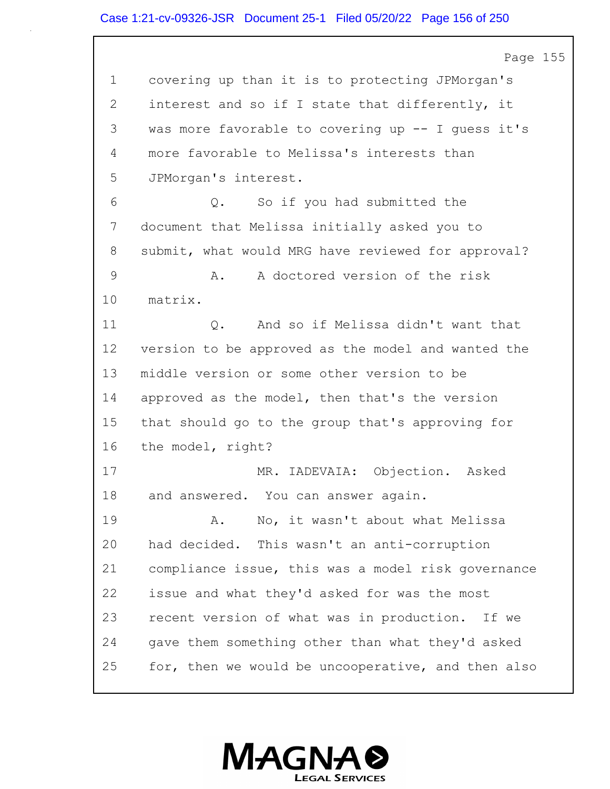### Case 1:21-cv-09326-JSR Document 25-1 Filed 05/20/22 Page 156 of 250

Page 155 1 covering up than it is to protecting JPMorgan's 2 interest and so if I state that differently, it 3 was more favorable to covering up -- I guess it's 4 more favorable to Melissa's interests than 5 JPMorgan's interest. 6 Q. So if you had submitted the 7 document that Melissa initially asked you to 8 submit, what would MRG have reviewed for approval? 9 A. A doctored version of the risk 10 matrix. 11 6. And so if Melissa didn't want that 12 version to be approved as the model and wanted the 13 middle version or some other version to be 14 approved as the model, then that's the version 15 that should go to the group that's approving for 16 the model, right? 17 MR. IADEVAIA: Objection. Asked 18 and answered. You can answer again. 19 A. No, it wasn't about what Melissa 20 had decided. This wasn't an anti-corruption 21 compliance issue, this was a model risk governance 22 issue and what they'd asked for was the most 23 recent version of what was in production. If we 24 gave them something other than what they'd asked 25 for, then we would be uncooperative, and then also

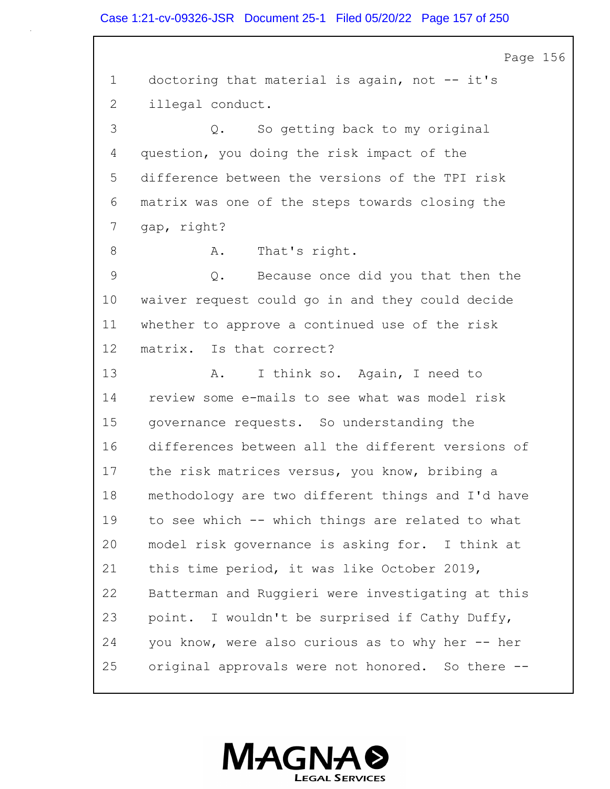### Case 1:21-cv-09326-JSR Document 25-1 Filed 05/20/22 Page 157 of 250

Page 156 1 doctoring that material is again, not -- it's 2 illegal conduct. 3 Q. So getting back to my original 4 question, you doing the risk impact of the 5 difference between the versions of the TPI risk 6 matrix was one of the steps towards closing the 7 gap, right? 8 A. That's right. 9 Q. Because once did you that then the 10 waiver request could go in and they could decide 11 whether to approve a continued use of the risk 12 matrix. Is that correct? 13 A. I think so. Again, I need to 14 review some e-mails to see what was model risk 15 governance requests. So understanding the 16 differences between all the different versions of 17 the risk matrices versus, you know, bribing a 18 methodology are two different things and I'd have 19 to see which -- which things are related to what 20 model risk governance is asking for. I think at 21 this time period, it was like October 2019, 22 Batterman and Ruggieri were investigating at this 23 point. I wouldn't be surprised if Cathy Duffy, 24 you know, were also curious as to why her -- her 25 original approvals were not honored. So there --

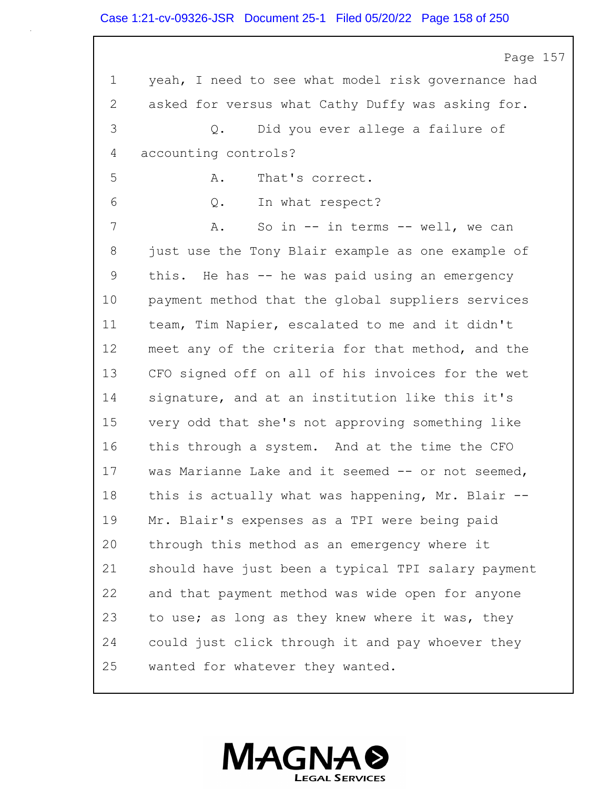# Case 1:21-cv-09326-JSR Document 25-1 Filed 05/20/22 Page 158 of 250

Page 157 1 yeah, I need to see what model risk governance had 2 asked for versus what Cathy Duffy was asking for. 3 Q. Did you ever allege a failure of 4 accounting controls? 5 A. That's correct. 6 Q. In what respect? 7 The A. So in -- in terms -- well, we can 8 just use the Tony Blair example as one example of 9 this. He has -- he was paid using an emergency 10 payment method that the global suppliers services 11 team, Tim Napier, escalated to me and it didn't 12 meet any of the criteria for that method, and the 13 CFO signed off on all of his invoices for the wet 14 signature, and at an institution like this it's 15 very odd that she's not approving something like 16 this through a system. And at the time the CFO 17 was Marianne Lake and it seemed -- or not seemed, 18 this is actually what was happening, Mr. Blair --19 Mr. Blair's expenses as a TPI were being paid 20 through this method as an emergency where it 21 should have just been a typical TPI salary payment 22 and that payment method was wide open for anyone 23 to use; as long as they knew where it was, they 24 could just click through it and pay whoever they 25 wanted for whatever they wanted.

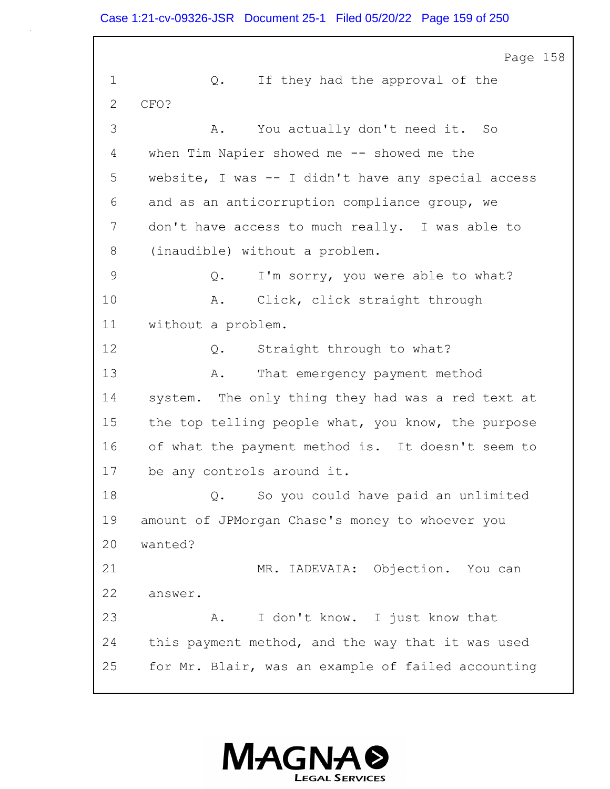Page 158 1 Q. If they had the approval of the 2 CFO? 3 A. You actually don't need it. So 4 when Tim Napier showed me -- showed me the 5 website, I was -- I didn't have any special access 6 and as an anticorruption compliance group, we 7 don't have access to much really. I was able to 8 (inaudible) without a problem. 9 Q. I'm sorry, you were able to what? 10 A. Click, click straight through 11 without a problem. 12 Q. Straight through to what? 13 A. That emergency payment method 14 system. The only thing they had was a red text at 15 the top telling people what, you know, the purpose 16 of what the payment method is. It doesn't seem to 17 be any controls around it. 18 Q. So you could have paid an unlimited 19 amount of JPMorgan Chase's money to whoever you 20 wanted? 21 MR. IADEVAIA: Objection. You can 22 answer. 23 A. I don't know. I just know that 24 this payment method, and the way that it was used 25 for Mr. Blair, was an example of failed accounting

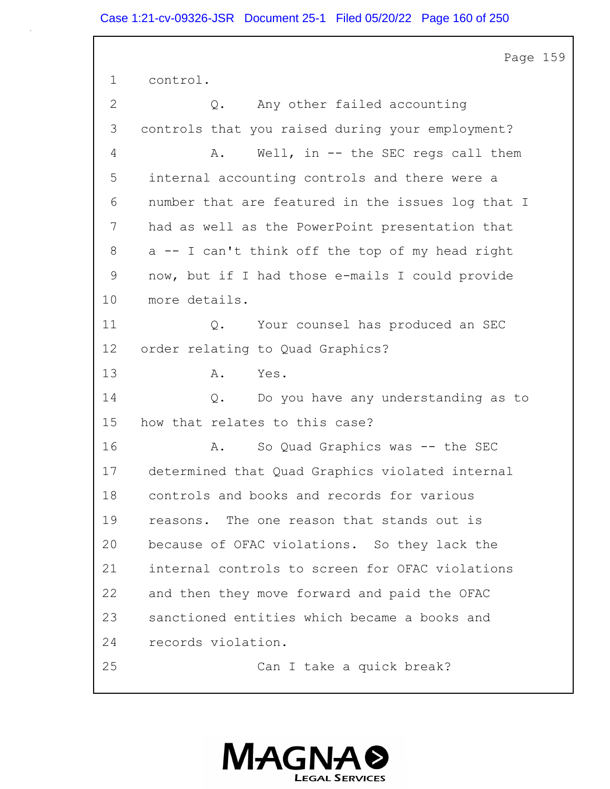Page 159 1 control. 2 Q. Any other failed accounting 3 controls that you raised during your employment? 4 A. Well, in -- the SEC regs call them 5 internal accounting controls and there were a 6 number that are featured in the issues log that I 7 had as well as the PowerPoint presentation that 8 a -- I can't think off the top of my head right 9 now, but if I had those e-mails I could provide 10 more details. 11 Q. Your counsel has produced an SEC 12 order relating to Quad Graphics? 13 A. Yes. 14 Q. Do you have any understanding as to 15 how that relates to this case? 16 A. So Quad Graphics was -- the SEC 17 determined that Quad Graphics violated internal 18 controls and books and records for various 19 reasons. The one reason that stands out is 20 because of OFAC violations. So they lack the 21 internal controls to screen for OFAC violations 22 and then they move forward and paid the OFAC 23 sanctioned entities which became a books and 24 records violation. 25 Can I take a quick break?

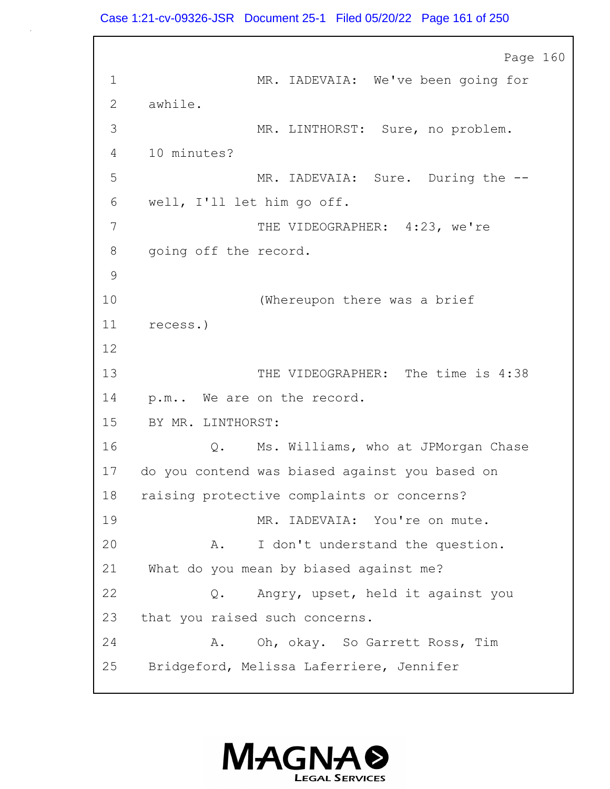Case 1:21-cv-09326-JSR Document 25-1 Filed 05/20/22 Page 161 of 250

Page 160 1 MR. IADEVAIA: We've been going for 2 awhile. 3 MR. LINTHORST: Sure, no problem. 4 10 minutes? 5 MR. IADEVAIA: Sure. During the --6 well, I'll let him go off. 7 THE VIDEOGRAPHER: 4:23, we're 8 going off the record. 9 10 (Whereupon there was a brief 11 recess.) 12 13 THE VIDEOGRAPHER: The time is 4:38 14 p.m.. We are on the record. 15 BY MR. LINTHORST: 16 Q. Ms. Williams, who at JPMorgan Chase 17 do you contend was biased against you based on 18 raising protective complaints or concerns? 19 MR. IADEVAIA: You're on mute. 20 A. I don't understand the question. 21 What do you mean by biased against me? 22 Q. Angry, upset, held it against you 23 that you raised such concerns. 24 A. Oh, okay. So Garrett Ross, Tim 25 Bridgeford, Melissa Laferriere, Jennifer

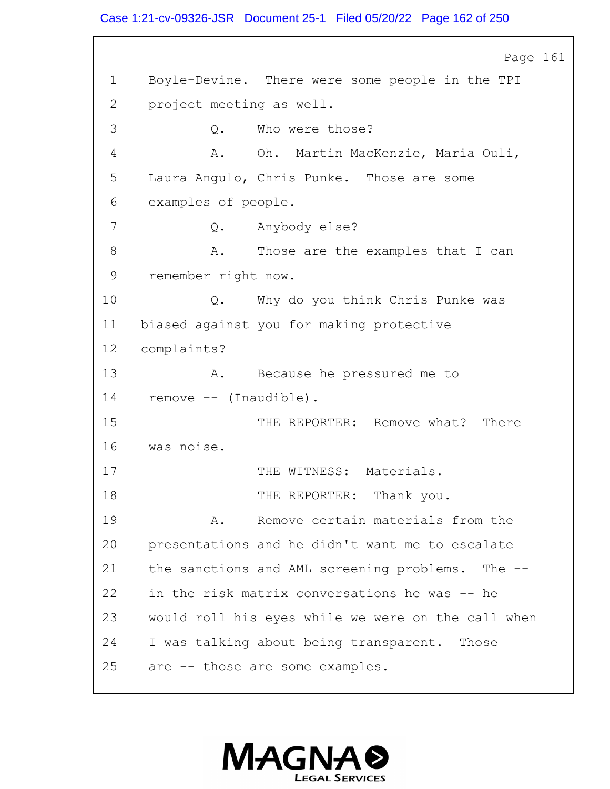# Case 1:21-cv-09326-JSR Document 25-1 Filed 05/20/22 Page 162 of 250

Page 161 1 Boyle-Devine. There were some people in the TPI 2 project meeting as well. 3 Q. Who were those? 4 A. Oh. Martin MacKenzie, Maria Ouli, 5 Laura Angulo, Chris Punke. Those are some 6 examples of people. 7 Q. Anybody else? 8 A. Those are the examples that I can 9 remember right now. 10 Q. Why do you think Chris Punke was 11 biased against you for making protective 12 complaints? 13 A. Because he pressured me to 14 remove -- (Inaudible). 15 THE REPORTER: Remove what? There 16 was noise. 17 THE WITNESS: Materials. 18 THE REPORTER: Thank you. 19 A. Remove certain materials from the 20 presentations and he didn't want me to escalate 21 the sanctions and AML screening problems. The -- 22 in the risk matrix conversations he was -- he 23 would roll his eyes while we were on the call when 24 I was talking about being transparent. Those 25 are -- those are some examples.

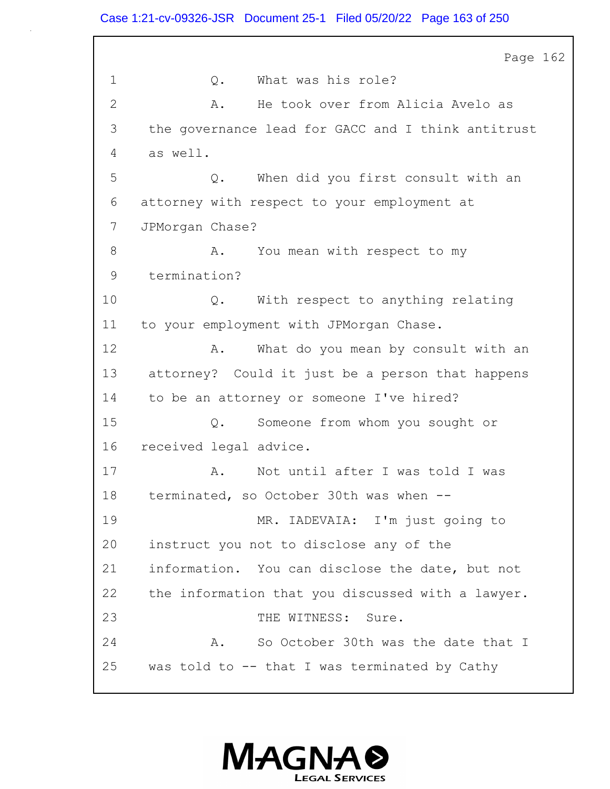#### Case 1:21-cv-09326-JSR Document 25-1 Filed 05/20/22 Page 163 of 250

Page 162 1 0. What was his role? 2 A. He took over from Alicia Avelo as 3 the governance lead for GACC and I think antitrust 4 as well. 5 Q. When did you first consult with an 6 attorney with respect to your employment at 7 JPMorgan Chase? 8 A. You mean with respect to my 9 termination? 10 Q. With respect to anything relating 11 to your employment with JPMorgan Chase. 12 A. What do you mean by consult with an 13 attorney? Could it just be a person that happens 14 to be an attorney or someone I've hired? 15 Q. Someone from whom you sought or 16 received legal advice. 17 A. Not until after I was told I was 18 terminated, so October 30th was when -- 19 MR. IADEVAIA: I'm just going to 20 instruct you not to disclose any of the 21 information. You can disclose the date, but not 22 the information that you discussed with a lawyer. 23 THE WITNESS: Sure. 24 A. So October 30th was the date that I 25 was told to -- that I was terminated by Cathy

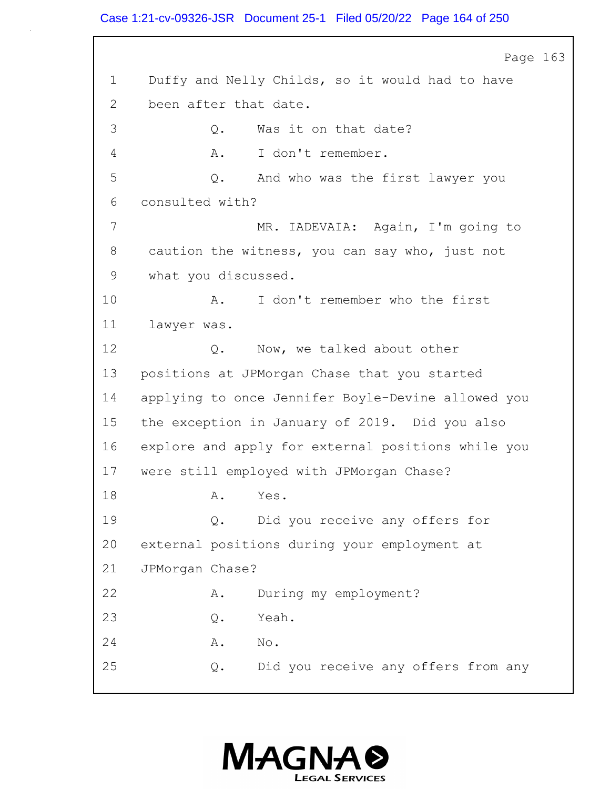# Case 1:21-cv-09326-JSR Document 25-1 Filed 05/20/22 Page 164 of 250

Page 163 1 Duffy and Nelly Childs, so it would had to have 2 been after that date. 3 Q. Was it on that date? 4 A. I don't remember. 5 Q. And who was the first lawyer you 6 consulted with? 7 MR. IADEVAIA: Again, I'm going to 8 caution the witness, you can say who, just not 9 what you discussed. 10 A. I don't remember who the first 11 lawyer was. 12 O. Now, we talked about other 13 positions at JPMorgan Chase that you started 14 applying to once Jennifer Boyle-Devine allowed you 15 the exception in January of 2019. Did you also 16 explore and apply for external positions while you 17 were still employed with JPMorgan Chase? 18 A. Yes. 19 Q. Did you receive any offers for 20 external positions during your employment at 21 JPMorgan Chase? 22 A. During my employment? 23 Q. Yeah. 24 **A.** No. 25 Q. Did you receive any offers from any

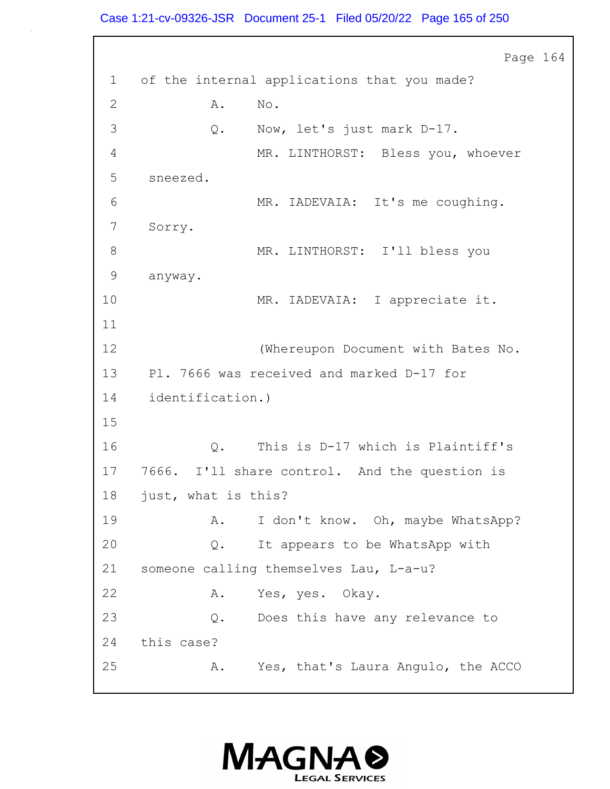# Case 1:21-cv-09326-JSR Document 25-1 Filed 05/20/22 Page 165 of 250

Page 164 1 of the internal applications that you made? 2 A. No. 3 Q. Now, let's just mark D-17. 4 MR. LINTHORST: Bless you, whoever 5 sneezed. 6 MR. IADEVAIA: It's me coughing. 7 Sorry. 8 MR. LINTHORST: I'll bless you 9 anyway. 10 MR. IADEVAIA: I appreciate it. 11 12 **(Whereupon Document with Bates No.** 13 Pl. 7666 was received and marked D-17 for 14 identification.) 15 16 Q. This is D-17 which is Plaintiff's 17 7666. I'll share control. And the question is 18 just, what is this? 19 A. I don't know. Oh, maybe WhatsApp? 20 Q. It appears to be WhatsApp with 21 someone calling themselves Lau, L-a-u? 22 A. Yes, yes. Okay. 23 Q. Does this have any relevance to 24 this case? 25 A. Yes, that's Laura Angulo, the ACCO

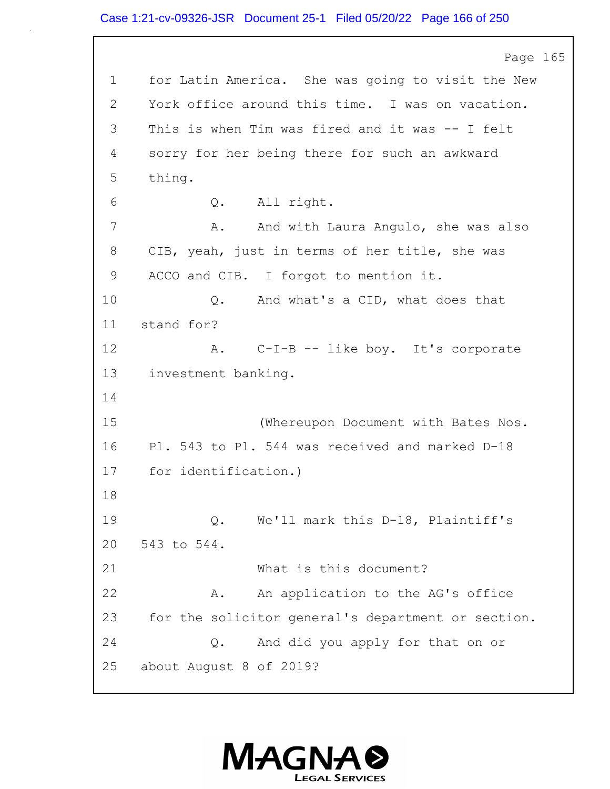# Case 1:21-cv-09326-JSR Document 25-1 Filed 05/20/22 Page 166 of 250

Page 165 1 for Latin America. She was going to visit the New 2 York office around this time. I was on vacation. 3 This is when Tim was fired and it was -- I felt 4 sorry for her being there for such an awkward 5 thing. 6 Q. All right. 7 A. And with Laura Angulo, she was also 8 CIB, yeah, just in terms of her title, she was 9 ACCO and CIB. I forgot to mention it. 10 Q. And what's a CID, what does that 11 stand for? 12 A. C-I-B -- like boy. It's corporate 13 investment banking. 14 15 (Whereupon Document with Bates Nos. 16 Pl. 543 to Pl. 544 was received and marked D-18 17 for identification.) 18 19 Q. We'll mark this D-18, Plaintiff's 20 543 to 544. 21 What is this document? 22 A. An application to the AG's office 23 for the solicitor general's department or section. 24 Q. And did you apply for that on or 25 about August 8 of 2019?

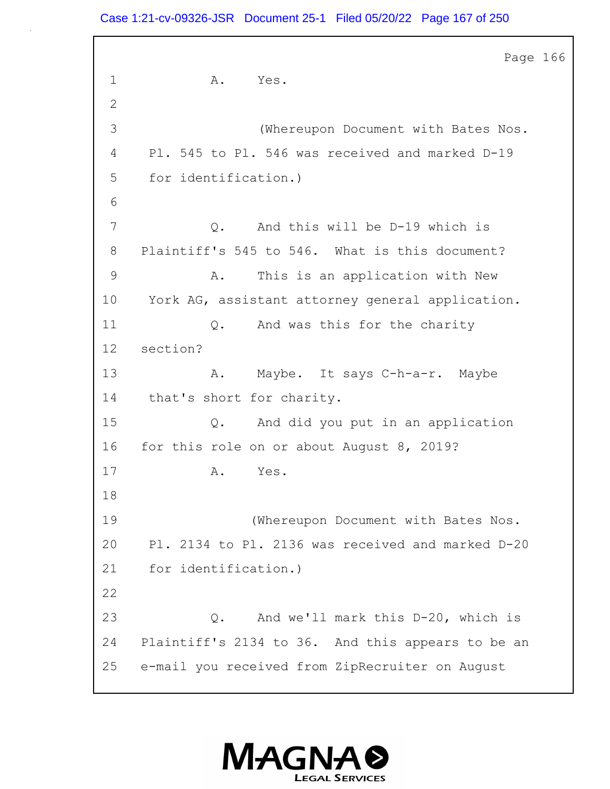Page 166 1 A. Yes. 2 3 (Whereupon Document with Bates Nos. 4 Pl. 545 to Pl. 546 was received and marked D-19 5 for identification.) 6 7 Q. And this will be D-19 which is 8 Plaintiff's 545 to 546. What is this document? 9 A. This is an application with New 10 York AG, assistant attorney general application. 11 Q. And was this for the charity 12 section? 13 A. Maybe. It says C-h-a-r. Maybe 14 that's short for charity. 15 Q. And did you put in an application 16 for this role on or about August 8, 2019? 17 A. Yes. 18 19 (Whereupon Document with Bates Nos. 20 Pl. 2134 to Pl. 2136 was received and marked D-20 21 for identification.) 22 23 Q. And we'll mark this D-20, which is 24 Plaintiff's 2134 to 36. And this appears to be an 25 e-mail you received from ZipRecruiter on August

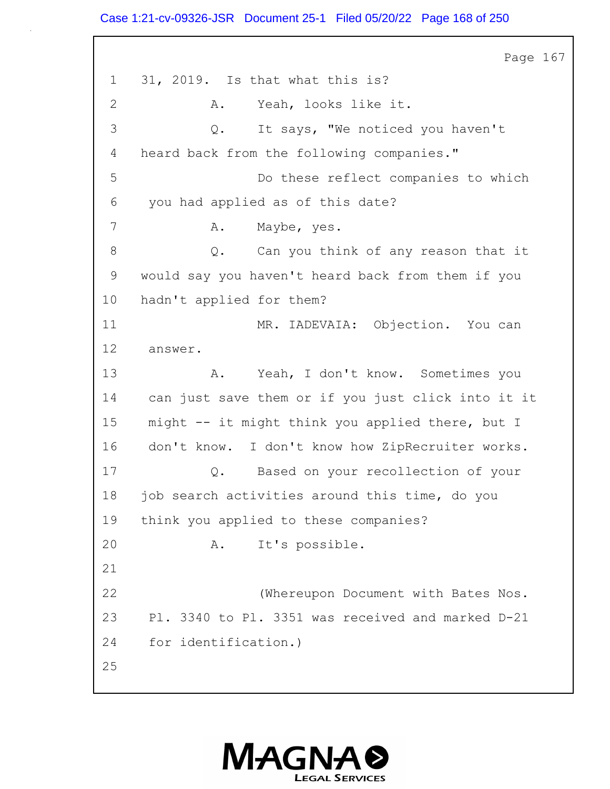### Case 1:21-cv-09326-JSR Document 25-1 Filed 05/20/22 Page 168 of 250

Page 167 1 31, 2019. Is that what this is? 2 A. Yeah, looks like it. 3 Q. It says, "We noticed you haven't 4 heard back from the following companies." 5 Do these reflect companies to which 6 you had applied as of this date? 7 A. Maybe, yes. 8 Q. Can you think of any reason that it 9 would say you haven't heard back from them if you 10 hadn't applied for them? 11 MR. IADEVAIA: Objection. You can 12 answer. 13 A. Yeah, I don't know. Sometimes you 14 can just save them or if you just click into it it 15 might -- it might think you applied there, but I 16 don't know. I don't know how ZipRecruiter works. 17 Q. Based on your recollection of your 18 job search activities around this time, do you 19 think you applied to these companies? 20 A. It's possible. 21 22 (Whereupon Document with Bates Nos. 23 Pl. 3340 to Pl. 3351 was received and marked D-21 24 for identification.) 25

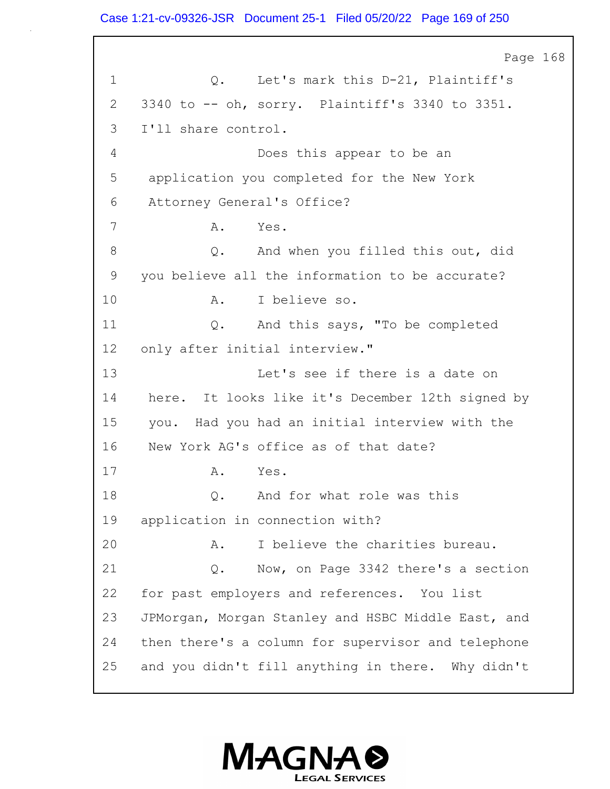#### Case 1:21-cv-09326-JSR Document 25-1 Filed 05/20/22 Page 169 of 250

Page 168 1 Q. Let's mark this D-21, Plaintiff's 2 3340 to -- oh, sorry. Plaintiff's 3340 to 3351. 3 I'll share control. 4 Does this appear to be an 5 application you completed for the New York 6 Attorney General's Office? 7 A. Yes. 8 6 Q. And when you filled this out, did 9 you believe all the information to be accurate? 10 A. I believe so. 11 Q. And this says, "To be completed 12 only after initial interview." 13 Let's see if there is a date on 14 here. It looks like it's December 12th signed by 15 you. Had you had an initial interview with the 16 New York AG's office as of that date? 17 A. Yes. 18 0. And for what role was this 19 application in connection with? 20 A. I believe the charities bureau. 21 Q. Now, on Page 3342 there's a section 22 for past employers and references. You list 23 JPMorgan, Morgan Stanley and HSBC Middle East, and 24 then there's a column for supervisor and telephone 25 and you didn't fill anything in there. Why didn't

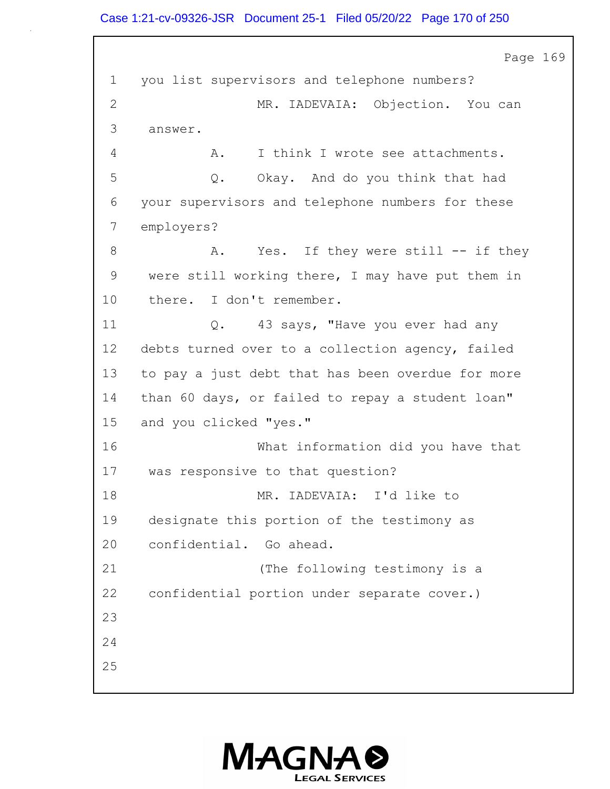# Case 1:21-cv-09326-JSR Document 25-1 Filed 05/20/22 Page 170 of 250

Page 169 1 you list supervisors and telephone numbers? 2 MR. IADEVAIA: Objection. You can 3 answer. 4 A. I think I wrote see attachments. 5 Q. Okay. And do you think that had 6 your supervisors and telephone numbers for these 7 employers? 8 A. Yes. If they were still -- if they 9 were still working there, I may have put them in 10 there. I don't remember. 11 Q. 43 says, "Have you ever had any 12 debts turned over to a collection agency, failed 13 to pay a just debt that has been overdue for more 14 than 60 days, or failed to repay a student loan" 15 and you clicked "yes." 16 What information did you have that 17 was responsive to that question? 18 MR. IADEVAIA: I'd like to 19 designate this portion of the testimony as 20 confidential. Go ahead. 21 (The following testimony is a 22 confidential portion under separate cover.) 23 24 25

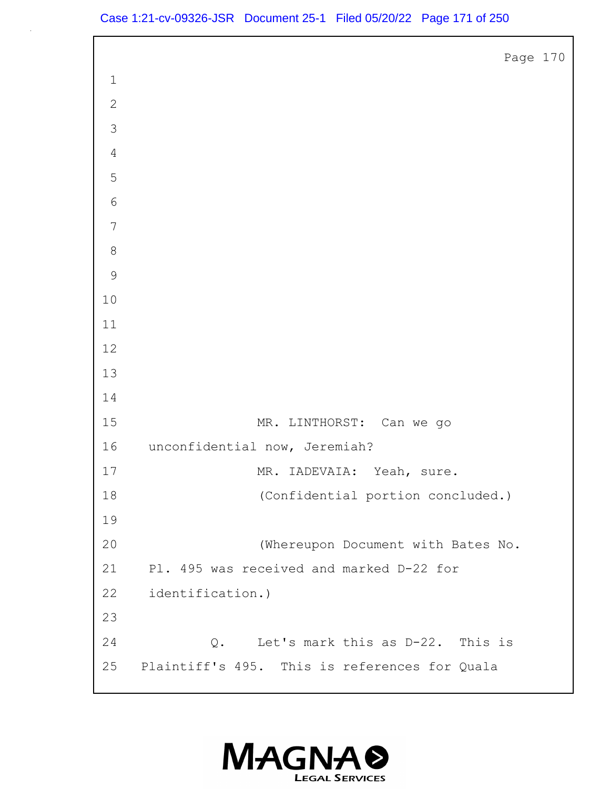|                | Page 170                                      |
|----------------|-----------------------------------------------|
| $1\,$          |                                               |
| $\mathbf{2}$   |                                               |
| 3              |                                               |
| $\overline{4}$ |                                               |
| 5              |                                               |
| $\epsilon$     |                                               |
| $\overline{7}$ |                                               |
| $\,8\,$        |                                               |
| $\mathcal{G}$  |                                               |
| 10             |                                               |
| 11             |                                               |
| 12             |                                               |
| 13             |                                               |
| 14             |                                               |
| 15             | MR. LINTHORST: Can we go                      |
| 16             | unconfidential now, Jeremiah?                 |
| 17             | IADEVAIA: Yeah, sure.<br>MR.                  |
| 18             | (Confidential portion concluded.)             |
| 19             |                                               |
| 20             | (Whereupon Document with Bates No.            |
| 21             | Pl. 495 was received and marked D-22 for      |
| 22             | identification.)                              |
| 23             |                                               |
| 24             | Q. Let's mark this as D-22. This is           |
| 25             | Plaintiff's 495. This is references for Quala |

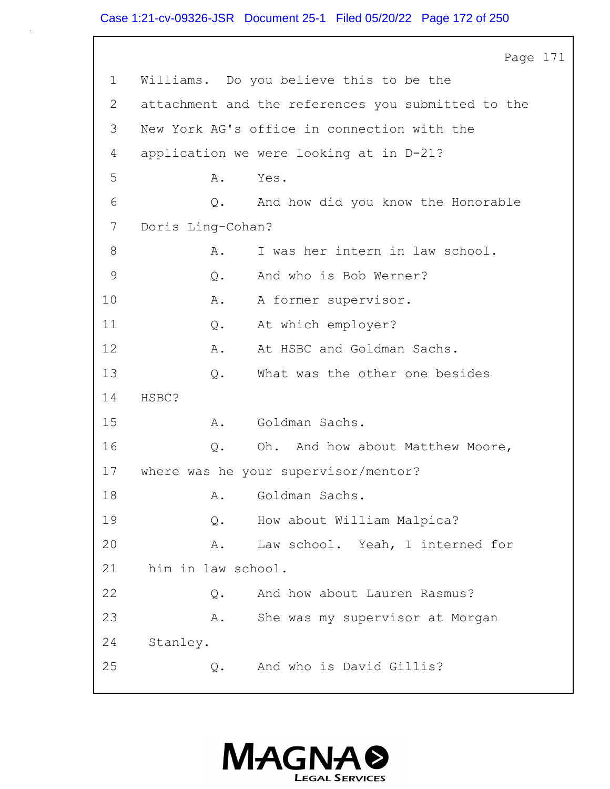# Case 1:21-cv-09326-JSR Document 25-1 Filed 05/20/22 Page 172 of 250

Page 171 1 Williams. Do you believe this to be the 2 attachment and the references you submitted to the 3 New York AG's office in connection with the 4 application we were looking at in D-21? 5 A. Yes. 6 Q. And how did you know the Honorable 7 Doris Ling-Cohan? 8 A. I was her intern in law school. 9 Q. And who is Bob Werner? 10 A. A former supervisor. 11 Q. At which employer? 12 A. At HSBC and Goldman Sachs. 13 Q. What was the other one besides 14 HSBC? 15 A. Goldman Sachs. 16 **Q.** Oh. And how about Matthew Moore, 17 where was he your supervisor/mentor? 18 A. Goldman Sachs. 19 Q. How about William Malpica? 20 A. Law school. Yeah, I interned for 21 him in law school. 22 O. And how about Lauren Rasmus? 23 A. She was my supervisor at Morgan 24 Stanley. 25 Q. And who is David Gillis?

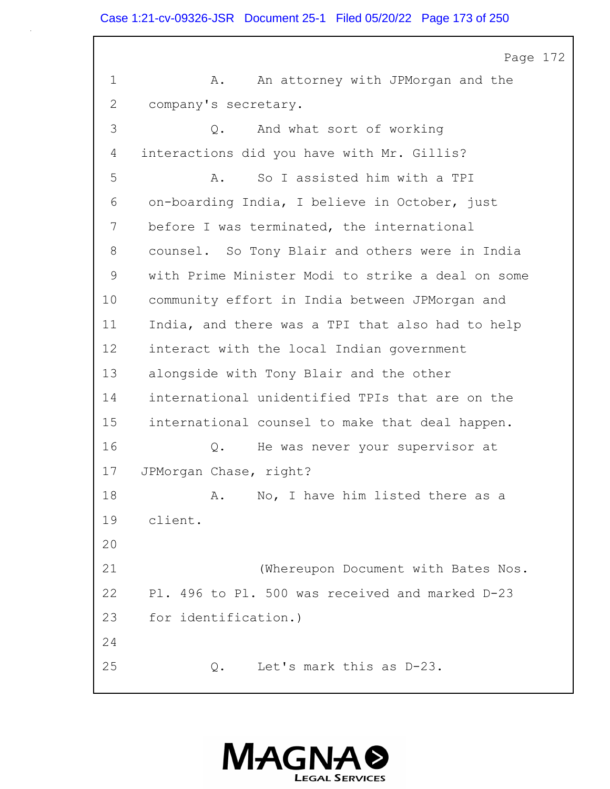# Case 1:21-cv-09326-JSR Document 25-1 Filed 05/20/22 Page 173 of 250

Page 172 1 A. An attorney with JPMorgan and the 2 company's secretary. 3 Q. And what sort of working 4 interactions did you have with Mr. Gillis? 5 A. So I assisted him with a TPI 6 on-boarding India, I believe in October, just 7 before I was terminated, the international 8 counsel. So Tony Blair and others were in India 9 with Prime Minister Modi to strike a deal on some 10 community effort in India between JPMorgan and 11 India, and there was a TPI that also had to help 12 interact with the local Indian government 13 alongside with Tony Blair and the other 14 international unidentified TPIs that are on the 15 international counsel to make that deal happen. 16 Q. He was never your supervisor at 17 JPMorgan Chase, right? 18 A. No, I have him listed there as a 19 client. 20 21 (Whereupon Document with Bates Nos. 22 Pl. 496 to Pl. 500 was received and marked D-23 23 for identification.) 24 25 Q. Let's mark this as D-23.

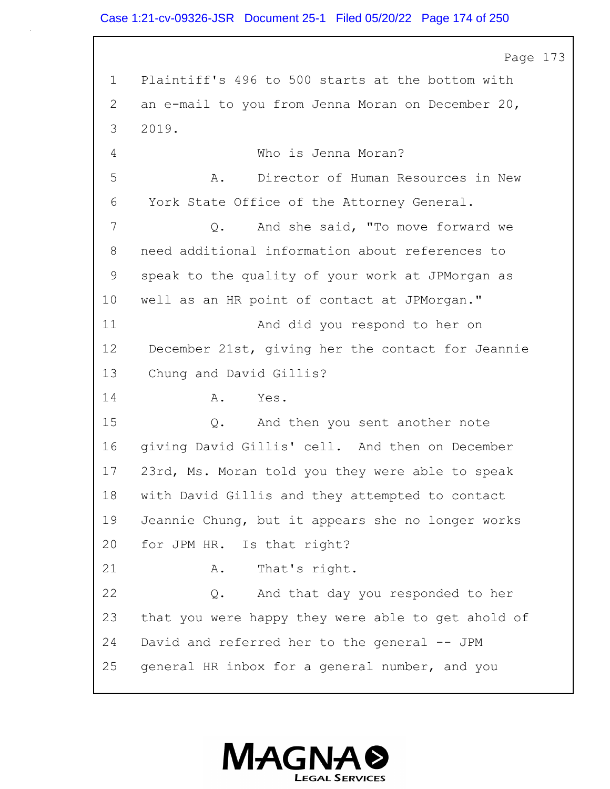### Case 1:21-cv-09326-JSR Document 25-1 Filed 05/20/22 Page 174 of 250

Page 173 1 Plaintiff's 496 to 500 starts at the bottom with 2 an e-mail to you from Jenna Moran on December 20, 3 2019. 4 Who is Jenna Moran? 5 A. Director of Human Resources in New 6 York State Office of the Attorney General. 7 Q. And she said, "To move forward we 8 need additional information about references to 9 speak to the quality of your work at JPMorgan as 10 well as an HR point of contact at JPMorgan." 11 And did you respond to her on 12 December 21st, giving her the contact for Jeannie 13 Chung and David Gillis? 14 A. Yes. 15 Q. And then you sent another note 16 giving David Gillis' cell. And then on December 17 23rd, Ms. Moran told you they were able to speak 18 with David Gillis and they attempted to contact 19 Jeannie Chung, but it appears she no longer works 20 for JPM HR. Is that right? 21 A. That's right. 22 Q. And that day you responded to her 23 that you were happy they were able to get ahold of 24 David and referred her to the general -- JPM 25 general HR inbox for a general number, and you

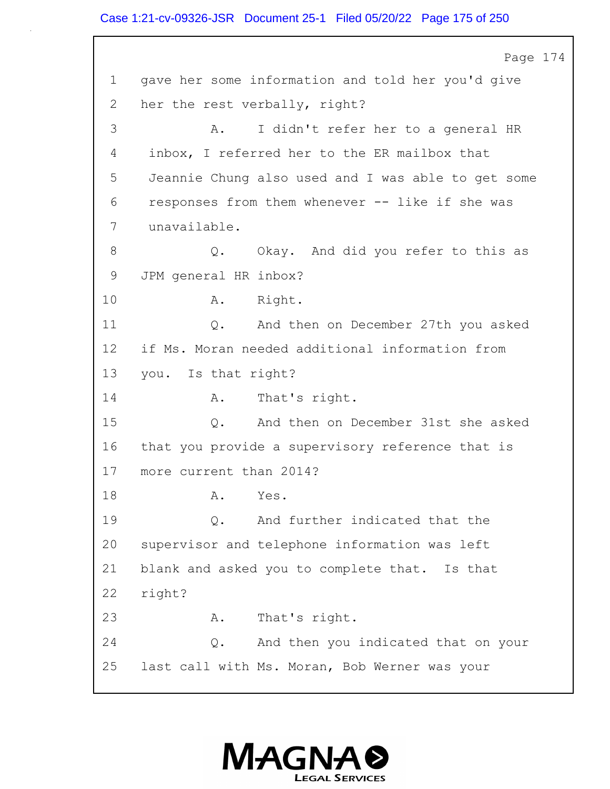# Case 1:21-cv-09326-JSR Document 25-1 Filed 05/20/22 Page 175 of 250

Page 174 1 gave her some information and told her you'd give 2 her the rest verbally, right? 3 A. I didn't refer her to a general HR 4 inbox, I referred her to the ER mailbox that 5 Jeannie Chung also used and I was able to get some 6 responses from them whenever -- like if she was 7 unavailable. 8 Q. Okay. And did you refer to this as 9 JPM general HR inbox? 10 A. Right. 11 Q. And then on December 27th you asked 12 if Ms. Moran needed additional information from 13 you. Is that right? 14 A. That's right. 15 Q. And then on December 31st she asked 16 that you provide a supervisory reference that is 17 more current than 2014? 18 A. Yes. 19 Q. And further indicated that the 20 supervisor and telephone information was left 21 blank and asked you to complete that. Is that 22 right? 23 A. That's right. 24 Q. And then you indicated that on your 25 last call with Ms. Moran, Bob Werner was your

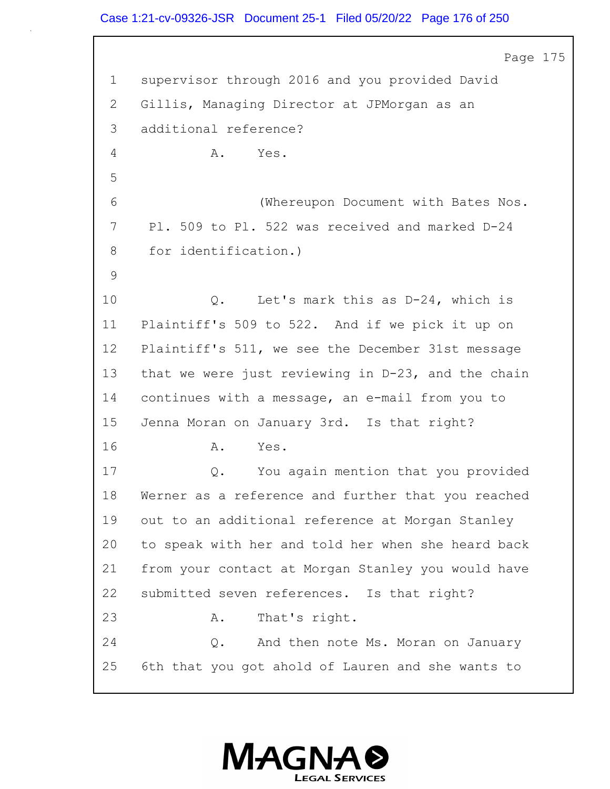#### Case 1:21-cv-09326-JSR Document 25-1 Filed 05/20/22 Page 176 of 250

Page 175 1 supervisor through 2016 and you provided David 2 Gillis, Managing Director at JPMorgan as an 3 additional reference? 4 A. Yes. 5 6 (Whereupon Document with Bates Nos. 7 Pl. 509 to Pl. 522 was received and marked D-24 8 for identification.) 9 10 Q. Let's mark this as D-24, which is 11 Plaintiff's 509 to 522. And if we pick it up on 12 Plaintiff's 511, we see the December 31st message 13 that we were just reviewing in D-23, and the chain 14 continues with a message, an e-mail from you to 15 Jenna Moran on January 3rd. Is that right? 16 A. Yes. 17 Q. You again mention that you provided 18 Werner as a reference and further that you reached 19 out to an additional reference at Morgan Stanley 20 to speak with her and told her when she heard back 21 from your contact at Morgan Stanley you would have 22 submitted seven references. Is that right? 23 A. That's right. 24 Q. And then note Ms. Moran on January 25 6th that you got ahold of Lauren and she wants to

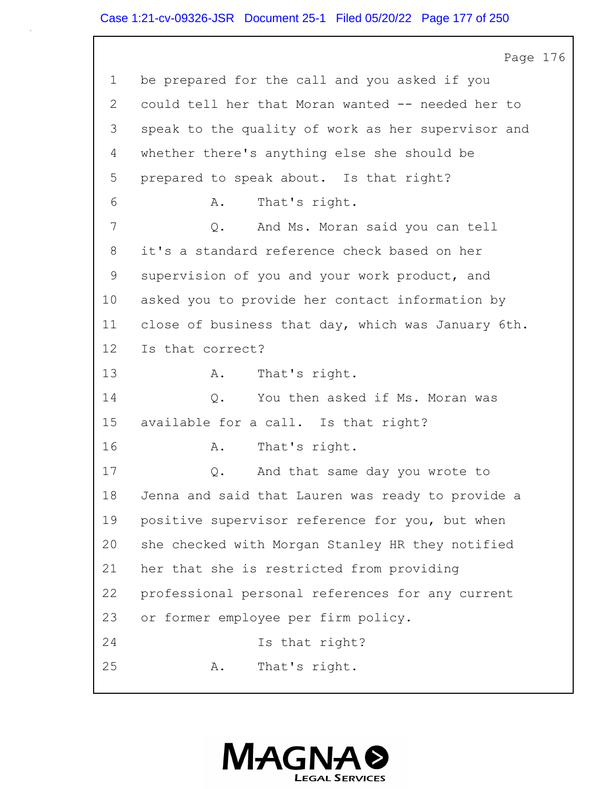Page 176 1 be prepared for the call and you asked if you 2 could tell her that Moran wanted -- needed her to 3 speak to the quality of work as her supervisor and 4 whether there's anything else she should be 5 prepared to speak about. Is that right? 6 A. That's right. 7 Q. And Ms. Moran said you can tell 8 it's a standard reference check based on her 9 supervision of you and your work product, and 10 asked you to provide her contact information by 11 close of business that day, which was January 6th. 12 Is that correct? 13 A. That's right. 14 C. You then asked if Ms. Moran was 15 available for a call. Is that right? 16 A. That's right. 17 Q. And that same day you wrote to 18 Jenna and said that Lauren was ready to provide a 19 positive supervisor reference for you, but when 20 she checked with Morgan Stanley HR they notified 21 her that she is restricted from providing 22 professional personal references for any current 23 or former employee per firm policy. 24 Is that right? 25 A. That's right.

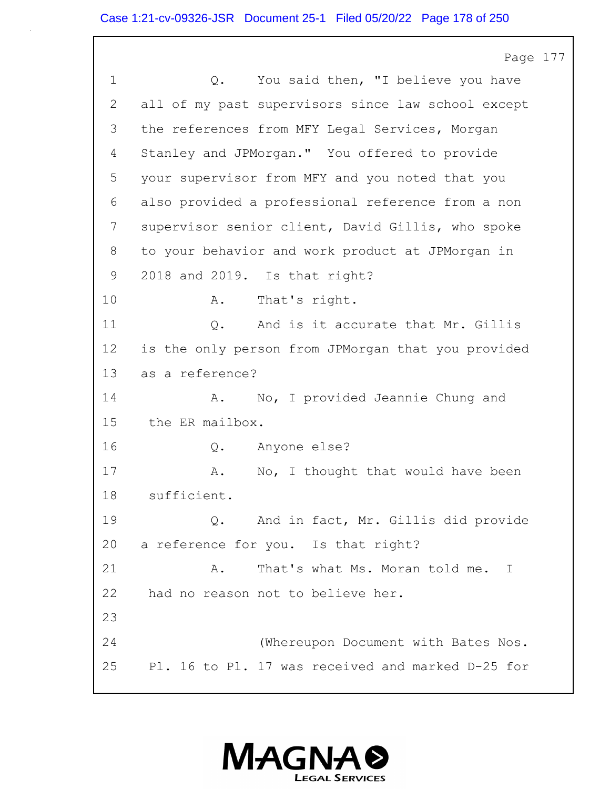Page 177

| 1            | You said then, "I believe you have<br>Q.           |
|--------------|----------------------------------------------------|
| $\mathbf{2}$ | all of my past supervisors since law school except |
| 3            | the references from MFY Legal Services, Morgan     |
| 4            | Stanley and JPMorgan." You offered to provide      |
| 5            | your supervisor from MFY and you noted that you    |
| 6            | also provided a professional reference from a non  |
| 7            | supervisor senior client, David Gillis, who spoke  |
| 8            | to your behavior and work product at JPMorgan in   |
| 9            | 2018 and 2019. Is that right?                      |
| 10           | That's right.<br>Α.                                |
| 11           | And is it accurate that Mr. Gillis<br>$Q$ .        |
| 12           | is the only person from JPMorgan that you provided |
| 13           | as a reference?                                    |
| 14           | No, I provided Jeannie Chung and<br>Α.             |
| 15           | the ER mailbox.                                    |
| 16           | Anyone else?<br>Q.                                 |
| 17           | No, I thought that would have been<br>A.           |
| 18           | sufficient.                                        |
| 19           | And in fact, Mr. Gillis did provide<br>Q.          |
| 20           | a reference for you. Is that right?                |
| 21           | That's what Ms. Moran told me.<br>Α.<br>$\perp$    |
| 22           | had no reason not to believe her.                  |
| 23           |                                                    |
| 24           | (Whereupon Document with Bates Nos.                |
| 25           | Pl. 16 to Pl. 17 was received and marked D-25 for  |

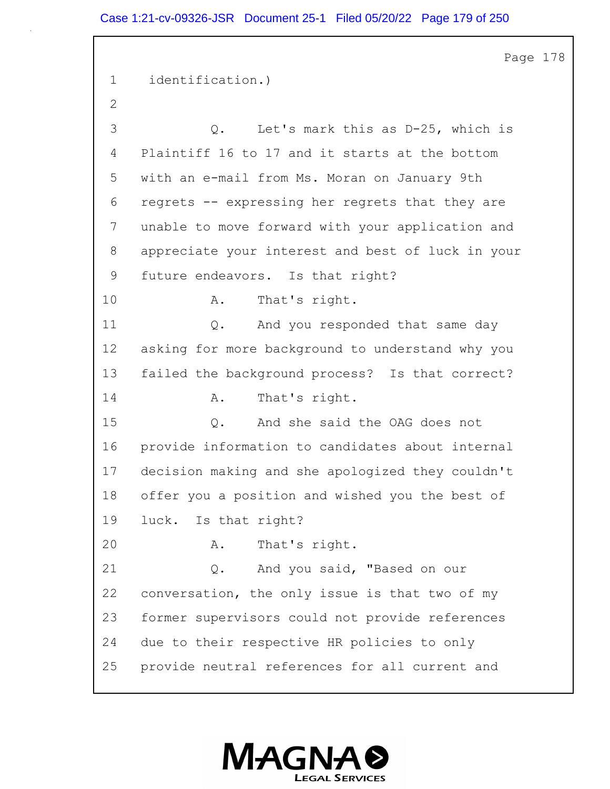```
Page 178
1 identification.)
2
3 Q. Let's mark this as D-25, which is
4 Plaintiff 16 to 17 and it starts at the bottom
5 with an e-mail from Ms. Moran on January 9th
6 regrets -- expressing her regrets that they are
7 unable to move forward with your application and
8 appreciate your interest and best of luck in your
9 future endeavors. Is that right?
10 A. That's right.
11 Q. And you responded that same day
12 asking for more background to understand why you
13 failed the background process? Is that correct?
14 A. That's right.
15 Q. And she said the OAG does not
16 provide information to candidates about internal
17 decision making and she apologized they couldn't
18 offer you a position and wished you the best of
19 luck. Is that right?
20 A. That's right.
21 Q. And you said, "Based on our
22 conversation, the only issue is that two of my
23 former supervisors could not provide references
24 due to their respective HR policies to only
25 provide neutral references for all current and
```
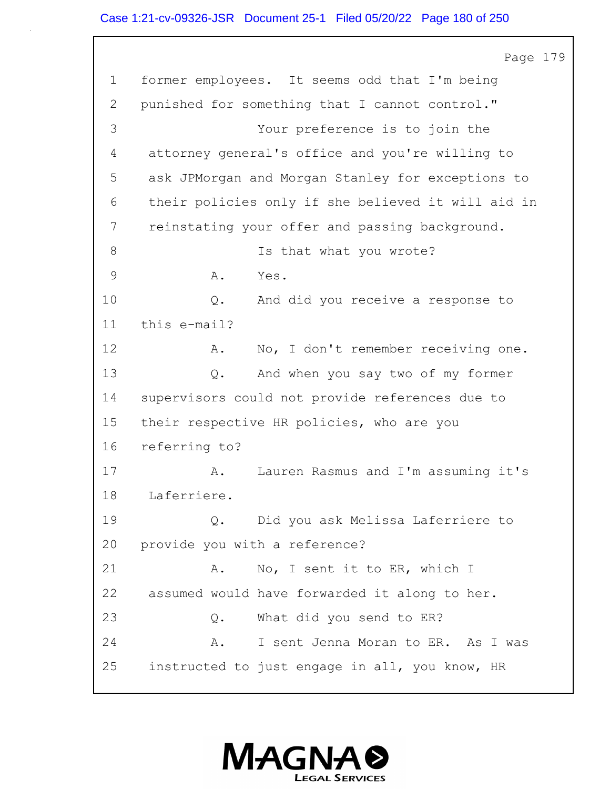# Case 1:21-cv-09326-JSR Document 25-1 Filed 05/20/22 Page 180 of 250

Page 179 1 former employees. It seems odd that I'm being 2 punished for something that I cannot control." 3 Your preference is to join the 4 attorney general's office and you're willing to 5 ask JPMorgan and Morgan Stanley for exceptions to 6 their policies only if she believed it will aid in 7 reinstating your offer and passing background. 8 Is that what you wrote? 9 A. Yes. 10 Q. And did you receive a response to 11 this e-mail? 12 A. No, I don't remember receiving one. 13 Q. And when you say two of my former 14 supervisors could not provide references due to 15 their respective HR policies, who are you 16 referring to? 17 A. Lauren Rasmus and I'm assuming it's 18 Laferriere. 19 Q. Did you ask Melissa Laferriere to 20 provide you with a reference? 21 A. No, I sent it to ER, which I 22 assumed would have forwarded it along to her. 23 Q. What did you send to ER? 24 A. I sent Jenna Moran to ER. As I was 25 instructed to just engage in all, you know, HR

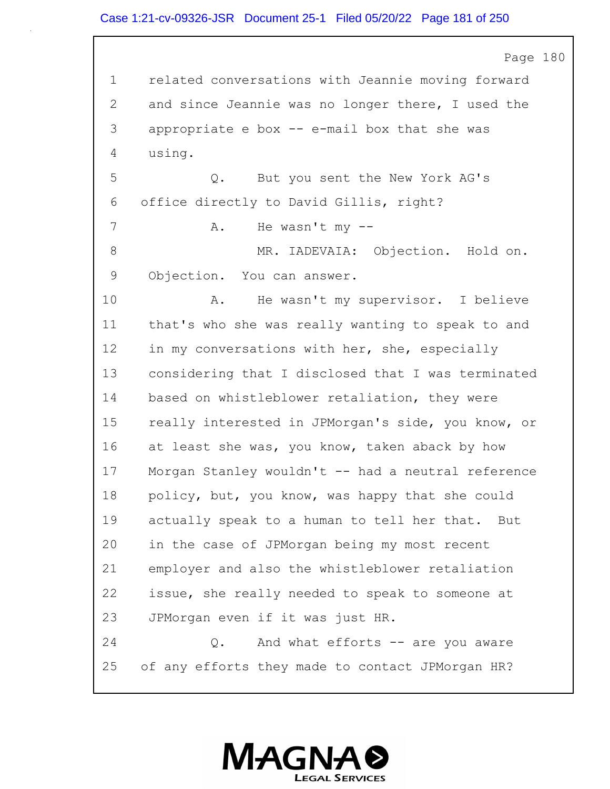#### Case 1:21-cv-09326-JSR Document 25-1 Filed 05/20/22 Page 181 of 250

Page 180 1 related conversations with Jeannie moving forward 2 and since Jeannie was no longer there, I used the 3 appropriate e box -- e-mail box that she was 4 using. 5 Q. But you sent the New York AG's 6 office directly to David Gillis, right? 7 A. He wasn't my --8 MR. IADEVAIA: Objection. Hold on. 9 Objection. You can answer. 10 A. He wasn't my supervisor. I believe 11 that's who she was really wanting to speak to and 12 in my conversations with her, she, especially 13 considering that I disclosed that I was terminated 14 based on whistleblower retaliation, they were 15 really interested in JPMorgan's side, you know, or 16 at least she was, you know, taken aback by how 17 Morgan Stanley wouldn't -- had a neutral reference 18 policy, but, you know, was happy that she could 19 actually speak to a human to tell her that. But 20 in the case of JPMorgan being my most recent 21 employer and also the whistleblower retaliation 22 issue, she really needed to speak to someone at 23 JPMorgan even if it was just HR. 24 Q. And what efforts -- are you aware 25 of any efforts they made to contact JPMorgan HR?

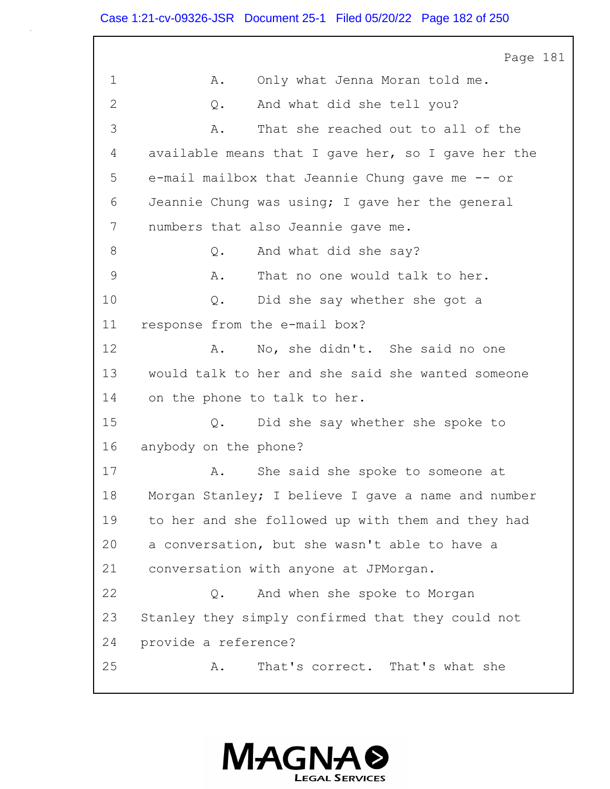#### Case 1:21-cv-09326-JSR Document 25-1 Filed 05/20/22 Page 182 of 250

Page 181 1 A. Only what Jenna Moran told me. 2 Q. And what did she tell you? 3 A. That she reached out to all of the 4 available means that I gave her, so I gave her the 5 e-mail mailbox that Jeannie Chung gave me -- or 6 Jeannie Chung was using; I gave her the general 7 numbers that also Jeannie gave me. 8 Q. And what did she say? 9 A. That no one would talk to her. 10 Q. Did she say whether she got a 11 response from the e-mail box? 12 A. No, she didn't. She said no one 13 would talk to her and she said she wanted someone 14 on the phone to talk to her. 15 Q. Did she say whether she spoke to 16 anybody on the phone? 17 A. She said she spoke to someone at 18 Morgan Stanley; I believe I gave a name and number 19 to her and she followed up with them and they had 20 a conversation, but she wasn't able to have a 21 conversation with anyone at JPMorgan. 22 Q. And when she spoke to Morgan 23 Stanley they simply confirmed that they could not 24 provide a reference? 25 A. That's correct. That's what she

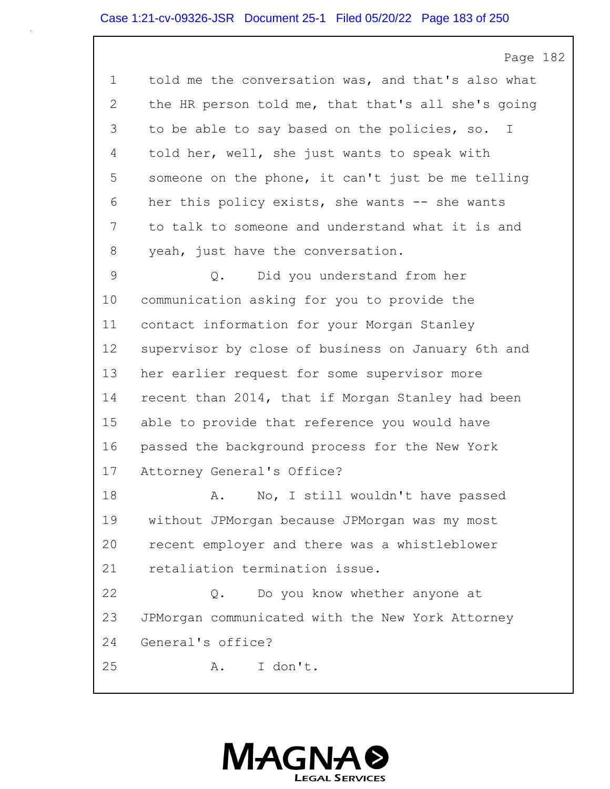Page 182

1 told me the conversation was, and that's also what 2 the HR person told me, that that's all she's going 3 to be able to say based on the policies, so. I 4 told her, well, she just wants to speak with 5 someone on the phone, it can't just be me telling 6 her this policy exists, she wants -- she wants 7 to talk to someone and understand what it is and 8 yeah, just have the conversation.

9 Q. Did you understand from her 10 communication asking for you to provide the 11 contact information for your Morgan Stanley 12 supervisor by close of business on January 6th and 13 her earlier request for some supervisor more 14 recent than 2014, that if Morgan Stanley had been 15 able to provide that reference you would have 16 passed the background process for the New York 17 Attorney General's Office?

18 A. No, I still wouldn't have passed 19 without JPMorgan because JPMorgan was my most 20 recent employer and there was a whistleblower 21 retaliation termination issue.

22 Q. Do you know whether anyone at 23 JPMorgan communicated with the New York Attorney 24 General's office?

```
25 A. I don't.
```
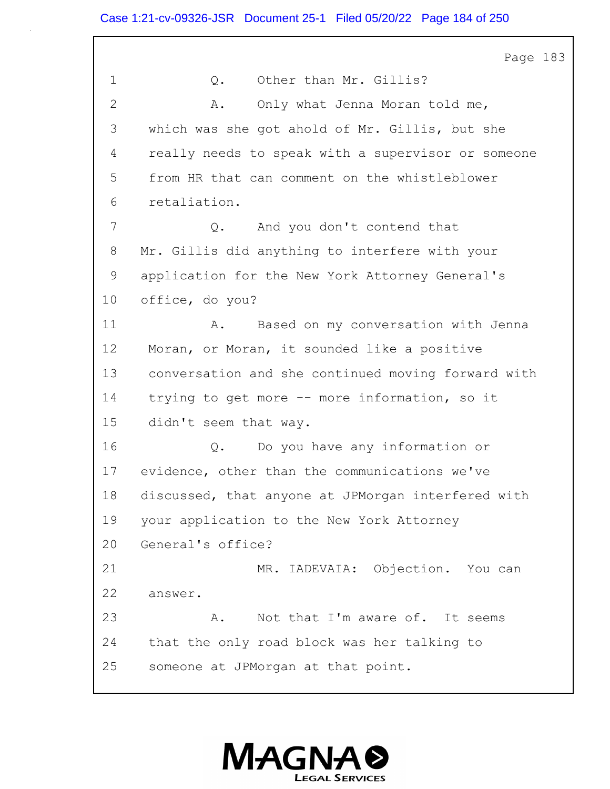Page 183 1 C. Other than Mr. Gillis? 2 A. Only what Jenna Moran told me, 3 which was she got ahold of Mr. Gillis, but she 4 really needs to speak with a supervisor or someone 5 from HR that can comment on the whistleblower 6 retaliation. 7 Q. And you don't contend that 8 Mr. Gillis did anything to interfere with your 9 application for the New York Attorney General's 10 office, do you? 11 A. Based on my conversation with Jenna 12 Moran, or Moran, it sounded like a positive 13 conversation and she continued moving forward with 14 trying to get more -- more information, so it 15 didn't seem that way. 16 Q. Do you have any information or 17 evidence, other than the communications we've 18 discussed, that anyone at JPMorgan interfered with 19 your application to the New York Attorney 20 General's office? 21 MR. IADEVAIA: Objection. You can 22 answer. 23 A. Not that I'm aware of. It seems 24 that the only road block was her talking to 25 someone at JPMorgan at that point.

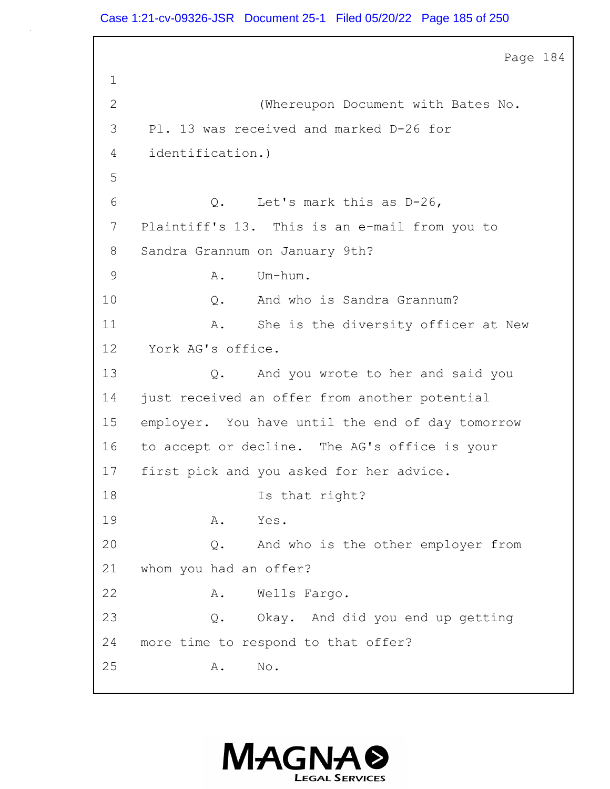```
Page 184
1
2 (Whereupon Document with Bates No.
3 Pl. 13 was received and marked D-26 for
4 identification.)
5
6 Q. Let's mark this as D-26,
7 Plaintiff's 13. This is an e-mail from you to
8 Sandra Grannum on January 9th?
9 A. Um-hum.
10 Q. And who is Sandra Grannum?
11 A. She is the diversity officer at New
12 York AG's office.
13 Q. And you wrote to her and said you
14 just received an offer from another potential
15 employer. You have until the end of day tomorrow
16 to accept or decline. The AG's office is your
17 first pick and you asked for her advice.
18 Is that right?
19 A. Yes.
20 Q. And who is the other employer from
21 whom you had an offer?
22 A. Wells Fargo.
23 Q. Okay. And did you end up getting
24 more time to respond to that offer?
25 A. No.
```
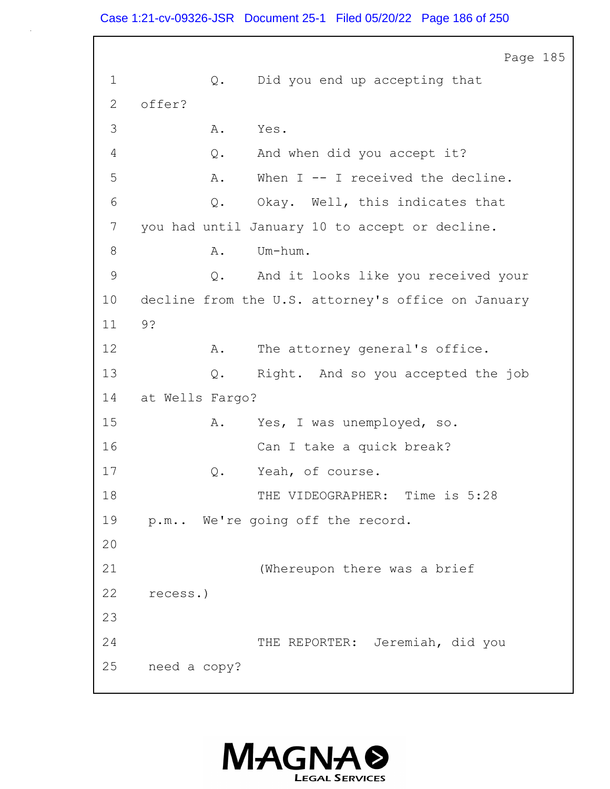Case 1:21-cv-09326-JSR Document 25-1 Filed 05/20/22 Page 186 of 250

Page 185 1 Q. Did you end up accepting that 2 offer? 3 A. Yes. 4 Q. And when did you accept it? 5 A. When I -- I received the decline. 6 Q. Okay. Well, this indicates that 7 you had until January 10 to accept or decline. 8 A. Um-hum. 9 Q. And it looks like you received your 10 decline from the U.S. attorney's office on January 11 9? 12 A. The attorney general's office. 13 Q. Right. And so you accepted the job 14 at Wells Fargo? 15 A. Yes, I was unemployed, so. 16 Can I take a quick break? 17 Q. Yeah, of course. 18 THE VIDEOGRAPHER: Time is 5:28 19 p.m.. We're going off the record.  $20$ 21 (Whereupon there was a brief 22 recess.) 23 24 THE REPORTER: Jeremiah, did you 25 need a copy?

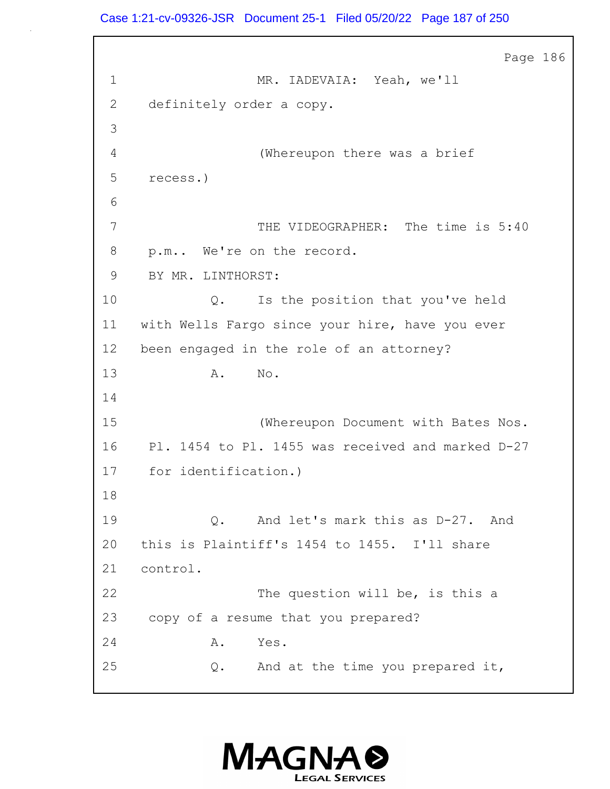### Case 1:21-cv-09326-JSR Document 25-1 Filed 05/20/22 Page 187 of 250

Page 186 1 MR. IADEVAIA: Yeah, we'll 2 definitely order a copy. 3 4 (Whereupon there was a brief 5 recess.) 6 7 THE VIDEOGRAPHER: The time is 5:40 8 p.m.. We're on the record. 9 BY MR. LINTHORST: 10 Q. Is the position that you've held 11 with Wells Fargo since your hire, have you ever 12 been engaged in the role of an attorney? 13 A. No. 14 15 (Whereupon Document with Bates Nos. 16 Pl. 1454 to Pl. 1455 was received and marked D-27 17 for identification.) 18 19 Q. And let's mark this as D-27. And 20 this is Plaintiff's 1454 to 1455. I'll share 21 control. 22 The question will be, is this a 23 copy of a resume that you prepared? 24 A. Yes. 25 Q. And at the time you prepared it,

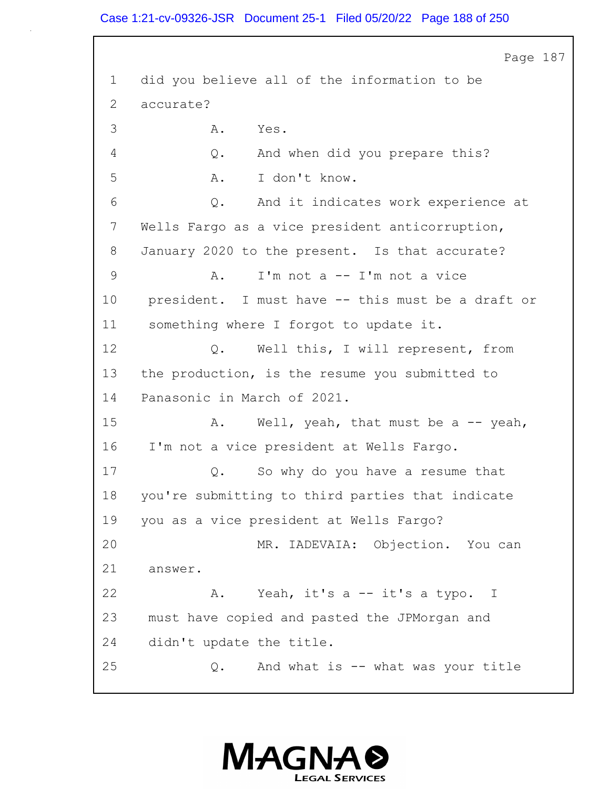#### Case 1:21-cv-09326-JSR Document 25-1 Filed 05/20/22 Page 188 of 250

Page 187 1 did you believe all of the information to be 2 accurate? 3 A. Yes. 4 Q. And when did you prepare this? 5 A. I don't know. 6 Q. And it indicates work experience at 7 Wells Fargo as a vice president anticorruption, 8 January 2020 to the present. Is that accurate? 9 A. I'm not a -- I'm not a vice 10 president. I must have -- this must be a draft or 11 something where I forgot to update it. 12 Q. Well this, I will represent, from 13 the production, is the resume you submitted to 14 Panasonic in March of 2021. 15 A. Well, yeah, that must be a -- yeah, 16 I'm not a vice president at Wells Fargo. 17 Q. So why do you have a resume that 18 you're submitting to third parties that indicate 19 you as a vice president at Wells Fargo? 20 MR. IADEVAIA: Objection. You can 21 answer. 22 A. Yeah, it's a -- it's a typo. I 23 must have copied and pasted the JPMorgan and 24 didn't update the title. 25 Q. And what is -- what was your title

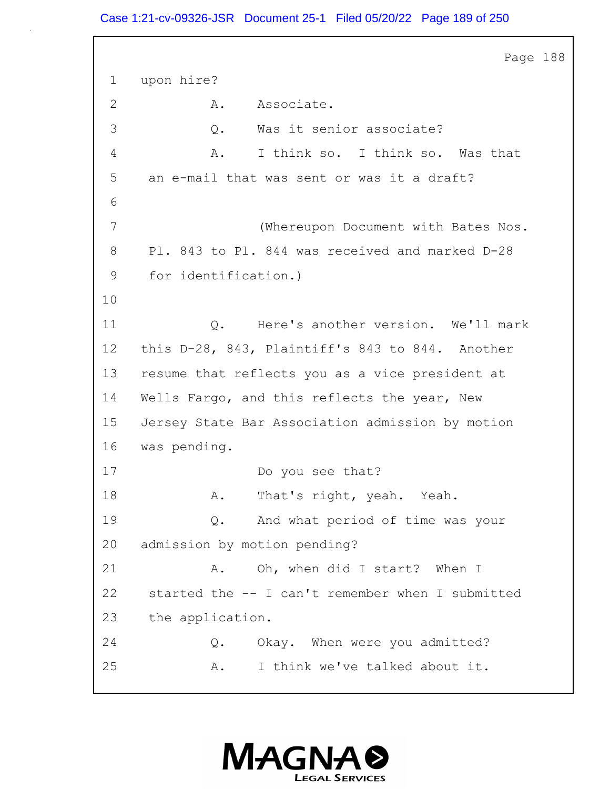#### Case 1:21-cv-09326-JSR Document 25-1 Filed 05/20/22 Page 189 of 250

Page 188 1 upon hire? 2 A. Associate. 3 Q. Was it senior associate? 4 A. I think so. I think so. Was that 5 an e-mail that was sent or was it a draft? 6 7 (Whereupon Document with Bates Nos. 8 Pl. 843 to Pl. 844 was received and marked D-28 9 for identification.) 10 11 6. Here's another version. We'll mark 12 this D-28, 843, Plaintiff's 843 to 844. Another 13 resume that reflects you as a vice president at 14 Wells Fargo, and this reflects the year, New 15 Jersey State Bar Association admission by motion 16 was pending. 17 Do you see that? 18 A. That's right, yeah. Yeah. 19 Q. And what period of time was your 20 admission by motion pending? 21 A. Oh, when did I start? When I 22 started the -- I can't remember when I submitted 23 the application. 24 Q. Okay. When were you admitted? 25 A. I think we've talked about it.

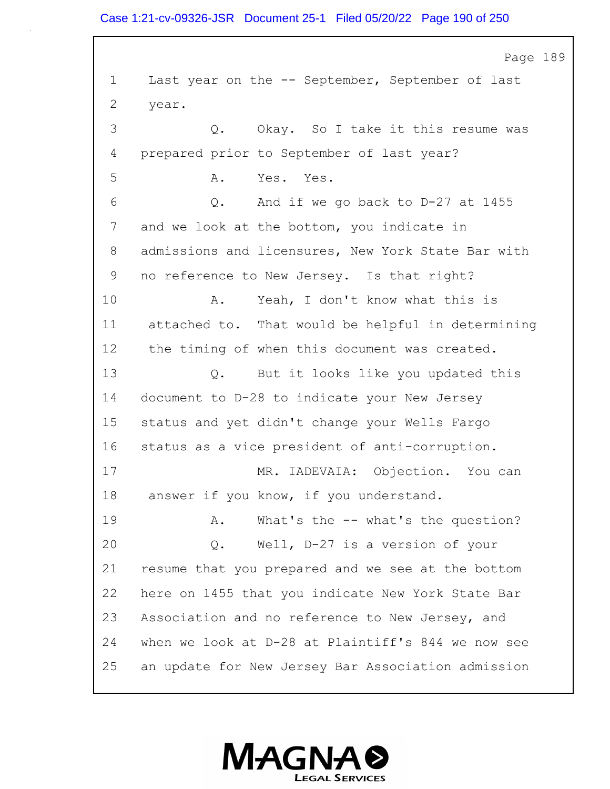#### Case 1:21-cv-09326-JSR Document 25-1 Filed 05/20/22 Page 190 of 250

Page 189 1 Last year on the -- September, September of last 2 year. 3 Q. Okay. So I take it this resume was 4 prepared prior to September of last year? 5 A. Yes. Yes. 6 Q. And if we go back to D-27 at 1455 7 and we look at the bottom, you indicate in 8 admissions and licensures, New York State Bar with 9 no reference to New Jersey. Is that right? 10 A. Yeah, I don't know what this is 11 attached to. That would be helpful in determining 12 the timing of when this document was created. 13 Q. But it looks like you updated this 14 document to D-28 to indicate your New Jersey 15 status and yet didn't change your Wells Fargo 16 status as a vice president of anti-corruption. 17 MR. IADEVAIA: Objection. You can 18 answer if you know, if you understand. 19 A. What's the -- what's the question? 20 Q. Well, D-27 is a version of your 21 resume that you prepared and we see at the bottom 22 here on 1455 that you indicate New York State Bar 23 Association and no reference to New Jersey, and 24 when we look at D-28 at Plaintiff's 844 we now see 25 an update for New Jersey Bar Association admission

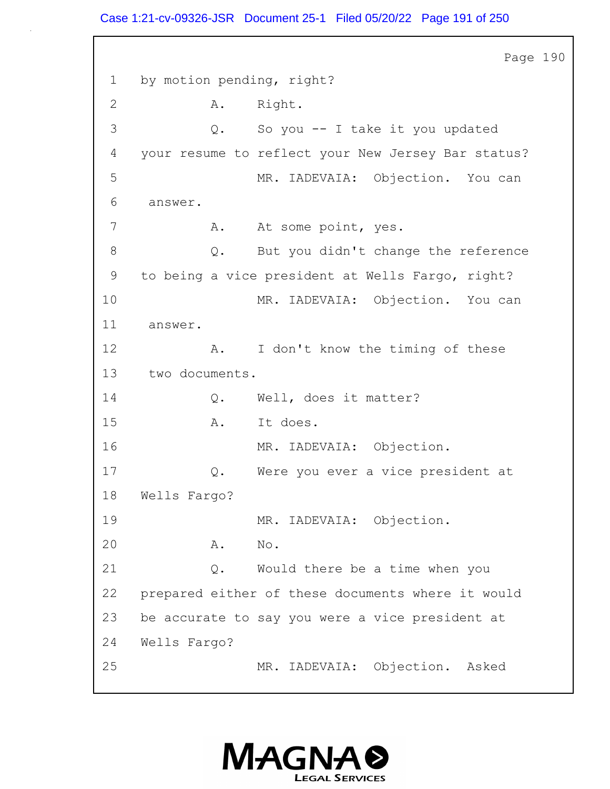### Case 1:21-cv-09326-JSR Document 25-1 Filed 05/20/22 Page 191 of 250

Page 190 1 by motion pending, right? 2 A. Right. 3 Q. So you -- I take it you updated 4 your resume to reflect your New Jersey Bar status? 5 MR. IADEVAIA: Objection. You can 6 answer. 7 A. At some point, yes. 8 Q. But you didn't change the reference 9 to being a vice president at Wells Fargo, right? 10 MR. IADEVAIA: Objection. You can 11 answer. 12 A. I don't know the timing of these 13 two documents. 14 Q. Well, does it matter? 15 A. It does. 16 MR. IADEVAIA: Objection. 17 Q. Were you ever a vice president at 18 Wells Fargo? 19 MR. IADEVAIA: Objection. 20 A. No. 21 Q. Would there be a time when you 22 prepared either of these documents where it would 23 be accurate to say you were a vice president at 24 Wells Fargo? 25 MR. IADEVAIA: Objection. Asked

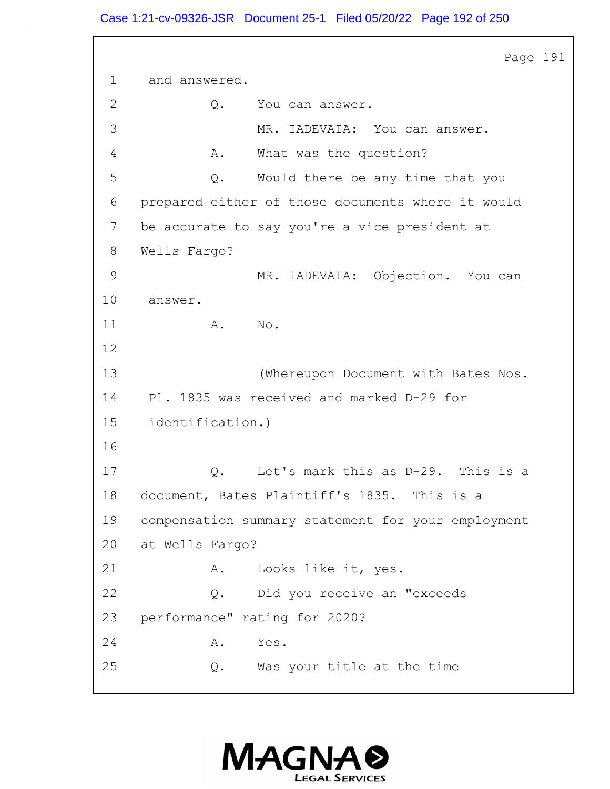Case 1:21-cv-09326-JSR Document 25-1 Filed 05/20/22 Page 192 of 250

Page 191 1 and answered. 2 Q. You can answer. 3 MR. IADEVAIA: You can answer. 4 A. What was the question? 5 Q. Would there be any time that you 6 prepared either of those documents where it would 7 be accurate to say you're a vice president at 8 Wells Fargo? 9 MR. IADEVAIA: Objection. You can 10 answer. 11 A. No. 12 13 (Whereupon Document with Bates Nos. 14 Pl. 1835 was received and marked D-29 for 15 identification.) 16 17 Q. Let's mark this as D-29. This is a 18 document, Bates Plaintiff's 1835. This is a 19 compensation summary statement for your employment 20 at Wells Fargo? 21 A. Looks like it, yes. 22 Q. Did you receive an "exceeds 23 performance" rating for 2020? 24 A. Yes. 25 Q. Was your title at the time

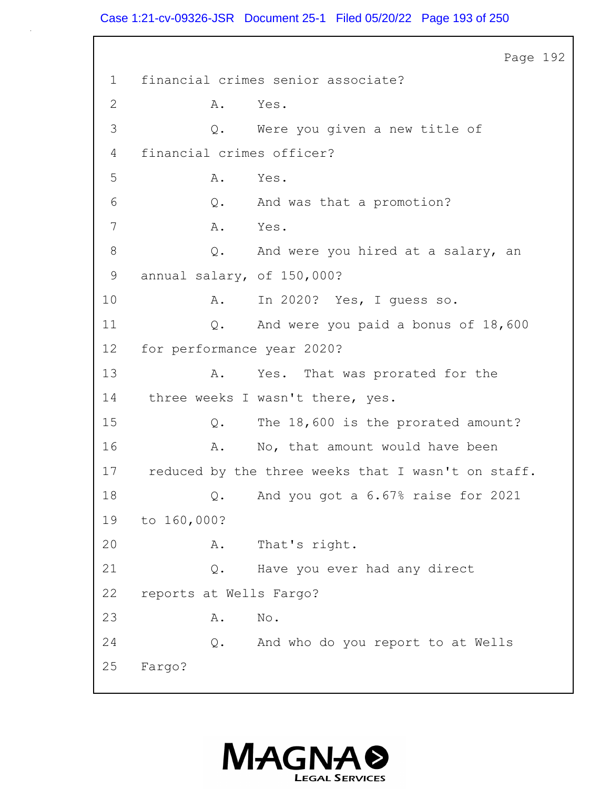#### Case 1:21-cv-09326-JSR Document 25-1 Filed 05/20/22 Page 193 of 250

Page 192 1 financial crimes senior associate? 2 A. Yes. 3 Q. Were you given a new title of 4 financial crimes officer? 5 A. Yes. 6 Q. And was that a promotion? 7 A. Yes. 8 Q. And were you hired at a salary, an 9 annual salary, of 150,000? 10 A. In 2020? Yes, I guess so. 11 Q. And were you paid a bonus of 18,600 12 for performance year 2020? 13 A. Yes. That was prorated for the 14 three weeks I wasn't there, yes. 15 Q. The 18,600 is the prorated amount? 16 A. No, that amount would have been 17 reduced by the three weeks that I wasn't on staff. 18 Q. And you got a 6.67% raise for 2021 19 to 160,000? 20 A. That's right. 21 Q. Have you ever had any direct 22 reports at Wells Fargo? 23 A. No. 24 Q. And who do you report to at Wells 25 Fargo?

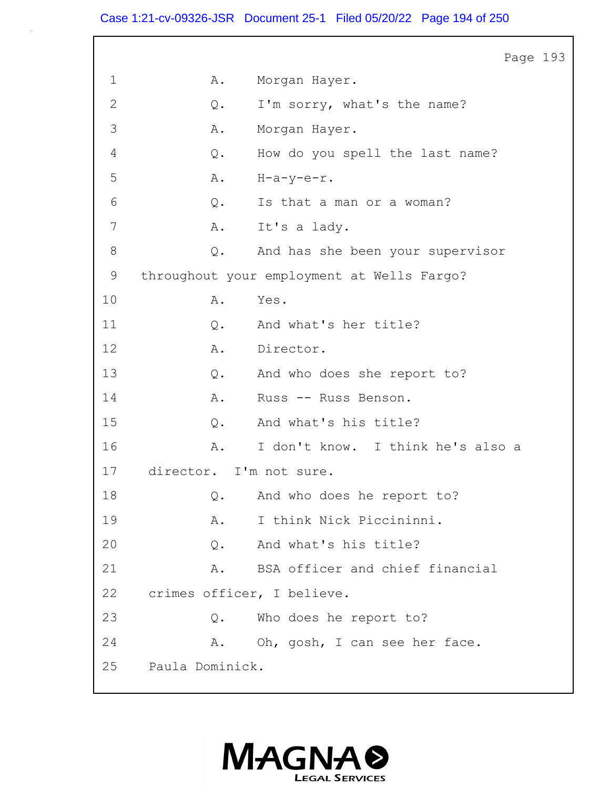#### Case 1:21-cv-09326-JSR Document 25-1 Filed 05/20/22 Page 194 of 250

Page 193 1 A. Morgan Hayer. 2 Q. I'm sorry, what's the name? 3 A. Morgan Hayer. 4 Q. How do you spell the last name? 5 A. H-a-y-e-r. 6 Q. Is that a man or a woman? 7 A. It's a lady. 8 Q. And has she been your supervisor 9 throughout your employment at Wells Fargo? 10 A. Yes. 11 0. And what's her title? 12 A. Director. 13 Q. And who does she report to? 14 A. Russ -- Russ Benson. 15 0. And what's his title? 16 A. I don't know. I think he's also a 17 director. I'm not sure. 18 Q. And who does he report to? 19 A. I think Nick Piccininni. 20 Q. And what's his title? 21 A. BSA officer and chief financial 22 crimes officer, I believe. 23 Q. Who does he report to? 24 A. Oh, gosh, I can see her face. 25 Paula Dominick.

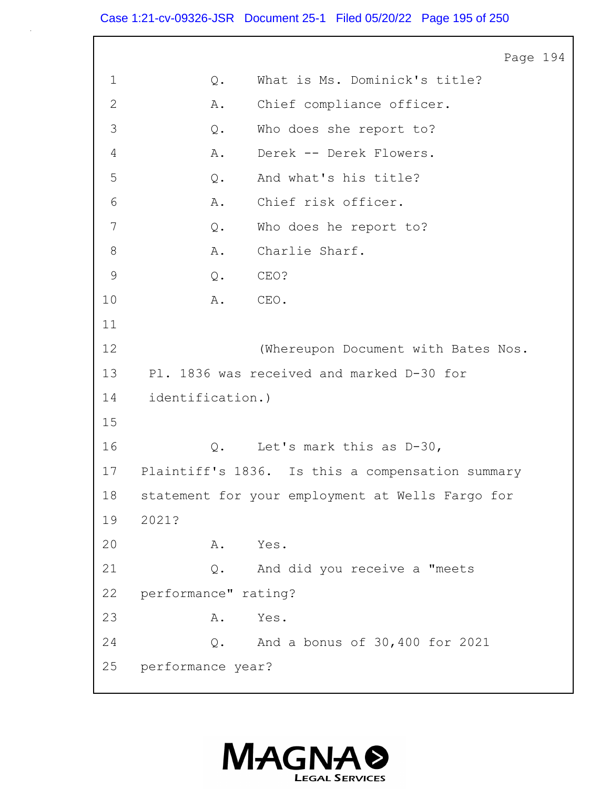```
Page 194
1 0. What is Ms. Dominick's title?
2 A. Chief compliance officer.
3 Q. Who does she report to?
4 A. Derek -- Derek Flowers.
5 Q. And what's his title?
6 A. Chief risk officer.
7 Q. Who does he report to?
8 A. Charlie Sharf.
9 Q. CEO?
10 A. CEO.
11
12 (Whereupon Document with Bates Nos.
13 Pl. 1836 was received and marked D-30 for
14 identification.)
15
16 Q. Let's mark this as D-30,
17 Plaintiff's 1836. Is this a compensation summary
18 statement for your employment at Wells Fargo for
19 2021?
20 A. Yes.
21 Q. And did you receive a "meets
22 performance" rating?
23 A. Yes.
24 Q. And a bonus of 30,400 for 2021
25 performance year?
```
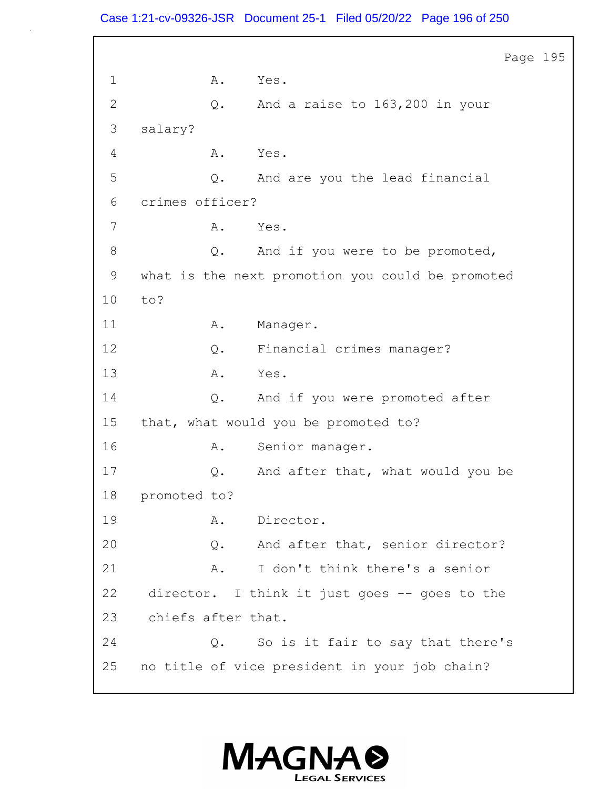#### Case 1:21-cv-09326-JSR Document 25-1 Filed 05/20/22 Page 196 of 250

Page 195 1 A. Yes. 2 Q. And a raise to 163,200 in your 3 salary? 4 A. Yes. 5 Q. And are you the lead financial 6 crimes officer? 7 A. Yes. 8 Q. And if you were to be promoted, 9 what is the next promotion you could be promoted 10 to? 11 A. Manager. 12 Q. Financial crimes manager? 13 A. Yes. 14 Q. And if you were promoted after 15 that, what would you be promoted to? 16 A. Senior manager. 17 Q. And after that, what would you be 18 promoted to? 19 A. Director. 20 Q. And after that, senior director? 21 A. I don't think there's a senior 22 director. I think it just goes -- goes to the 23 chiefs after that. 24 Q. So is it fair to say that there's 25 no title of vice president in your job chain?

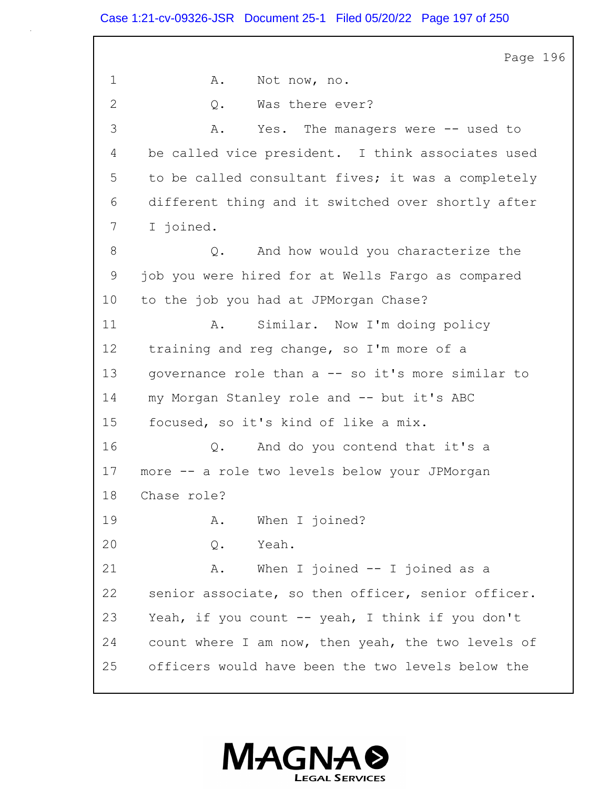#### Case 1:21-cv-09326-JSR Document 25-1 Filed 05/20/22 Page 197 of 250

Page 196 1 A. Not now, no. 2 Q. Was there ever? 3 A. Yes. The managers were -- used to 4 be called vice president. I think associates used 5 to be called consultant fives; it was a completely 6 different thing and it switched over shortly after 7 I joined. 8 Q. And how would you characterize the 9 job you were hired for at Wells Fargo as compared 10 to the job you had at JPMorgan Chase? 11 A. Similar. Now I'm doing policy 12 training and reg change, so I'm more of a 13 governance role than a -- so it's more similar to 14 my Morgan Stanley role and -- but it's ABC 15 focused, so it's kind of like a mix. 16 Q. And do you contend that it's a 17 more -- a role two levels below your JPMorgan 18 Chase role? 19 A. When I joined? 20 Q. Yeah. 21 A. When I joined -- I joined as a 22 senior associate, so then officer, senior officer. 23 Yeah, if you count -- yeah, I think if you don't 24 count where I am now, then yeah, the two levels of 25 officers would have been the two levels below the

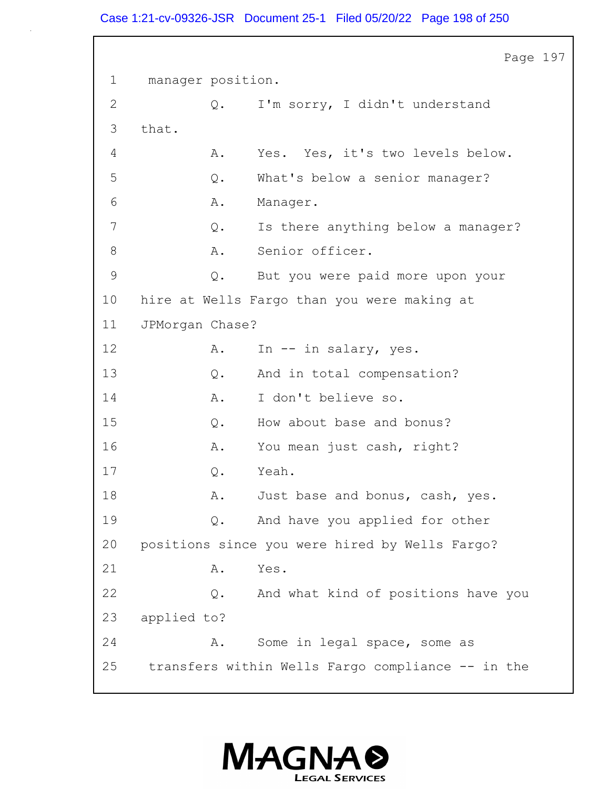Case 1:21-cv-09326-JSR Document 25-1 Filed 05/20/22 Page 198 of 250

```
Page 197
1 manager position.
2 Q. I'm sorry, I didn't understand
3 that.
4 A. Yes. Yes, it's two levels below.
5 Q. What's below a senior manager?
6 A. Manager.
7 Q. Is there anything below a manager?
8 A. Senior officer.
9 Q. But you were paid more upon your
10 hire at Wells Fargo than you were making at
11 JPMorgan Chase?
12 A. In -- in salary, yes.
13 Q. And in total compensation?
14 A. I don't believe so.
15 0. How about base and bonus?
16 A. You mean just cash, right?
17 Q. Yeah.
18 A. Just base and bonus, cash, yes.
19 Q. And have you applied for other
20 positions since you were hired by Wells Fargo?
21 A. Yes.
22 Q. And what kind of positions have you
23 applied to?
24 A. Some in legal space, some as
25 transfers within Wells Fargo compliance -- in the
```
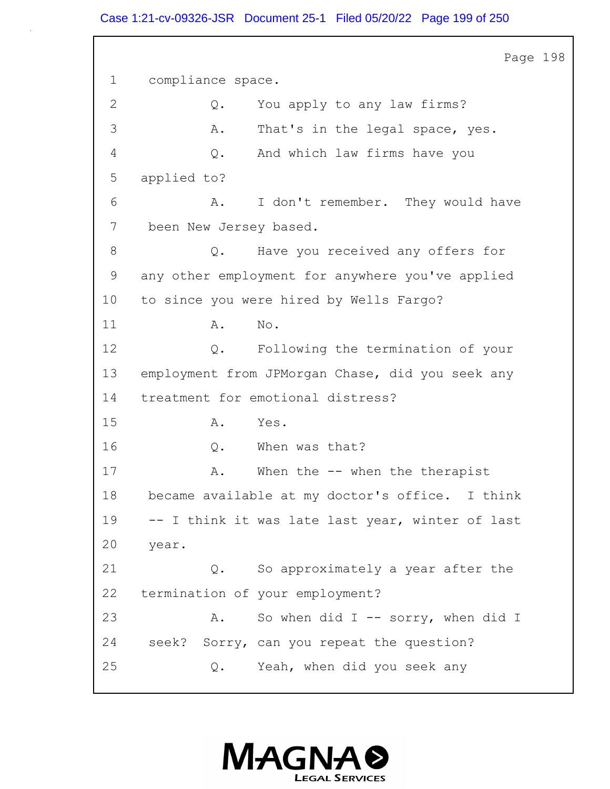Page 198 1 compliance space. 2 Q. You apply to any law firms? 3 A. That's in the legal space, yes. 4 Q. And which law firms have you 5 applied to? 6 A. I don't remember. They would have 7 been New Jersey based. 8 Q. Have you received any offers for 9 any other employment for anywhere you've applied 10 to since you were hired by Wells Fargo? 11 **A.** No. 12 Q. Following the termination of your 13 employment from JPMorgan Chase, did you seek any 14 treatment for emotional distress? 15 A. Yes. 16 Q. When was that? 17 A. When the -- when the therapist 18 became available at my doctor's office. I think 19 -- I think it was late last year, winter of last 20 year. 21 Q. So approximately a year after the 22 termination of your employment? 23 A. So when did I -- sorry, when did I 24 seek? Sorry, can you repeat the question? 25 Q. Yeah, when did you seek any

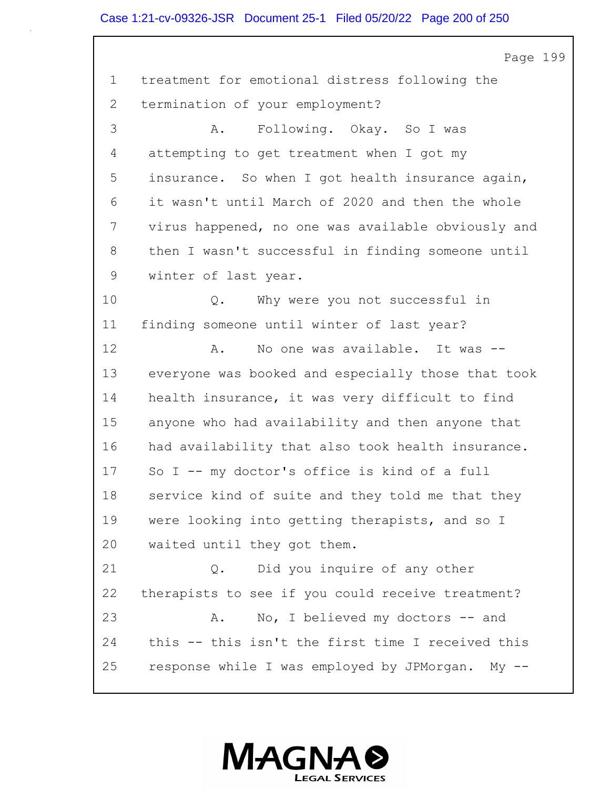#### Case 1:21-cv-09326-JSR Document 25-1 Filed 05/20/22 Page 200 of 250

Page 199 1 treatment for emotional distress following the 2 termination of your employment? 3 A. Following. Okay. So I was 4 attempting to get treatment when I got my 5 insurance. So when I got health insurance again, 6 it wasn't until March of 2020 and then the whole 7 virus happened, no one was available obviously and 8 then I wasn't successful in finding someone until 9 winter of last year. 10 Q. Why were you not successful in 11 finding someone until winter of last year? 12 A. No one was available. It was --13 everyone was booked and especially those that took 14 health insurance, it was very difficult to find 15 anyone who had availability and then anyone that 16 had availability that also took health insurance. 17 So I -- my doctor's office is kind of a full 18 service kind of suite and they told me that they 19 were looking into getting therapists, and so I 20 waited until they got them. 21 Q. Did you inquire of any other 22 therapists to see if you could receive treatment? 23 A. No, I believed my doctors -- and 24 this -- this isn't the first time I received this 25 response while I was employed by JPMorgan. My --

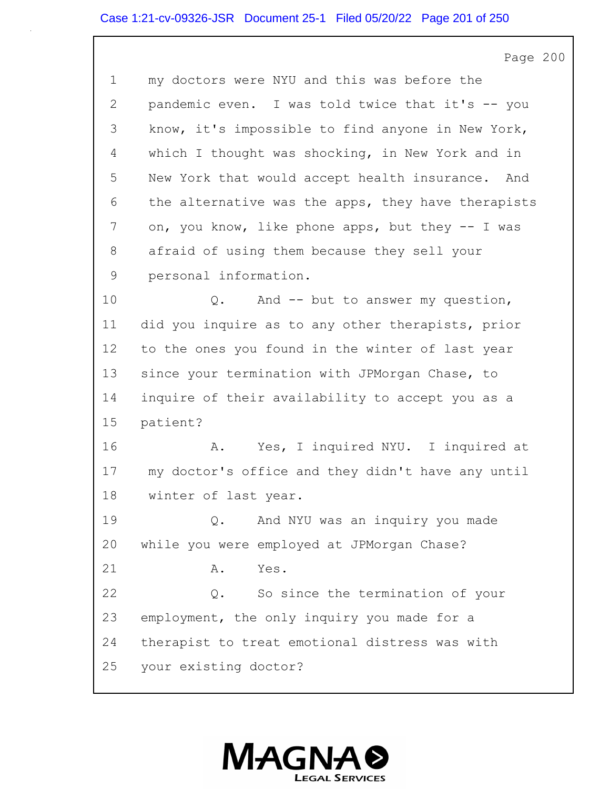#### Case 1:21-cv-09326-JSR Document 25-1 Filed 05/20/22 Page 201 of 250

Page 200

1 my doctors were NYU and this was before the 2 pandemic even. I was told twice that it's -- you 3 know, it's impossible to find anyone in New York, 4 which I thought was shocking, in New York and in 5 New York that would accept health insurance. And 6 the alternative was the apps, they have therapists 7 on, you know, like phone apps, but they -- I was 8 afraid of using them because they sell your 9 personal information. 10 Q. And -- but to answer my question, 11 did you inquire as to any other therapists, prior 12 to the ones you found in the winter of last year 13 since your termination with JPMorgan Chase, to 14 inquire of their availability to accept you as a 15 patient? 16 **A.** Yes, I inquired NYU. I inquired at 17 my doctor's office and they didn't have any until 18 winter of last year. 19 Q. And NYU was an inquiry you made 20 while you were employed at JPMorgan Chase? 21 A. Yes.

22 Q. So since the termination of your 23 employment, the only inquiry you made for a 24 therapist to treat emotional distress was with 25 your existing doctor?

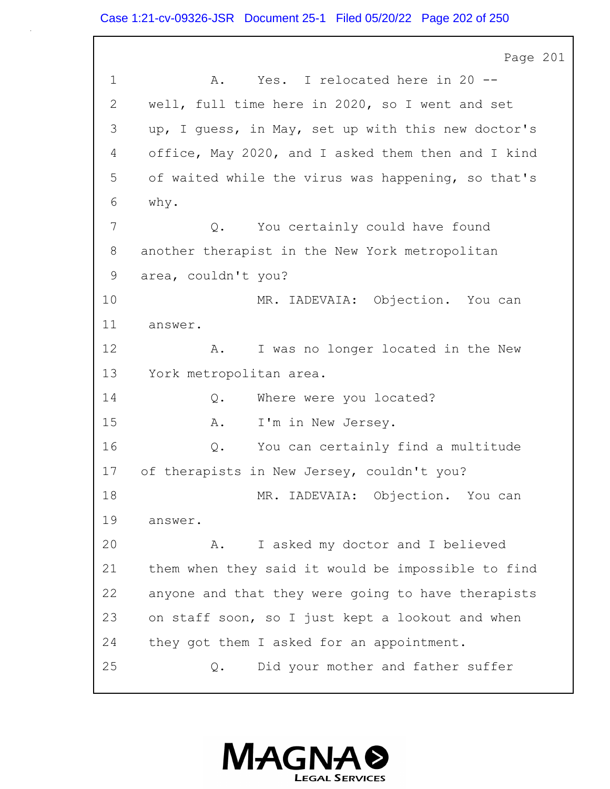#### Case 1:21-cv-09326-JSR Document 25-1 Filed 05/20/22 Page 202 of 250

Page 201 1 A. Yes. I relocated here in 20 -- 2 well, full time here in 2020, so I went and set 3 up, I guess, in May, set up with this new doctor's 4 office, May 2020, and I asked them then and I kind 5 of waited while the virus was happening, so that's 6 why. 7 Q. You certainly could have found 8 another therapist in the New York metropolitan 9 area, couldn't you? 10 MR. IADEVAIA: Objection. You can 11 answer. 12 A. I was no longer located in the New 13 York metropolitan area. 14 Q. Where were you located? 15 A. I'm in New Jersey. 16 Q. You can certainly find a multitude 17 of therapists in New Jersey, couldn't you? 18 MR. IADEVAIA: Objection. You can 19 answer. 20 A. I asked my doctor and I believed 21 them when they said it would be impossible to find 22 anyone and that they were going to have therapists 23 on staff soon, so I just kept a lookout and when 24 they got them I asked for an appointment. 25 Q. Did your mother and father suffer

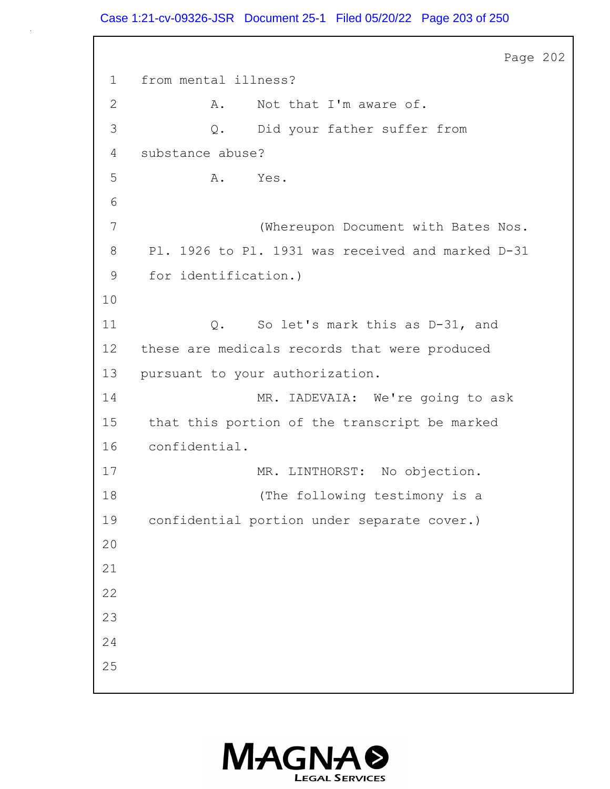#### Case 1:21-cv-09326-JSR Document 25-1 Filed 05/20/22 Page 203 of 250

Page 202 1 from mental illness? 2 A. Not that I'm aware of. 3 Q. Did your father suffer from 4 substance abuse? 5 A. Yes. 6 7 (Whereupon Document with Bates Nos. 8 Pl. 1926 to Pl. 1931 was received and marked D-31 9 for identification.) 10 11 Q. So let's mark this as D-31, and 12 these are medicals records that were produced 13 pursuant to your authorization. 14 MR. IADEVAIA: We're going to ask 15 that this portion of the transcript be marked 16 confidential. 17 MR. LINTHORST: No objection. 18 (The following testimony is a 19 confidential portion under separate cover.)  $20$ 21 22 23 24 25

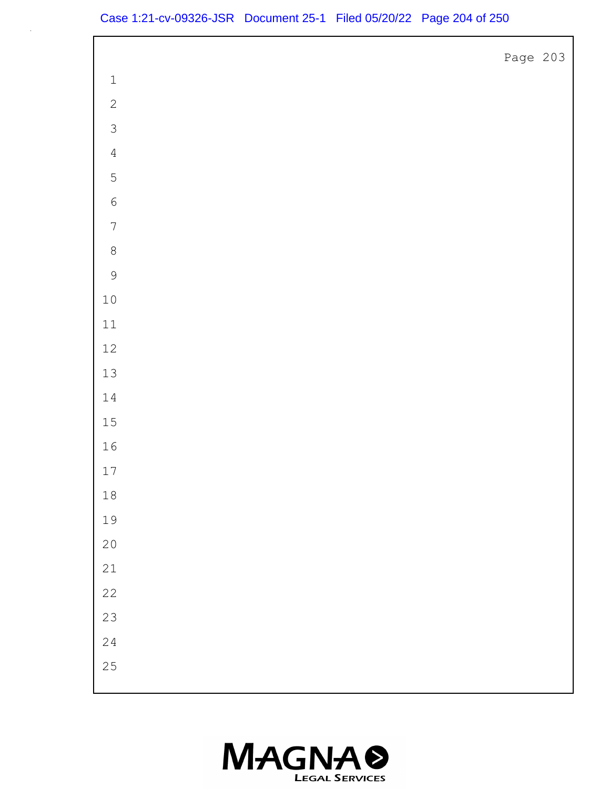# Case 1:21-cv-09326-JSR Document 25-1 Filed 05/20/22 Page 204 of 250

|                                       | Page 203 |  |
|---------------------------------------|----------|--|
| $\mathbf{1}$                          |          |  |
| $\overline{c}$                        |          |  |
| $\overline{3}$                        |          |  |
| $\overline{4}$                        |          |  |
| $\overline{5}$                        |          |  |
| $\overline{6}$                        |          |  |
| $\overline{7}$                        |          |  |
| $\begin{array}{c} 8 \\ 9 \end{array}$ |          |  |
|                                       |          |  |
| 10                                    |          |  |
| $11\,$                                |          |  |
| $12\,$                                |          |  |
| 13                                    |          |  |
| $1\,4$                                |          |  |
| $15\,$                                |          |  |
| $1\,6$                                |          |  |
| $17$                                  |          |  |
| 18                                    |          |  |
| 19                                    |          |  |
| $20$                                  |          |  |
| $21\,$                                |          |  |
| $2\sqrt{2}$                           |          |  |
| 23                                    |          |  |
| $2\sqrt{4}$                           |          |  |
| 25                                    |          |  |
|                                       |          |  |

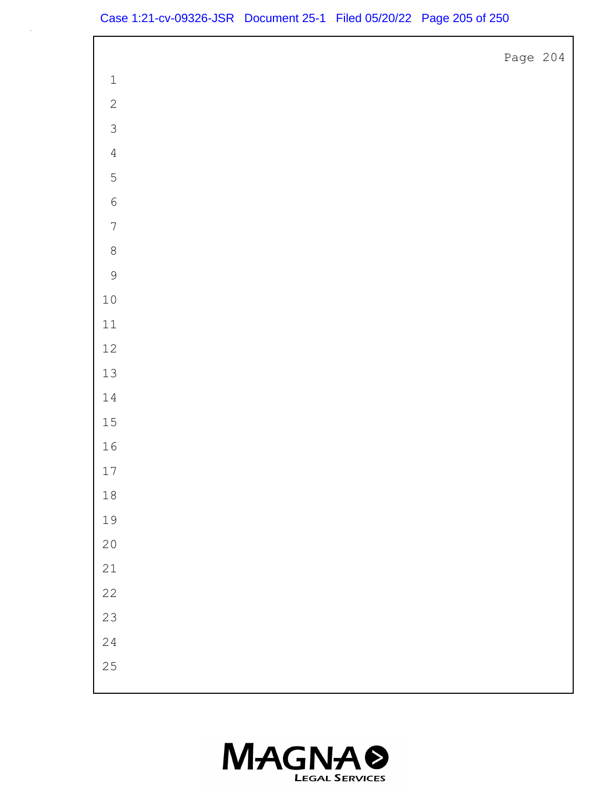# Case 1:21-cv-09326-JSR Document 25-1 Filed 05/20/22 Page 205 of 250

|                                       | Page 204 |  |
|---------------------------------------|----------|--|
| $\mathbf{1}$                          |          |  |
| $\overline{c}$                        |          |  |
| $\overline{3}$                        |          |  |
| $\overline{4}$                        |          |  |
| $\overline{5}$                        |          |  |
| $\overline{6}$                        |          |  |
| $\overline{7}$                        |          |  |
| $\begin{array}{c} 8 \\ 9 \end{array}$ |          |  |
|                                       |          |  |
| 10                                    |          |  |
| $11\,$                                |          |  |
| $12$                                  |          |  |
| 13                                    |          |  |
| $1\,4$                                |          |  |
| $15\,$                                |          |  |
| 16                                    |          |  |
| $17$                                  |          |  |
| 18                                    |          |  |
| 19                                    |          |  |
| $20$                                  |          |  |
| $21\,$                                |          |  |
| $22$                                  |          |  |
| 23                                    |          |  |
| $2\sqrt{4}$                           |          |  |
| 25                                    |          |  |
|                                       |          |  |

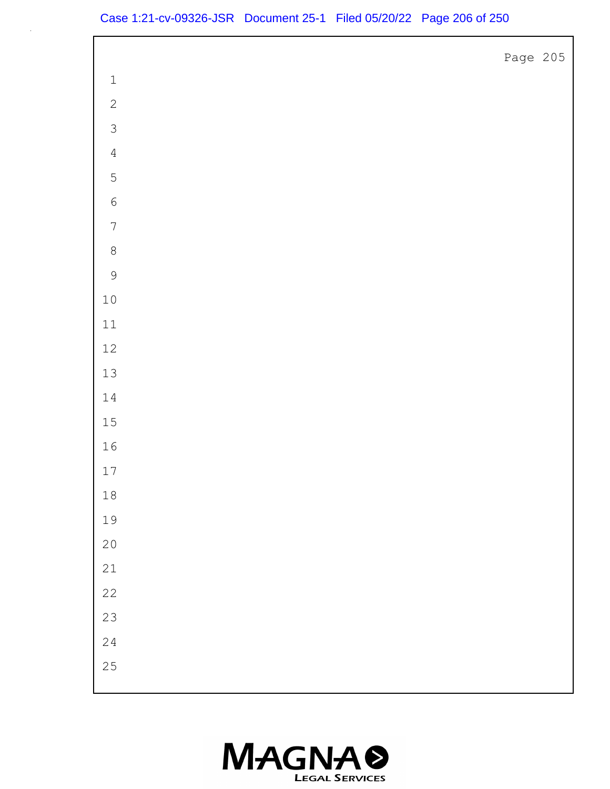# Case 1:21-cv-09326-JSR Document 25-1 Filed 05/20/22 Page 206 of 250

|                | Page 205 |  |
|----------------|----------|--|
| $\mathbf{1}$   |          |  |
| $\overline{c}$ |          |  |
| $\overline{3}$ |          |  |
| $\overline{4}$ |          |  |
| $\overline{5}$ |          |  |
| $\overline{6}$ |          |  |
| $\overline{7}$ |          |  |
| $\theta$       |          |  |
| $\overline{9}$ |          |  |
| 10             |          |  |
| $11\,$         |          |  |
| 12             |          |  |
| 13             |          |  |
| $1\,4$         |          |  |
| $15\,$         |          |  |
| 16             |          |  |
| $17$           |          |  |
| 18             |          |  |
| 19             |          |  |
| $20$           |          |  |
| 21             |          |  |
| $2\sqrt{2}$    |          |  |
| 23             |          |  |
| 24             |          |  |
| 25             |          |  |
|                |          |  |

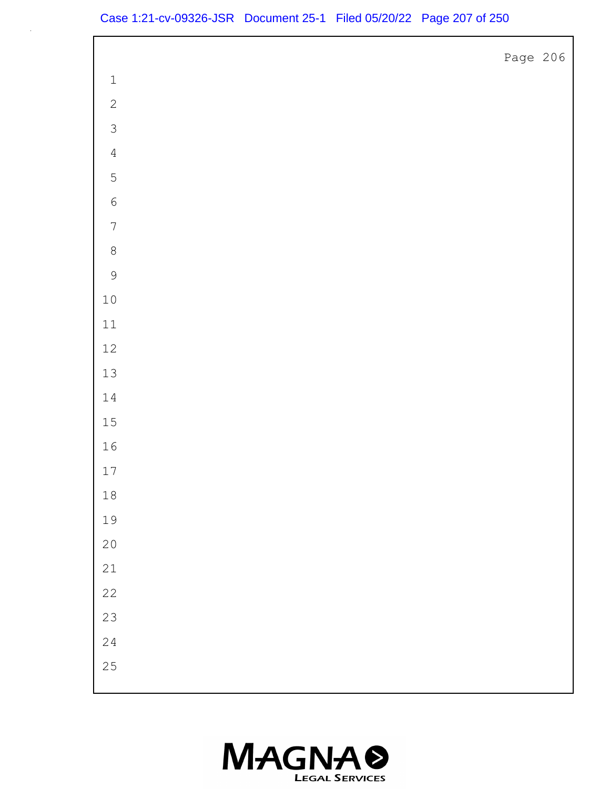# Case 1:21-cv-09326-JSR Document 25-1 Filed 05/20/22 Page 207 of 250

|                | Page 206 |  |
|----------------|----------|--|
| $\mathbf{1}$   |          |  |
| $\overline{c}$ |          |  |
| $\overline{3}$ |          |  |
| $\overline{4}$ |          |  |
| $\overline{5}$ |          |  |
| $\overline{6}$ |          |  |
| $\overline{7}$ |          |  |
| $\theta$       |          |  |
| $\overline{9}$ |          |  |
| 10             |          |  |
| $11$           |          |  |
| 12             |          |  |
| 13             |          |  |
| $1\,4$         |          |  |
| $15\,$         |          |  |
| 16             |          |  |
| $17$           |          |  |
| 18             |          |  |
| 19             |          |  |
| $20$           |          |  |
| 21             |          |  |
| $2\sqrt{2}$    |          |  |
| 23             |          |  |
| 24             |          |  |
| 25             |          |  |
|                |          |  |

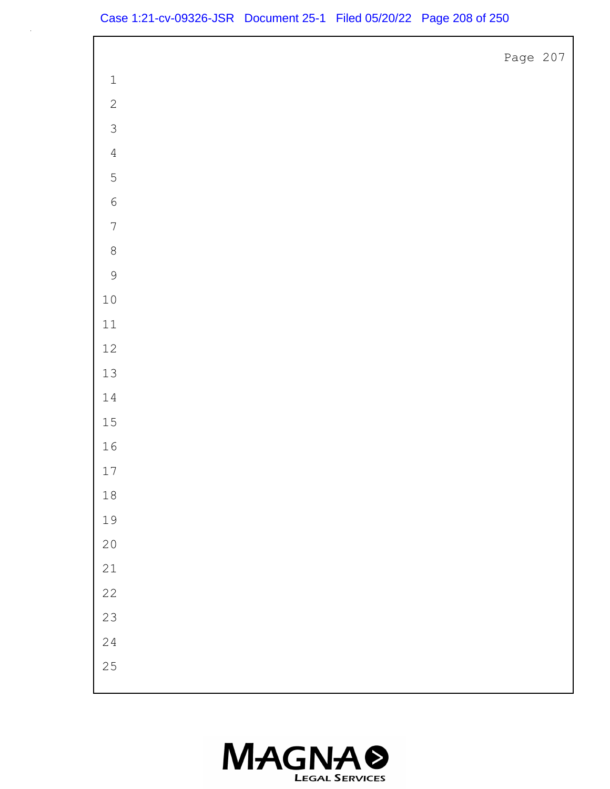# Case 1:21-cv-09326-JSR Document 25-1 Filed 05/20/22 Page 208 of 250

|                                       | Page 207 |  |
|---------------------------------------|----------|--|
| $\mathbf{1}$                          |          |  |
| $\frac{2}{3}$                         |          |  |
|                                       |          |  |
| $\overline{4}$                        |          |  |
| $\overline{5}$                        |          |  |
| $\overline{6}$                        |          |  |
| $\overline{7}$                        |          |  |
| $\begin{array}{c} 8 \\ 9 \end{array}$ |          |  |
|                                       |          |  |
| 10                                    |          |  |
| $11\,$                                |          |  |
| $12$                                  |          |  |
| 13                                    |          |  |
| $1\,4$                                |          |  |
| $15\,$                                |          |  |
| 16                                    |          |  |
| $17$                                  |          |  |
| 18                                    |          |  |
| 19                                    |          |  |
| $20$                                  |          |  |
| $21\,$                                |          |  |
| 22                                    |          |  |
| 23                                    |          |  |
| 24                                    |          |  |
| 25                                    |          |  |
|                                       |          |  |

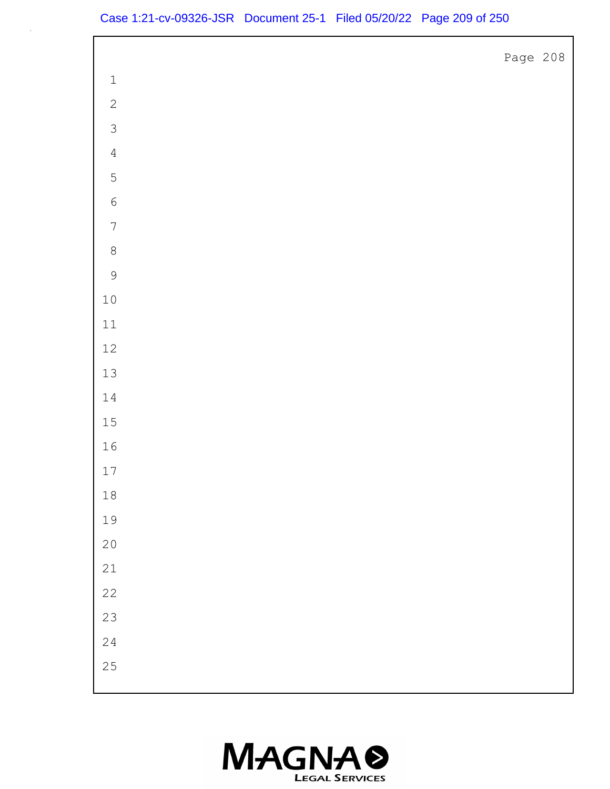# Case 1:21-cv-09326-JSR Document 25-1 Filed 05/20/22 Page 209 of 250

|                                       | Page 208 |  |
|---------------------------------------|----------|--|
| $\mathbf{1}$                          |          |  |
| $\frac{2}{3}$                         |          |  |
|                                       |          |  |
| $\overline{4}$                        |          |  |
| $\overline{5}$                        |          |  |
| $\overline{6}$                        |          |  |
| $\overline{7}$                        |          |  |
| $\begin{array}{c} 8 \\ 9 \end{array}$ |          |  |
|                                       |          |  |
| 10                                    |          |  |
| $11$                                  |          |  |
| 12                                    |          |  |
| 13                                    |          |  |
| $1\,4$                                |          |  |
| $15\,$                                |          |  |
| 16                                    |          |  |
| $17$                                  |          |  |
| 18                                    |          |  |
| 19                                    |          |  |
| $20$                                  |          |  |
| 21                                    |          |  |
| $2\sqrt{2}$                           |          |  |
| 23                                    |          |  |
| 24                                    |          |  |
| 25                                    |          |  |
|                                       |          |  |

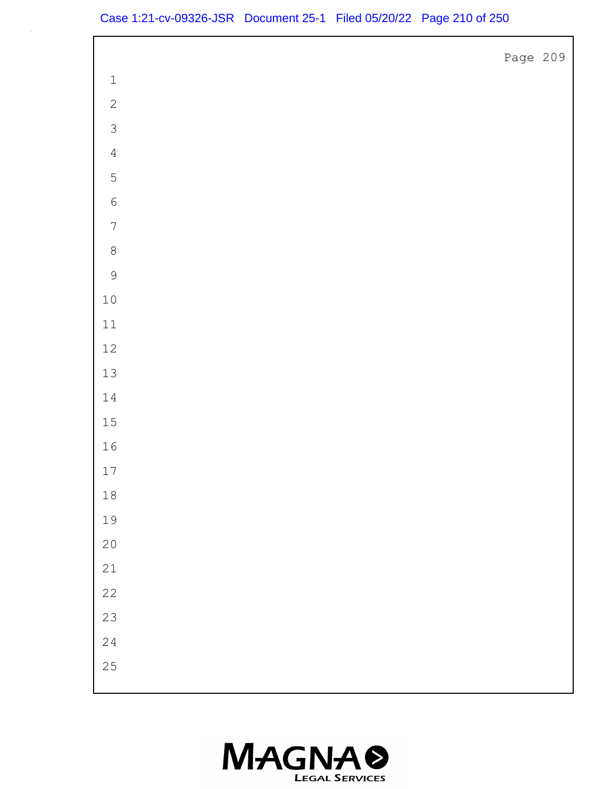# Case 1:21-cv-09326-JSR Document 25-1 Filed 05/20/22 Page 210 of 250

|                |  | Page 209 |  |
|----------------|--|----------|--|
| $\mathbf{1}$   |  |          |  |
| $\overline{c}$ |  |          |  |
| $\overline{3}$ |  |          |  |
| $\overline{4}$ |  |          |  |
| $\overline{5}$ |  |          |  |
| $\overline{6}$ |  |          |  |
| $\overline{7}$ |  |          |  |
| $\theta$       |  |          |  |
| $\overline{9}$ |  |          |  |
| 10             |  |          |  |
| $11$           |  |          |  |
| 12             |  |          |  |
| 13             |  |          |  |
| $1\,4$         |  |          |  |
| $15\,$         |  |          |  |
| $16$           |  |          |  |
| $17$           |  |          |  |
| $1\,8$         |  |          |  |
| 19             |  |          |  |
| $20$           |  |          |  |
| 21             |  |          |  |
| $2\sqrt{2}$    |  |          |  |
| 23             |  |          |  |
| 24             |  |          |  |
| 25             |  |          |  |
|                |  |          |  |

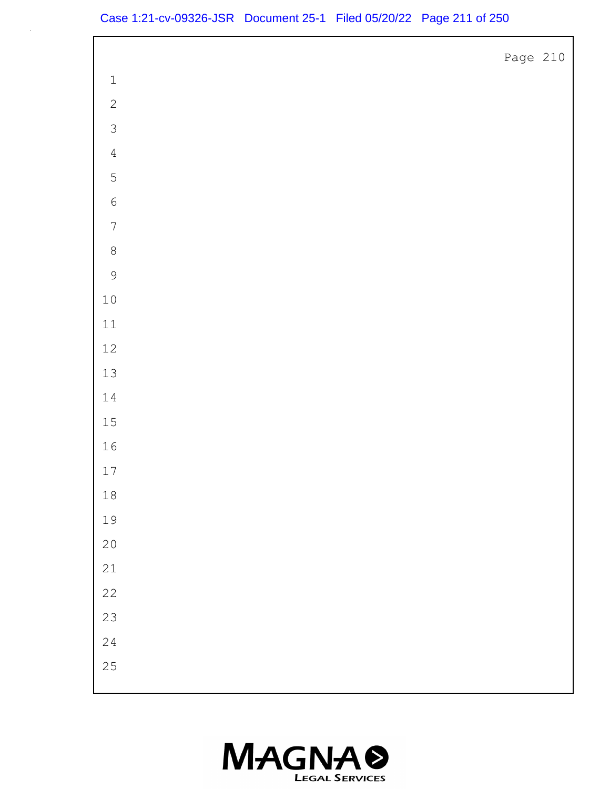# Case 1:21-cv-09326-JSR Document 25-1 Filed 05/20/22 Page 211 of 250

|                |  | Page 210 |
|----------------|--|----------|
| $\mathbf{1}$   |  |          |
| $\frac{2}{3}$  |  |          |
|                |  |          |
| $\overline{4}$ |  |          |
| $\overline{5}$ |  |          |
| $\overline{6}$ |  |          |
| $\frac{1}{2}$  |  |          |
| $\theta$       |  |          |
| $\overline{9}$ |  |          |
| 10             |  |          |
| $11$           |  |          |
| 12             |  |          |
| 13             |  |          |
| $1\,4$         |  |          |
| $15\,$         |  |          |
| $16$           |  |          |
| $17$           |  |          |
| $1\,8$         |  |          |
| 19             |  |          |
| $20$           |  |          |
| 21             |  |          |
| $2\sqrt{2}$    |  |          |
| 23             |  |          |
| 24             |  |          |
| 25             |  |          |
|                |  |          |

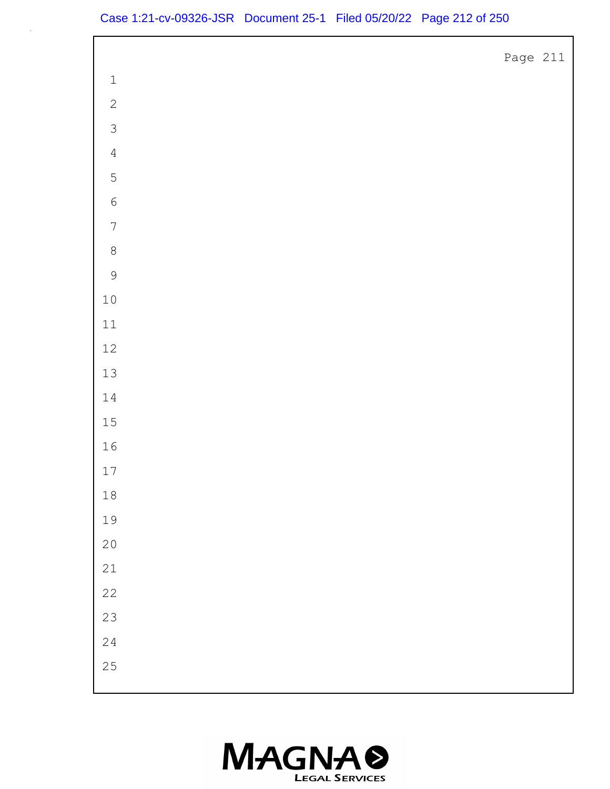# Case 1:21-cv-09326-JSR Document 25-1 Filed 05/20/22 Page 212 of 250

|                | Page 211 |  |
|----------------|----------|--|
| $\mathbf{1}$   |          |  |
| $\overline{c}$ |          |  |
| $\overline{3}$ |          |  |
| $\overline{4}$ |          |  |
| $\overline{5}$ |          |  |
| $\overline{6}$ |          |  |
| $\frac{1}{2}$  |          |  |
| $\theta$       |          |  |
| $\overline{9}$ |          |  |
| 10             |          |  |
| $11$           |          |  |
| $12$           |          |  |
| 13             |          |  |
| $1\,4$         |          |  |
| $15\,$         |          |  |
| $16$           |          |  |
| $17$           |          |  |
| $1\,8$         |          |  |
| 19             |          |  |
| $20$           |          |  |
| $2\sqrt{1}$    |          |  |
| 22             |          |  |
| 23             |          |  |
| $2\sqrt{4}$    |          |  |
| 25             |          |  |
|                |          |  |

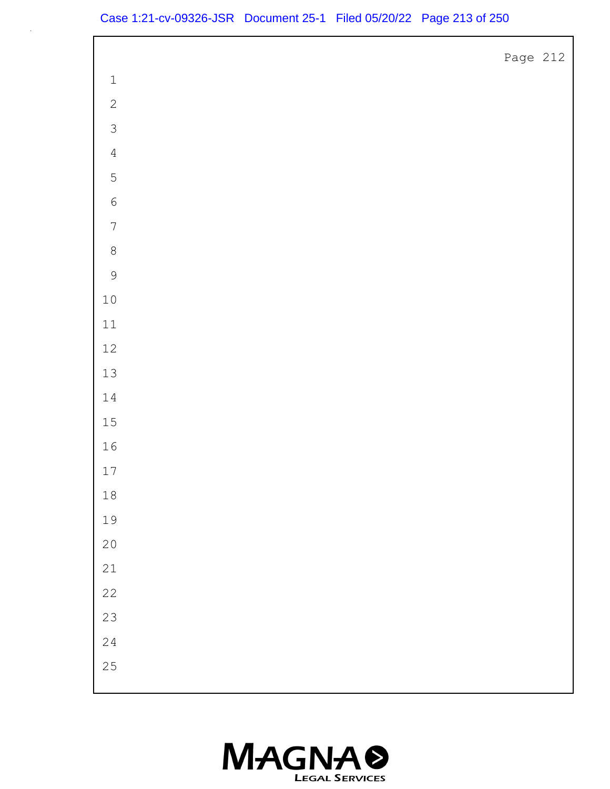# Case 1:21-cv-09326-JSR Document 25-1 Filed 05/20/22 Page 213 of 250

|                |  | Page 212 |
|----------------|--|----------|
| $\mathbf{1}$   |  |          |
| $\overline{c}$ |  |          |
| $\overline{3}$ |  |          |
| $\overline{4}$ |  |          |
| $\overline{5}$ |  |          |
| $\overline{6}$ |  |          |
| $\overline{7}$ |  |          |
| $\theta$       |  |          |
| 9              |  |          |
| 10             |  |          |
| $11$           |  |          |
| $12$           |  |          |
| 13             |  |          |
| $1\,4$         |  |          |
| $15\,$         |  |          |
| $16$           |  |          |
| $17$           |  |          |
| $1\,8$         |  |          |
| 19             |  |          |
| $20$           |  |          |
| $2\sqrt{1}$    |  |          |
| 22             |  |          |
| 23             |  |          |
| $2\sqrt{4}$    |  |          |
| 25             |  |          |
|                |  |          |

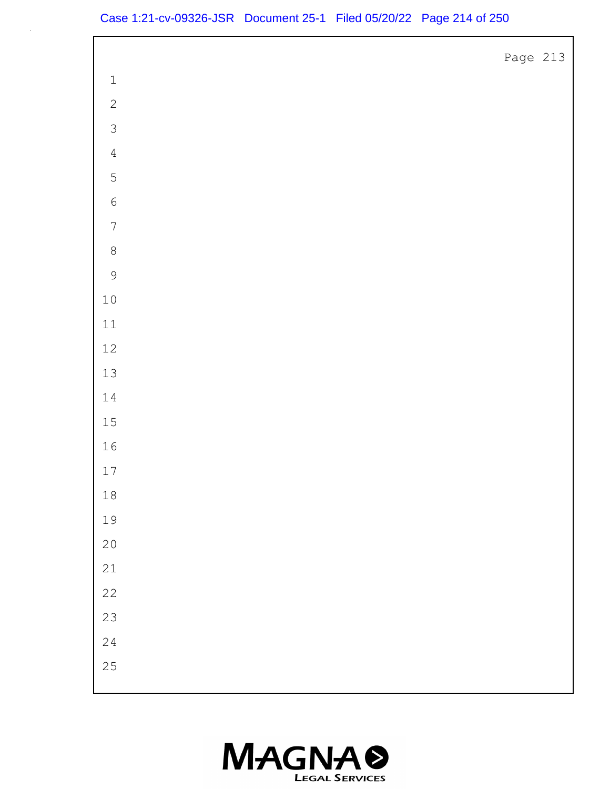# Case 1:21-cv-09326-JSR Document 25-1 Filed 05/20/22 Page 214 of 250

|                | Page 213 |  |
|----------------|----------|--|
| $\mathbf{1}$   |          |  |
| $\overline{c}$ |          |  |
| $\overline{3}$ |          |  |
| $\overline{4}$ |          |  |
| $\overline{5}$ |          |  |
| $\overline{6}$ |          |  |
| $\overline{7}$ |          |  |
| $\theta$       |          |  |
| $\overline{9}$ |          |  |
| 10             |          |  |
| $11\,$         |          |  |
| $12\,$         |          |  |
| 13             |          |  |
| $1\,4$         |          |  |
| $15\,$         |          |  |
| 16             |          |  |
| $17\,$         |          |  |
| 18             |          |  |
| 19             |          |  |
| $20$           |          |  |
| $21\,$         |          |  |
| $2\sqrt{2}$    |          |  |
| 23             |          |  |
| 24             |          |  |
| 25             |          |  |
|                |          |  |

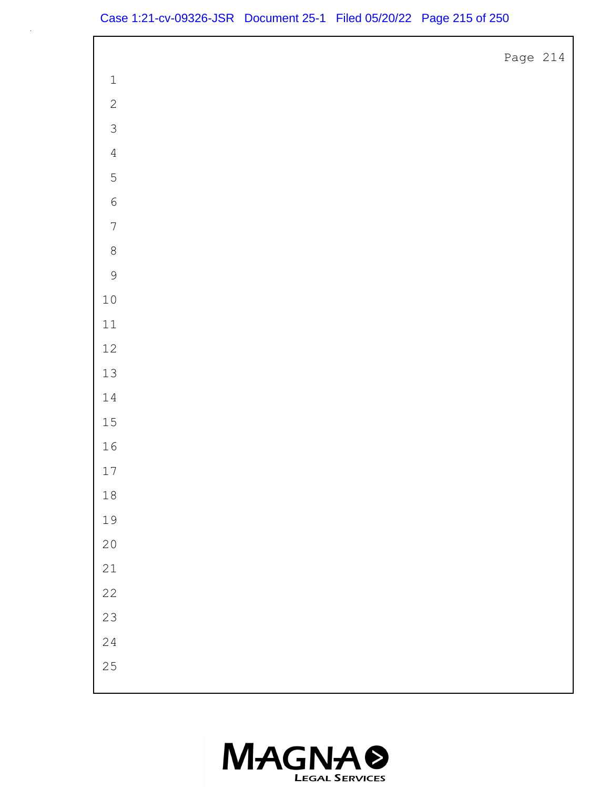# Case 1:21-cv-09326-JSR Document 25-1 Filed 05/20/22 Page 215 of 250

|                |  | Page 214 |
|----------------|--|----------|
| $\mathbf{1}$   |  |          |
| $\overline{c}$ |  |          |
| $\overline{3}$ |  |          |
| $\overline{4}$ |  |          |
| $\overline{5}$ |  |          |
| $\overline{6}$ |  |          |
| $\overline{7}$ |  |          |
| $\theta$       |  |          |
| 9              |  |          |
| 10             |  |          |
| $11\,$         |  |          |
| $12\,$         |  |          |
| 13             |  |          |
| $1\,4$         |  |          |
| $15\,$         |  |          |
| $16$           |  |          |
| $17\,$         |  |          |
| 18             |  |          |
| 19             |  |          |
| $20$           |  |          |
| 21             |  |          |
| $2\sqrt{2}$    |  |          |
| 23             |  |          |
| 24             |  |          |
| 25             |  |          |
|                |  |          |

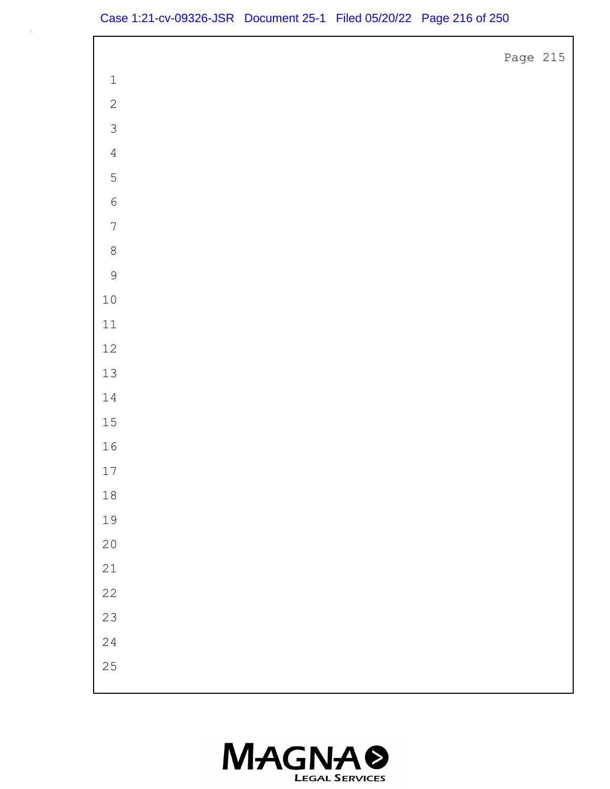# Case 1:21-cv-09326-JSR Document 25-1 Filed 05/20/22 Page 216 of 250

|                                       | Page 215 |  |
|---------------------------------------|----------|--|
| $\mathbf{1}$                          |          |  |
| $\overline{c}$                        |          |  |
| $\mathfrak{Z}$                        |          |  |
| $\overline{4}$                        |          |  |
| $\overline{5}$                        |          |  |
| $\overline{6}$                        |          |  |
| $\overline{7}$                        |          |  |
| $\begin{array}{c} 8 \\ 9 \end{array}$ |          |  |
|                                       |          |  |
| 10                                    |          |  |
| $11\,$                                |          |  |
| $12\,$                                |          |  |
| 13                                    |          |  |
| $1\,4$                                |          |  |
| $15\,$                                |          |  |
| $1\,6$                                |          |  |
| 17                                    |          |  |
| 18                                    |          |  |
| 19                                    |          |  |
| $20$                                  |          |  |
| $21\,$                                |          |  |
| $2\sqrt{2}$                           |          |  |
| 23                                    |          |  |
| $2\sqrt{4}$                           |          |  |
| 25                                    |          |  |
|                                       |          |  |

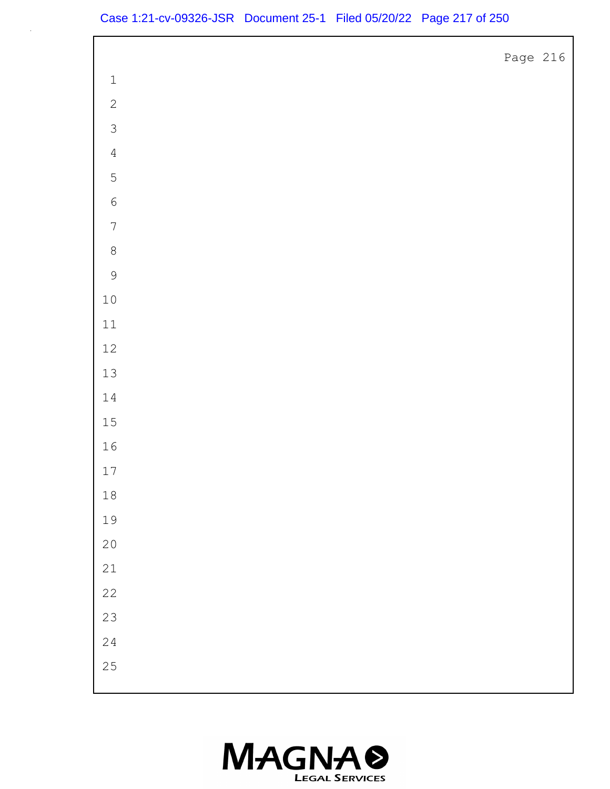# Case 1:21-cv-09326-JSR Document 25-1 Filed 05/20/22 Page 217 of 250

|                | Page 216 |  |
|----------------|----------|--|
| $\mathbf{1}$   |          |  |
| $\overline{c}$ |          |  |
| $\overline{3}$ |          |  |
| $\overline{4}$ |          |  |
| $\overline{5}$ |          |  |
| $\overline{6}$ |          |  |
| $\overline{7}$ |          |  |
| $\theta$       |          |  |
| 9              |          |  |
| $10$           |          |  |
| $11\,$         |          |  |
| $12$           |          |  |
| 13             |          |  |
| $1\,4$         |          |  |
| $15\,$         |          |  |
| 16             |          |  |
| $17\,$         |          |  |
| $18\,$         |          |  |
| 19             |          |  |
| $20$           |          |  |
| 21             |          |  |
| 22             |          |  |
| 23             |          |  |
| $2\,4$         |          |  |
| 25             |          |  |
|                |          |  |

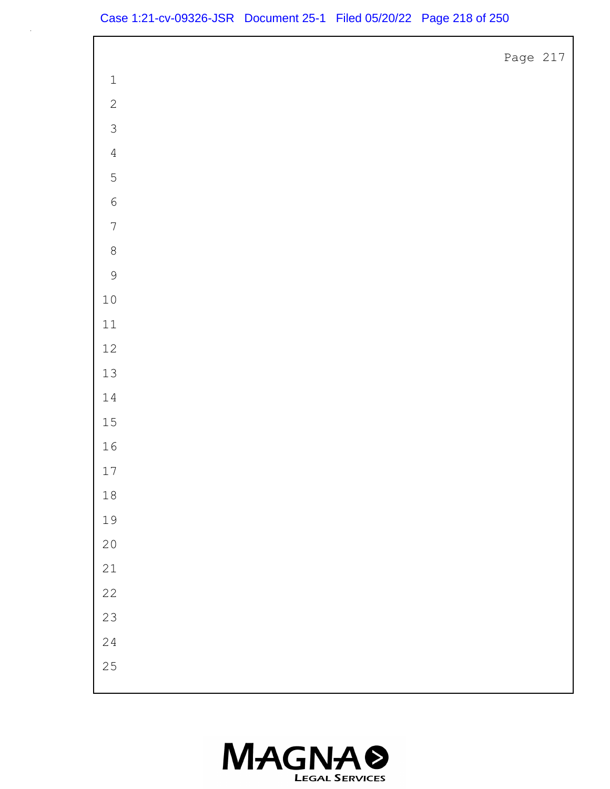# Case 1:21-cv-09326-JSR Document 25-1 Filed 05/20/22 Page 218 of 250

|                | Page 217 |  |
|----------------|----------|--|
| $\mathbf{1}$   |          |  |
| $\overline{c}$ |          |  |
| $\overline{3}$ |          |  |
| $\overline{4}$ |          |  |
| $\overline{5}$ |          |  |
| $\overline{6}$ |          |  |
| $\overline{7}$ |          |  |
| $\delta$       |          |  |
| $\overline{9}$ |          |  |
| 10             |          |  |
| $11\,$         |          |  |
| $12\,$         |          |  |
| 13             |          |  |
| $1\,4$         |          |  |
| $15\,$         |          |  |
| $16\,$         |          |  |
| $17\,$         |          |  |
| 18             |          |  |
| 19             |          |  |
| $20$           |          |  |
| $21\,$         |          |  |
| $2\sqrt{2}$    |          |  |
| 23             |          |  |
| $2\sqrt{4}$    |          |  |
| 25             |          |  |
|                |          |  |

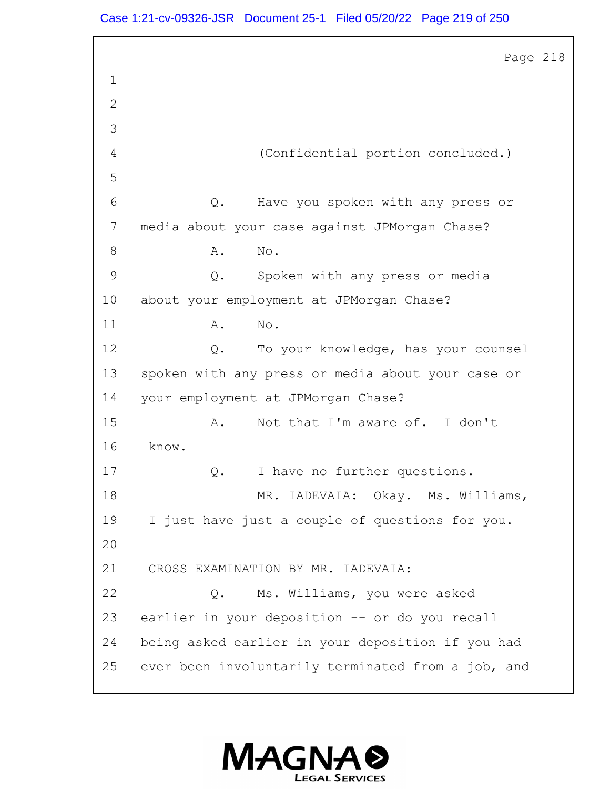Page 218 1 2 3 4 (Confidential portion concluded.) 5 6 Q. Have you spoken with any press or 7 media about your case against JPMorgan Chase? 8 **A.** No. 9 Q. Spoken with any press or media 10 about your employment at JPMorgan Chase? 11 A. No. 12 Q. To your knowledge, has your counsel 13 spoken with any press or media about your case or 14 your employment at JPMorgan Chase? 15 A. Not that I'm aware of. I don't 16 know. 17 Q. I have no further questions. 18 MR. IADEVAIA: Okay. Ms. Williams, 19 I just have just a couple of questions for you.  $20$ 21 CROSS EXAMINATION BY MR. IADEVAIA: 22 Q. Ms. Williams, you were asked 23 earlier in your deposition -- or do you recall 24 being asked earlier in your deposition if you had 25 ever been involuntarily terminated from a job, and

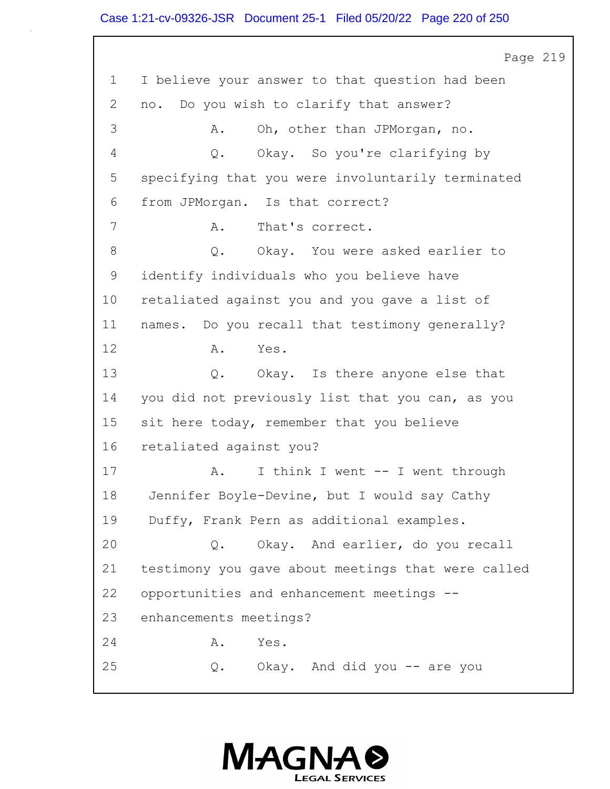### Case 1:21-cv-09326-JSR Document 25-1 Filed 05/20/22 Page 220 of 250

Page 219 1 I believe your answer to that question had been 2 no. Do you wish to clarify that answer? 3 A. Oh, other than JPMorgan, no. 4 Q. Okay. So you're clarifying by 5 specifying that you were involuntarily terminated 6 from JPMorgan. Is that correct? 7 A. That's correct. 8 6 Q. Okay. You were asked earlier to 9 identify individuals who you believe have 10 retaliated against you and you gave a list of 11 names. Do you recall that testimony generally? 12 A. Yes. 13 Q. Okay. Is there anyone else that 14 you did not previously list that you can, as you 15 sit here today, remember that you believe 16 retaliated against you? 17 A. I think I went -- I went through 18 Jennifer Boyle-Devine, but I would say Cathy 19 Duffy, Frank Pern as additional examples. 20 Q. Okay. And earlier, do you recall 21 testimony you gave about meetings that were called 22 opportunities and enhancement meetings -- 23 enhancements meetings? 24 A. Yes. 25 Q. Okay. And did you -- are you

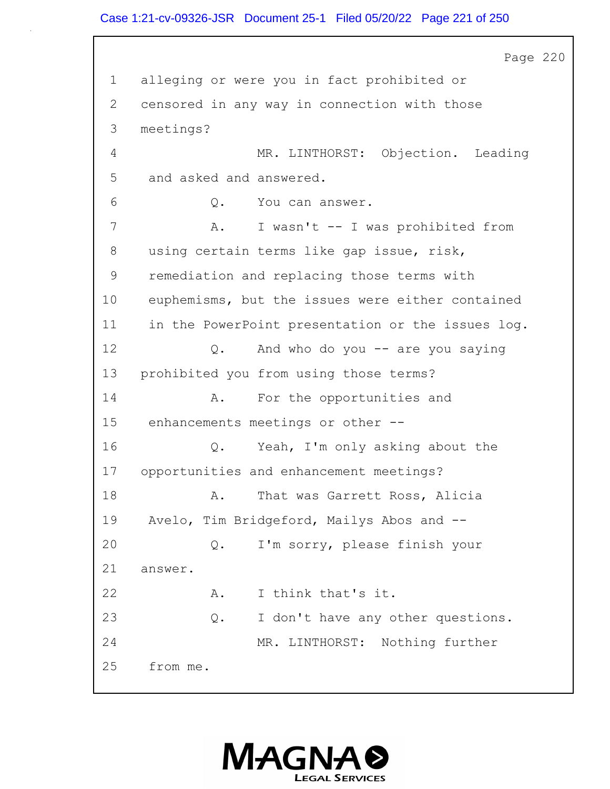#### Case 1:21-cv-09326-JSR Document 25-1 Filed 05/20/22 Page 221 of 250

Page 220 1 alleging or were you in fact prohibited or 2 censored in any way in connection with those 3 meetings? 4 MR. LINTHORST: Objection. Leading 5 and asked and answered. 6 Q. You can answer. 7 A. I wasn't -- I was prohibited from 8 using certain terms like gap issue, risk, 9 remediation and replacing those terms with 10 euphemisms, but the issues were either contained 11 in the PowerPoint presentation or the issues log. 12 Q. And who do you -- are you saying 13 prohibited you from using those terms? 14 A. For the opportunities and 15 enhancements meetings or other -- 16 Q. Yeah, I'm only asking about the 17 opportunities and enhancement meetings? 18 A. That was Garrett Ross, Alicia 19 Avelo, Tim Bridgeford, Mailys Abos and --20 Q. I'm sorry, please finish your 21 answer. 22 A. I think that's it. 23 Q. I don't have any other questions. 24 MR. LINTHORST: Nothing further 25 from me.

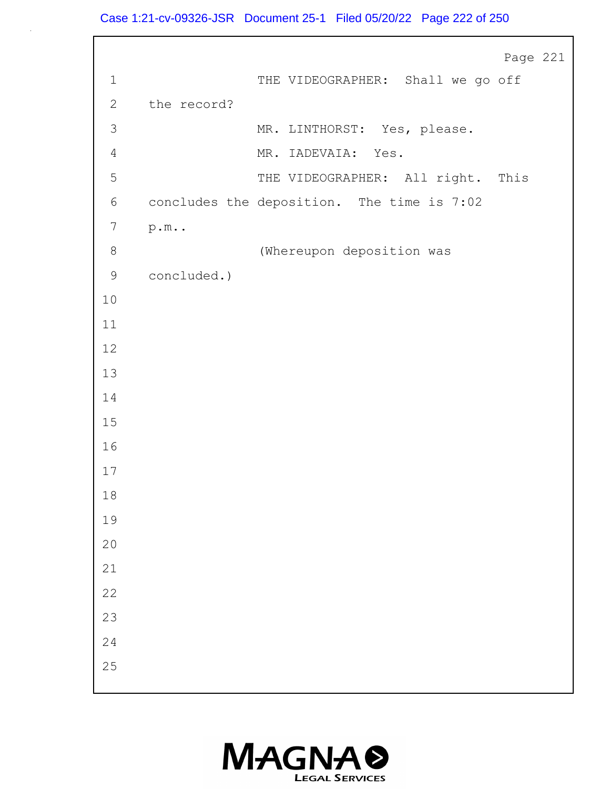### Case 1:21-cv-09326-JSR Document 25-1 Filed 05/20/22 Page 222 of 250

Page 221 1 THE VIDEOGRAPHER: Shall we go off 2 the record? 3 MR. LINTHORST: Yes, please. 4 MR. IADEVAIA: Yes. 5 THE VIDEOGRAPHER: All right. This 6 concludes the deposition. The time is 7:02 7 p.m.. 8 (Whereupon deposition was 9 concluded.) 10 11 12 13 14 15 16 17 18 19 20 21 22 23 24 25

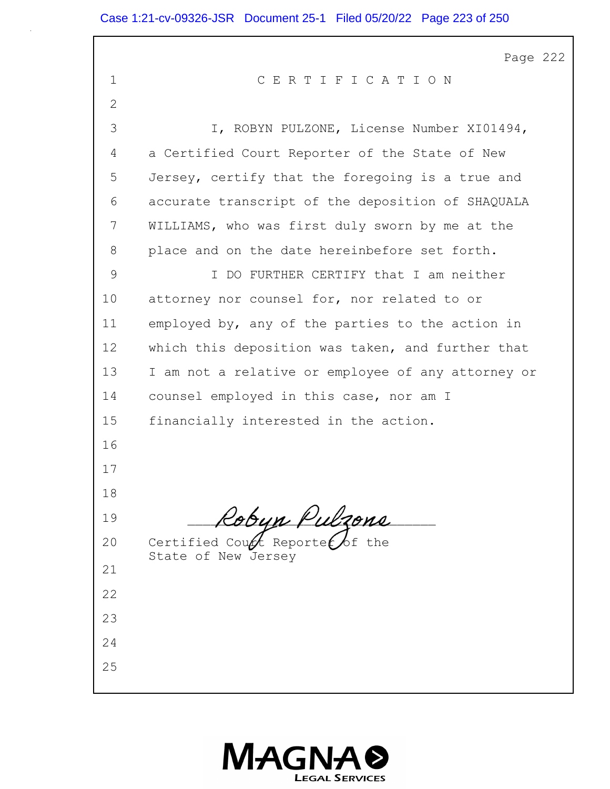1 C E R T I F I C A T I O N 2 3 I, ROBYN PULZONE, License Number XI01494, 4 a Certified Court Reporter of the State of New 5 Jersey, certify that the foregoing is a true and 6 accurate transcript of the deposition of SHAQUALA 7 WILLIAMS, who was first duly sworn by me at the 8 place and on the date hereinbefore set forth. 9 I DO FURTHER CERTIFY that I am neither 10 attorney nor counsel for, nor related to or 11 employed by, any of the parties to the action in 12 which this deposition was taken, and further that 13 I am not a relative or employee of any attorney or 14 counsel employed in this case, nor am I 15 financially interested in the action. 16 17 18  $19$  Pobun Pulzone 20 Certified Cou $\cancel{\theta}$  Reporte $\cancel{\theta}$ f the State of New Jersey 21 22 23 24 25

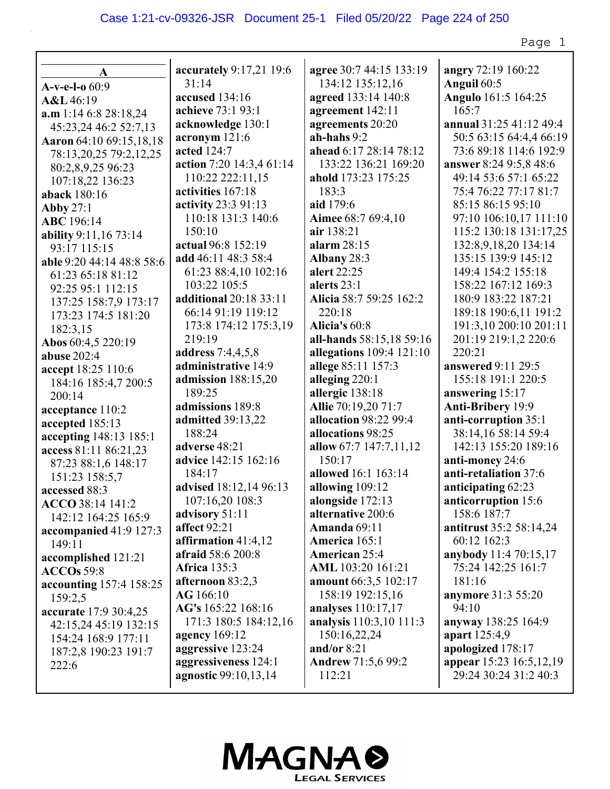| $\mathbf A$                                    | accurately 9:17,21 19:6    | agree 30:7 44:15 133:19   | angry 72:19 160:22        |
|------------------------------------------------|----------------------------|---------------------------|---------------------------|
|                                                | 31:14                      | 134:12 135:12,16          | Anguil 60:5               |
| A-v-e-l-o 60:9<br>$A&L$ 46:19                  | accused 134:16             | agreed 133:14 140:8       | Angulo 161:5 164:25       |
|                                                | achieve 73:1 93:1          | agreement 142:11          | 165:7                     |
| $a.m$ 1:14 6:8 28:18,24                        | acknowledge 130:1          | agreements 20:20          | annual 31:25 41:12 49:4   |
| 45:23,24 46:2 52:7,13                          | acronym 121:6              | ah-hahs 9:2               | 50:5 63:15 64:4,4 66:19   |
| Aaron 64:10 69:15,18,18                        | acted 124:7                | ahead 6:17 28:14 78:12    | 73:6 89:18 114:6 192:9    |
| 78:13,20,25 79:2,12,25                         | action 7:20 14:3,4 61:14   | 133:22 136:21 169:20      | answer 8:24 9:5,8 48:6    |
| 80:2,8,9,25 96:23                              | 110:22 222:11,15           | ahold 173:23 175:25       | 49:14 53:6 57:1 65:22     |
| 107:18,22 136:23<br>aback 180:16               | activities 167:18          | 183:3                     | 75:4 76:22 77:17 81:7     |
|                                                | activity 23:3 91:13        | aid 179:6                 | 85:15 86:15 95:10         |
| <b>Abby 27:1</b>                               | 110:18 131:3 140:6         | <b>Aimee</b> 68:7 69:4,10 | 97:10 106:10,17 111:10    |
| <b>ABC</b> 196:14                              | 150:10                     | air 138:21                | 115:2 130:18 131:17,25    |
| ability 9:11,16 73:14                          | actual 96:8 152:19         | alarm $28:15$             | 132:8,9,18,20 134:14      |
| 93:17 115:15                                   | add 46:11 48:3 58:4        | Albany 28:3               | 135:15 139:9 145:12       |
| able 9:20 44:14 48:8 58:6<br>61:23 65:18 81:12 | 61:23 88:4,10 102:16       | alert 22:25               | 149:4 154:2 155:18        |
| 92:25 95:1 112:15                              | 103:22 105:5               | alerts 23:1               | 158:22 167:12 169:3       |
| 137:25 158:7,9 173:17                          | additional 20:18 33:11     | Alicia 58:7 59:25 162:2   | 180:9 183:22 187:21       |
| 173:23 174:5 181:20                            | 66:14 91:19 119:12         | 220:18                    | 189:18 190:6,11 191:2     |
| 182:3,15                                       | 173:8 174:12 175:3,19      | Alicia's 60:8             | 191:3,10 200:10 201:11    |
| Abos 60:4,5 220:19                             | 219:19                     | all-hands 58:15,18 59:16  | 201:19 219:1,2 220:6      |
| abuse 202:4                                    | address 7:4,4,5,8          | allegations 109:4 121:10  | 220:21                    |
| accept 18:25 110:6                             | administrative 14:9        | allege 85:11 157:3        | answered 9:11 29:5        |
| 184:16 185:4,7 200:5                           | <b>admission</b> 188:15,20 | alleging 220:1            | 155:18 191:1 220:5        |
| 200:14                                         | 189:25                     | allergic 138:18           | answering 15:17           |
| acceptance 110:2                               | admissions 189:8           | Allie 70:19,20 71:7       | <b>Anti-Bribery 19:9</b>  |
| accepted 185:13                                | <b>admitted</b> 39:13,22   | allocation 98:22 99:4     | anti-corruption 35:1      |
| accepting 148:13 185:1                         | 188:24                     | allocations 98:25         | 38:14,16 58:14 59:4       |
| access 81:11 86:21,23                          | adverse 48:21              | allow 67:7 147:7,11,12    | 142:13 155:20 189:16      |
| 87:23 88:1,6 148:17                            | advice 142:15 162:16       | 150:17                    | anti-money 24:6           |
| 151:23 158:5,7                                 | 184:17                     | allowed 16:1 163:14       | anti-retaliation 37:6     |
| accessed 88:3                                  | advised 18:12,14 96:13     | allowing 109:12           | anticipating 62:23        |
| ACCO 38:14 141:2                               | 107:16,20 108:3            | alongside 172:13          | anticorruption 15:6       |
| 142:12 164:25 165:9                            | advisory 51:11             | alternative 200:6         | 158:6 187:7               |
| accompanied 41:9 127:3                         | affect 92:21               | Amanda 69:11              | antitrust 35:2 58:14,24   |
| 149:11                                         | affirmation $41:4,12$      | America 165:1             | 60:12 162:3               |
| accomplished 121:21                            | afraid 58:6 200:8          | <b>American 25:4</b>      | anybody 11:4 70:15,17     |
| <b>ACCOs</b> 59:8                              | <b>Africa</b> 135:3        | AML 103:20 161:21         | 75:24 142:25 161:7        |
| accounting 157:4 158:25                        | afternoon 83:2,3           | amount 66:3,5 102:17      | 181:16                    |
| 159:2,5                                        | AG 166:10                  | 158:19 192:15,16          | <b>anymore</b> 31:3 55:20 |
| accurate 17:9 30:4,25                          | AG's 165:22 168:16         | analyses 110:17,17        | 94:10                     |
| 42:15,24 45:19 132:15                          | 171:3 180:5 184:12,16      | analysis 110:3,10 111:3   | anyway 138:25 164:9       |
| 154:24 168:9 177:11                            | agency $169:12$            | 150:16,22,24              | apart 125:4,9             |
| 187:2,8 190:23 191:7                           | aggressive 123:24          | and/or $8:21$             | apologized 178:17         |
| 222:6                                          | aggressiveness 124:1       | <b>Andrew 71:5,6 99:2</b> | appear 15:23 16:5,12,19   |
|                                                | agnostic 99:10,13,14       | 112:21                    | 29:24 30:24 31:2 40:3     |
|                                                |                            |                           |                           |

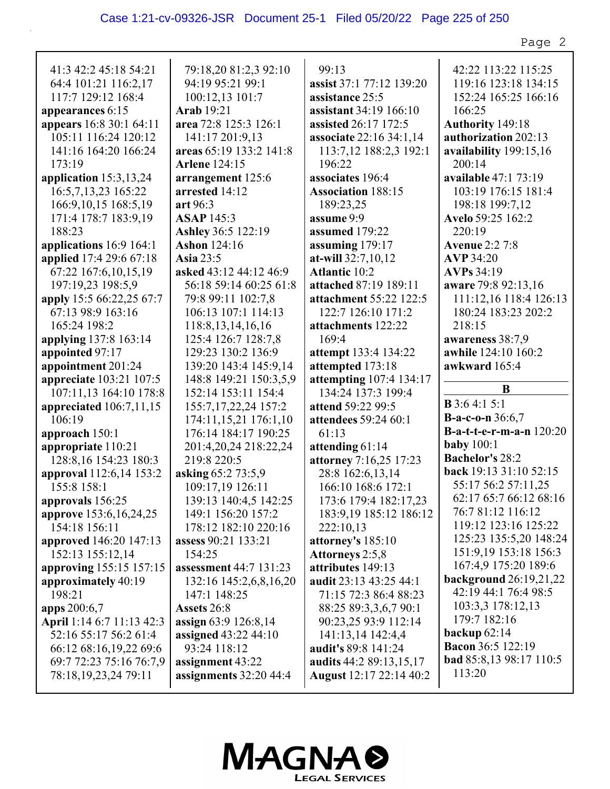| 41:3 42:2 45:18 54:21                           | 79:18,20 81:2,3 92:10                      | 99:13                                              | 42:22 113:22 115:25                            |
|-------------------------------------------------|--------------------------------------------|----------------------------------------------------|------------------------------------------------|
| 64:4 101:21 116:2,17                            | 94:19 95:21 99:1                           | assist 37:1 77:12 139:20                           | 119:16 123:18 134:15                           |
| 117:7 129:12 168:4                              | 100:12,13 101:7                            | assistance 25:5                                    | 152:24 165:25 166:16                           |
| appearances 6:15                                | <b>Arab</b> 19:21                          | assistant 34:19 166:10                             | 166:25                                         |
| appears 16:8 30:1 64:11                         | area 72:8 125:3 126:1                      | assisted 26:17 172:5                               | <b>Authority 149:18</b>                        |
| 105:11 116:24 120:12                            | 141:17 201:9,13                            | <b>associate</b> 22:16 34:1,14                     | authorization 202:13                           |
| 141:16 164:20 166:24                            | areas 65:19 133:2 141:8                    | 113:7,12 188:2,3 192:1                             | availability 199:15,16                         |
| 173:19                                          | <b>Arlene</b> 124:15                       | 196:22                                             | 200:14                                         |
| application $15:3,13,24$                        | arrangement 125:6                          | associates 196:4                                   | available 47:1 73:19                           |
| 16:5,7,13,23 165:22                             | arrested 14:12                             | <b>Association 188:15</b>                          | 103:19 176:15 181:4                            |
| 166:9, 10, 15 168:5, 19                         | art 96:3                                   | 189:23,25                                          | 198:18 199:7,12                                |
| 171:4 178:7 183:9,19                            | <b>ASAP 145:3</b>                          | assume 9:9                                         | Avelo 59:25 162:2                              |
| 188:23                                          | <b>Ashley 36:5 122:19</b>                  | assumed 179:22                                     | 220:19                                         |
| applications 16:9 164:1                         | <b>Ashon</b> 124:16                        | assuming 179:17                                    | <b>Avenue 2:2 7:8</b>                          |
| applied 17:4 29:6 67:18                         | <b>Asia</b> 23:5                           | at-will 32:7,10,12                                 | <b>AVP</b> 34:20                               |
| 67:22 167:6,10,15,19                            | asked 43:12 44:12 46:9                     | <b>Atlantic 10:2</b>                               | <b>AVPs</b> 34:19                              |
| 197:19,23 198:5,9                               | 56:18 59:14 60:25 61:8                     | attached 87:19 189:11                              | aware 79:8 92:13,16                            |
| apply 15:5 66:22,25 67:7                        | 79:8 99:11 102:7,8                         | attachment 55:22 122:5                             | 111:12,16 118:4 126:13                         |
| 67:13 98:9 163:16                               | 106:13 107:1 114:13                        | 122:7 126:10 171:2                                 | 180:24 183:23 202:2                            |
| 165:24 198:2                                    | 118:8, 13, 14, 16, 16                      | attachments 122:22                                 | 218:15                                         |
| applying 137:8 163:14                           | 125:4 126:7 128:7,8                        | 169:4                                              | awareness 38:7,9                               |
| appointed 97:17                                 | 129:23 130:2 136:9                         | attempt 133:4 134:22                               | awhile 124:10 160:2                            |
| appointment 201:24                              | 139:20 143:4 145:9,14                      | attempted 173:18                                   | awkward 165:4                                  |
| appreciate 103:21 107:5                         | 148:8 149:21 150:3,5,9                     | attempting 107:4 134:17                            | B                                              |
| 107:11,13 164:10 178:8                          |                                            |                                                    |                                                |
|                                                 | 152:14 153:11 154:4                        | 134:24 137:3 199:4                                 |                                                |
| appreciated $106:7,11,15$                       | 155:7, 17, 22, 24 157: 2                   | attend 59:22 99:5                                  | <b>B</b> 3:6 4:1 5:1                           |
| 106:19                                          | 174:11,15,21 176:1,10                      | attendees 59:24 60:1                               | <b>B-a-c-o-n</b> $36:6,7$                      |
| approach 150:1                                  | 176:14 184:17 190:25                       | 61:13                                              | $B-a-t-t-e-r-m-a-n$ 120:20                     |
| appropriate 110:21                              | 201:4,20,24 218:22,24                      | attending 61:14                                    | baby $100:1$                                   |
| 128:8, 16 154:23 180:3                          | 219:8 220:5                                | attorney 7:16,25 17:23                             | <b>Bachelor's 28:2</b>                         |
| approval 112:6,14 153:2                         | asking 65:2 73:5,9                         | 28:8 162:6,13,14                                   | back 19:13 31:10 52:15                         |
| 155:8 158:1                                     | 109:17,19 126:11                           | 166:10 168:6 172:1                                 | 55:17 56:2 57:11,25                            |
| approvals 156:25                                | 139:13 140:4,5 142:25                      | 173:6 179:4 182:17,23                              | 62:17 65:7 66:12 68:16                         |
| approve 153:6, 16, 24, 25                       | 149:1 156:20 157:2                         | 183:9,19 185:12 186:12                             | 76:7 81:12 116:12                              |
| 154:18 156:11                                   | 178:12 182:10 220:16                       | 222:10,13                                          | 119:12 123:16 125:22                           |
| approved 146:20 147:13                          | assess 90:21 133:21                        | attorney's 185:10                                  | 125:23 135:5,20 148:24                         |
| 152:13 155:12,14                                | 154:25                                     | <b>Attorneys</b> 2:5,8                             | 151:9,19 153:18 156:3                          |
| approving 155:15 157:15                         | <b>assessment</b> 44:7 131:23              | attributes 149:13                                  | 167:4,9 175:20 189:6                           |
| approximately 40:19                             | 132:16 145:2,6,8,16,20                     | audit 23:13 43:25 44:1                             | background 26:19,21,22<br>42:19 44:1 76:4 98:5 |
| 198:21                                          | 147:1 148:25                               | 71:15 72:3 86:4 88:23                              | 103:3,3 178:12,13                              |
| apps 200:6,7                                    | Assets 26:8                                | 88:25 89:3,3,6,7 90:1                              | 179:7 182:16                                   |
| April 1:14 6:7 11:13 42:3                       | assign 63:9 126:8,14                       | 90:23,25 93:9 112:14                               | backup $62:14$                                 |
| 52:16 55:17 56:2 61:4                           | assigned 43:22 44:10                       | 141:13,14 142:4,4                                  | <b>Bacon</b> 36:5 122:19                       |
| 66:12 68:16,19,22 69:6                          | 93:24 118:12                               | audit's 89:8 141:24                                | <b>bad</b> 85:8,13 98:17 110:5                 |
| 69:7 72:23 75:16 76:7,9<br>78:18,19,23,24 79:11 | assignment 43:22<br>assignments 32:20 44:4 | audits 44:2 89:13,15,17<br>August 12:17 22:14 40:2 | 113:20                                         |

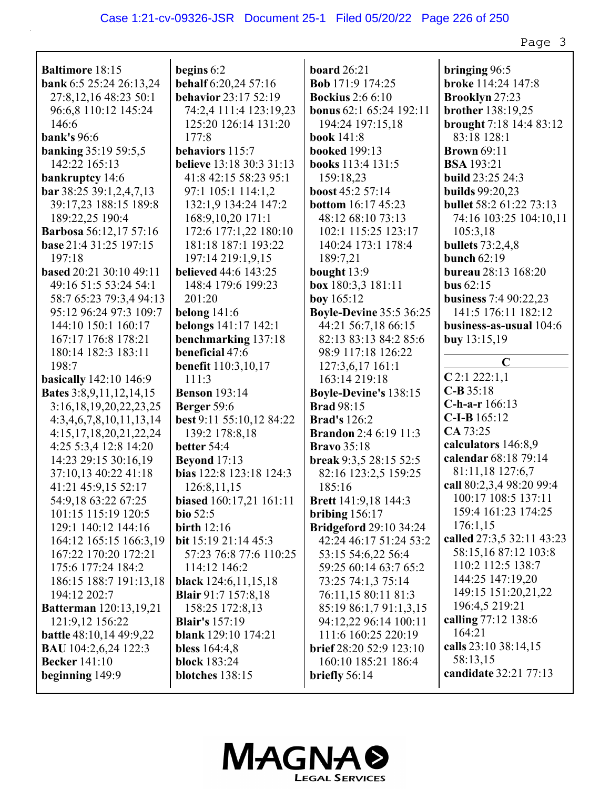| <b>Baltimore 18:15</b>         | begins 6:2                  | <b>board</b> 26:21             | bringing 96:5                  |
|--------------------------------|-----------------------------|--------------------------------|--------------------------------|
| <b>bank</b> 6:5 25:24 26:13,24 | behalf 6:20,24 57:16        | <b>Bob</b> 171:9 174:25        | broke 114:24 147:8             |
| 27:8, 12, 16 48: 23 50: 1      | behavior 23:17 52:19        | <b>Bockius</b> 2:6 6:10        | Brooklyn 27:23                 |
| 96:6,8 110:12 145:24           | 74:2,4 111:4 123:19,23      | <b>bonus</b> 62:1 65:24 192:11 | brother 138:19,25              |
| 146:6                          | 125:20 126:14 131:20        | 194:24 197:15,18               | brought 7:18 14:4 83:12        |
| bank's $96:6$                  | 177:8                       | <b>book</b> 141:8              | 83:18 128:1                    |
| <b>banking 35:19 59:5,5</b>    | behaviors 115:7             | <b>booked</b> 199:13           | <b>Brown 69:11</b>             |
| 142:22 165:13                  | believe 13:18 30:3 31:13    | books 113:4 131:5              | <b>BSA</b> 193:21              |
| bankruptcy 14:6                | 41:8 42:15 58:23 95:1       | 159:18,23                      | <b>build</b> 23:25 24:3        |
| bar 38:25 39:1,2,4,7,13        | 97:1 105:1 114:1,2          | <b>boost 45:2 57:14</b>        | <b>builds</b> 99:20,23         |
| 39:17,23 188:15 189:8          | 132:1,9 134:24 147:2        | <b>bottom</b> 16:17 45:23      | <b>bullet</b> 58:2 61:22 73:13 |
| 189:22,25 190:4                | 168:9,10,20 171:1           | 48:12 68:10 73:13              | 74:16 103:25 104:10,11         |
| <b>Barbosa</b> 56:12,17 57:16  | 172:6 177:1,22 180:10       | 102:1 115:25 123:17            | 105:3,18                       |
| base 21:4 31:25 197:15         | 181:18 187:1 193:22         | 140:24 173:1 178:4             | <b>bullets</b> 73:2,4,8        |
| 197:18                         | 197:14 219:1,9,15           | 189:7,21                       | <b>bunch 62:19</b>             |
| based 20:21 30:10 49:11        | <b>believed</b> 44:6 143:25 | bought 13:9                    | bureau 28:13 168:20            |
| 49:16 51:5 53:24 54:1          | 148:4 179:6 199:23          | box 180:3,3 181:11             | bus $62:15$                    |
| 58:7 65:23 79:3,4 94:13        | 201:20                      | boy $165:12$                   | business 7:4 90:22,23          |
| 95:12 96:24 97:3 109:7         | belong $141:6$              | <b>Boyle-Devine 35:5 36:25</b> | 141:5 176:11 182:12            |
| 144:10 150:1 160:17            | belongs 141:17 142:1        | 44:21 56:7,18 66:15            | business-as-usual 104:6        |
| 167:17 176:8 178:21            | benchmarking 137:18         | 82:13 83:13 84:2 85:6          | buy 13:15,19                   |
| 180:14 182:3 183:11            | beneficial 47:6             | 98:9 117:18 126:22             |                                |
| 198:7                          | <b>benefit</b> 110:3,10,17  | 127:3,6,17 161:1               | $\mathbf C$                    |
| basically 142:10 146:9         | 111:3                       | 163:14 219:18                  | $C$ 2:1 222:1,1                |
| <b>Bates</b> 3:8,9,11,12,14,15 | <b>Benson</b> 193:14        | <b>Boyle-Devine's 138:15</b>   | $C-B35:18$                     |
| 3:16,18,19,20,22,23,25         | Berger 59:6                 | <b>Brad</b> 98:15              | $C-h-a-r 166:13$               |
| 4:3,4,6,7,8,10,11,13,14        | best 9:11 55:10,12 84:22    | <b>Brad's</b> 126:2            | $C-I-B 165:12$                 |
| 4:15,17,18,20,21,22,24         | 139:2 178:8,18              | <b>Brandon</b> 2:4 6:19 11:3   | CA 73:25                       |
| 4:25 5:3,4 12:8 14:20          | better 54:4                 | <b>Bravo</b> 35:18             | calculators 146:8,9            |
| 14:23 29:15 30:16,19           | <b>Beyond</b> 17:13         | break 9:3,5 28:15 52:5         | calendar 68:18 79:14           |
| 37:10,13 40:22 41:18           | bias 122:8 123:18 124:3     | 82:16 123:2,5 159:25           | 81:11,18 127:6,7               |
| 41:21 45:9,15 52:17            | 126:8,11,15                 | 185:16                         | call 80:2,3,4 98:20 99:4       |
| 54:9,18 63:22 67:25            | biased 160:17,21 161:11     | <b>Brett</b> 141:9,18 144:3    | 100:17 108:5 137:11            |
| 101:15 115:19 120:5            | bio $52:5$                  | bribing $156:17$               | 159:4 161:23 174:25            |
| 129:1 140:12 144:16            | birth $12:16$               | <b>Bridgeford</b> 29:10 34:24  | 176:1,15                       |
| 164:12 165:15 166:3,19         | bit $15:19$ 21:14 45:3      | 42:24 46:17 51:24 53:2         | called 27:3,5 32:11 43:23      |
| 167:22 170:20 172:21           | 57:23 76:8 77:6 110:25      | 53:15 54:6,22 56:4             | 58:15,16 87:12 103:8           |
| 175:6 177:24 184:2             | 114:12 146:2                | 59:25 60:14 63:7 65:2          | 110:2 112:5 138:7              |
| 186:15 188:7 191:13,18         | black $124:6,11,15,18$      | 73:25 74:1,3 75:14             | 144:25 147:19,20               |
| 194:12 202:7                   | <b>Blair</b> 91:7 157:8,18  | 76:11,15 80:11 81:3            | 149:15 151:20,21,22            |
| <b>Batterman</b> 120:13,19,21  | 158:25 172:8,13             | 85:19 86:1,7 91:1,3,15         | 196:4,5 219:21                 |
| 121:9,12 156:22                | <b>Blair's</b> 157:19       | 94:12,22 96:14 100:11          | calling 77:12 138:6            |
| <b>battle</b> 48:10,14 49:9,22 | blank 129:10 174:21         | 111:6 160:25 220:19            | 164:21                         |
| <b>BAU</b> 104:2,6,24 122:3    | bless $164:4,8$             | brief 28:20 52:9 123:10        | calls 23:10 38:14,15           |
| <b>Becker</b> 141:10           | <b>block</b> 183:24         | 160:10 185:21 186:4            | 58:13,15                       |
| beginning 149:9                | blotches 138:15             | briefly 56:14                  | candidate 32:21 77:13          |

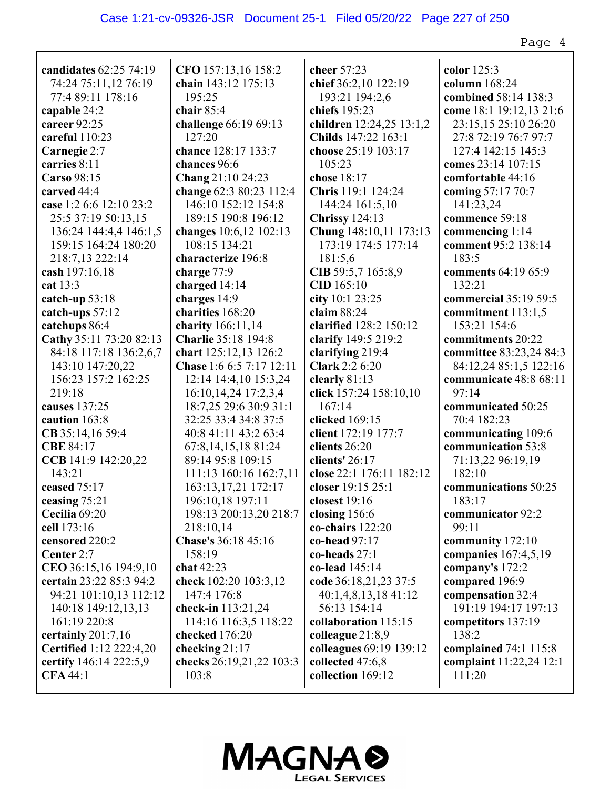**candidates** 62:25 74:19 74:24 75:11,12 76:19 77:4 89:11 178:16 **capable** 24:2 **career** 92:25 **careful** 110:23 **Carnegie** 2:7 **carries** 8:11 **Carso** 98:15 **carved** 44:4 **case** 1:2 6:6 12:10 23:2 25:5 37:19 50:13,15 136:24 144:4,4 146:1,5 159:15 164:24 180:20 218:7,13 222:14 **cash** 197:16,18 **cat** 13:3 **catch-up** 53:18 **catch-ups** 57:12 **catchups** 86:4 **Cathy** 35:11 73:20 82:13 84:18 117:18 136:2,6,7 143:10 147:20,22 156:23 157:2 162:25 219:18 **causes** 137:25 **caution** 163:8 **CB** 35:14,16 59:4 **CBE** 84:17 **CCB** 141:9 142:20,22 143:21 **ceased** 75:17 **ceasing** 75:21 **Cecilia** 69:20 **cell** 173:16 **censored** 220:2 **Center** 2:7 **CEO** 36:15,16 194:9,10 **certain** 23:22 85:3 94:2 94:21 101:10,13 112:12 140:18 149:12,13,13 161:19 220:8 **certainly** 201:7,16 **Certified** 1:12 222:4,20 **certify** 146:14 222:5,9 **CFA** 44:1 **CFO** 157:13,16 158:2 **chain** 143:12 175:13 195:25 **chair** 85:4 **challenge** 66:19 69:13 127:20 **chance** 128:17 133:7 **chances** 96:6 **Chang** 21:10 24:23 **change** 62:3 80:23 112:4 146:10 152:12 154:8 189:15 190:8 196:12 **changes** 10:6,12 102:13 108:15 134:21 **characterize** 196:8 **charge** 77:9 **charged** 14:14 **charges** 14:9 **charities** 168:20 **charity** 166:11,14 **Charlie** 35:18 194:8 **chart** 125:12,13 126:2 **Chase** 1:6 6:5 7:17 12:11 12:14 14:4,10 15:3,24 16:10,14,24 17:2,3,4 18:7,25 29:6 30:9 31:1 32:25 33:4 34:8 37:5 40:8 41:11 43:2 63:4 67:8,14,15,18 81:24 89:14 95:8 109:15 111:13 160:16 162:7,11 163:13,17,21 172:17 196:10,18 197:11 198:13 200:13,20 218:7 218:10,14 **Chase's** 36:18 45:16 158:19 **chat** 42:23 **check** 102:20 103:3,12 147:4 176:8 **check-in** 113:21,24 114:16 116:3,5 118:22 **checked** 176:20 **checking** 21:17 **checks** 26:19,21,22 103:3 103:8 **cheer** 57:23 **chief** 36:2,10 122:19 193:21 194:2,6 **chiefs** 195:23 **children** 12:24,25 13:1,2 **Childs** 147:22 163:1 **choose** 25:19 103:17 105:23 **chose** 18:17 **Chris** 119:1 124:24 144:24 161:5,10 **Chrissy** 124:13 **Chung** 148:10,11 173:13 173:19 174:5 177:14 181:5,6 **CIB** 59:5,7 165:8,9 **CID** 165:10 **city** 10:1 23:25 **claim** 88:24 **clarified** 128:2 150:12 **clarify** 149:5 219:2 **clarifying** 219:4 **Clark** 2:2 6:20 **clearly** 81:13 **click** 157:24 158:10,10 167:14 **clicked** 169:15 **client** 172:19 177:7 **clients** 26:20 **clients'** 26:17 **close** 22:1 176:11 182:12 **closer** 19:15 25:1 **closest** 19:16 **closing** 156:6 **co-chairs** 122:20 **co-head** 97:17 **co-heads** 27:1 **co-lead** 145:14 **code** 36:18,21,23 37:5 40:1,4,8,13,18 41:12 56:13 154:14 **collaboration** 115:15 **colleague** 21:8,9 **colleagues** 69:19 139:12 **collected** 47:6,8 **collection** 169:12 **color** 125:3 **column** 168:24 **combined** 58:14 138:3 **come** 18:1 19:12,13 21:6 23:15,15 25:10 26:20 27:8 72:19 76:7 97:7 127:4 142:15 145:3 **comes** 23:14 107:15 **comfortable** 44:16 **coming** 57:17 70:7 141:23,24 **commence** 59:18 **commencing** 1:14 **comment** 95:2 138:14 183:5 **comments** 64:19 65:9 132:21 **commercial** 35:19 59:5 **commitment** 113:1,5 153:21 154:6 **commitments** 20:22 **committee** 83:23,24 84:3 84:12,24 85:1,5 122:16 **communicate** 48:8 68:11 97:14 **communicated** 50:25 70:4 182:23 **communicating** 109:6 **communication** 53:8 71:13,22 96:19,19 182:10 **communications** 50:25 183:17 **communicator** 92:2 99:11 **community** 172:10 **companies** 167:4,5,19 **company's** 172:2 **compared** 196:9 **compensation** 32:4 191:19 194:17 197:13 **competitors** 137:19 138:2 **complained** 74:1 115:8 **complaint** 11:22,24 12:1 111:20

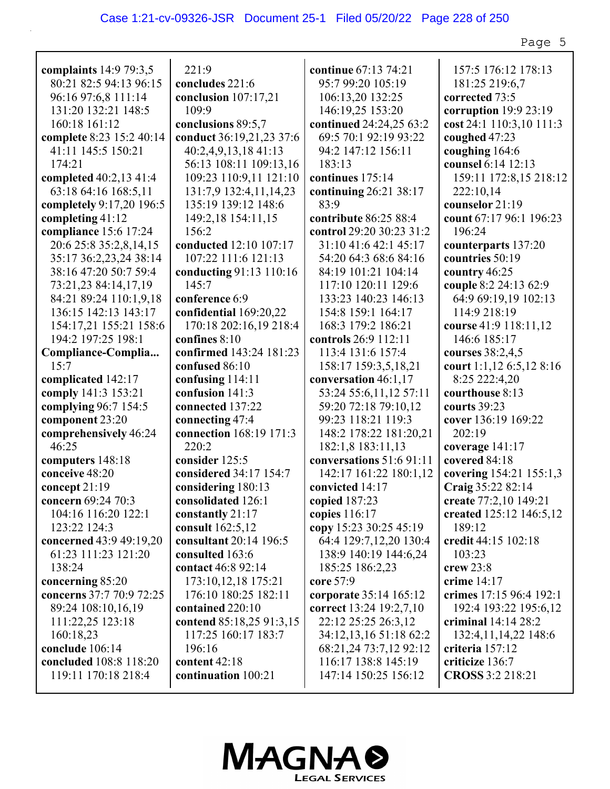| complaints 14:9 79:3,5        | 221:9                                           | continue 67:13 74:21                          | 157:5 176:12 178:13                              |
|-------------------------------|-------------------------------------------------|-----------------------------------------------|--------------------------------------------------|
| 80:21 82:5 94:13 96:15        | concludes 221:6                                 | 95:7 99:20 105:19                             | 181:25 219:6,7                                   |
| 96:16 97:6,8 111:14           | conclusion 107:17,21                            | 106:13,20 132:25                              | corrected 73:5                                   |
| 131:20 132:21 148:5           | 109:9                                           | 146:19,25 153:20                              | corruption $19:923:19$                           |
| 160:18 161:12                 | conclusions 89:5,7                              | continued 24:24,25 63:2                       | cost 24:1 110:3,10 111:3                         |
| complete 8:23 15:2 40:14      | conduct 36:19,21,23 37:6                        | 69:5 70:1 92:19 93:22                         | coughed 47:23                                    |
| 41:11 145:5 150:21            | 40:2,4,9,13,18 41:13                            | 94:2 147:12 156:11                            | coughing 164:6                                   |
| 174:21                        | 56:13 108:11 109:13,16                          | 183:13                                        | counsel 6:14 12:13                               |
| completed 40:2,13 41:4        | 109:23 110:9,11 121:10                          | continues 175:14                              | 159:11 172:8,15 218:12                           |
| 63:18 64:16 168:5,11          | 131:7,9 132:4,11,14,23                          | continuing 26:21 38:17                        | 222:10,14                                        |
| completely 9:17,20 196:5      | 135:19 139:12 148:6                             | 83:9                                          | counselor 21:19                                  |
| completing 41:12              | 149:2,18 154:11,15                              | contribute 86:25 88:4                         | count 67:17 96:1 196:23                          |
| compliance 15:6 17:24         | 156:2                                           | control 29:20 30:23 31:2                      | 196:24                                           |
| 20:6 25:8 35:2,8,14,15        | conducted 12:10 107:17                          | 31:10 41:6 42:1 45:17                         | counterparts 137:20                              |
| 35:17 36:2,23,24 38:14        | 107:22 111:6 121:13                             | 54:20 64:3 68:6 84:16                         | countries 50:19                                  |
| 38:16 47:20 50:7 59:4         | conducting 91:13 110:16                         | 84:19 101:21 104:14                           | country 46:25                                    |
| 73:21,23 84:14,17,19          | 145:7                                           | 117:10 120:11 129:6                           | couple 8:2 24:13 62:9                            |
| 84:21 89:24 110:1,9,18        | conference 6:9                                  | 133:23 140:23 146:13                          | 64:9 69:19,19 102:13                             |
| 136:15 142:13 143:17          | confidential 169:20,22                          | 154:8 159:1 164:17                            | 114:9 218:19                                     |
| 154:17,21 155:21 158:6        | 170:18 202:16,19 218:4                          | 168:3 179:2 186:21                            | course 41:9 118:11,12                            |
| 194:2 197:25 198:1            | confines 8:10                                   | controls 26:9 112:11                          | 146:6 185:17                                     |
| Compliance-Complia            | confirmed 143:24 181:23                         | 113:4 131:6 157:4                             | courses 38:2,4,5                                 |
| 15:7                          | confused 86:10                                  | 158:17 159:3,5,18,21                          | court 1:1,12 6:5,12 8:16                         |
| complicated 142:17            | confusing 114:11                                | conversation 46:1,17                          | 8:25 222:4,20                                    |
| comply 141:3 153:21           | confusion 141:3                                 | 53:24 55:6,11,12 57:11                        | courthouse 8:13                                  |
| complying 96:7 154:5          | connected 137:22                                | 59:20 72:18 79:10,12                          | <b>courts</b> 39:23                              |
| component 23:20               | connecting 47:4                                 | 99:23 118:21 119:3                            | cover 136:19 169:22                              |
| comprehensively 46:24         | connection 168:19 171:3                         | 148:2 178:22 181:20,21                        | 202:19                                           |
| 46:25                         | 220:2                                           | 182:1,8 183:11,13                             | coverage 141:17                                  |
| computers 148:18              | consider 125:5                                  | conversations 51:6 91:11                      | covered 84:18                                    |
| conceive 48:20                | considered 34:17 154:7                          | 142:17 161:22 180:1,12                        | covering 154:21 155:1,3                          |
| concept 21:19                 | considering 180:13                              | convicted 14:17                               | Craig 35:22 82:14                                |
| concern 69:24 70:3            | consolidated 126:1                              | copied 187:23                                 | create 77:2,10 149:21                            |
| 104:16 116:20 122:1           | constantly 21:17                                | copies 116:17                                 | created 125:12 146:5,12                          |
| 123:22 124:3                  | consult 162:5,12                                | copy 15:23 30:25 45:19                        | 189:12                                           |
| concerned 43:9 49:19,20       | consultant 20:14 196:5                          | 64:4 129:7, 12, 20 130:4                      | credit 44:15 102:18                              |
| 61:23 111:23 121:20           | consulted 163:6                                 | 138:9 140:19 144:6,24                         | 103:23                                           |
| 138:24                        | contact 46:8 92:14                              | 185:25 186:2,23                               | crew $23:8$                                      |
| concerning 85:20              | 173:10,12,18 175:21                             | core 57:9                                     | crime $14:17$                                    |
| concerns 37:7 70:9 72:25      | 176:10 180:25 182:11                            | corporate 35:14 165:12                        | crimes 17:15 96:4 192:1                          |
| 89:24 108:10,16,19            | contained 220:10                                | correct 13:24 19:2,7,10                       | 192:4 193:22 195:6,12                            |
| 111:22,25 123:18<br>160:18,23 | contend 85:18,25 91:3,15<br>117:25 160:17 183:7 | 22:12 25:25 26:3,12<br>34:12,13,16 51:18 62:2 | criminal $14:1428:2$<br>132:4, 11, 14, 22 148: 6 |
| conclude 106:14               | 196:16                                          | 68:21,24 73:7,12 92:12                        | criteria 157:12                                  |
| concluded 108:8 118:20        | content 42:18                                   | 116:17 138:8 145:19                           | criticize 136:7                                  |
| 119:11 170:18 218:4           | continuation 100:21                             | 147:14 150:25 156:12                          | CROSS 3:2 218:21                                 |
|                               |                                                 |                                               |                                                  |

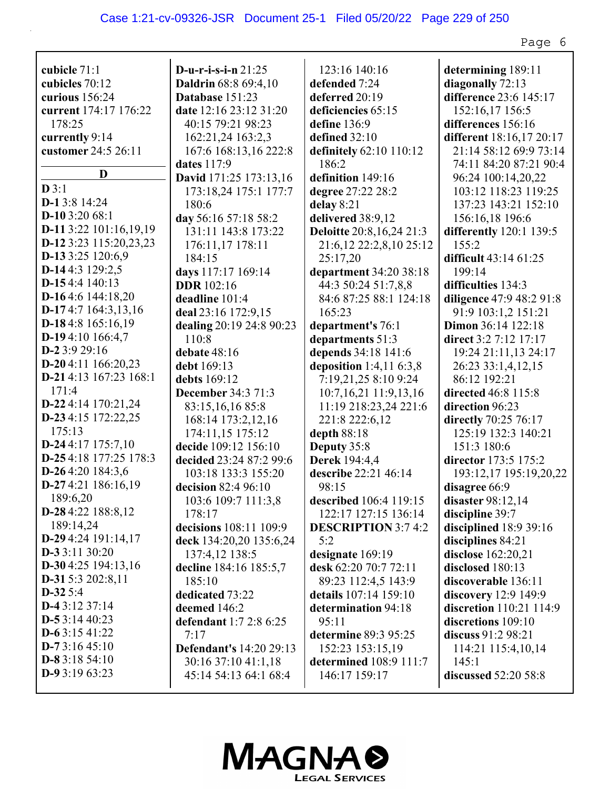cubicle  $71:1$  $D$ -u-r-i-s-i-n  $21:25$ 123:16 140:16 determining 189:11 cubicles  $70:12$ **Daldrin** 68:8 69:4,10 defended 7:24 diagonally 72:13 curious 156:24 Database 151:23 deferred 20:19 difference 23:6 145:17 current 174:17 176:22 date 12:16 23:12 31:20 deficiencies 65:15 152:16.17 156:5 178:25 40:15 79:21 98:23 define  $136:9$ differences 156:16 currently 9:14 162:21,24 163:2,3 defined 32:10 different 18:16,17 20:17 definitely 62:10 110:12 customer 24:5 26:11 167:6 168:13,16 222:8 21:14 58:12 69:9 73:14 dates 117:9 186:2 74:11 84:20 87:21 90:4 D David 171:25 173:13,16 definition 149:16 96:24 100:14,20,22  $D3:1$ 173:18,24 175:1 177:7 degree 27:22 28:2 103:12 118:23 119:25 D-13:8 14:24 137:23 143:21 152:10 180:6 delay  $8:21$  $D-10$  3:20 68:1 day 56:16 57:18 58:2 delivered 38:9,12 156:16,18 196:6 D-11 3:22 101:16,19,19 131:11 143:8 173:22 **Deloitte** 20:8, 16, 24 21:3 differently  $120:1$   $139:5$  $D-12$  3:23 115:20,23,23 176:11,17 178:11 21:6,12 22:2,8,10 25:12  $155:2$ **D-13** 3:25 120:6,9 184:15 25:17,20 difficult 43:14 61:25 D-14 4:3 129:2,5  $199:14$ days 117:17 169:14 **department** 34:20 38:18 **D-15** 4:4 140:13 **DDR** 102:16 44:3 50:24 51:7,8,8 difficulties 134:3 **D-16**4:6 144:18,20 deadline 101:4 84:6 87:25 88:1 124:18 diligence 47:9 48:2 91:8  $D-174:7164:3,13,16$ deal 23:16 172:9,15 165:23 91:9 103:1,2 151:21 **D-18** 4:8 165:16,19 **Dimon** 36:14 122:18 dealing  $20:19\,24:8\,90:23$ department's 76:1 **D-19** 4:10 166:4,7 110:8 departments 51:3 direct 3:2 7:12 17:17 D-2 3:9 29:16 debate  $48:16$ depends 34:18 141:6 19:24 21:11,13 24:17  $D-20$  4:11 166:20,23 debt 169:13 deposition 1:4,11 6:3,8 26:23 33:1,4,12,15 D-21 4:13 167:23 168:1 debts 169:12 7:19,21,25 8:10 9:24 86:12 192:21  $171:4$ **December 34:3 71:3** 10:7,16,21 11:9,13,16 **directed** 46:8 115:8  $D-22$  4:14 170:21,24 83:15,16,16 85:8 11:19 218:23,24 221:6 direction 96:23  $D-23$  4:15 172:22,25 168:14 173:2,12,16 221:8 222:6,12 directly  $70:2576:17$ 175:13 174:11,15 175:12 depth 88:18 125:19 132:3 140:21  $D-244:17175:7,10$ decide 109:12 156:10 151:3 180:6 Deputy 35:8  $D-254:18177:25178:3$ decided 23:24 87:2 99:6 **Derek** 194:4,4 director 173:5 175:2 D-264:20  $184:3,6$ describe 22:21 46:14 103:18 133:3 155:20 193:12,17 195:19,20,22  $D-274:21186:16,19$ decision 82:4 96:10 98:15 disagree 66:9 189:6,20 103:6 109:7 111:3,8 described 106:4 119:15 disaster 98:12,14 D-284:22 188:8,12 178:17 122:17 127:15 136:14 discipline 39:7 189:14,24 decisions 108:11 109:9 **DESCRIPTION** 3:7 4:2 disciplined  $18:939:16$  $D-29$  4:24 191:14.17 deck 134:20,20 135:6,24 disciplines 84:21  $5:2$  $D-33:1130:20$ disclose 162:20,21 137:4,12 138:5 designate 169:19  $D-30$  4:25 194:13,16 desk 62:20 70:7 72:11 decline 184:16 185:5,7 disclosed  $180:13$  $D-31$  5:3 202:8,11 185:10 discoverable 136:11 89:23 112:4,5 143:9  $D-325:4$ dedicated 73:22 details 107:14 159:10 discovery  $12:9$  149:9  $D-43:1237:14$ deemed 146:2 determination 94:18 discretion 110:21 114:9  $D-53:1440:23$ defendant 1:7 2:8 6:25 discretions 109:10  $95:11$  $D - 63:1541:22$  $7:17$ determine 89:3 95:25 discuss 91:2 98:21  $D-73:1645:10$ **Defendant's 14:20 29:13** 152:23 153:15,19 114:21 115:4,10,14 **D-8** 3:18 54:10 30:16 37:10 41:1,18 determined 108:9 111:7  $145:1$ D-9 3:19 63:23 146:17 159:17 discussed 52:20 58:8 45:14 54:13 64:1 68:4

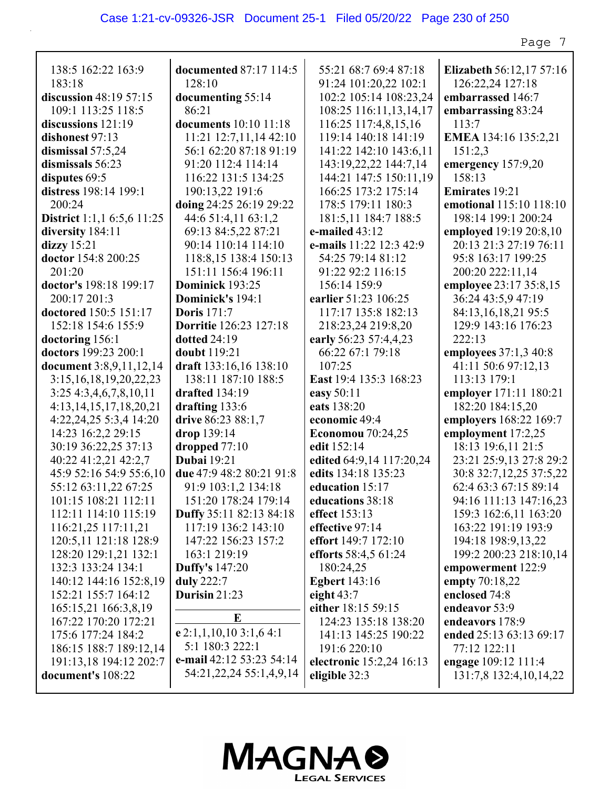| 138:5 162:22 163:9<br>183:18<br>discussion 48:19 57:15<br>109:1 113:25 118:5<br>discussions 121:19<br>dishonest 97:13<br>dismissal $57:5,24$<br>dismissals 56:23<br>disputes 69:5<br>distress 198:14 199:1<br>200:24<br><b>District</b> 1:1,1 6:5,6 11:25<br>diversity 184:11<br>dizzy $15:21$<br>doctor 154:8 200:25<br>201:20<br>doctor's 198:18 199:17<br>200:17 201:3<br>doctored 150:5 151:17<br>152:18 154:6 155:9<br>doctoring 156:1<br>doctors 199:23 200:1<br>document 3:8,9,11,12,14<br>3:15, 16, 18, 19, 20, 22, 23<br>$3:25$ 4:3,4,6,7,8,10,11<br>4:13,14,15,17,18,20,21<br>4:22,24,25 5:3,4 14:20<br>14:23 16:2,2 29:15<br>30:19 36:22,25 37:13<br>40:22 41:2,21 42:2,7<br>45:9 52:16 54:9 55:6,10<br>55:12 63:11,22 67:25 | documented 87:17 114:5<br>128:10<br>documenting 55:14<br>86:21<br>documents 10:10 11:18<br>11:21 12:7,11,14 42:10<br>56:1 62:20 87:18 91:19<br>91:20 112:4 114:14<br>116:22 131:5 134:25<br>190:13,22 191:6<br>doing 24:25 26:19 29:22<br>44:6 51:4,11 63:1,2<br>69:13 84:5,22 87:21<br>90:14 110:14 114:10<br>118:8,15 138:4 150:13<br>151:11 156:4 196:11<br>Dominick 193:25<br>Dominick's 194:1<br><b>Doris</b> 171:7<br><b>Dorritie</b> 126:23 127:18<br>dotted 24:19<br><b>doubt</b> 119:21<br>draft 133:16,16 138:10<br>138:11 187:10 188:5<br>drafted 134:19<br>drafting 133:6<br>drive 86:23 88:1,7<br>drop 139:14<br>dropped $77:10$<br><b>Dubai</b> 19:21<br>due 47:9 48:2 80:21 91:8<br>91:9 103:1,2 134:18 | 55:21 68:7 69:4 87:18<br>91:24 101:20,22 102:1<br>102:2 105:14 108:23,24<br>108:25 116:11,13,14,17<br>116:25 117:4,8,15,16<br>119:14 140:18 141:19<br>141:22 142:10 143:6,11<br>143:19,22,22 144:7,14<br>144:21 147:5 150:11,19<br>166:25 173:2 175:14<br>178:5 179:11 180:3<br>181:5,11 184:7 188:5<br>e-mailed $43:12$<br>e-mails 11:22 12:3 42:9<br>54:25 79:14 81:12<br>91:22 92:2 116:15<br>156:14 159:9<br>earlier 51:23 106:25<br>117:17 135:8 182:13<br>218:23,24 219:8,20<br>early 56:23 57:4,4,23<br>66:22 67:1 79:18<br>107:25<br>East 19:4 135:3 168:23<br>easy 50:11<br>eats 138:20<br>economic 49:4<br><b>Economou</b> 70:24,25<br>edit 152:14<br>edited 64:9,14 117:20,24<br>edits 134:18 135:23<br>education 15:17 | <b>Elizabeth 56:12,17 57:16</b><br>126:22,24 127:18<br>embarrassed 146:7<br>embarrassing 83:24<br>113:7<br>EMEA 134:16 135:2,21<br>151:2,3<br>emergency 157:9,20<br>158:13<br><b>Emirates</b> 19:21<br>emotional 115:10 118:10<br>198:14 199:1 200:24<br>employed 19:19 20:8,10<br>20:13 21:3 27:19 76:11<br>95:8 163:17 199:25<br>200:20 222:11,14<br>employee 23:17 35:8,15<br>36:24 43:5,9 47:19<br>84:13,16,18,21 95:5<br>129:9 143:16 176:23<br>222:13<br>employees 37:1,3 40:8<br>41:11 50:6 97:12,13<br>113:13 179:1<br>employer 171:11 180:21<br>182:20 184:15,20<br>employers 168:22 169:7<br>employment 17:2,25<br>18:13 19:6,11 21:5<br>23:21 25:9,13 27:8 29:2<br>30:8 32:7, 12, 25 37:5, 22<br>62:4 63:3 67:15 89:14 |
|-----------------------------------------------------------------------------------------------------------------------------------------------------------------------------------------------------------------------------------------------------------------------------------------------------------------------------------------------------------------------------------------------------------------------------------------------------------------------------------------------------------------------------------------------------------------------------------------------------------------------------------------------------------------------------------------------------------------------------------------|------------------------------------------------------------------------------------------------------------------------------------------------------------------------------------------------------------------------------------------------------------------------------------------------------------------------------------------------------------------------------------------------------------------------------------------------------------------------------------------------------------------------------------------------------------------------------------------------------------------------------------------------------------------------------------------------------------------------|------------------------------------------------------------------------------------------------------------------------------------------------------------------------------------------------------------------------------------------------------------------------------------------------------------------------------------------------------------------------------------------------------------------------------------------------------------------------------------------------------------------------------------------------------------------------------------------------------------------------------------------------------------------------------------------------------------------------------------|-----------------------------------------------------------------------------------------------------------------------------------------------------------------------------------------------------------------------------------------------------------------------------------------------------------------------------------------------------------------------------------------------------------------------------------------------------------------------------------------------------------------------------------------------------------------------------------------------------------------------------------------------------------------------------------------------------------------------------------|
|                                                                                                                                                                                                                                                                                                                                                                                                                                                                                                                                                                                                                                                                                                                                         |                                                                                                                                                                                                                                                                                                                                                                                                                                                                                                                                                                                                                                                                                                                        |                                                                                                                                                                                                                                                                                                                                                                                                                                                                                                                                                                                                                                                                                                                                    |                                                                                                                                                                                                                                                                                                                                                                                                                                                                                                                                                                                                                                                                                                                                   |
| 101:15 108:21 112:11<br>112:11 114:10 115:19<br>116:21,25 117:11,21<br>120:5,11 121:18 128:9<br>128:20 129:1,21 132:1<br>132:3 133:24 134:1<br>140:12 144:16 152:8,19<br>152:21 155:7 164:12<br>165:15,21 166:3,8,19<br>167:22 170:20 172:21<br>175:6 177:24 184:2<br>186:15 188:7 189:12,14<br>191:13,18 194:12 202:7<br>document's 108:22                                                                                                                                                                                                                                                                                                                                                                                             | 151:20 178:24 179:14<br>Duffy 35:11 82:13 84:18<br>117:19 136:2 143:10<br>147:22 156:23 157:2<br>163:1 219:19<br><b>Duffy's 147:20</b><br>duly $222:7$<br>Durisin 21:23<br>E<br>e 2:1,1,10,10 3:1,6 4:1<br>5:1 180:3 222:1<br>e-mail 42:12 53:23 54:14<br>54:21,22,24 55:1,4,9,14                                                                                                                                                                                                                                                                                                                                                                                                                                      | educations 38:18<br>effect 153:13<br>effective 97:14<br>effort 149:7 172:10<br>efforts 58:4,5 61:24<br>180:24,25<br><b>Egbert</b> 143:16<br>eight $43:7$<br>either 18:15 59:15<br>124:23 135:18 138:20<br>141:13 145:25 190:22<br>191:6 220:10<br>electronic 15:2,24 16:13<br>eligible 32:3                                                                                                                                                                                                                                                                                                                                                                                                                                        | 94:16 111:13 147:16,23<br>159:3 162:6,11 163:20<br>163:22 191:19 193:9<br>194:18 198:9,13,22<br>199:2 200:23 218:10,14<br>empowerment 122:9<br>empty 70:18,22<br>enclosed 74:8<br>endeavor 53:9<br>endeavors 178:9<br>ended 25:13 63:13 69:17<br>77:12 122:11<br>engage 109:12 111:4<br>131:7,8 132:4,10,14,22                                                                                                                                                                                                                                                                                                                                                                                                                    |

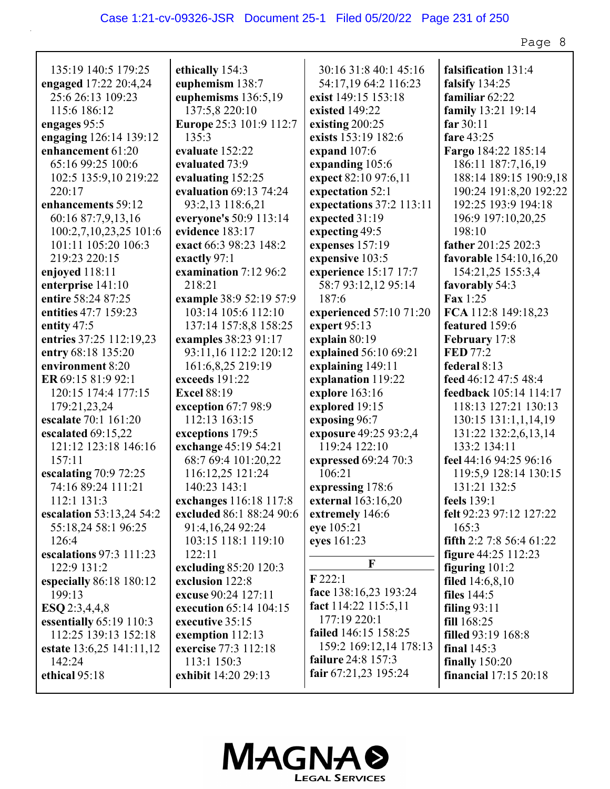| 135:19 140:5 179:25       | ethically 154:3          | 30:16 31:8 40:1 45:16    | falsification 131:4              |
|---------------------------|--------------------------|--------------------------|----------------------------------|
| engaged 17:22 20:4,24     | euphemism 138:7          | 54:17,19 64:2 116:23     | falsify $134:25$                 |
| 25:6 26:13 109:23         | euphemisms 136:5,19      | exist 149:15 153:18      | familiar 62:22                   |
| 115:6 186:12              | 137:5,8 220:10           | existed 149:22           | family 13:21 19:14               |
| engages 95:5              | Europe 25:3 101:9 112:7  | existing $200:25$        | far $30:11$                      |
| engaging 126:14 139:12    | 135:3                    | exists 153:19 182:6      | fare 43:25                       |
| enhancement 61:20         | evaluate 152:22          | expand 107:6             | Fargo 184:22 185:14              |
| 65:16 99:25 100:6         | evaluated 73:9           | expanding 105:6          | 186:11 187:7,16,19               |
| 102:5 135:9,10 219:22     | evaluating 152:25        | expect 82:10 97:6,11     | 188:14 189:15 190:9,18           |
| 220:17                    | evaluation 69:13 74:24   | expectation 52:1         | 190:24 191:8,20 192:22           |
| enhancements 59:12        | 93:2,13 118:6,21         | expectations 37:2 113:11 | 192:25 193:9 194:18              |
| 60:16 87:7,9,13,16        | everyone's 50:9 113:14   | expected 31:19           | 196:9 197:10,20,25               |
| 100:2,7,10,23,25 101:6    | evidence 183:17          | expecting 49:5           | 198:10                           |
| 101:11 105:20 106:3       | exact 66:3 98:23 148:2   | expenses 157:19          | father 201:25 202:3              |
| 219:23 220:15             | exactly 97:1             | expensive 103:5          | favorable 154:10,16,20           |
| enjoyed 118:11            | examination 7:12 96:2    | experience 15:17 17:7    | 154:21,25 155:3,4                |
| enterprise 141:10         | 218:21                   | 58:7 93:12,12 95:14      | favorably 54:3                   |
| entire 58:24 87:25        | example 38:9 52:19 57:9  | 187:6                    | Fax 1:25                         |
| entities 47:7 159:23      | 103:14 105:6 112:10      | experienced 57:10 71:20  | FCA 112:8 149:18,23              |
| entity 47:5               | 137:14 157:8,8 158:25    | expert 95:13             | featured 159:6                   |
| entries 37:25 112:19,23   | examples 38:23 91:17     | explain 80:19            | February 17:8                    |
| entry 68:18 135:20        | 93:11,16 112:2 120:12    | explained 56:10 69:21    | <b>FED 77:2</b>                  |
| environment 8:20          | 161:6,8,25 219:19        | explaining 149:11        | federal 8:13                     |
| ER 69:15 81:9 92:1        | exceeds 191:22           | explanation 119:22       | feed 46:12 47:5 48:4             |
| 120:15 174:4 177:15       | <b>Excel 88:19</b>       | explore 163:16           | feedback 105:14 114:17           |
| 179:21,23,24              | exception 67:7 98:9      | explored 19:15           | 118:13 127:21 130:13             |
| escalate 70:1 161:20      | 112:13 163:15            | exposing 96:7            | 130:15 131:1,1,14,19             |
| escalated 69:15,22        | exceptions 179:5         | exposure 49:25 93:2,4    | 131:22 132:2,6,13,14             |
| 121:12 123:18 146:16      | exchange 45:19 54:21     | 119:24 122:10            | 133:2 134:11                     |
| 157:11                    | 68:7 69:4 101:20,22      | expressed 69:24 70:3     | feel 44:16 94:25 96:16           |
| escalating $70:972:25$    | 116:12,25 121:24         | 106:21                   | 119:5,9 128:14 130:15            |
| 74:16 89:24 111:21        | 140:23 143:1             | expressing 178:6         | 131:21 132:5                     |
| 112:1 131:3               | exchanges 116:18 117:8   | external 163:16,20       | feels 139:1                      |
| escalation 53:13,24 54:2  | excluded 86:1 88:24 90:6 | extremely 146:6          | felt 92:23 97:12 127:22          |
| 55:18,24 58:1 96:25       | 91:4, 16, 24 92: 24      | eye 105:21               | 165:3                            |
| 126:4                     | 103:15 118:1 119:10      | eyes 161:23              | fifth 2:2 7:8 56:4 61:22         |
| escalations 97:3 111:23   | 122:11                   |                          | figure 44:25 112:23              |
| 122:9 131:2               | excluding 85:20 120:3    | $\mathbf F$              | figuring $101:2$                 |
| especially 86:18 180:12   | exclusion 122:8          | $F$ 222:1                | filed 14:6,8,10                  |
| 199:13                    | excuse 90:24 127:11      | face 138:16,23 193:24    | <b>files</b> 144:5               |
| <b>ESQ</b> 2:3,4,4,8      | execution 65:14 104:15   | fact 114:22 115:5,11     | filing 93:11                     |
| essentially $65:19$ 110:3 | executive 35:15          | 177:19 220:1             | fill 168:25                      |
| 112:25 139:13 152:18      | exemption 112:13         | failed 146:15 158:25     | filled 93:19 168:8               |
| estate 13:6,25 141:11,12  | exercise 77:3 112:18     | 159:2 169:12,14 178:13   | final $145:3$                    |
| 142:24                    | 113:1 150:3              | failure 24:8 157:3       | finally $150:20$                 |
| ethical 95:18             | exhibit 14:20 29:13      | fair $67:21,23$ 195:24   | <b>financial</b> $17:15$ $20:18$ |
|                           |                          |                          |                                  |

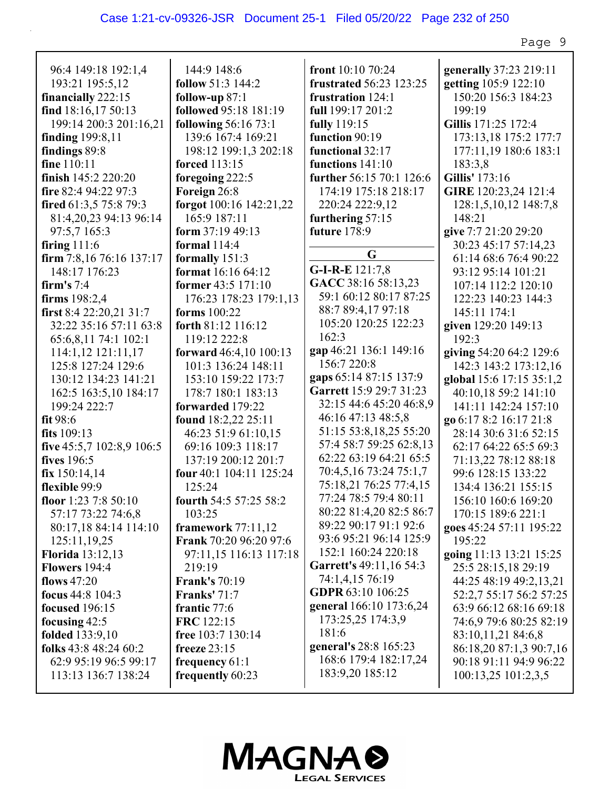| 96:4 149:18 192:1,4        | 144:9 148:6                     | front $10:10$ 70:24                   | generally 37:23 219:11   |
|----------------------------|---------------------------------|---------------------------------------|--------------------------|
| 193:21 195:5,12            | follow $51:3$ 144:2             | frustrated 56:23 123:25               | getting 105:9 122:10     |
| financially 222:15         | follow-up $87:1$                | frustration 124:1                     | 150:20 156:3 184:23      |
| find $18:16,1750:13$       | followed 95:18 181:19           | full 199:17 201:2                     | 199:19                   |
| 199:14 200:3 201:16,21     | <b>following 56:16 73:1</b>     | fully 119:15                          | Gillis 171:25 172:4      |
| finding $199:8,11$         | 139:6 167:4 169:21              | function 90:19                        | 173:13,18 175:2 177:7    |
| findings 89:8              | 198:12 199:1,3 202:18           | functional 32:17                      | 177:11,19 180:6 183:1    |
| fine 110:11                | forced 113:15                   | functions $141:10$                    | 183:3,8                  |
| finish 145:2 220:20        |                                 | further 56:15 70:1 126:6              | Gillis' 173:16           |
| fire 82:4 94:22 97:3       | foregoing 222:5<br>Foreign 26:8 | 174:19 175:18 218:17                  |                          |
|                            |                                 |                                       | GIRE 120:23,24 121:4     |
| fired 61:3,5 75:8 79:3     | forgot 100:16 142:21,22         | 220:24 222:9,12                       | 128:1,5,10,12 148:7,8    |
| 81:4, 20, 23 94: 13 96: 14 | 165:9 187:11                    | furthering $57:15$                    | 148:21                   |
| 97:5,7 165:3               | form 37:19 49:13                | future 178:9                          | give 7:7 21:20 29:20     |
| firing $111:6$             | formal $114:4$                  | G                                     | 30:23 45:17 57:14,23     |
| firm 7:8,16 76:16 137:17   | formally 151:3                  | G-I-R-E 121:7,8                       | 61:14 68:6 76:4 90:22    |
| 148:17 176:23              | format 16:16 64:12              | GACC 38:16 58:13,23                   | 93:12 95:14 101:21       |
| firm's $7:4$               | former 43:5 171:10              | 59:1 60:12 80:17 87:25                | 107:14 112:2 120:10      |
| firms 198:2,4              | 176:23 178:23 179:1,13          | 88:7 89:4,17 97:18                    | 122:23 140:23 144:3      |
| first $8:4$ 22:20,21 31:7  | forms $100:22$                  | 105:20 120:25 122:23                  | 145:11 174:1             |
| 32:22 35:16 57:11 63:8     | forth 81:12 116:12              | 162:3                                 | given 129:20 149:13      |
| 65:6,8,11 74:1 102:1       | 119:12 222:8                    |                                       | 192:3                    |
| 114:1,12 121:11,17         | forward 46:4,10 100:13          | gap 46:21 136:1 149:16<br>156:7 220:8 | giving 54:20 64:2 129:6  |
| 125:8 127:24 129:6         | 101:3 136:24 148:11             |                                       | 142:3 143:2 173:12,16    |
| 130:12 134:23 141:21       | 153:10 159:22 173:7             | gaps 65:14 87:15 137:9                | global 15:6 17:15 35:1,2 |
| 162:5 163:5,10 184:17      | 178:7 180:1 183:13              | Garrett 15:9 29:7 31:23               | 40:10,18 59:2 141:10     |
| 199:24 222:7               | forwarded 179:22                | 32:15 44:6 45:20 46:8,9               | 141:11 142:24 157:10     |
| fit $98:6$                 | found 18:2,22 25:11             | 46:16 47:13 48:5,8                    | go 6:17 8:2 16:17 21:8   |
| fits $109:13$              | 46:23 51:9 61:10,15             | 51:15 53:8,18,25 55:20                | 28:14 30:6 31:6 52:15    |
| five 45:5,7 102:8,9 106:5  | 69:16 109:3 118:17              | 57:4 58:7 59:25 62:8,13               | 62:17 64:22 65:5 69:3    |
| fives 196:5                | 137:19 200:12 201:7             | 62:22 63:19 64:21 65:5                | 71:13,22 78:12 88:18     |
| fix 150:14,14              | four 40:1 104:11 125:24         | 70:4,5,16 73:24 75:1,7                | 99:6 128:15 133:22       |
| flexible 99:9              | 125:24                          | 75:18,21 76:25 77:4,15                | 134:4 136:21 155:15      |
| floor 1:23 7:8 50:10       | fourth 54:5 57:25 58:2          | 77:24 78:5 79:4 80:11                 | 156:10 160:6 169:20      |
| 57:17 73:22 74:6,8         | 103:25                          | 80:22 81:4,20 82:5 86:7               | 170:15 189:6 221:1       |
| 80:17,18 84:14 114:10      | framework 77:11,12              | 89:22 90:17 91:1 92:6                 | goes 45:24 57:11 195:22  |
| 125:11,19,25               | Frank 70:20 96:20 97:6          | 93:6 95:21 96:14 125:9                | 195:22                   |
| <b>Florida</b> 13:12,13    | 97:11,15 116:13 117:18          | 152:1 160:24 220:18                   | going 11:13 13:21 15:25  |
| <b>Flowers</b> 194:4       | 219:19                          | Garrett's 49:11,16 54:3               | 25:5 28:15,18 29:19      |
| flows $47:20$              | <b>Frank's</b> 70:19            | 74:1,4,15 76:19                       | 44:25 48:19 49:2,13,21   |
| focus $44:8$ 104:3         | <b>Franks'</b> 71:7             | GDPR 63:10 106:25                     | 52:2,7 55:17 56:2 57:25  |
| <b>focused</b> 196:15      | frantic 77:6                    | general 166:10 173:6,24               | 63:9 66:12 68:16 69:18   |
| focusing 42:5              | FRC 122:15                      | 173:25,25 174:3,9                     | 74:6,9 79:6 80:25 82:19  |
| <b>folded</b> 133:9,10     | free 103:7 130:14               | 181:6                                 | 83:10,11,21 84:6,8       |
| folks 43:8 48:24 60:2      | freeze 23:15                    | general's 28:8 165:23                 | 86:18,20 87:1,3 90:7,16  |
| 62:9 95:19 96:5 99:17      | frequency $61:1$                | 168:6 179:4 182:17,24                 | 90:18 91:11 94:9 96:22   |
| 113:13 136:7 138:24        | frequently 60:23                | 183:9,20 185:12                       | 100:13,25 101:2,3,5      |

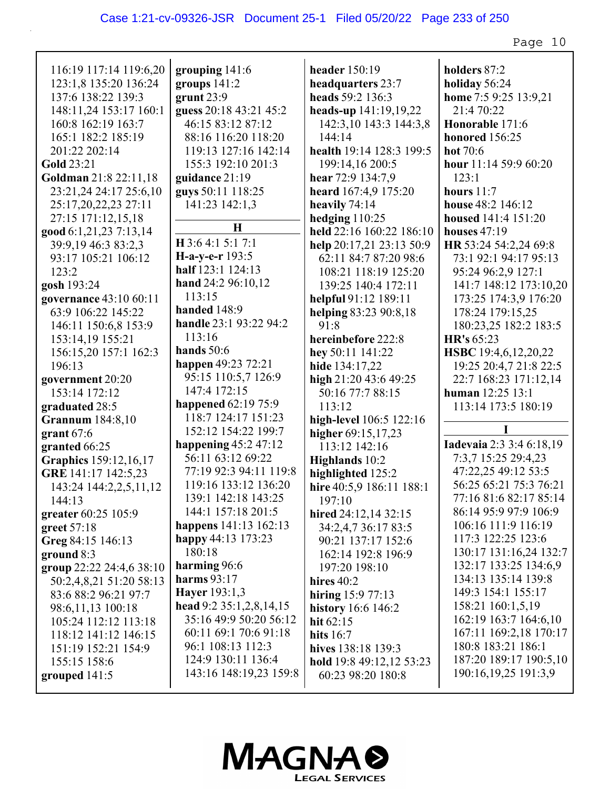| 116:19 117:14 119:6,20       | grouping 141:6          | header 150:19            | holders 87:2             |
|------------------------------|-------------------------|--------------------------|--------------------------|
| 123:1,8 135:20 136:24        | groups $141:2$          | headquarters 23:7        | holiday 56:24            |
| 137:6 138:22 139:3           | grunt 23:9              | heads 59:2 136:3         | home 7:5 9:25 13:9,21    |
| 148:11,24 153:17 160:1       | guess 20:18 43:21 45:2  | heads-up 141:19,19,22    | 21:4 70:22               |
| 160:8 162:19 163:7           | 46:15 83:12 87:12       | 142:3,10 143:3 144:3,8   | Honorable 171:6          |
| 165:1 182:2 185:19           | 88:16 116:20 118:20     | 144:14                   | honored 156:25           |
| 201:22 202:14                | 119:13 127:16 142:14    | health 19:14 128:3 199:5 | hot $70:6$               |
| <b>Gold 23:21</b>            | 155:3 192:10 201:3      | 199:14,16 200:5          | hour 11:14 59:9 60:20    |
| Goldman 21:8 22:11,18        | guidance 21:19          | hear 72:9 134:7,9        | 123:1                    |
| 23:21,24 24:17 25:6,10       | guys 50:11 118:25       | heard 167:4,9 175:20     | hours $11:7$             |
| 25:17,20,22,23 27:11         | 141:23 142:1,3          | heavily 74:14            | house 48:2 146:12        |
| 27:15 171:12,15,18           |                         | hedging $110:25$         | housed 141:4 151:20      |
| good 6:1,21,23 7:13,14       | $\mathbf H$             | held 22:16 160:22 186:10 | houses $47:19$           |
| 39:9,19 46:3 83:2,3          | H 3:6 4:1 5:1 7:1       | help 20:17,21 23:13 50:9 | HR 53:24 54:2,24 69:8    |
| 93:17 105:21 106:12          | $H-a-y-e-r 193:5$       | 62:11 84:7 87:20 98:6    | 73:1 92:1 94:17 95:13    |
| 123:2                        | half 123:1 124:13       | 108:21 118:19 125:20     | 95:24 96:2,9 127:1       |
| gosh 193:24                  | hand 24:2 96:10,12      | 139:25 140:4 172:11      | 141:7 148:12 173:10,20   |
| governance 43:10 60:11       | 113:15                  | helpful 91:12 189:11     | 173:25 174:3,9 176:20    |
| 63:9 106:22 145:22           | handed 148:9            | helping 83:23 90:8,18    | 178:24 179:15,25         |
| 146:11 150:6,8 153:9         | handle 23:1 93:22 94:2  | 91:8                     | 180:23,25 182:2 183:5    |
| 153:14,19 155:21             | 113:16                  | hereinbefore 222:8       | HR's 65:23               |
| 156:15,20 157:1 162:3        | hands $50:6$            | hey 50:11 141:22         | HSBC 19:4,6,12,20,22     |
| 196:13                       | happen 49:23 72:21      | hide 134:17,22           | 19:25 20:4,7 21:8 22:5   |
| government 20:20             | 95:15 110:5,7 126:9     | high 21:20 43:6 49:25    | 22:7 168:23 171:12,14    |
| 153:14 172:12                | 147:4 172:15            | 50:16 77:7 88:15         | human 12:25 13:1         |
| graduated 28:5               | happened 62:19 75:9     | 113:12                   | 113:14 173:5 180:19      |
| <b>Grannum</b> 184:8,10      | 118:7 124:17 151:23     | high-level 106:5 122:16  |                          |
| grant $67:6$                 | 152:12 154:22 199:7     | higher 69:15,17,23       |                          |
| granted 66:25                | happening $45:2$ 47:12  | 113:12 142:16            | Iadevaia 2:3 3:4 6:18,19 |
| <b>Graphics</b> 159:12,16,17 | 56:11 63:12 69:22       | Highlands 10:2           | 7:3,7 15:25 29:4,23      |
| GRE 141:17 142:5,23          | 77:19 92:3 94:11 119:8  | highlighted 125:2        | 47:22,25 49:12 53:5      |
| 143:24 144:2,2,5,11,12       | 119:16 133:12 136:20    | hire 40:5,9 186:11 188:1 | 56:25 65:21 75:3 76:21   |
| 144:13                       | 139:1 142:18 143:25     | 197:10                   | 77:16 81:6 82:17 85:14   |
| greater 60:25 105:9          | 144:1 157:18 201:5      | hired 24:12,14 32:15     | 86:14 95:9 97:9 106:9    |
| greet 57:18                  | happens 141:13 162:13   | 34:2,4,7 36:17 83:5      | 106:16 111:9 116:19      |
| Greg 84:15 146:13            | happy 44:13 173:23      | 90:21 137:17 152:6       | 117:3 122:25 123:6       |
| ground 8:3                   | 180:18                  | 162:14 192:8 196:9       | 130:17 131:16,24 132:7   |
| group 22:22 24:4,6 38:10     | harming 96:6            | 197:20 198:10            | 132:17 133:25 134:6,9    |
| 50:2,4,8,21 51:20 58:13      | harms $93:17$           | hires $40:2$             | 134:13 135:14 139:8      |
| 83:6 88:2 96:21 97:7         | Hayer 193:1,3           | hiring $15:977:13$       | 149:3 154:1 155:17       |
| 98:6,11,13 100:18            | head 9:2 35:1,2,8,14,15 | history 16:6 146:2       | 158:21 160:1,5,19        |
| 105:24 112:12 113:18         | 35:16 49:9 50:20 56:12  | hit 62:15                | 162:19 163:7 164:6,10    |
| 118:12 141:12 146:15         | 60:11 69:1 70:6 91:18   | hits $16:7$              | 167:11 169:2,18 170:17   |
| 151:19 152:21 154:9          | 96:1 108:13 112:3       | hives 138:18 139:3       | 180:8 183:21 186:1       |
| 155:15 158:6                 | 124:9 130:11 136:4      | hold 19:8 49:12,12 53:23 | 187:20 189:17 190:5,10   |
| grouped 141:5                | 143:16 148:19,23 159:8  | 60:23 98:20 180:8        | 190:16,19,25 191:3,9     |
|                              |                         |                          |                          |

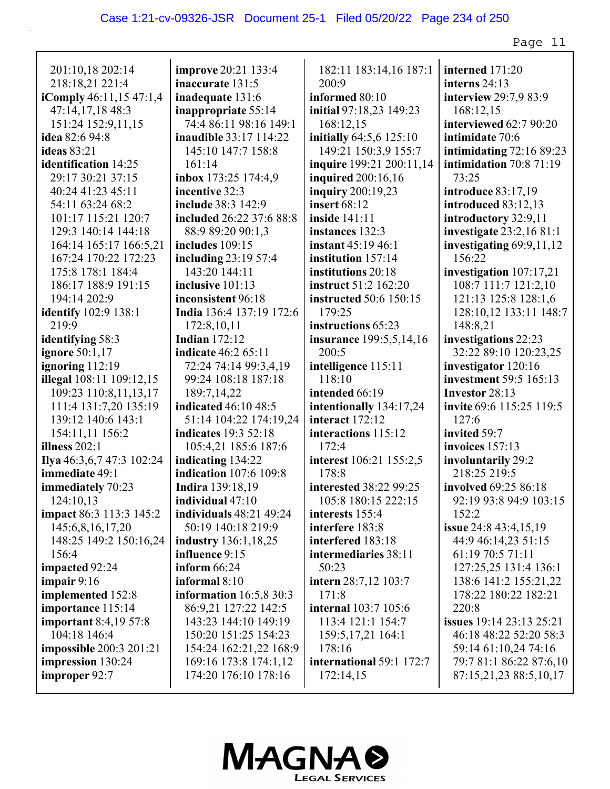| 201:10,18 202:14                               | improve 20:21 133:4                            | 182:11 183:14,16 187:1                     | interned 171:20                            |
|------------------------------------------------|------------------------------------------------|--------------------------------------------|--------------------------------------------|
| 218:18,21 221:4                                | inaccurate 131:5                               | 200:9                                      | interns 24:13                              |
| iComply $46:11,1547:1,4$                       | inadequate 131:6                               | informed 80:10                             | <b>interview</b> 29:7,9 83:9               |
| 47:14,17,18 48:3                               | inappropriate 55:14                            | initial 97:18,23 149:23                    | 168:12,15                                  |
| 151:24 152:9,11,15                             | 74:4 86:11 98:16 149:1                         | 168:12,15                                  | interviewed 62:7 90:20                     |
| idea 82:6 94:8                                 | <b>inaudible</b> 33:17 114:22                  | initially 64:5,6 125:10                    | intimidate 70:6                            |
| <b>ideas</b> 83:21                             | 145:10 147:7 158:8                             | 149:21 150:3,9 155:7                       | intimidating $72:1689:23$                  |
| identification 14:25                           | 161:14                                         | inquire 199:21 200:11,14                   | intimidation $70:871:19$                   |
| 29:17 30:21 37:15                              | inbox 173:25 174:4,9                           | <b>inquired</b> 200:16,16                  | 73:25                                      |
| 40:24 41:23 45:11                              | incentive 32:3                                 | inquiry 200:19,23                          | <b>introduce</b> 83:17,19                  |
| 54:11 63:24 68:2                               | include 38:3 142:9                             | <b>insert</b> 68:12                        | introduced 83:12,13                        |
| 101:17 115:21 120:7                            | included 26:22 37:6 88:8                       | <b>inside</b> 141:11                       | introductory 32:9,11                       |
| 129:3 140:14 144:18                            | 88:9 89:20 90:1,3                              | instances 132:3                            | <b>investigate</b> 23:2,16 81:1            |
| 164:14 165:17 166:5,21                         | includes 109:15                                | <b>instant</b> 45:19 46:1                  | investigating $69:9,11,12$                 |
| 167:24 170:22 172:23                           | including 23:19 57:4                           | institution 157:14                         | 156:22                                     |
| 175:8 178:1 184:4                              | 143:20 144:11                                  | institutions 20:18                         | investigation 107:17,21                    |
| 186:17 188:9 191:15                            | inclusive 101:13                               | <b>instruct</b> 51:2 162:20                | 108:7 111:7 121:2,10                       |
| 194:14 202:9                                   | inconsistent 96:18                             | <b>instructed</b> 50:6 150:15              | 121:13 125:8 128:1,6                       |
| <b>identify</b> 102:9 138:1                    | India 136:4 137:19 172:6                       | 179:25                                     | 128:10,12 133:11 148:7                     |
| 219:9                                          | 172:8,10,11                                    | instructions 65:23                         | 148:8,21                                   |
| identifying 58:3                               | Indian $172:12$                                | <b>insurance</b> 199:5,5,14,16             | investigations 22:23                       |
| ignore $50:1,17$                               | <b>indicate</b> 46:2 65:11                     | 200:5                                      | 32:22 89:10 120:23,25                      |
| ignoring 112:19                                | 72:24 74:14 99:3,4,19                          | intelligence 115:11<br>118:10              | investigator 120:16                        |
| illegal 108:11 109:12,15                       | 99:24 108:18 187:18                            | intended 66:19                             | investment 59:5 165:13                     |
| 109:23 110:8,11,13,17<br>111:4 131:7,20 135:19 | 189:7,14,22                                    |                                            | Investor 28:13<br>invite 69:6 115:25 119:5 |
| 139:12 140:6 143:1                             | indicated 46:10 48:5<br>51:14 104:22 174:19,24 | intentionally 134:17,24<br>interact 172:12 | 127:6                                      |
| 154:11,11 156:2                                | <b>indicates</b> 19:3 52:18                    | interactions 115:12                        | invited 59:7                               |
| illness 202:1                                  | 105:4,21 185:6 187:6                           | 172:4                                      | invoices 157:13                            |
| Ilya 46:3,6,7 47:3 102:24                      | indicating 134:22                              | interest 106:21 155:2,5                    | involuntarily 29:2                         |
| immediate 49:1                                 | <b>indication</b> 107:6 109:8                  | 178:8                                      | 218:25 219:5                               |
| immediately 70:23                              | <b>Indira</b> 139:18,19                        | interested 38:22 99:25                     | involved 69:25 86:18                       |
| 124:10,13                                      | individual 47:10                               | 105:8 180:15 222:15                        | 92:19 93:8 94:9 103:15                     |
| impact 86:3 113:3 145:2                        | individuals $48:21$ 49:24                      | interests 155:4                            | 152:2                                      |
| 145:6,8,16,17,20                               | 50:19 140:18 219:9                             | interfere 183:8                            | <b>issue</b> 24:8 43:4,15,19               |
| 148:25 149:2 150:16,24                         | <b>industry</b> 136:1,18,25                    | interfered 183:18                          | 44:9 46:14,23 51:15                        |
| 156:4                                          | influence 9:15                                 | intermediaries 38:11                       | 61:19 70:5 71:11                           |
| impacted 92:24                                 | inform $66:24$                                 | 50:23                                      | 127:25,25 131:4 136:1                      |
| impair $9:16$                                  | informal 8:10                                  | <b>intern</b> 28:7,12 103:7                | 138:6 141:2 155:21,22                      |
| implemented 152:8                              | information $16:5,830:3$                       | 171:8                                      | 178:22 180:22 182:21                       |
| importance 115:14                              | 86:9,21 127:22 142:5                           | <b>internal</b> 103:7 105:6                | 220:8                                      |
| <b>important</b> 8:4,19 57:8                   | 143:23 144:10 149:19                           | 113:4 121:1 154:7                          | <b>issues</b> 19:14 23:13 25:21            |
| 104:18 146:4                                   | 150:20 151:25 154:23                           | 159:5, 17, 21 164:1                        | 46:18 48:22 52:20 58:3                     |
| <b>impossible</b> 200:3 201:21                 | 154:24 162:21,22 168:9                         | 178:16                                     | 59:14 61:10,24 74:16                       |
| impression 130:24                              | 169:16 173:8 174:1,12                          | international 59:1 172:7                   | 79:7 81:1 86:22 87:6,10                    |
| improper 92:7                                  | 174:20 176:10 178:16                           | 172:14,15                                  | 87:15,21,23 88:5,10,17                     |
|                                                |                                                |                                            |                                            |

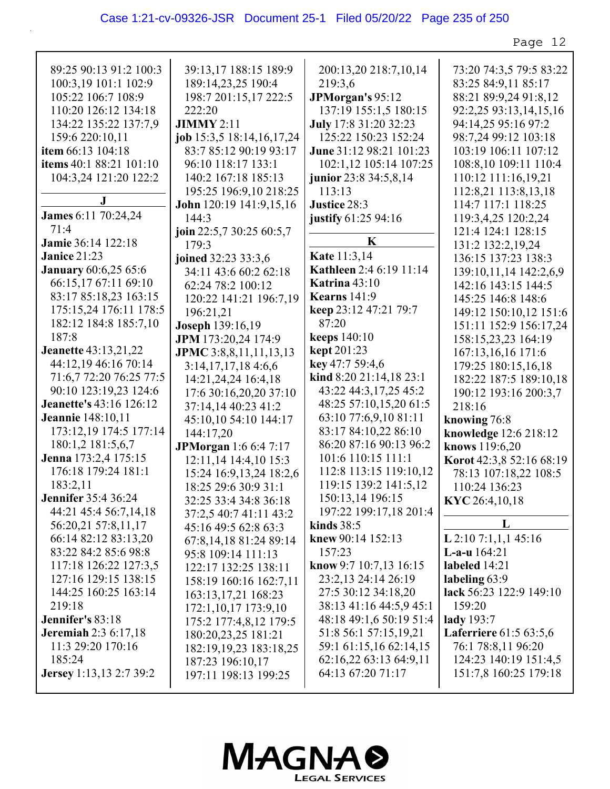| 89:25 90:13 91:2 100:3         | 39:13,17 188:15 189:9        | 200:13,20 218:7,10,14     | 73:20 74:3,5 79:5 83:22       |
|--------------------------------|------------------------------|---------------------------|-------------------------------|
| 100:3,19 101:1 102:9           | 189:14,23,25 190:4           | 219:3,6                   | 83:25 84:9,11 85:17           |
| 105:22 106:7 108:9             | 198:7 201:15,17 222:5        | JPMorgan's 95:12          | 88:21 89:9,24 91:8,12         |
|                                |                              |                           |                               |
| 110:20 126:12 134:18           | 222:20                       | 137:19 155:1,5 180:15     | 92:2,25 93:13,14,15,16        |
| 134:22 135:22 137:7,9          | <b>JIMMY 2:11</b>            | July 17:8 31:20 32:23     | 94:14,25 95:16 97:2           |
| 159:6 220:10,11                | job 15:3,5 18:14,16,17,24    | 125:22 150:23 152:24      | 98:7,24 99:12 103:18          |
| item 66:13 104:18              | 83:7 85:12 90:19 93:17       | June 31:12 98:21 101:23   | 103:19 106:11 107:12          |
| items 40:1 88:21 101:10        | 96:10 118:17 133:1           | 102:1,12 105:14 107:25    | 108:8,10 109:11 110:4         |
| 104:3,24 121:20 122:2          | 140:2 167:18 185:13          | junior 23:8 34:5,8,14     | 110:12 111:16,19,21           |
|                                |                              |                           |                               |
| J                              | 195:25 196:9,10 218:25       | 113:13                    | 112:8,21 113:8,13,18          |
|                                | John 120:19 141:9,15,16      | Justice 28:3              | 114:7 117:1 118:25            |
| James 6:11 70:24,24            | 144:3                        | justify 61:25 94:16       | 119:3,4,25 120:2,24           |
| 71:4                           | join 22:5,7 30:25 60:5,7     |                           | 121:4 124:1 128:15            |
| Jamie 36:14 122:18             | 179:3                        | K                         | 131:2 132:2,19,24             |
| Janice 21:23                   | joined 32:23 33:3,6          | Kate 11:3,14              | 136:15 137:23 138:3           |
| <b>January</b> 60:6,25 65:6    | 34:11 43:6 60:2 62:18        | Kathleen 2:4 6:19 11:14   | 139:10,11,14 142:2,6,9        |
| 66:15,17 67:11 69:10           |                              | Katrina $43:10$           |                               |
|                                | 62:24 78:2 100:12            |                           | 142:16 143:15 144:5           |
| 83:17 85:18,23 163:15          | 120:22 141:21 196:7,19       | <b>Kearns</b> 141:9       | 145:25 146:8 148:6            |
| 175:15,24 176:11 178:5         | 196:21,21                    | keep 23:12 47:21 79:7     | 149:12 150:10,12 151:6        |
| 182:12 184:8 185:7,10          | <b>Joseph 139:16,19</b>      | 87:20                     | 151:11 152:9 156:17,24        |
| 187:8                          | JPM 173:20,24 174:9          | <b>keeps</b> 140:10       | 158:15,23,23 164:19           |
| <b>Jeanette</b> 43:13,21,22    | JPMC 3:8,8,11,11,13,13       | kept 201:23               | 167:13,16,16 171:6            |
| 44:12,19 46:16 70:14           | 3:14,17,17,184:6,6           | key 47:7 59:4,6           | 179:25 180:15,16,18           |
| 71:6,7 72:20 76:25 77:5        | 14:21,24,24 16:4,18          | kind $8:20$ 21:14,18 23:1 | 182:22 187:5 189:10,18        |
| 90:10 123:19,23 124:6          | 17:6 30:16,20,20 37:10       | 43:22 44:3,17,25 45:2     | 190:12 193:16 200:3,7         |
| <b>Jeanette's 43:16 126:12</b> |                              | 48:25 57:10,15,20 61:5    | 218:16                        |
| <b>Jeannie</b> 148:10,11       | 37:14,14 40:23 41:2          | 63:10 77:6,9,10 81:11     |                               |
| 173:12,19 174:5 177:14         | 45:10,10 54:10 144:17        | 83:17 84:10,22 86:10      | knowing 76:8                  |
|                                | 144:17,20                    |                           | knowledge 12:6 218:12         |
| 180:1,2 181:5,6,7              | <b>JPMorgan</b> 1:6 6:4 7:17 | 86:20 87:16 90:13 96:2    | knows 119:6,20                |
| Jenna 173:2,4 175:15           | 12:11,14 14:4,10 15:3        | 101:6 110:15 111:1        | Korot 42:3,8 52:16 68:19      |
| 176:18 179:24 181:1            | 15:24 16:9, 13, 24 18:2, 6   | 112:8 113:15 119:10,12    | 78:13 107:18,22 108:5         |
| 183:2,11                       | 18:25 29:6 30:9 31:1         | 119:15 139:2 141:5,12     | 110:24 136:23                 |
| <b>Jennifer</b> 35:4 36:24     | 32:25 33:4 34:8 36:18        | 150:13,14 196:15          | KYC 26:4,10,18                |
| 44:21 45:4 56:7,14,18          | 37:2,5 40:7 41:11 43:2       | 197:22 199:17,18 201:4    |                               |
| 56:20,21 57:8,11,17            | 45:16 49:5 62:8 63:3         | kinds $38:5$              | L                             |
| 66:14 82:12 83:13,20           | 67:8, 14, 18 81:24 89:14     | knew $90:14$ 152:13       | L 2:10 7:1,1,1 45:16          |
| 83:22 84:2 85:6 98:8           |                              | 157:23                    | <b>L-a-u</b> $164:21$         |
| 117:18 126:22 127:3,5          | 95:8 109:14 111:13           | know 9:7 10:7,13 16:15    | labeled 14:21                 |
|                                | 122:17 132:25 138:11         |                           |                               |
| 127:16 129:15 138:15           | 158:19 160:16 162:7,11       | 23:2,13 24:14 26:19       | labeling 63:9                 |
| 144:25 160:25 163:14           | 163:13,17,21 168:23          | 27:5 30:12 34:18,20       | lack 56:23 122:9 149:10       |
| 219:18                         | 172:1,10,17 173:9,10         | 38:13 41:16 44:5,9 45:1   | 159:20                        |
| Jennifer's 83:18               | 175:2 177:4,8,12 179:5       | 48:18 49:1,6 50:19 51:4   | lady 193:7                    |
| <b>Jeremiah</b> 2:3 6:17,18    | 180:20,23,25 181:21          | 51:8 56:1 57:15,19,21     | <b>Laferriere</b> 61:5 63:5,6 |
| 11:3 29:20 170:16              | 182:19,19,23 183:18,25       | 59:1 61:15,16 62:14,15    | 76:1 78:8,11 96:20            |
| 185:24                         | 187:23 196:10,17             | 62:16,22 63:13 64:9,11    | 124:23 140:19 151:4,5         |
| <b>Jersey</b> 1:13,13 2:7 39:2 | 197:11 198:13 199:25         | 64:13 67:20 71:17         | 151:7,8 160:25 179:18         |
|                                |                              |                           |                               |

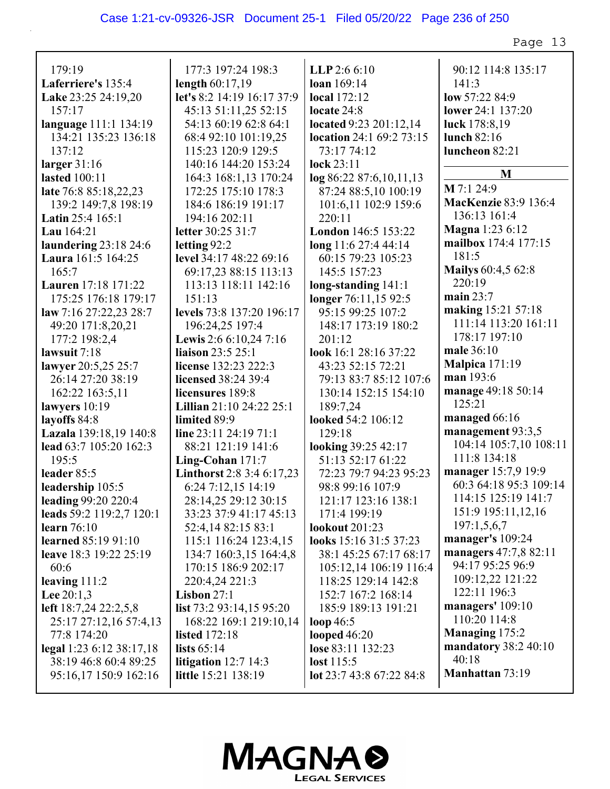| 179:19                      | 177:3 197:24 198:3          | LLP 2:6 $6:10$                  | 90:12 114:8 135:17            |
|-----------------------------|-----------------------------|---------------------------------|-------------------------------|
| Laferriere's 135:4          | length 60:17,19             | loan $169:14$                   | 141:3                         |
| Lake 23:25 24:19,20         | let's 8:2 14:19 16:17 37:9  | local 172:12                    | low 57:22 84:9                |
| 157:17                      | 45:13 51:11,25 52:15        | locate 24:8                     | lower 24:1 137:20             |
| language 111:1 134:19       | 54:13 60:19 62:8 64:1       | located 9:23 201:12,14          | luck 178:8,19                 |
| 134:21 135:23 136:18        | 68:4 92:10 101:19,25        | <b>location</b> 24:1 69:2 73:15 | lunch 82:16                   |
| 137:12                      | 115:23 120:9 129:5          | 73:17 74:12                     | luncheon 82:21                |
| larger $31:16$              | 140:16 144:20 153:24        | lock 23:11                      |                               |
| <b>lasted</b> 100:11        | 164:3 168:1,13 170:24       | log 86:22 87:6,10,11,13         | M                             |
| late 76:8 85:18,22,23       | 172:25 175:10 178:3         | 87:24 88:5,10 100:19            | M 7:1 24:9                    |
| 139:2 149:7,8 198:19        | 184:6 186:19 191:17         | 101:6,11 102:9 159:6            | <b>MacKenzie 83:9 136:4</b>   |
| <b>Latin</b> $25:4$ $165:1$ | 194:16 202:11               | 220:11                          | 136:13 161:4                  |
| Lau 164:21                  | letter 30:25 31:7           | London 146:5 153:22             | <b>Magna</b> 1:23 6:12        |
| laundering $23:18$ 24:6     | letting $92:2$              | long 11:6 27:4 44:14            | mailbox 174:4 177:15          |
| Laura 161:5 164:25          | level 34:17 48:22 69:16     | 60:15 79:23 105:23              | 181:5                         |
| 165:7                       | 69:17,23 88:15 113:13       | 145:5 157:23                    | Mailys 60:4,5 62:8            |
| Lauren 17:18 171:22         | 113:13 118:11 142:16        | long-standing $141:1$           | 220:19                        |
| 175:25 176:18 179:17        | 151:13                      | longer 76:11,15 92:5            | main $23:7$                   |
| law 7:16 27:22,23 28:7      | levels 73:8 137:20 196:17   | 95:15 99:25 107:2               | making 15:21 57:18            |
| 49:20 171:8,20,21           | 196:24,25 197:4             | 148:17 173:19 180:2             | 111:14 113:20 161:11          |
| 177:2 198:2,4               | Lewis 2:6 6:10,24 7:16      | 201:12                          | 178:17 197:10                 |
| lawsuit 7:18                | liaison 23:5 25:1           | look 16:1 28:16 37:22           | male 36:10                    |
| lawyer 20:5,25 25:7         | license 132:23 222:3        | 43:23 52:15 72:21               | <b>Malpica</b> 171:19         |
| 26:14 27:20 38:19           | licensed 38:24 39:4         | 79:13 83:7 85:12 107:6          | man 193:6                     |
| 162:22 163:5,11             | licensures 189:8            | 130:14 152:15 154:10            | manage 49:18 50:14            |
| lawyers $10:19$             | Lillian 21:10 24:22 25:1    | 189:7,24                        | 125:21                        |
| layoffs 84:8                | limited 89:9                | looked 54:2 106:12              | managed 66:16                 |
| Lazala 139:18,19 140:8      | line $23:11$ $24:19$ $71:1$ | 129:18                          | management 93:3,5             |
| lead 63:7 105:20 162:3      | 88:21 121:19 141:6          | looking 39:25 42:17             | 104:14 105:7,10 108:11        |
| 195:5                       | Ling-Cohan 171:7            | 51:13 52:17 61:22               | 111:8 134:18                  |
| leader 85:5                 | Linthorst 2:8 3:4 6:17,23   | 72:23 79:7 94:23 95:23          | manager 15:7,9 19:9           |
| leadership 105:5            | 6:24 7:12,15 14:19          | 98:8 99:16 107:9                | 60:3 64:18 95:3 109:14        |
| leading 99:20 220:4         | 28:14,25 29:12 30:15        | 121:17 123:16 138:1             | 114:15 125:19 141:7           |
| leads 59:2 119:2,7 120:1    | 33:23 37:9 41:17 45:13      | 171:4 199:19                    | 151:9 195:11,12,16            |
| learn $76:10$               | 52:4,14 82:15 83:1          | <b>lookout</b> 201:23           | 197:1,5,6,7                   |
| <b>learned</b> 85:19 91:10  | 115:1 116:24 123:4,15       | looks 15:16 31:5 37:23          | manager's 109:24              |
| leave 18:3 19:22 25:19      | 134:7 160:3,15 164:4,8      | 38:1 45:25 67:17 68:17          | managers 47:7,8 82:11         |
| 60:6                        | 170:15 186:9 202:17         | 105:12,14 106:19 116:4          | 94:17 95:25 96:9              |
| leaving $111:2$             | 220:4,24 221:3              | 118:25 129:14 142:8             | 109:12,22 121:22              |
| Lee $20:1,3$                | <b>Lisbon</b> $27:1$        | 152:7 167:2 168:14              | 122:11 196:3                  |
| left 18:7,24 22:2,5,8       | list 73:2 93:14,15 95:20    | 185:9 189:13 191:21             | managers' 109:10              |
| 25:17 27:12,16 57:4,13      | 168:22 169:1 219:10,14      | $loop\,46:5$                    | 110:20 114:8                  |
| 77:8 174:20                 | <b>listed</b> 172:18        | looped $46:20$                  | Managing 175:2                |
| legal 1:23 6:12 38:17,18    | lists $65:14$               | lose 83:11 132:23               | mandatory 38:2 40:10<br>40:18 |
| 38:19 46:8 60:4 89:25       | litigation $12:7$ 14:3      | lost $115:5$                    | <b>Manhattan 73:19</b>        |
| 95:16,17 150:9 162:16       | <b>little</b> 15:21 138:19  | lot 23:7 43:8 67:22 84:8        |                               |

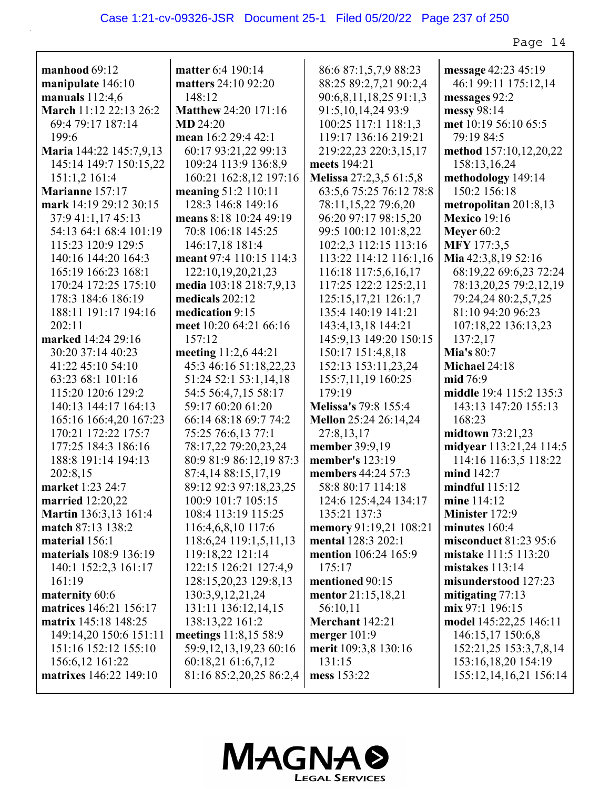| manhood 69:12           | matter 6:4 190:14           | 86:6 87:1,5,7,9 88:23       | message 42:23 45:19       |
|-------------------------|-----------------------------|-----------------------------|---------------------------|
| manipulate 146:10       | matters 24:10 92:20         | 88:25 89:2,7,21 90:2,4      | 46:1 99:11 175:12,14      |
| manuals $112:4,6$       | 148:12                      | 90:6,8,11,18,25 91:1,3      | messages 92:2             |
| March 11:12 22:13 26:2  | <b>Matthew 24:20 171:16</b> | 91:5, 10, 14, 24 93: 9      | messy 98:14               |
| 69:4 79:17 187:14       | MD 24:20                    | 100:25 117:1 118:1,3        | met 10:19 56:10 65:5      |
| 199:6                   | mean 16:2 29:4 42:1         | 119:17 136:16 219:21        | 79:19 84:5                |
| Maria 144:22 145:7,9,13 | 60:17 93:21,22 99:13        | 219:22,23 220:3,15,17       | method 157:10,12,20,22    |
| 145:14 149:7 150:15,22  | 109:24 113:9 136:8,9        | meets 194:21                | 158:13,16,24              |
| 151:1,2 161:4           | 160:21 162:8,12 197:16      | Melissa 27:2,3,5 61:5,8     | methodology 149:14        |
| Marianne 157:17         | meaning 51:2 110:11         | 63:5,6 75:25 76:12 78:8     | 150:2 156:18              |
| mark 14:19 29:12 30:15  | 128:3 146:8 149:16          | 78:11,15,22 79:6,20         | metropolitan 201:8,13     |
| 37:9 41:1,17 45:13      | means 8:18 10:24 49:19      | 96:20 97:17 98:15,20        | <b>Mexico</b> 19:16       |
| 54:13 64:1 68:4 101:19  | 70:8 106:18 145:25          | 99:5 100:12 101:8,22        | Meyer $60:2$              |
| 115:23 120:9 129:5      | 146:17,18 181:4             | 102:2,3 112:15 113:16       | <b>MFY</b> 177:3,5        |
| 140:16 144:20 164:3     | meant 97:4 110:15 114:3     | 113:22 114:12 116:1,16      | Mia 42:3,8,19 52:16       |
| 165:19 166:23 168:1     | 122:10,19,20,21,23          | 116:18 117:5,6,16,17        | 68:19,22 69:6,23 72:24    |
| 170:24 172:25 175:10    | media 103:18 218:7,9,13     | 117:25 122:2 125:2,11       | 78:13,20,25 79:2,12,19    |
| 178:3 184:6 186:19      | medicals 202:12             | 125:15,17,21 126:1,7        | 79:24,24 80:2,5,7,25      |
| 188:11 191:17 194:16    | medication 9:15             | 135:4 140:19 141:21         | 81:10 94:20 96:23         |
| 202:11                  | meet 10:20 64:21 66:16      | 143:4,13,18 144:21          | 107:18,22 136:13,23       |
| marked 14:24 29:16      | 157:12                      | 145:9,13 149:20 150:15      | 137:2,17                  |
| 30:20 37:14 40:23       | meeting 11:2,6 44:21        | 150:17 151:4,8,18           | <b>Mia's 80:7</b>         |
| 41:22 45:10 54:10       | 45:3 46:16 51:18,22,23      | 152:13 153:11,23,24         | Michael 24:18             |
| 63:23 68:1 101:16       | 51:24 52:1 53:1,14,18       | 155:7,11,19 160:25          | mid 76:9                  |
| 115:20 120:6 129:2      | 54:5 56:4,7,15 58:17        | 179:19                      | middle 19:4 115:2 135:3   |
| 140:13 144:17 164:13    | 59:17 60:20 61:20           | <b>Melissa's 79:8 155:4</b> | 143:13 147:20 155:13      |
| 165:16 166:4,20 167:23  | 66:14 68:18 69:7 74:2       | Mellon 25:24 26:14,24       | 168:23                    |
| 170:21 172:22 175:7     | 75:25 76:6,13 77:1          | 27:8,13,17                  | midtown 73:21,23          |
| 177:25 184:3 186:16     | 78:17,22 79:20,23,24        | member 39:9,19              | midyear 113:21,24 114:5   |
| 188:8 191:14 194:13     | 80:9 81:9 86:12,19 87:3     | member's 123:19             | 114:16 116:3,5 118:22     |
| 202:8,15                | 87:4,14 88:15,17,19         | members 44:24 57:3          | mind 142:7                |
| market 1:23 24:7        | 89:12 92:3 97:18,23,25      | 58:8 80:17 114:18           | mindful 115:12            |
| married 12:20,22        | 100:9 101:7 105:15          | 124:6 125:4,24 134:17       | mine 114:12               |
| Martin 136:3,13 161:4   | 108:4 113:19 115:25         | 135:21 137:3                | Minister 172:9            |
| match 87:13 138:2       | 116:4,6,8,10 117:6          | memory 91:19,21 108:21      | minutes 160:4             |
| material 156:1          | 118:6,24 119:1,5,11,13      | mental 128:3 202:1          | misconduct 81:23 95:6     |
| materials 108:9 136:19  | 119:18,22 121:14            | mention 106:24 165:9        | mistake 111:5 113:20      |
| 140:1 152:2,3 161:17    | 122:15 126:21 127:4,9       | 175:17                      | mistakes 113:14           |
| 161:19                  | 128:15,20,23 129:8,13       | mentioned 90:15             | misunderstood 127:23      |
| maternity 60:6          | 130:3,9,12,21,24            | mentor 21:15,18,21          | mitigating $77:13$        |
| matrices 146:21 156:17  | 131:11 136:12,14,15         | 56:10,11                    | mix 97:1 196:15           |
| matrix 145:18 148:25    | 138:13,22 161:2             | Merchant 142:21             | model 145:22,25 146:11    |
| 149:14,20 150:6 151:11  | meetings 11:8,15 58:9       | merger $101:9$              | 146:15,17 150:6,8         |
| 151:16 152:12 155:10    | 59:9,12,13,19,23 60:16      | merit 109:3,8 130:16        | 152:21,25 153:3,7,8,14    |
| 156:6,12 161:22         | 60:18,21 61:6,7,12          | 131:15                      | 153:16,18,20 154:19       |
| matrixes 146:22 149:10  | 81:16 85:2,20,25 86:2,4     | mess 153:22                 | 155:12, 14, 16, 21 156:14 |
|                         |                             |                             |                           |

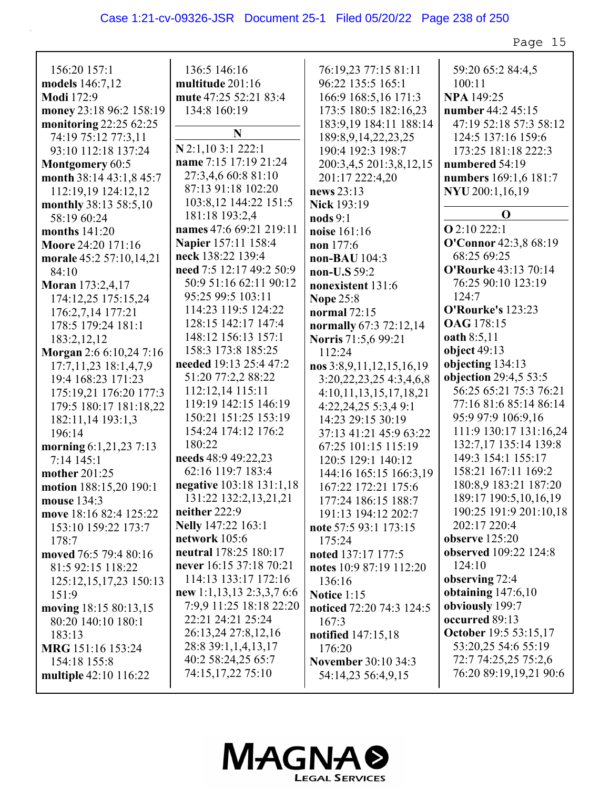| 156:20 157:1              | 136:5 146:16              | 76:19,23 77:15 81:11<br>96:22 135:5 165:1 | 59:20 65:2 84:4,5                    |
|---------------------------|---------------------------|-------------------------------------------|--------------------------------------|
| models 146:7,12           | multitude 201:16          |                                           | 100:11                               |
| <b>Modi</b> 172:9         | mute 47:25 52:21 83:4     | 166:9 168:5, 16 171:3                     | <b>NPA 149:25</b>                    |
| money 23:18 96:2 158:19   | 134:8 160:19              | 173:5 180:5 182:16,23                     | number 44:2 45:15                    |
| monitoring 22:25 62:25    | N                         | 183:9, 19 184: 11 188: 14                 | 47:19 52:18 57:3 58:12               |
| 74:19 75:12 77:3,11       | N 2:1,10 3:1 222:1        | 189:8, 9, 14, 22, 23, 25                  | 124:5 137:16 159:6                   |
| 93:10 112:18 137:24       | name 7:15 17:19 21:24     | 190:4 192:3 198:7                         | 173:25 181:18 222:3                  |
| <b>Montgomery 60:5</b>    | 27:3,4,6 60:8 81:10       | 200:3,4,5 201:3,8,12,15                   | numbered 54:19                       |
| month 38:14 43:1,8 45:7   | 87:13 91:18 102:20        | 201:17 222:4,20                           | numbers 169:1,6 181:7                |
| 112:19,19 124:12,12       | 103:8,12 144:22 151:5     | news 23:13                                | NYU 200:1,16,19                      |
| monthly 38:13 58:5,10     | 181:18 193:2,4            | <b>Nick 193:19</b>                        | $\mathbf 0$                          |
| 58:19 60:24               | names 47:6 69:21 219:11   | $\mathbf{nodes} 9:1$                      | <b>O</b> 2:10 222:1                  |
| months 141:20             |                           | noise 161:16                              |                                      |
| <b>Moore 24:20 171:16</b> | Napier 157:11 158:4       | non 177:6                                 | O'Connor 42:3,8 68:19<br>68:25 69:25 |
| morale 45:2 57:10,14,21   | neck 138:22 139:4         | non-BAU $104:3$                           |                                      |
| 84:10                     | need 7:5 12:17 49:2 50:9  | non-U.S 59:2                              | <b>O'Rourke</b> 43:13 70:14          |
| Moran 173:2,4,17          | 50:9 51:16 62:11 90:12    | nonexistent 131:6                         | 76:25 90:10 123:19                   |
| 174:12,25 175:15,24       | 95:25 99:5 103:11         | <b>Nope 25:8</b>                          | 124:7                                |
| 176:2,7,14 177:21         | 114:23 119:5 124:22       | normal 72:15                              | O'Rourke's 123:23                    |
| 178:5 179:24 181:1        | 128:15 142:17 147:4       | normally 67:3 72:12,14                    | <b>OAG</b> 178:15                    |
| 183:2,12,12               | 148:12 156:13 157:1       | <b>Norris</b> 71:5,6 99:21                | oath 8:5,11                          |
| Morgan 2:6 6:10,24 7:16   | 158:3 173:8 185:25        | 112:24                                    | object $49:13$                       |
| 17:7,11,23 18:1,4,7,9     | needed 19:13 25:4 47:2    | nos 3:8,9,11,12,15,16,19                  | objecting 134:13                     |
| 19:4 168:23 171:23        | 51:20 77:2,2 88:22        | 3:20, 22, 23, 25 4:3, 4, 6, 8             | objection 29:4,5 53:5                |
| 175:19,21 176:20 177:3    | 112:12,14 115:11          | 4:10,11,13,15,17,18,21                    | 56:25 65:21 75:3 76:21               |
| 179:5 180:17 181:18,22    | 119:19 142:15 146:19      | 4:22,24,25 5:3,4 9:1                      | 77:16 81:6 85:14 86:14               |
| 182:11,14 193:1,3         | 150:21 151:25 153:19      | 14:23 29:15 30:19                         | 95:9 97:9 106:9,16                   |
| 196:14                    | 154:24 174:12 176:2       | 37:13 41:21 45:9 63:22                    | 111:9 130:17 131:16,24               |
| morning 6:1,21,23 7:13    | 180:22                    | 67:25 101:15 115:19                       | 132:7,17 135:14 139:8                |
| 7:14 145:1                | needs 48:9 49:22,23       | 120:5 129:1 140:12                        | 149:3 154:1 155:17                   |
| mother 201:25             | 62:16 119:7 183:4         | 144:16 165:15 166:3,19                    | 158:21 167:11 169:2                  |
| motion 188:15,20 190:1    | negative 103:18 131:1,18  | 167:22 172:21 175:6                       | 180:8,9 183:21 187:20                |
| mouse 134:3               | 131:22 132:2,13,21,21     | 177:24 186:15 188:7                       | 189:17 190:5,10,16,19                |
| move 18:16 82:4 125:22    | neither 222:9             | 191:13 194:12 202:7                       | 190:25 191:9 201:10,18               |
| 153:10 159:22 173:7       | <b>Nelly</b> 147:22 163:1 | note 57:5 93:1 173:15                     | 202:17 220:4                         |
| 178:7                     | network 105:6             | 175:24                                    | observe $125:20$                     |
| moved 76:5 79:4 80:16     | neutral 178:25 180:17     | noted 137:17 177:5                        | observed 109:22 124:8                |
| 81:5 92:15 118:22         | never 16:15 37:18 70:21   | notes 10:9 87:19 112:20                   | 124:10                               |
| 125:12,15,17,23 150:13    | 114:13 133:17 172:16      | 136:16                                    | observing 72:4                       |
| 151:9                     | new 1:1,13,13 2:3,3,7 6:6 | Notice 1:15                               | obtaining $147:6,10$                 |
| moving 18:15 80:13,15     | 7:9,9 11:25 18:18 22:20   | noticed 72:20 74:3 124:5                  | obviously 199:7                      |
| 80:20 140:10 180:1        | 22:21 24:21 25:24         | 167:3                                     | occurred 89:13                       |
| 183:13                    | 26:13,24 27:8,12,16       | notified 147:15,18                        | <b>October</b> 19:5 53:15,17         |
| MRG 151:16 153:24         | 28:8 39:1,1,4,13,17       | 176:20                                    | 53:20,25 54:6 55:19                  |
| 154:18 155:8              | 40:2 58:24,25 65:7        | <b>November 30:10 34:3</b>                | 72:7 74:25,25 75:2,6                 |
| multiple 42:10 116:22     | 74:15,17,22 75:10         | 54:14,23 56:4,9,15                        | 76:20 89:19,19,21 90:6               |
|                           |                           |                                           |                                      |

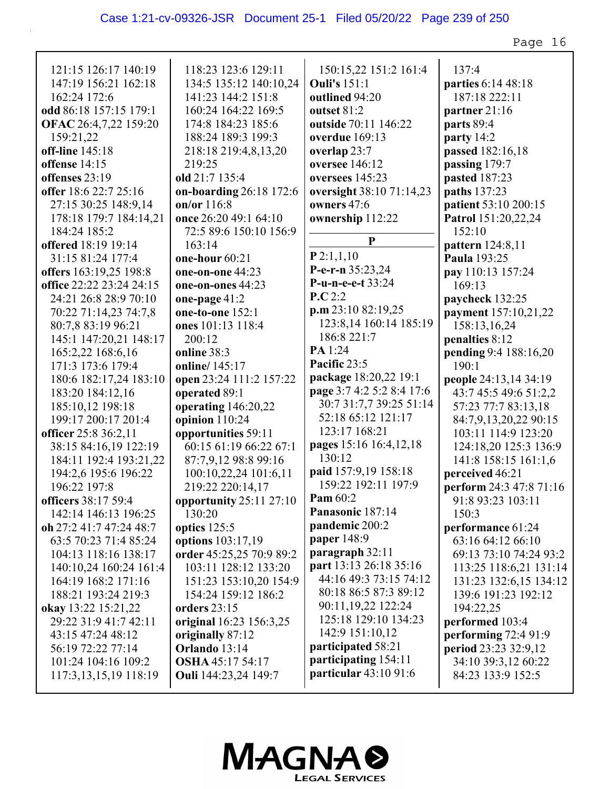| 121:15 126:17 140:19        | 118:23 123:6 129:11      | 150:15,22 151:2 161:4     | 137:4                   |
|-----------------------------|--------------------------|---------------------------|-------------------------|
| 147:19 156:21 162:18        | 134:5 135:12 140:10,24   | <b>Ouli's 151:1</b>       | parties 6:14 48:18      |
| 162:24 172:6                | 141:23 144:2 151:8       | outlined 94:20            | 187:18 222:11           |
| odd 86:18 157:15 179:1      | 160:24 164:22 169:5      | outset 81:2               | partner 21:16           |
| OFAC 26:4,7,22 159:20       | 174:8 184:23 185:6       | outside 70:11 146:22      | parts 89:4              |
| 159:21,22                   | 188:24 189:3 199:3       | overdue 169:13            | party 14:2              |
| off-line 145:18             | 218:18 219:4,8,13,20     | overlap 23:7              | passed 182:16,18        |
| offense 14:15               | 219:25                   | oversee 146:12            | passing 179:7           |
| offenses 23:19              | old 21:7 135:4           | oversees 145:23           | pasted 187:23           |
| offer 18:6 22:7 25:16       | on-boarding 26:18 172:6  | oversight 38:10 71:14,23  | paths 137:23            |
| 27:15 30:25 148:9,14        | on/or 116:8              | owners 47:6               | patient 53:10 200:15    |
| 178:18 179:7 184:14,21      | once 26:20 49:1 64:10    | ownership 112:22          | Patrol 151:20,22,24     |
| 184:24 185:2                | 72:5 89:6 150:10 156:9   |                           | 152:10                  |
| offered 18:19 19:14         | 163:14                   | P                         | <b>pattern</b> 124:8,11 |
| 31:15 81:24 177:4           | one-hour 60:21           | $P$ 2:1,1,10              | Paula 193:25            |
| offers 163:19,25 198:8      | one-on-one 44:23         | P-e-r-n $35:23,24$        | pay 110:13 157:24       |
| office 22:22 23:24 24:15    | one-on-ones 44:23        | P-u-n-e-e-t 33:24         | 169:13                  |
| 24:21 26:8 28:9 70:10       | one-page $41:2$          | P.C.2:2                   | paycheck 132:25         |
| 70:22 71:14,23 74:7,8       | one-to-one 152:1         | p.m 23:10 82:19,25        | payment 157:10,21,22    |
| 80:7,8 83:19 96:21          | ones 101:13 118:4        | 123:8,14 160:14 185:19    | 158:13,16,24            |
| 145:1 147:20,21 148:17      | 200:12                   | 186:8 221:7               | penalties 8:12          |
| 165:2,22 168:6,16           | online 38:3              | PA 1:24                   | pending 9:4 188:16,20   |
| 171:3 173:6 179:4           | online/145:17            | Pacific 23:5              | 190:1                   |
| 180:6 182:17,24 183:10      | open 23:24 111:2 157:22  | package 18:20,22 19:1     | people 24:13,14 34:19   |
| 183:20 184:12,16            | operated 89:1            | page 3:7 4:2 5:2 8:4 17:6 | 43:7 45:5 49:6 51:2,2   |
| 185:10,12 198:18            | operating 146:20,22      | 30:7 31:7,7 39:25 51:14   | 57:23 77:7 83:13,18     |
| 199:17 200:17 201:4         | opinion 110:24           | 52:18 65:12 121:17        | 84:7,9,13,20,22 90:15   |
| <b>officer</b> 25:8 36:2,11 | opportunities 59:11      | 123:17 168:21             | 103:11 114:9 123:20     |
| 38:15 84:16,19 122:19       | 60:15 61:19 66:22 67:1   | pages 15:16 16:4,12,18    | 124:18,20 125:3 136:9   |
| 184:11 192:4 193:21,22      | 87:7,9,12 98:8 99:16     | 130:12                    | 141:8 158:15 161:1,6    |
| 194:2,6 195:6 196:22        | 100:10,22,24 101:6,11    | paid 157:9,19 158:18      | perceived 46:21         |
| 196:22 197:8                | 219:22 220:14,17         | 159:22 192:11 197:9       | perform 24:3 47:8 71:16 |
| officers 38:17 59:4         | opportunity 25:11 27:10  | Pam 60:2                  | 91:8 93:23 103:11       |
| 142:14 146:13 196:25        | 130:20                   | Panasonic 187:14          | 150:3                   |
| oh 27:2 41:7 47:24 48:7     | optics 125:5             | pandemic 200:2            | performance 61:24       |
| 63:5 70:23 71:4 85:24       | options 103:17,19        | paper 148:9               | 63:16 64:12 66:10       |
| 104:13 118:16 138:17        | order 45:25,25 70:9 89:2 | paragraph 32:11           | 69:13 73:10 74:24 93:2  |
| 140:10,24 160:24 161:4      | 103:11 128:12 133:20     | part 13:13 26:18 35:16    | 113:25 118:6,21 131:14  |
| 164:19 168:2 171:16         | 151:23 153:10,20 154:9   | 44:16 49:3 73:15 74:12    | 131:23 132:6,15 134:12  |
| 188:21 193:24 219:3         | 154:24 159:12 186:2      | 80:18 86:5 87:3 89:12     | 139:6 191:23 192:12     |
| okay 13:22 15:21,22         | orders 23:15             | 90:11,19,22 122:24        | 194:22,25               |
| 29:22 31:9 41:7 42:11       | original 16:23 156:3,25  | 125:18 129:10 134:23      | performed 103:4         |
| 43:15 47:24 48:12           | originally 87:12         | 142:9 151:10,12           | performing 72:4 91:9    |
| 56:19 72:22 77:14           | Orlando 13:14            | participated 58:21        | period 23:23 32:9,12    |
| 101:24 104:16 109:2         | <b>OSHA 45:17 54:17</b>  | participating 154:11      | 34:10 39:3,12 60:22     |
| 117:3, 13, 15, 19 118: 19   | Ouli 144:23,24 149:7     | particular 43:10 91:6     | 84:23 133:9 152:5       |
|                             |                          |                           |                         |

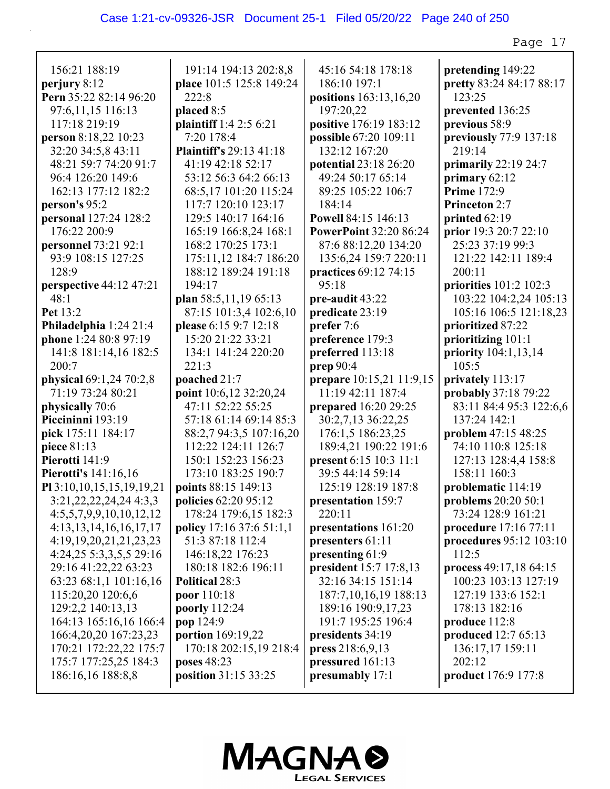| 156:21 188:19<br>perjury $8:12$<br>Pern 35:22 82:14 96:20<br>97:6,11,15 116:13<br>117:18 219:19<br>person 8:18,22 10:23<br>32:20 34:5,8 43:11<br>48:21 59:7 74:20 91:7<br>96:4 126:20 149:6<br>162:13 177:12 182:2 | 191:14 194:13 202:8,8<br>place 101:5 125:8 149:24<br>222:8<br>placed 8:5<br>plaintiff 1:4 2:5 6:21<br>7:20 178:4<br><b>Plaintiff's 29:13 41:18</b><br>41:19 42:18 52:17<br>53:12 56:3 64:2 66:13<br>68:5,17 101:20 115:24<br>117:7 120:10 123:17 | 45:16 54:18 178:18<br>186:10 197:1<br>positions 163:13,16,20<br>197:20,22<br>positive 176:19 183:12<br>possible 67:20 109:11<br>132:12 167:20<br>potential 23:18 26:20<br>49:24 50:17 65:14<br>89:25 105:22 106:7<br>184:14 | pretending 149:22<br>pretty 83:24 84:17 88:17<br>123:25<br>prevented 136:25<br>previous 58:9<br>previously 77:9 137:18<br>219:14<br>primarily $22:1924:7$<br>primary $62:12$<br><b>Prime</b> 172:9<br><b>Princeton 2:7</b> |
|--------------------------------------------------------------------------------------------------------------------------------------------------------------------------------------------------------------------|--------------------------------------------------------------------------------------------------------------------------------------------------------------------------------------------------------------------------------------------------|-----------------------------------------------------------------------------------------------------------------------------------------------------------------------------------------------------------------------------|----------------------------------------------------------------------------------------------------------------------------------------------------------------------------------------------------------------------------|
| person's 95:2<br>personal 127:24 128:2                                                                                                                                                                             | 129:5 140:17 164:16                                                                                                                                                                                                                              | Powell 84:15 146:13                                                                                                                                                                                                         | printed 62:19                                                                                                                                                                                                              |
| 176:22 200:9                                                                                                                                                                                                       | 165:19 166:8,24 168:1                                                                                                                                                                                                                            | <b>PowerPoint 32:20 86:24</b>                                                                                                                                                                                               | prior 19:3 20:7 22:10                                                                                                                                                                                                      |
| personnel 73:21 92:1                                                                                                                                                                                               | 168:2 170:25 173:1                                                                                                                                                                                                                               | 87:6 88:12,20 134:20                                                                                                                                                                                                        | 25:23 37:19 99:3                                                                                                                                                                                                           |
| 93:9 108:15 127:25                                                                                                                                                                                                 | 175:11,12 184:7 186:20                                                                                                                                                                                                                           | 135:6,24 159:7 220:11                                                                                                                                                                                                       | 121:22 142:11 189:4                                                                                                                                                                                                        |
| 128:9                                                                                                                                                                                                              | 188:12 189:24 191:18                                                                                                                                                                                                                             | practices 69:12 74:15                                                                                                                                                                                                       | 200:11                                                                                                                                                                                                                     |
| perspective 44:12 47:21                                                                                                                                                                                            | 194:17                                                                                                                                                                                                                                           | 95:18                                                                                                                                                                                                                       | priorities 101:2 102:3                                                                                                                                                                                                     |
| 48:1                                                                                                                                                                                                               | plan 58:5,11,19 65:13                                                                                                                                                                                                                            | pre-audit 43:22                                                                                                                                                                                                             | 103:22 104:2,24 105:13                                                                                                                                                                                                     |
| Pet 13:2                                                                                                                                                                                                           | 87:15 101:3,4 102:6,10                                                                                                                                                                                                                           | predicate 23:19                                                                                                                                                                                                             | 105:16 106:5 121:18,23                                                                                                                                                                                                     |
| Philadelphia 1:24 21:4                                                                                                                                                                                             | please 6:15 9:7 12:18                                                                                                                                                                                                                            | prefer 7:6                                                                                                                                                                                                                  | prioritized 87:22                                                                                                                                                                                                          |
| phone 1:24 80:8 97:19                                                                                                                                                                                              | 15:20 21:22 33:21                                                                                                                                                                                                                                | preference 179:3                                                                                                                                                                                                            | prioritizing 101:1                                                                                                                                                                                                         |
| 141:8 181:14,16 182:5                                                                                                                                                                                              | 134:1 141:24 220:20                                                                                                                                                                                                                              | preferred 113:18                                                                                                                                                                                                            | priority 104:1,13,14                                                                                                                                                                                                       |
| 200:7                                                                                                                                                                                                              | 221:3                                                                                                                                                                                                                                            | prep 90:4                                                                                                                                                                                                                   | 105:5                                                                                                                                                                                                                      |
| physical 69:1,24 70:2,8                                                                                                                                                                                            | poached 21:7                                                                                                                                                                                                                                     | prepare 10:15,21 11:9,15                                                                                                                                                                                                    | privately 113:17                                                                                                                                                                                                           |
| 71:19 73:24 80:21                                                                                                                                                                                                  | point 10:6,12 32:20,24                                                                                                                                                                                                                           | 11:19 42:11 187:4                                                                                                                                                                                                           | probably 37:18 79:22                                                                                                                                                                                                       |
| physically 70:6                                                                                                                                                                                                    | 47:11 52:22 55:25                                                                                                                                                                                                                                | prepared 16:20 29:25                                                                                                                                                                                                        | 83:11 84:4 95:3 122:6,6                                                                                                                                                                                                    |
| Piccininni 193:19                                                                                                                                                                                                  | 57:18 61:14 69:14 85:3                                                                                                                                                                                                                           | 30:2,7,13 36:22,25                                                                                                                                                                                                          | 137:24 142:1                                                                                                                                                                                                               |
| pick 175:11 184:17                                                                                                                                                                                                 | 88:2,7 94:3,5 107:16,20                                                                                                                                                                                                                          | 176:1,5 186:23,25                                                                                                                                                                                                           | problem 47:15 48:25                                                                                                                                                                                                        |
| piece 81:13                                                                                                                                                                                                        | 112:22 124:11 126:7                                                                                                                                                                                                                              | 189:4,21 190:22 191:6                                                                                                                                                                                                       | 74:10 110:8 125:18                                                                                                                                                                                                         |
| Pierotti 141:9                                                                                                                                                                                                     | 150:1 152:23 156:23                                                                                                                                                                                                                              | present 6:15 10:3 11:1                                                                                                                                                                                                      | 127:13 128:4,4 158:8                                                                                                                                                                                                       |
| <b>Pierotti's 141:16,16</b>                                                                                                                                                                                        | 173:10 183:25 190:7                                                                                                                                                                                                                              | 39:5 44:14 59:14                                                                                                                                                                                                            | 158:11 160:3                                                                                                                                                                                                               |
| P13:10,10,15,15,19,19,21                                                                                                                                                                                           | points 88:15 149:13                                                                                                                                                                                                                              | 125:19 128:19 187:8                                                                                                                                                                                                         | problematic 114:19                                                                                                                                                                                                         |
| 3:21, 22, 22, 24, 24 4: 3, 3                                                                                                                                                                                       | policies 62:20 95:12                                                                                                                                                                                                                             | presentation 159:7                                                                                                                                                                                                          | problems 20:20 50:1                                                                                                                                                                                                        |
| 4:5,5,7,9,9,10,10,12,12                                                                                                                                                                                            | 178:24 179:6,15 182:3                                                                                                                                                                                                                            | 220:11                                                                                                                                                                                                                      | 73:24 128:9 161:21                                                                                                                                                                                                         |
| 4:13,13,14,16,16,17,17                                                                                                                                                                                             | policy 17:16 37:6 51:1,1                                                                                                                                                                                                                         | presentations 161:20                                                                                                                                                                                                        | procedure 17:16 77:11                                                                                                                                                                                                      |
| 4:19, 19, 20, 21, 21, 23, 23                                                                                                                                                                                       | 51:3 87:18 112:4                                                                                                                                                                                                                                 | presenters 61:11                                                                                                                                                                                                            | procedures 95:12 103:10                                                                                                                                                                                                    |
| $4:24,25\;5:3,3,5,5\;29:16$                                                                                                                                                                                        | 146:18,22 176:23                                                                                                                                                                                                                                 | presenting 61:9<br>president 15:7 17:8,13                                                                                                                                                                                   | 112:5                                                                                                                                                                                                                      |
| 29:16 41:22,22 63:23<br>63:23 68:1,1 101:16,16                                                                                                                                                                     | 180:18 182:6 196:11<br>Political 28:3                                                                                                                                                                                                            | 32:16 34:15 151:14                                                                                                                                                                                                          | process 49:17,18 64:15<br>100:23 103:13 127:19                                                                                                                                                                             |
| 115:20,20 120:6,6                                                                                                                                                                                                  | poor 110:18                                                                                                                                                                                                                                      | 187:7, 10, 16, 19 188: 13                                                                                                                                                                                                   | 127:19 133:6 152:1                                                                                                                                                                                                         |
| 129:2,2 140:13,13                                                                                                                                                                                                  | poorly 112:24                                                                                                                                                                                                                                    | 189:16 190:9,17,23                                                                                                                                                                                                          | 178:13 182:16                                                                                                                                                                                                              |
| 164:13 165:16,16 166:4                                                                                                                                                                                             | pop 124:9                                                                                                                                                                                                                                        | 191:7 195:25 196:4                                                                                                                                                                                                          | produce 112:8                                                                                                                                                                                                              |
| 166:4, 20, 20 167: 23, 23                                                                                                                                                                                          | portion 169:19,22                                                                                                                                                                                                                                | presidents 34:19                                                                                                                                                                                                            | produced 12:7 65:13                                                                                                                                                                                                        |
| 170:21 172:22,22 175:7                                                                                                                                                                                             | 170:18 202:15,19 218:4                                                                                                                                                                                                                           | press 218:6,9,13                                                                                                                                                                                                            | 136:17,17 159:11                                                                                                                                                                                                           |
| 175:7 177:25,25 184:3                                                                                                                                                                                              | poses 48:23                                                                                                                                                                                                                                      | pressured 161:13                                                                                                                                                                                                            | 202:12                                                                                                                                                                                                                     |
| 186:16,16 188:8,8                                                                                                                                                                                                  | position 31:15 33:25                                                                                                                                                                                                                             | presumably 17:1                                                                                                                                                                                                             | product 176:9 177:8                                                                                                                                                                                                        |
|                                                                                                                                                                                                                    |                                                                                                                                                                                                                                                  |                                                                                                                                                                                                                             |                                                                                                                                                                                                                            |

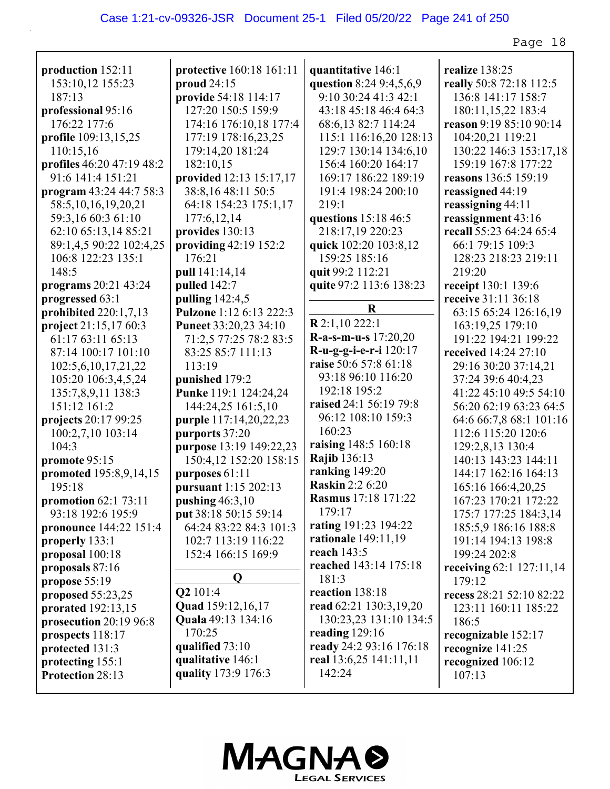| production 152:11         | protective 160:18 161:11            | quantitative 146:1                               | realize 138:25                           |
|---------------------------|-------------------------------------|--------------------------------------------------|------------------------------------------|
| 153:10,12 155:23          | proud $24:15$                       | question 8:24 9:4,5,6,9                          | really 50:8 72:18 112:5                  |
| 187:13                    | provide 54:18 114:17                | 9:10 30:24 41:3 42:1                             | 136:8 141:17 158:7                       |
| professional 95:16        | 127:20 150:5 159:9                  | 43:18 45:18 46:4 64:3                            | 180:11,15,22 183:4                       |
| 176:22 177:6              | 174:16 176:10,18 177:4              | 68:6,13 82:7 114:24                              | reason 9:19 85:10 90:14                  |
| profile 109:13,15,25      | 177:19 178:16,23,25                 | 115:1 116:16,20 128:13                           | 104:20,21 119:21                         |
| 110:15,16                 | 179:14,20 181:24                    | 129:7 130:14 134:6,10                            | 130:22 146:3 153:17,18                   |
| profiles 46:20 47:19 48:2 | 182:10,15                           | 156:4 160:20 164:17                              | 159:19 167:8 177:22                      |
| 91:6 141:4 151:21         | provided 12:13 15:17,17             | 169:17 186:22 189:19                             | reasons 136:5 159:19                     |
| program 43:24 44:7 58:3   | 38:8,16 48:11 50:5                  | 191:4 198:24 200:10                              | reassigned 44:19                         |
| 58:5, 10, 16, 19, 20, 21  | 64:18 154:23 175:1,17               | 219:1                                            | reassigning 44:11                        |
| 59:3,16 60:3 61:10        | 177:6,12,14                         | questions 15:18 46:5                             | reassignment 43:16                       |
| 62:10 65:13,14 85:21      | provides 130:13                     | 218:17,19 220:23                                 | recall 55:23 64:24 65:4                  |
| 89:1,4,5 90:22 102:4,25   |                                     | quick 102:20 103:8,12                            | 66:1 79:15 109:3                         |
| 106:8 122:23 135:1        | providing 42:19 152:2<br>176:21     | 159:25 185:16                                    | 128:23 218:23 219:11                     |
| 148:5                     |                                     |                                                  | 219:20                                   |
|                           | pull 141:14,14                      | quit 99:2 112:21                                 |                                          |
| programs 20:21 43:24      | pulled 142:7                        | quite 97:2 113:6 138:23                          | receipt 130:1 139:6                      |
| progressed 63:1           | pulling 142:4,5                     | $\bf R$                                          | receive 31:11 36:18                      |
| prohibited $220:1,7,13$   | Pulzone 1:12 6:13 222:3             | R2:1,10222:1                                     | 63:15 65:24 126:16,19                    |
| project 21:15,17 60:3     | Puneet 33:20,23 34:10               | R-a-s-m-u-s 17:20,20                             | 163:19,25 179:10<br>191:22 194:21 199:22 |
| 61:17 63:11 65:13         | 71:2,5 77:25 78:2 83:5              | R-u-g-g-i-e-r-i 120:17                           |                                          |
| 87:14 100:17 101:10       | 83:25 85:7 111:13                   | raise 50:6 57:8 61:18                            | received 14:24 27:10                     |
| 102:5,6,10,17,21,22       | 113:19                              | 93:18 96:10 116:20                               | 29:16 30:20 37:14,21                     |
| 105:20 106:3,4,5,24       | punished 179:2                      | 192:18 195:2                                     | 37:24 39:6 40:4,23                       |
| 135:7,8,9,11 138:3        | Punke 119:1 124:24,24               | raised 24:1 56:19 79:8                           | 41:22 45:10 49:5 54:10                   |
| 151:12 161:2              | 144:24,25 161:5,10                  | 96:12 108:10 159:3                               | 56:20 62:19 63:23 64:5                   |
| projects 20:17 99:25      | purple 117:14,20,22,23              | 160:23                                           | 64:6 66:7,8 68:1 101:16                  |
| 100:2,7,10 103:14         | purports 37:20                      | raising 148:5 160:18                             | 112:6 115:20 120:6                       |
| 104:3                     | purpose 13:19 149:22,23             | <b>Rajib</b> 136:13                              | 129:2,8,13 130:4                         |
| promote 95:15             | 150:4,12 152:20 158:15              | ranking $149:20$                                 | 140:13 143:23 144:11                     |
| promoted 195:8,9,14,15    | purposes 61:11                      | <b>Raskin 2:2 6:20</b>                           | 144:17 162:16 164:13                     |
| 195:18                    | pursuant 1:15 202:13                | Rasmus 17:18 171:22                              | 165:16 166:4,20,25                       |
| promotion 62:1 73:11      | pushing $46:3,10$                   | 179:17                                           | 167:23 170:21 172:22                     |
| 93:18 192:6 195:9         | put 38:18 50:15 59:14               |                                                  | 175:7 177:25 184:3,14                    |
| pronounce 144:22 151:4    | 64:24 83:22 84:3 101:3              | <b>rating</b> 191:23 194:22                      | 185:5,9 186:16 188:8                     |
| properly 133:1            | 102:7 113:19 116:22                 | <b>rationale</b> 149:11,19<br>reach $143:5$      | 191:14 194:13 198:8                      |
| proposal 100:18           | 152:4 166:15 169:9                  | reached 143:14 175:18                            | 199:24 202:8                             |
| proposals 87:16           | Q                                   | 181:3                                            | receiving 62:1 127:11,14                 |
| propose 55:19             | Q2 101:4                            | reaction 138:18                                  | 179:12                                   |
| proposed 55:23,25         |                                     |                                                  | recess 28:21 52:10 82:22                 |
| prorated 192:13,15        | Quad 159:12,16,17                   | read 62:21 130:3,19,20<br>130:23,23 131:10 134:5 | 123:11 160:11 185:22                     |
| prosecution 20:19 96:8    | <b>Quala</b> 49:13 134:16<br>170:25 |                                                  | 186:5                                    |
| prospects 118:17          |                                     | reading $129:16$                                 | recognizable 152:17                      |
| protected 131:3           | qualified $73:10$                   | ready 24:2 93:16 176:18                          | recognize $141:25$                       |
| protecting 155:1          | qualitative 146:1                   | real 13:6,25 141:11,11<br>142:24                 | recognized 106:12                        |
| <b>Protection 28:13</b>   | quality 173:9 176:3                 |                                                  | 107:13                                   |

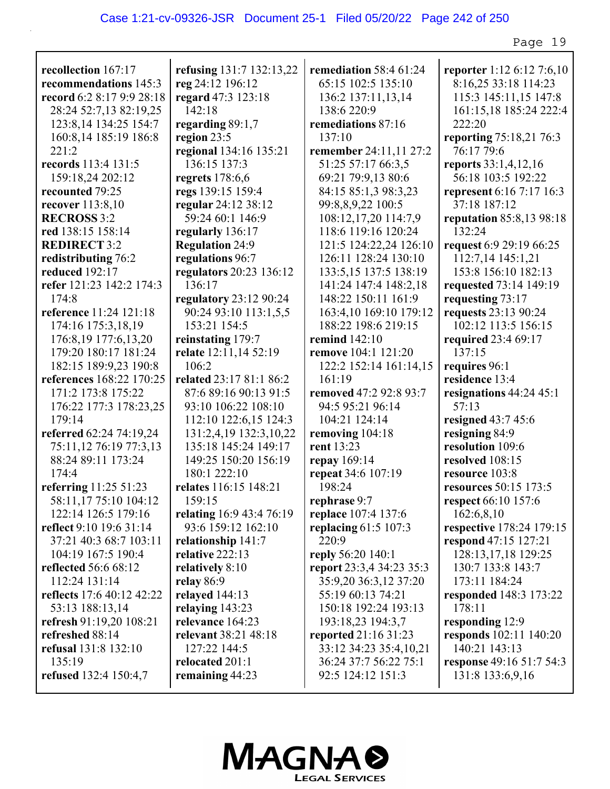Г

| recollection 167:17         | refusing 131:7 132:13,22 | remediation 58:4 61:24   | reporter 1:12 6:12 7:6,10     |
|-----------------------------|--------------------------|--------------------------|-------------------------------|
| recommendations 145:3       | reg 24:12 196:12         | 65:15 102:5 135:10       | 8:16,25 33:18 114:23          |
| record 6:2 8:17 9:9 28:18   | regard 47:3 123:18       | 136:2 137:11,13,14       | 115:3 145:11,15 147:8         |
| 28:24 52:7,13 82:19,25      | 142:18                   | 138:6 220:9              | 161:15,18 185:24 222:4        |
| 123:8,14 134:25 154:7       | regarding $89:1,7$       | remediations 87:16       | 222:20                        |
| 160:8,14 185:19 186:8       | region 23:5              | 137:10                   | reporting 75:18,21 76:3       |
| 221:2                       | regional 134:16 135:21   | remember 24:11,11 27:2   | 76:17 79:6                    |
| records 113:4 131:5         | 136:15 137:3             | 51:25 57:17 66:3,5       | reports 33:1,4,12,16          |
| 159:18,24 202:12            | regrets 178:6,6          | 69:21 79:9,13 80:6       | 56:18 103:5 192:22            |
| recounted 79:25             | regs 139:15 159:4        | 84:15 85:1,3 98:3,23     | represent 6:16 7:17 16:3      |
| recover 113:8,10            | regular 24:12 38:12      | 99:8,8,9,22 100:5        | 37:18 187:12                  |
| <b>RECROSS 3:2</b>          | 59:24 60:1 146:9         | 108:12,17,20 114:7,9     | reputation 85:8,13 98:18      |
| red 138:15 158:14           | regularly 136:17         | 118:6 119:16 120:24      | 132:24                        |
| <b>REDIRECT 3:2</b>         | <b>Regulation 24:9</b>   | 121:5 124:22,24 126:10   | request 6:9 29:19 66:25       |
| redistributing 76:2         | regulations 96:7         | 126:11 128:24 130:10     | 112:7,14 145:1,21             |
| reduced 192:17              | regulators 20:23 136:12  | 133:5, 15 137:5 138:19   | 153:8 156:10 182:13           |
| refer 121:23 142:2 174:3    | 136:17                   | 141:24 147:4 148:2,18    | requested 73:14 149:19        |
| 174:8                       | regulatory 23:12 90:24   | 148:22 150:11 161:9      | requesting 73:17              |
| reference 11:24 121:18      | 90:24 93:10 113:1,5,5    | 163:4,10 169:10 179:12   | requests 23:13 90:24          |
| 174:16 175:3,18,19          | 153:21 154:5             | 188:22 198:6 219:15      | 102:12 113:5 156:15           |
| 176:8, 19 177:6, 13, 20     | reinstating 179:7        | <b>remind</b> 142:10     | required 23:4 69:17           |
| 179:20 180:17 181:24        | relate 12:11,14 52:19    | remove 104:1 121:20      | 137:15                        |
| 182:15 189:9,23 190:8       | 106:2                    | 122:2 152:14 161:14,15   | requires 96:1                 |
| references 168:22 170:25    | related 23:17 81:1 86:2  | 161:19                   | residence 13:4                |
| 171:2 173:8 175:22          | 87:6 89:16 90:13 91:5    | removed 47:2 92:8 93:7   | resignations 44:24 45:1       |
| 176:22 177:3 178:23,25      | 93:10 106:22 108:10      | 94:5 95:21 96:14         | 57:13                         |
| 179:14                      | 112:10 122:6,15 124:3    | 104:21 124:14            | resigned 43:7 45:6            |
| referred 62:24 74:19,24     | 131:2,4,19 132:3,10,22   | removing 104:18          | resigning 84:9                |
| 75:11,12 76:19 77:3,13      | 135:18 145:24 149:17     | rent 13:23               | resolution 109:6              |
| 88:24 89:11 173:24          | 149:25 150:20 156:19     | repay 169:14             | resolved 108:15               |
| 174:4                       | 180:1 222:10             | repeat 34:6 107:19       | resource 103:8                |
| referring 11:25 51:23       | relates 116:15 148:21    | 198:24                   | resources 50:15 173:5         |
| 58:11,17 75:10 104:12       | 159:15                   | rephrase 9:7             | respect 66:10 157:6           |
| 122:14 126:5 179:16         | relating 16:9 43:4 76:19 | replace 107:4 137:6      | 162:6,8,10                    |
| reflect 9:10 19:6 31:14     | 93:6 159:12 162:10       | replacing $61:5$ 107:3   | respective 178:24 179:15      |
| 37:21 40:3 68:7 103:11      | relationship 141:7       | 220:9                    | respond 47:15 127:21          |
| 104:19 167:5 190:4          | relative 222:13          | reply 56:20 140:1        | 128:13,17,18 129:25           |
| <b>reflected</b> 56:6 68:12 | relatively 8:10          | report 23:3,4 34:23 35:3 | 130:7 133:8 143:7             |
| 112:24 131:14               | relay 86:9               | 35:9,20 36:3,12 37:20    | 173:11 184:24                 |
| reflects 17:6 40:12 42:22   | relayed 144:13           | 55:19 60:13 74:21        | <b>responded</b> 148:3 173:22 |
| 53:13 188:13,14             | relaying 143:23          | 150:18 192:24 193:13     | 178:11                        |
| refresh 91:19,20 108:21     | relevance 164:23         | 193:18,23 194:3,7        | responding 12:9               |
| refreshed 88:14             | relevant 38:21 48:18     | reported 21:16 31:23     | responds 102:11 140:20        |
| refusal 131:8 132:10        | 127:22 144:5             | 33:12 34:23 35:4,10,21   | 140:21 143:13                 |
| 135:19                      | relocated 201:1          | 36:24 37:7 56:22 75:1    | response 49:16 51:7 54:3      |
| refused 132:4 150:4,7       | remaining 44:23          | 92:5 124:12 151:3        | 131:8 133:6,9,16              |
|                             |                          |                          |                               |

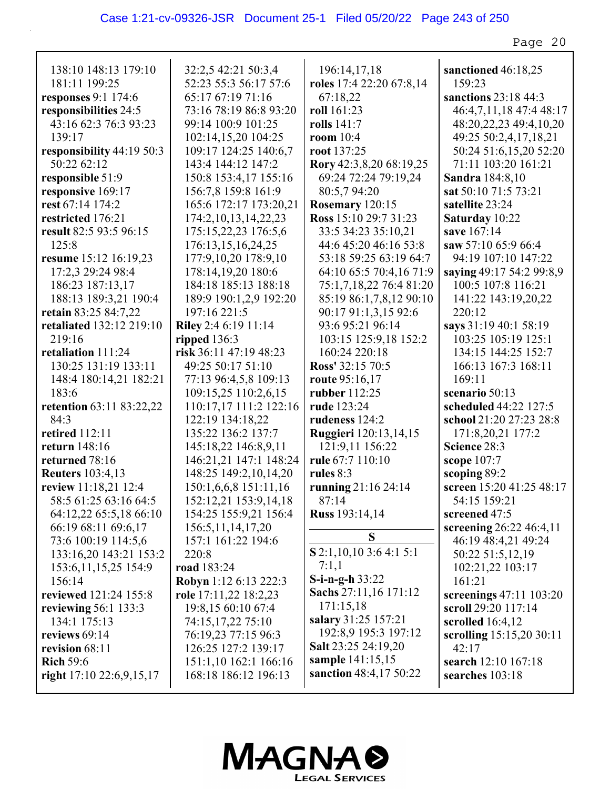| 138:10 148:13 179:10            | 32:2,5 42:21 50:3,4         | 196:14,17,18                 | sanctioned 46:18,25      |
|---------------------------------|-----------------------------|------------------------------|--------------------------|
| 181:11 199:25                   | 52:23 55:3 56:17 57:6       | roles 17:4 22:20 67:8,14     | 159:23                   |
| <b>responses</b> 9:1 174:6      | 65:17 67:19 71:16           | 67:18,22                     | sanctions 23:18 44:3     |
| responsibilities 24:5           | 73:16 78:19 86:8 93:20      | roll 161:23                  | 46:4,7,11,18 47:4 48:17  |
| 43:16 62:3 76:3 93:23           | 99:14 100:9 101:25          | rolls 141:7                  | 48:20,22,23 49:4,10,20   |
| 139:17                          | 102:14,15,20 104:25         | room $10:4$                  | 49:25 50:2,4,17,18,21    |
| responsibility 44:19 50:3       | 109:17 124:25 140:6,7       | root 137:25                  | 50:24 51:6,15,20 52:20   |
| 50:22 62:12                     | 143:4 144:12 147:2          | Rory 42:3,8,20 68:19,25      | 71:11 103:20 161:21      |
| responsible 51:9                | 150:8 153:4,17 155:16       | 69:24 72:24 79:19,24         | <b>Sandra</b> 184:8,10   |
| responsive 169:17               | 156:7,8 159:8 161:9         | 80:5,7 94:20                 | sat 50:10 71:5 73:21     |
| rest 67:14 174:2                | 165:6 172:17 173:20,21      | Rosemary 120:15              | satellite 23:24          |
| restricted 176:21               | 174:2, 10, 13, 14, 22, 23   | Ross 15:10 29:7 31:23        | Saturday 10:22           |
| result 82:5 93:5 96:15          | 175:15,22,23 176:5,6        | 33:5 34:23 35:10,21          | save 167:14              |
| 125:8                           | 176:13,15,16,24,25          | 44:6 45:20 46:16 53:8        | saw 57:10 65:9 66:4      |
| resume 15:12 16:19,23           | 177:9,10,20 178:9,10        | 53:18 59:25 63:19 64:7       | 94:19 107:10 147:22      |
| 17:2,3 29:24 98:4               | 178:14,19,20 180:6          | 64:10 65:5 70:4,16 71:9      | saying 49:17 54:2 99:8,9 |
| 186:23 187:13,17                | 184:18 185:13 188:18        | 75:1,7,18,22 76:4 81:20      | 100:5 107:8 116:21       |
| 188:13 189:3,21 190:4           | 189:9 190:1,2,9 192:20      | 85:19 86:1,7,8,12 90:10      | 141:22 143:19,20,22      |
| retain 83:25 84:7,22            | 197:16 221:5                | 90:17 91:1,3,15 92:6         | 220:12                   |
| <b>retaliated</b> 132:12 219:10 | <b>Riley</b> 2:4 6:19 11:14 | 93:6 95:21 96:14             | says 31:19 40:1 58:19    |
| 219:16                          | ripped $136:3$              | 103:15 125:9,18 152:2        | 103:25 105:19 125:1      |
| retaliation 111:24              | risk 36:11 47:19 48:23      | 160:24 220:18                | 134:15 144:25 152:7      |
| 130:25 131:19 133:11            | 49:25 50:17 51:10           | Ross' 32:15 70:5             | 166:13 167:3 168:11      |
| 148:4 180:14,21 182:21          | 77:13 96:4,5,8 109:13       | route 95:16,17               | 169:11                   |
| 183:6                           | 109:15,25 110:2,6,15        | <b>rubber</b> 112:25         | scenario 50:13           |
| retention 63:11 83:22,22        | 110:17,17 111:2 122:16      | rude 123:24                  | scheduled 44:22 127:5    |
| 84:3                            | 122:19 134:18,22            | rudeness 124:2               | school 21:20 27:23 28:8  |
| retired 112:11                  | 135:22 136:2 137:7          | <b>Ruggieri</b> 120:13,14,15 | 171:8,20,21 177:2        |
| return 148:16                   | 145:18,22 146:8,9,11        | 121:9,11 156:22              | Science 28:3             |
| returned 78:16                  | 146:21,21 147:1 148:24      | rule 67:7 110:10             | scope $107:7$            |
| <b>Reuters</b> 103:4,13         | 148:25 149:2,10,14,20       | rules $8:3$                  | scoping 89:2             |
| review 11:18,21 12:4            | 150:1,6,6,8 151:11,16       | running 21:16 24:14          | screen 15:20 41:25 48:17 |
| 58:5 61:25 63:16 64:5           | 152:12,21 153:9,14,18       | 87:14                        | 54:15 159:21             |
| 64:12,22 65:5,18 66:10          | 154:25 155:9,21 156:4       | <b>Russ</b> 193:14,14        | screened 47:5            |
| 66:19 68:11 69:6,17             | 156:5, 11, 14, 17, 20       |                              | screening 26:22 46:4,11  |
| 73:6 100:19 114:5,6             | 157:1 161:22 194:6          | S                            | 46:19 48:4,21 49:24      |
| 133:16,20 143:21 153:2          | 220:8                       | S 2:1, 10, 10 3:6 4:1 5:1    | 50:22 51:5,12,19         |
| 153:6, 11, 15, 25 154: 9        | road 183:24                 | 7:1,1                        | 102:21,22 103:17         |
| 156:14                          | Robyn 1:12 6:13 222:3       | S-i-n-g-h 33:22              | 161:21                   |
| reviewed 121:24 155:8           | role 17:11,22 18:2,23       | Sachs 27:11,16 171:12        | screenings 47:11 103:20  |
| reviewing 56:1 133:3            | 19:8,15 60:10 67:4          | 171:15,18                    | scroll 29:20 117:14      |
| 134:1 175:13                    | 74:15,17,22 75:10           | salary 31:25 157:21          | scrolled $16:4,12$       |
| reviews 69:14                   | 76:19,23 77:15 96:3         | 192:8,9 195:3 197:12         | scrolling 15:15,20 30:11 |
| revision 68:11                  | 126:25 127:2 139:17         | Salt 23:25 24:19,20          | 42:17                    |
| <b>Rich 59:6</b>                | 151:1,10 162:1 166:16       | sample 141:15,15             | search 12:10 167:18      |
| right $17:10$ 22:6,9,15,17      | 168:18 186:12 196:13        | sanction 48:4,17 50:22       | searches 103:18          |

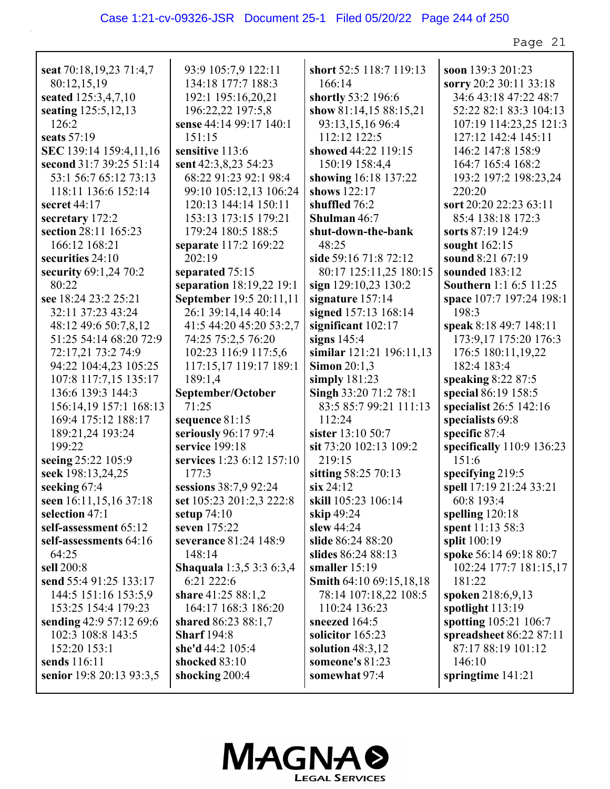| seat 70:18,19,23 71:4,7                 | 93:9 105:7,9 122:11             | short 52:5 118:7 119:13  | soon 139:3 201:23             |
|-----------------------------------------|---------------------------------|--------------------------|-------------------------------|
| 80:12,15,19                             | 134:18 177:7 188:3              | 166:14                   | sorry 20:2 30:11 33:18        |
| seated 125:3,4,7,10                     | 192:1 195:16,20,21              | shortly 53:2 196:6       | 34:6 43:18 47:22 48:7         |
| seating 125:5,12,13                     | 196:22,22 197:5,8               | show 81:14,15 88:15,21   | 52:22 82:1 83:3 104:13        |
| 126:2                                   | sense 44:14 99:17 140:1         | 93:13,15,16 96:4         | 107:19 114:23,25 121:3        |
| seats 57:19                             | 151:15                          | 112:12 122:5             | 127:12 142:4 145:11           |
| SEC 139:14 159:4,11,16                  | sensitive 113:6                 | showed 44:22 119:15      | 146:2 147:8 158:9             |
| second 31:7 39:25 51:14                 | sent 42:3,8,23 54:23            | 150:19 158:4,4           | 164:7 165:4 168:2             |
| 53:1 56:7 65:12 73:13                   | 68:22 91:23 92:1 98:4           | showing 16:18 137:22     | 193:2 197:2 198:23,24         |
| 118:11 136:6 152:14                     | 99:10 105:12,13 106:24          | shows 122:17             | 220:20                        |
| secret 44:17                            | 120:13 144:14 150:11            | shuffled 76:2            | sort 20:20 22:23 63:11        |
|                                         | 153:13 173:15 179:21            | Shulman 46:7             | 85:4 138:18 172:3             |
| secretary 172:2<br>section 28:11 165:23 | 179:24 180:5 188:5              | shut-down-the-bank       | sorts 87:19 124:9             |
| 166:12 168:21                           |                                 | 48:25                    |                               |
|                                         | separate 117:2 169:22<br>202:19 |                          | sought 162:15                 |
| securities 24:10                        |                                 | side 59:16 71:8 72:12    | sound 8:21 67:19              |
| security 69:1,24 70:2                   | separated 75:15                 | 80:17 125:11,25 180:15   | sounded 183:12                |
| 80:22                                   | separation 18:19,22 19:1        | sign 129:10,23 130:2     | <b>Southern</b> 1:1 6:5 11:25 |
| see 18:24 23:2 25:21                    | September 19:5 20:11,11         | signature 157:14         | space 107:7 197:24 198:1      |
| 32:11 37:23 43:24                       | 26:1 39:14,14 40:14             | signed 157:13 168:14     | 198:3                         |
| 48:12 49:6 50:7,8,12                    | 41:5 44:20 45:20 53:2,7         | significant 102:17       | speak 8:18 49:7 148:11        |
| 51:25 54:14 68:20 72:9                  | 74:25 75:2,5 76:20              | signs $145:4$            | 173:9,17 175:20 176:3         |
| 72:17,21 73:2 74:9                      | 102:23 116:9 117:5,6            | similar 121:21 196:11,13 | 176:5 180:11,19,22            |
| 94:22 104:4,23 105:25                   | 117:15,17 119:17 189:1          | Simon $20:1,3$           | 182:4 183:4                   |
| 107:8 117:7,15 135:17                   | 189:1,4                         | simply $181:23$          | speaking $8:2287:5$           |
| 136:6 139:3 144:3                       | September/October               | Singh 33:20 71:2 78:1    | special 86:19 158:5           |
| 156:14,19 157:1 168:13                  | 71:25                           | 83:5 85:7 99:21 111:13   | specialist 26:5 142:16        |
| 169:4 175:12 188:17                     | sequence 81:15                  | 112:24                   | specialists 69:8              |
| 189:21,24 193:24                        | seriously 96:17 97:4            | sister 13:10 50:7        | specific 87:4                 |
| 199:22                                  | service 199:18                  | sit 73:20 102:13 109:2   | specifically 110:9 136:23     |
| seeing 25:22 105:9                      | services 1:23 6:12 157:10       | 219:15                   | 151:6                         |
| seek 198:13,24,25                       | 177:3                           | sitting 58:25 70:13      | specifying 219:5              |
| seeking 67:4                            | sessions 38:7,9 92:24           | $\sin 24:12$             | spell 17:19 21:24 33:21       |
| seen 16:11,15,16 37:18                  | set 105:23 201:2,3 222:8        | skill 105:23 106:14      | 60:8 193:4                    |
| selection 47:1                          | setup $74:10$                   | skip 49:24               | spelling $120:18$             |
| self-assessment 65:12                   | seven 175:22                    | slew 44:24               | spent 11:13 58:3              |
| self-assessments 64:16                  | severance 81:24 148:9           | slide 86:24 88:20        | split 100:19                  |
| 64:25                                   | 148:14                          | slides 86:24 88:13       | spoke 56:14 69:18 80:7        |
| sell 200:8                              | <b>Shaquala</b> 1:3,5 3:3 6:3,4 | smaller $15:19$          | 102:24 177:7 181:15,17        |
| send 55:4 91:25 133:17                  | 6:21 222:6                      | Smith 64:10 69:15,18,18  | 181:22                        |
| 144:5 151:16 153:5,9                    | share 41:25 88:1,2              | 78:14 107:18,22 108:5    | spoken 218:6,9,13             |
| 153:25 154:4 179:23                     | 164:17 168:3 186:20             | 110:24 136:23            | spotlight 113:19              |
| sending 42:9 57:12 69:6                 | shared 86:23 88:1,7             | sneezed 164:5            | spotting 105:21 106:7         |
| 102:3 108:8 143:5                       | <b>Sharf</b> 194:8              | solicitor 165:23         | spreadsheet 86:22 87:11       |
| 152:20 153:1                            | she'd 44:2 105:4                | solution $48:3,12$       | 87:17 88:19 101:12            |
| sends 116:11                            | shocked 83:10                   | someone's 81:23          | 146:10                        |
| senior 19:8 20:13 93:3,5                | shocking 200:4                  | somewhat 97:4            | springtime 141:21             |

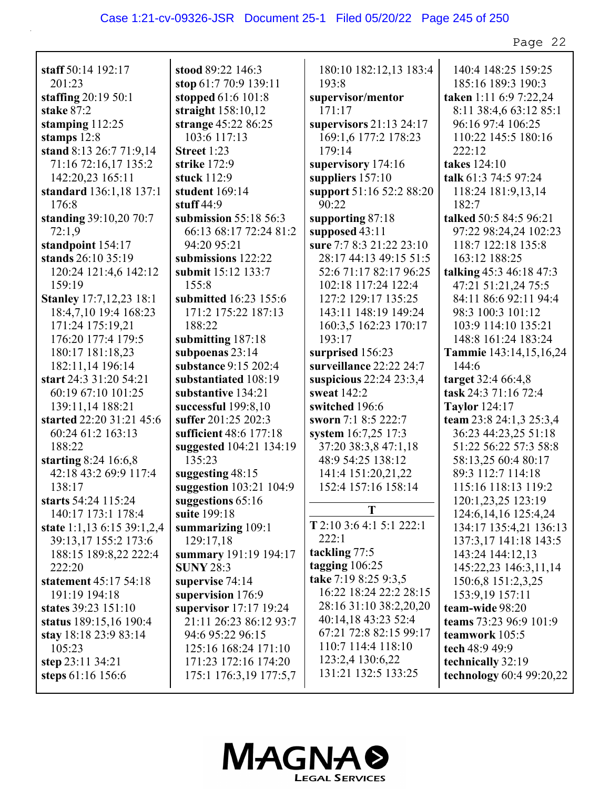| staff 50:14 192:17             | stood 89:22 146:3       | 180:10 182:12,13 183:4      | 140:4 148:25 159:25             |
|--------------------------------|-------------------------|-----------------------------|---------------------------------|
| 201:23                         | stop 61:7 70:9 139:11   | 193:8                       | 185:16 189:3 190:3              |
| staffing 20:19 50:1            | stopped 61:6 101:8      | supervisor/mentor           | taken 1:11 6:9 7:22,24          |
| stake 87:2                     | straight 158:10,12      | 171:17                      | 8:11 38:4,6 63:12 85:1          |
| stamping 112:25                | strange 45:22 86:25     | supervisors 21:13 24:17     | 96:16 97:4 106:25               |
| stamps 12:8                    | 103:6 117:13            | 169:1,6 177:2 178:23        | 110:22 145:5 180:16             |
| stand 8:13 26:7 71:9,14        | Street 1:23             | 179:14                      | 222:12                          |
| 71:16 72:16,17 135:2           | strike 172:9            | supervisory 174:16          | takes 124:10                    |
| 142:20,23 165:11               | stuck 112:9             | suppliers 157:10            | talk 61:3 74:5 97:24            |
| standard 136:1,18 137:1        | student 169:14          | support 51:16 52:2 88:20    | 118:24 181:9,13,14              |
| 176:8                          | stuff $44:9$            | 90:22                       | 182:7                           |
| standing 39:10,20 70:7         | submission $55:1856:3$  | supporting 87:18            | talked 50:5 84:5 96:21          |
| 72:1,9                         | 66:13 68:17 72:24 81:2  | supposed 43:11              | 97:22 98:24,24 102:23           |
| standpoint 154:17              | 94:20 95:21             | sure 7:7 8:3 21:22 23:10    | 118:7 122:18 135:8              |
| stands 26:10 35:19             | submissions 122:22      | 28:17 44:13 49:15 51:5      | 163:12 188:25                   |
| 120:24 121:4,6 142:12          | submit 15:12 133:7      | 52:6 71:17 82:17 96:25      | talking 45:3 46:18 47:3         |
| 159:19                         | 155:8                   | 102:18 117:24 122:4         | 47:21 51:21,24 75:5             |
| <b>Stanley</b> 17:7,12,23 18:1 | submitted 16:23 155:6   | 127:2 129:17 135:25         | 84:11 86:6 92:11 94:4           |
| 18:4,7,10 19:4 168:23          | 171:2 175:22 187:13     | 143:11 148:19 149:24        | 98:3 100:3 101:12               |
| 171:24 175:19,21               | 188:22                  | 160:3,5 162:23 170:17       | 103:9 114:10 135:21             |
| 176:20 177:4 179:5             | submitting 187:18       | 193:17                      | 148:8 161:24 183:24             |
| 180:17 181:18,23               | subpoenas 23:14         | surprised 156:23            | Tammie 143:14,15,16,24          |
| 182:11,14 196:14               | substance 9:15 202:4    | surveillance 22:22 24:7     | 144:6                           |
| start 24:3 31:20 54:21         | substantiated 108:19    | suspicious $22:24$ $23:3,4$ | target 32:4 66:4,8              |
| 60:19 67:10 101:25             | substantive 134:21      | sweat 142:2                 | task 24:3 71:16 72:4            |
| 139:11,14 188:21               | successful 199:8,10     | switched 196:6              | <b>Taylor</b> 124:17            |
| started 22:20 31:21 45:6       | suffer 201:25 202:3     | sworn 7:1 8:5 222:7         | team 23:8 24:1,3 25:3,4         |
| 60:24 61:2 163:13              | sufficient 48:6 177:18  | system 16:7,25 17:3         | 36:23 44:23,25 51:18            |
| 188:22                         | suggested 104:21 134:19 | 37:20 38:3,8 47:1,18        | 51:22 56:22 57:3 58:8           |
| starting 8:24 16:6,8           | 135:23                  | 48:9 54:25 138:12           | 58:13,25 60:4 80:17             |
| 42:18 43:2 69:9 117:4          | suggesting 48:15        | 141:4 151:20,21,22          | 89:3 112:7 114:18               |
| 138:17                         | suggestion 103:21 104:9 | 152:4 157:16 158:14         | 115:16 118:13 119:2             |
| starts 54:24 115:24            | suggestions 65:16       |                             | 120:1,23,25 123:19              |
| 140:17 173:1 178:4             | suite 199:18            | T                           | 124:6, 14, 16 125:4, 24         |
| state 1:1,13 6:15 39:1,2,4     | summarizing 109:1       | T 2:10 3:6 4:1 5:1 222:1    | 134:17 135:4,21 136:13          |
| 39:13,17 155:2 173:6           | 129:17,18               | 222:1                       | 137:3,17 141:18 143:5           |
| 188:15 189:8,22 222:4          | summary 191:19 194:17   | tackling 77:5               | 143:24 144:12,13                |
| 222:20                         | <b>SUNY 28:3</b>        | tagging $106:25$            | 145:22,23 146:3,11,14           |
| statement 45:17 54:18          | supervise 74:14         | take 7:19 8:25 9:3,5        | 150:6,8 151:2,3,25              |
| 191:19 194:18                  | supervision 176:9       | 16:22 18:24 22:2 28:15      | 153:9,19 157:11                 |
| states 39:23 151:10            | supervisor 17:17 19:24  | 28:16 31:10 38:2,20,20      | team-wide 98:20                 |
| status 189:15,16 190:4         | 21:11 26:23 86:12 93:7  | 40:14,18 43:23 52:4         | teams 73:23 96:9 101:9          |
| stay 18:18 23:9 83:14          | 94:6 95:22 96:15        | 67:21 72:8 82:15 99:17      | teamwork 105:5                  |
| 105:23                         | 125:16 168:24 171:10    | 110:7 114:4 118:10          | tech 48:9 49:9                  |
| step 23:11 34:21               | 171:23 172:16 174:20    | 123:2,4 130:6,22            | technically 32:19               |
| steps 61:16 156:6              | 175:1 176:3,19 177:5,7  | 131:21 132:5 133:25         | <b>technology</b> 60:4 99:20,22 |

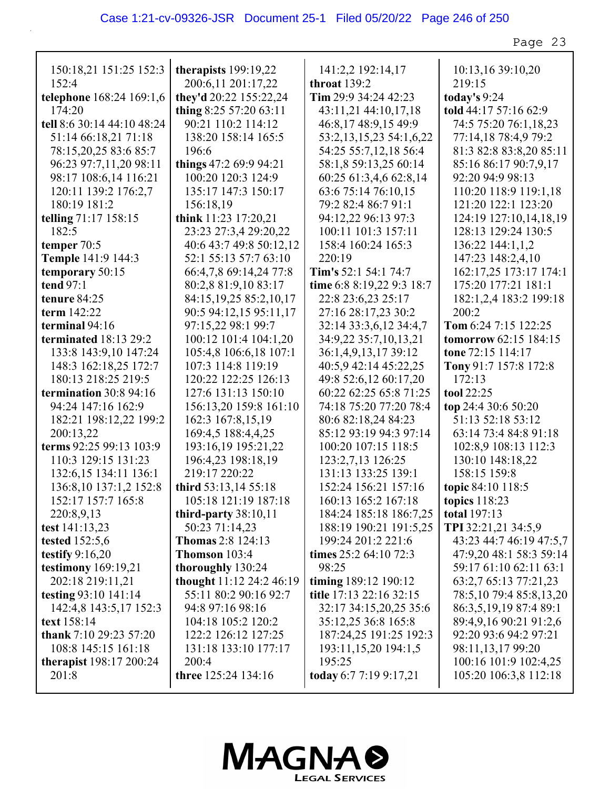| 150:18,21 151:25 152:3         | therapists $199:19,22$   | 141:2,2 192:14,17         | 10:13,16 39:10,20       |
|--------------------------------|--------------------------|---------------------------|-------------------------|
| 152:4                          | 200:6,11 201:17,22       | throat $139:2$            | 219:15                  |
| telephone 168:24 169:1,6       | they'd 20:22 155:22,24   | Tim 29:9 34:24 42:23      | today's $9:24$          |
| 174:20                         | thing 8:25 57:20 63:11   | 43:11,21 44:10,17,18      | told 44:17 57:16 62:9   |
| tell 8:6 30:14 44:10 48:24     | 90:21 110:2 114:12       | 46:8,17 48:9,15 49:9      | 74:5 75:20 76:1,18,23   |
| 51:14 66:18,21 71:18           | 138:20 158:14 165:5      | 53:2,13,15,23 54:1,6,22   | 77:14,18 78:4,9 79:2    |
| 78:15,20,25 83:6 85:7          | 196:6                    | 54:25 55:7,12,18 56:4     | 81:3 82:8 83:8,20 85:11 |
| 96:23 97:7,11,20 98:11         | things 47:2 69:9 94:21   | 58:1,8 59:13,25 60:14     | 85:16 86:17 90:7,9,17   |
| 98:17 108:6,14 116:21          | 100:20 120:3 124:9       | 60:25 61:3,4,6 62:8,14    | 92:20 94:9 98:13        |
| 120:11 139:2 176:2,7           | 135:17 147:3 150:17      | 63:6 75:14 76:10,15       | 110:20 118:9 119:1,18   |
| 180:19 181:2                   | 156:18,19                | 79:2 82:4 86:7 91:1       | 121:20 122:1 123:20     |
| telling 71:17 158:15           | think 11:23 17:20,21     | 94:12,22 96:13 97:3       | 124:19 127:10,14,18,19  |
| 182:5                          | 23:23 27:3,4 29:20,22    | 100:11 101:3 157:11       | 128:13 129:24 130:5     |
| temper 70:5                    | 40:6 43:7 49:8 50:12,12  | 158:4 160:24 165:3        | 136:22 144:1,1,2        |
| Temple 141:9 144:3             | 52:1 55:13 57:7 63:10    | 220:19                    | 147:23 148:2,4,10       |
| temporary 50:15                | 66:4,7,8 69:14,24 77:8   | Tim's 52:1 54:1 74:7      | 162:17,25 173:17 174:1  |
| tend 97:1                      | 80:2,8 81:9,10 83:17     | time 6:8 8:19,22 9:3 18:7 | 175:20 177:21 181:1     |
| tenure 84:25                   | 84:15,19,25 85:2,10,17   | 22:8 23:6,23 25:17        | 182:1,2,4 183:2 199:18  |
| term 142:22                    | 90:5 94:12,15 95:11,17   | 27:16 28:17,23 30:2       | 200:2                   |
| terminal 94:16                 | 97:15,22 98:1 99:7       | 32:14 33:3,6,12 34:4,7    | Tom 6:24 7:15 122:25    |
| terminated 18:13 29:2          | 100:12 101:4 104:1,20    | 34:9,22 35:7,10,13,21     | tomorrow 62:15 184:15   |
| 133:8 143:9,10 147:24          | 105:4,8 106:6,18 107:1   | 36:1,4,9,13,17 39:12      | tone 72:15 114:17       |
| 148:3 162:18,25 172:7          | 107:3 114:8 119:19       | 40:5,9 42:14 45:22,25     | Tony 91:7 157:8 172:8   |
| 180:13 218:25 219:5            | 120:22 122:25 126:13     | 49:8 52:6,12 60:17,20     | 172:13                  |
| termination 30:8 94:16         | 127:6 131:13 150:10      | 60:22 62:25 65:8 71:25    | tool 22:25              |
| 94:24 147:16 162:9             | 156:13,20 159:8 161:10   | 74:18 75:20 77:20 78:4    | top 24:4 30:6 50:20     |
| 182:21 198:12,22 199:2         | 162:3 167:8,15,19        | 80:6 82:18,24 84:23       | 51:13 52:18 53:12       |
| 200:13,22                      | 169:4,5 188:4,4,25       | 85:12 93:19 94:3 97:14    | 63:14 73:4 84:8 91:18   |
| terms 92:25 99:13 103:9        | 193:16,19 195:21,22      | 100:20 107:15 118:5       | 102:8,9 108:13 112:3    |
| 110:3 129:15 131:23            | 196:4,23 198:18,19       | 123:2,7,13 126:25         | 130:10 148:18,22        |
| 132:6, 15 134:11 136:1         | 219:17 220:22            | 131:13 133:25 139:1       | 158:15 159:8            |
| 136:8, 10 137:1, 2 152:8       | third 53:13,14 55:18     | 152:24 156:21 157:16      | topic 84:10 118:5       |
| 152:17 157:7 165:8             | 105:18 121:19 187:18     | 160:13 165:2 167:18       | topics $118:23$         |
| 220:8,9,13                     | third-party $38:10,11$   | 184:24 185:18 186:7,25    | total 197:13            |
| test $141:13,23$               | 50:23 71:14,23           | 188:19 190:21 191:5,25    | TPI 32:21,21 34:5,9     |
| tested 152:5,6                 | <b>Thomas</b> 2:8 124:13 | 199:24 201:2 221:6        | 43:23 44:7 46:19 47:5,7 |
| testify $9:16,20$              | <b>Thomson</b> 103:4     | times $25:264:1072:3$     | 47:9,20 48:1 58:3 59:14 |
| testimony $169:19,21$          | thoroughly 130:24        | 98:25                     | 59:17 61:10 62:11 63:1  |
| 202:18 219:11,21               | thought 11:12 24:2 46:19 | timing 189:12 190:12      | 63:2,7 65:13 77:21,23   |
| testing 93:10 141:14           | 55:11 80:2 90:16 92:7    | title 17:13 22:16 32:15   | 78:5,10 79:4 85:8,13,20 |
| 142:4,8 143:5,17 152:3         | 94:8 97:16 98:16         | 32:17 34:15,20,25 35:6    | 86:3,5,19,19 87:4 89:1  |
| text 158:14                    | 104:18 105:2 120:2       | 35:12,25 36:8 165:8       | 89:4,9,16 90:21 91:2,6  |
| thank 7:10 29:23 57:20         | 122:2 126:12 127:25      | 187:24,25 191:25 192:3    | 92:20 93:6 94:2 97:21   |
| 108:8 145:15 161:18            | 131:18 133:10 177:17     | 193:11,15,20 194:1,5      | 98:11,13,17 99:20       |
| <b>therapist</b> 198:17 200:24 | 200:4                    | 195:25                    | 100:16 101:9 102:4,25   |
| 201:8                          | three 125:24 134:16      | today 6:7 7:19 9:17,21    | 105:20 106:3,8 112:18   |
|                                |                          |                           |                         |

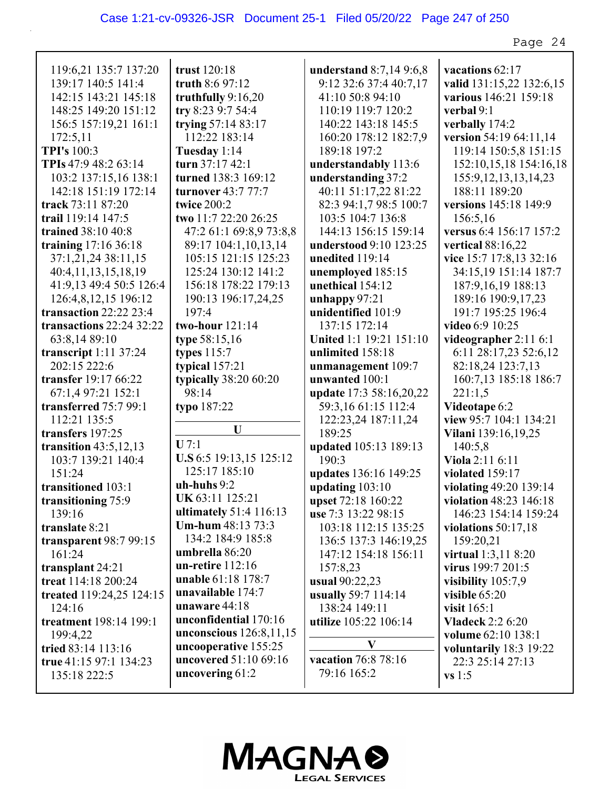| 119:6,21 135:7 137:20         | trust 120:18              | understand 8:7,14 9:6,8 | vacations 62:17               |
|-------------------------------|---------------------------|-------------------------|-------------------------------|
| 139:17 140:5 141:4            | truth 8:6 97:12           | 9:12 32:6 37:4 40:7,17  | valid 131:15,22 132:6,15      |
| 142:15 143:21 145:18          | truthfully 9:16,20        | 41:10 50:8 94:10        | various 146:21 159:18         |
| 148:25 149:20 151:12          | try 8:23 9:7 54:4         | 110:19 119:7 120:2      | verbal 9:1                    |
| 156:5 157:19,21 161:1         | trying 57:14 83:17        | 140:22 143:18 145:5     | verbally 174:2                |
| 172:5,11                      | 112:22 183:14             | 160:20 178:12 182:7,9   | version 54:19 64:11,14        |
| <b>TPI's 100:3</b>            | Tuesday 1:14              | 189:18 197:2            | 119:14 150:5,8 151:15         |
| TPIs 47:9 48:2 63:14          | turn 37:17 42:1           | understandably 113:6    | 152:10,15,18 154:16,18        |
| 103:2 137:15,16 138:1         | turned 138:3 169:12       | understanding 37:2      | 155:9, 12, 13, 13, 14, 23     |
| 142:18 151:19 172:14          | turnover 43:7 77:7        | 40:11 51:17,22 81:22    | 188:11 189:20                 |
| track 73:11 87:20             | twice 200:2               | 82:3 94:1,7 98:5 100:7  | versions 145:18 149:9         |
| trail 119:14 147:5            | two 11:7 22:20 26:25      | 103:5 104:7 136:8       | 156:5,16                      |
| trained 38:10 40:8            | 47:2 61:1 69:8,9 73:8,8   | 144:13 156:15 159:14    | versus 6:4 156:17 157:2       |
| training 17:16 36:18          | 89:17 104:1,10,13,14      | understood 9:10 123:25  | vertical 88:16,22             |
| 37:1,21,24 38:11,15           | 105:15 121:15 125:23      | unedited 119:14         | vice 15:7 17:8,13 32:16       |
| 40:4,11,13,15,18,19           | 125:24 130:12 141:2       | unemployed 185:15       | 34:15,19 151:14 187:7         |
| 41:9,13 49:4 50:5 126:4       | 156:18 178:22 179:13      | unethical 154:12        | 187:9, 16, 19 188: 13         |
| 126:4,8,12,15 196:12          | 190:13 196:17,24,25       | unhappy $97:21$         | 189:16 190:9,17,23            |
| transaction 22:22 23:4        | 197:4                     | unidentified 101:9      | 191:7 195:25 196:4            |
| transactions 22:24 32:22      | two-hour 121:14           | 137:15 172:14           | video 6:9 10:25               |
| 63:8,14 89:10                 | type 58:15,16             | United 1:1 19:21 151:10 | videographer $2:11$ 6:1       |
| transcript $1:11$ 37:24       | types $115:7$             | unlimited 158:18        | 6:11 28:17,23 52:6,12         |
| 202:15 222:6                  | typical 157:21            | unmanagement 109:7      | 82:18,24 123:7,13             |
| transfer 19:17 66:22          | typically 38:20 60:20     | unwanted 100:1          | 160:7,13 185:18 186:7         |
| 67:1,4 97:21 152:1            | 98:14                     | update 17:3 58:16,20,22 | 221:1,5                       |
| transferred 75:7 99:1         | typo 187:22               | 59:3,16 61:15 112:4     | Videotape 6:2                 |
| 112:21 135:5                  |                           | 122:23,24 187:11,24     | view 95:7 104:1 134:21        |
| transfers 197:25              | U                         | 189:25                  | Vilani 139:16,19,25           |
| transition $43:5,12,13$       | $U$ 7:1                   | updated 105:13 189:13   | 140:5,8                       |
| 103:7 139:21 140:4            | U.S 6:5 19:13,15 125:12   | 190:3                   | Viola 2:11 6:11               |
| 151:24                        | 125:17 185:10             | updates 136:16 149:25   | violated 159:17               |
| transitioned 103:1            | $uh-huhs 9:2$             | updating $103:10$       | violating 49:20 139:14        |
| transitioning 75:9            | UK 63:11 125:21           | upset 72:18 160:22      | <b>violation</b> 48:23 146:18 |
| 139:16                        | ultimately 51:4 116:13    | use 7:3 13:22 98:15     | 146:23 154:14 159:24          |
| translate 8:21                | Um-hum 48:13 73:3         | 103:18 112:15 135:25    | violations $50:17,18$         |
| transparent 98:7 99:15        | 134:2 184:9 185:8         | 136:5 137:3 146:19,25   | 159:20,21                     |
| 161:24                        | umbrella 86:20            | 147:12 154:18 156:11    | <b>virtual</b> 1:3,11 8:20    |
| transplant 24:21              | un-retire $112:16$        | 157:8,23                | virus 199:7 201:5             |
| treat 114:18 200:24           | unable 61:18 178:7        | usual 90:22,23          | visibility $105:7,9$          |
| treated 119:24,25 124:15      | unavailable 174:7         | usually 59:7 114:14     | visible 65:20                 |
| 124:16                        | unaware 44:18             | 138:24 149:11           | visit $165:1$                 |
| <b>treatment</b> 198:14 199:1 | unconfidential 170:16     | utilize 105:22 106:14   | <b>Vladeck 2:2 6:20</b>       |
| 199:4,22                      | unconscious $126:8,11,15$ |                         | volume 62:10 138:1            |
| tried 83:14 113:16            | uncooperative 155:25      | V                       | voluntarily 18:3 19:22        |
| true 41:15 97:1 134:23        | uncovered 51:10 69:16     | vacation 76:8 78:16     | 22:3 25:14 27:13              |
| 135:18 222:5                  | uncovering 61:2           | 79:16 165:2             | vs 1:5                        |
|                               |                           |                         |                               |

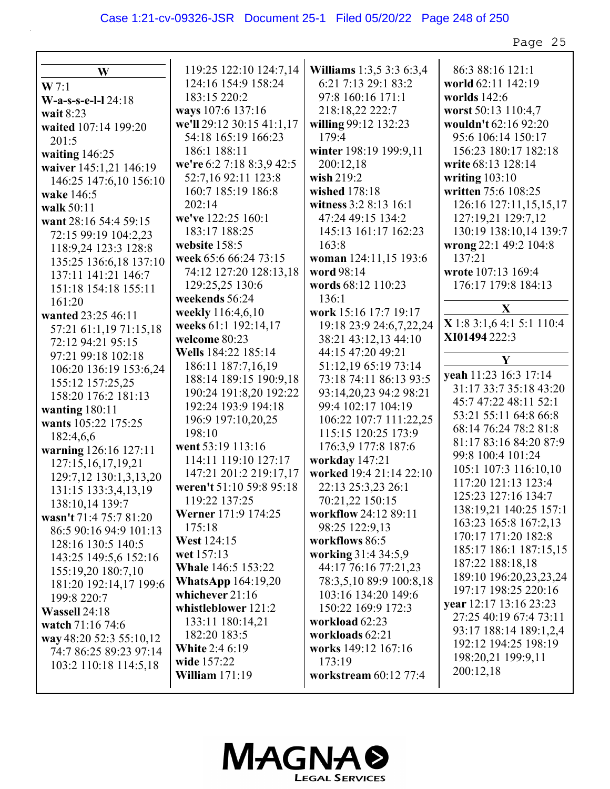| W                          | 119:25 122:10 124:7,14       | Williams 1:3,5 3:3 6:3,4                   | 86:3 88:16 121:1          |
|----------------------------|------------------------------|--------------------------------------------|---------------------------|
| W 7:1                      | 124:16 154:9 158:24          | 6:21 7:13 29:1 83:2                        | world 62:11 142:19        |
|                            | 183:15 220:2                 | 97:8 160:16 171:1                          | worlds $142:6$            |
| W-a-s-s-e-l-l 24:18        | ways 107:6 137:16            | 218:18,22 222:7                            | worst 50:13 110:4,7       |
| wait 8:23                  | we'll 29:12 30:15 41:1,17    | willing 99:12 132:23                       | wouldn't 62:16 92:20      |
| waited 107:14 199:20       | 54:18 165:19 166:23          | 179:4                                      | 95:6 106:14 150:17        |
| 201:5                      | 186:1 188:11                 | winter 198:19 199:9,11                     | 156:23 180:17 182:18      |
| waiting $146:25$           | we're 6:2 7:18 8:3,9 42:5    | 200:12,18                                  | write 68:13 128:14        |
| waiver 145:1,21 146:19     | 52:7,16 92:11 123:8          | wish $219:2$                               | writing $103:10$          |
| 146:25 147:6,10 156:10     | 160:7 185:19 186:8           | wished 178:18                              | written 75:6 108:25       |
| wake 146:5                 | 202:14                       | witness 3:2 8:13 16:1                      | 126:16 127:11,15,15,17    |
| walk 50:11                 | we've 122:25 160:1           | 47:24 49:15 134:2                          | 127:19,21 129:7,12        |
| want 28:16 54:4 59:15      | 183:17 188:25                | 145:13 161:17 162:23                       | 130:19 138:10,14 139:7    |
| 72:15 99:19 104:2,23       | website 158:5                | 163:8                                      | wrong 22:1 49:2 104:8     |
| 118:9,24 123:3 128:8       | week 65:6 66:24 73:15        | woman 124:11,15 193:6                      | 137:21                    |
| 135:25 136:6,18 137:10     | 74:12 127:20 128:13,18       | word 98:14                                 | wrote 107:13 169:4        |
| 137:11 141:21 146:7        | 129:25,25 130:6              | words 68:12 110:23                         | 176:17 179:8 184:13       |
| 151:18 154:18 155:11       | weekends 56:24               | 136:1                                      |                           |
| 161:20                     | weekly 116:4,6,10            | work 15:16 17:7 19:17                      | X                         |
| wanted 23:25 46:11         | weeks 61:1 192:14,17         | 19:18 23:9 24:6,7,22,24                    | X 1:8 3:1,6 4:1 5:1 110:4 |
| 57:21 61:1,19 71:15,18     | welcome 80:23                | 38:21 43:12,13 44:10                       | XI01494 222:3             |
| 72:12 94:21 95:15          | Wells 184:22 185:14          | 44:15 47:20 49:21                          |                           |
| 97:21 99:18 102:18         |                              | 51:12,19 65:19 73:14                       | Y                         |
| 106:20 136:19 153:6,24     | 186:11 187:7,16,19           | 73:18 74:11 86:13 93:5                     | yeah 11:23 16:3 17:14     |
| 155:12 157:25,25           | 188:14 189:15 190:9,18       |                                            | 31:17 33:7 35:18 43:20    |
| 158:20 176:2 181:13        | 190:24 191:8,20 192:22       | 93:14,20,23 94:2 98:21                     | 45:7 47:22 48:11 52:1     |
| wanting $180:11$           | 192:24 193:9 194:18          | 99:4 102:17 104:19                         | 53:21 55:11 64:8 66:8     |
| wants 105:22 175:25        | 196:9 197:10,20,25<br>198:10 | 106:22 107:7 111:22,25                     | 68:14 76:24 78:2 81:8     |
| 182:4,6,6                  | went 53:19 113:16            | 115:15 120:25 173:9<br>176:3,9 177:8 187:6 | 81:17 83:16 84:20 87:9    |
| warning 126:16 127:11      | 114:11 119:10 127:17         | workday 147:21                             | 99:8 100:4 101:24         |
| 127:15,16,17,19,21         | 147:21 201:2 219:17,17       | worked 19:4 21:14 22:10                    | 105:1 107:3 116:10,10     |
| 129:7, 12 130:1, 3, 13, 20 | weren't 51:10 59:8 95:18     | 22:13 25:3,23 26:1                         | 117:20 121:13 123:4       |
| 131:15 133:3,4,13,19       | 119:22 137:25                | 70:21,22 150:15                            | 125:23 127:16 134:7       |
| 138:10,14 139:7            | Werner 171:9 174:25          | workflow 24:12 89:11                       | 138:19,21 140:25 157:1    |
| wasn't 71:4 75:7 81:20     | 175:18                       | 98:25 122:9,13                             | 163:23 165:8 167:2,13     |
| 86:5 90:16 94:9 101:13     | West 124:15                  | workflows 86:5                             | 170:17 171:20 182:8       |
| 128:16 130:5 140:5         | wet 157:13                   | working 31:4 34:5,9                        | 185:17 186:1 187:15,15    |
| 143:25 149:5,6 152:16      | <b>Whale</b> 146:5 153:22    | 44:17 76:16 77:21,23                       | 187:22 188:18,18          |
| 155:19,20 180:7,10         | <b>WhatsApp</b> 164:19,20    | 78:3,5,10 89:9 100:8,18                    | 189:10 196:20,23,23,24    |
| 181:20 192:14,17 199:6     | whichever 21:16              | 103:16 134:20 149:6                        | 197:17 198:25 220:16      |
| 199:8 220:7                | whistleblower 121:2          | 150:22 169:9 172:3                         | year 12:17 13:16 23:23    |
| Wassell 24:18              | 133:11 180:14,21             | workload 62:23                             | 27:25 40:19 67:4 73:11    |
| watch 71:16 74:6           | 182:20 183:5                 | workloads 62:21                            | 93:17 188:14 189:1,2,4    |
| way 48:20 52:3 55:10,12    | <b>White 2:4 6:19</b>        | works 149:12 167:16                        | 192:12 194:25 198:19      |
| 74:7 86:25 89:23 97:14     | wide 157:22                  | 173:19                                     | 198:20,21 199:9,11        |
| 103:2 110:18 114:5,18      |                              |                                            | 200:12,18                 |
|                            | William $171:19$             | workstream 60:12 77:4                      |                           |

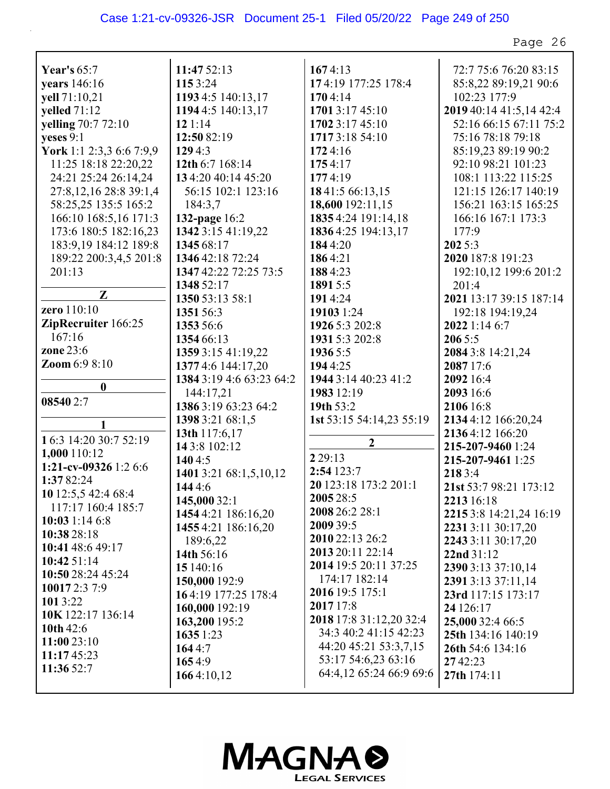| <b>Year's 65:7</b>        | 11:47 52:13                          | 1674:13                  | 72:7 75:6 76:20 83:15                    |
|---------------------------|--------------------------------------|--------------------------|------------------------------------------|
| years 146:16              | 115 3:24                             | 174:19 177:25 178:4      | 85:8,22 89:19,21 90:6                    |
| yell 71:10,21             | 1193 4:5 140:13,17                   | 1704:14                  | 102:23 177:9                             |
| yelled 71:12              | 1194 4:5 140:13,17                   | 1701 3:17 45:10          | 2019 40:14 41:5,14 42:4                  |
| yelling 70:7 72:10        | 121:14                               | 1702 3:17 45:10          | 52:16 66:15 67:11 75:2                   |
| yeses 9:1                 | 12:50 82:19                          | 1717 3:18 54:10          | 75:16 78:18 79:18                        |
| York 1:1 2:3,3 6:6 7:9,9  | 1294:3                               | 1724:16                  | 85:19,23 89:19 90:2                      |
| 11:25 18:18 22:20,22      | 12th 6:7 168:14                      | 1754:17                  | 92:10 98:21 101:23                       |
| 24:21 25:24 26:14,24      | 13 4:20 40:14 45:20                  | 1774:19                  | 108:1 113:22 115:25                      |
| 27:8, 12, 16 28:8 39:1, 4 | 56:15 102:1 123:16                   | 1841:5 66:13,15          | 121:15 126:17 140:19                     |
| 58:25,25 135:5 165:2      | 184:3,7                              | 18,600 192:11,15         | 156:21 163:15 165:25                     |
| 166:10 168:5,16 171:3     | 132-page 16:2                        | 1835 4:24 191:14,18      | 166:16 167:1 173:3                       |
| 173:6 180:5 182:16,23     | 1342 3:15 41:19,22                   | 1836 4:25 194:13,17      | 177:9                                    |
| 183:9,19 184:12 189:8     | 1345 68:17                           | 1844:20                  | 202 5:3                                  |
| 189:22 200:3,4,5 201:8    | 1346 42:18 72:24                     | 1864:21                  | 2020 187:8 191:23                        |
| 201:13                    | 1347 42:22 72:25 73:5                | 1884:23                  | 192:10,12 199:6 201:2                    |
|                           | 1348 52:17                           | 1891 5:5                 | 201:4                                    |
| $\mathbf{Z}$              | 1350 53:13 58:1                      | 1914:24                  | 2021 13:17 39:15 187:14                  |
| zero 110:10               | 1351 56:3                            | 19103 1:24               | 192:18 194:19,24                         |
| ZipRecruiter 166:25       | 1353 56:6                            | 1926 5:3 202:8           | 2022 1:14 6:7                            |
| 167:16                    | 1354 66:13                           | 1931 5:3 202:8           | 206 5:5                                  |
| zone 23:6                 | 1359 3:15 41:19,22                   | 1936 5:5                 | 2084 3:8 14:21,24                        |
| Zoom 6:9 8:10             | 1377 4:6 144:17,20                   | 1944:25                  | 2087 17:6                                |
|                           | 1384 3:19 4:6 63:23 64:2             | 1944 3:14 40:23 41:2     | 2092 16:4                                |
| $\boldsymbol{0}$          | 144:17,21                            | 1983 12:19               | 2093 16:6                                |
| 085402:7                  | 1386 3:19 63:23 64:2                 | 19th 53:2                | 2106 16:8                                |
|                           | 1398 3:21 68:1,5                     | 1st 53:15 54:14,23 55:19 | 2134 4:12 166:20,24                      |
| 1                         | 13th 117:6,17                        |                          | 21364:12 166:20                          |
| 16:3 14:20 30:7 52:19     | 14 3:8 102:12                        | $\overline{2}$           | 215-207-9460 1:24                        |
| 1,000 110:12              | 1404:5                               | 2 2 9:13                 | 215-207-9461 1:25                        |
| 1:21-cv-09326 1:2 6:6     | 1401 3:21 68:1,5,10,12               | 2:54 123:7               | 218 3:4                                  |
| 1:37 82:24                | 1444:6                               | 20 123:18 173:2 201:1    | 21st 53:7 98:21 173:12                   |
| 10 12:5,5 42:4 68:4       | 145,000 32:1                         | 2005 28:5                | 2213 16:18                               |
| 117:17 160:4 185:7        | 1454 4:21 186:16,20                  | 2008 26:2 28:1           | 2215 3:8 14:21,24 16:19                  |
| 10:03 1:14 6:8            | 1455 4:21 186:16,20                  | 2009 39:5                | 2231 3:11 30:17,20                       |
| 10:38 28:18               | 189:6,22                             | 2010 22:13 26:2          | 2243 3:11 30:17,20                       |
| 10:41 48:6 49:17          | 14th 56:16                           | 2013 20:11 22:14         | 22nd 31:12                               |
| 10:4251:14                | 15 140:16                            | 2014 19:5 20:11 37:25    | 2390 3:13 37:10,14                       |
| 10:50 28:24 45:24         |                                      | 174:17 182:14            |                                          |
| 100172:37:9               | 150,000 192:9<br>164:19 177:25 178:4 | 2016 19:5 175:1          | 2391 3:13 37:11,14<br>23rd 117:15 173:17 |
| 1013:22                   |                                      | 2017 17:8                |                                          |
| 10K 122:17 136:14         | 160,000 192:19                       | 2018 17:8 31:12,20 32:4  | 24 126:17                                |
| 10th 42:6                 | 163,200 195:2                        | 34:3 40:2 41:15 42:23    | 25,000 32:4 66:5                         |
| 11:0023:10                | 1635 1:23                            | 44:20 45:21 53:3,7,15    | 25th 134:16 140:19                       |
| 11:1745:23                | 1644:7                               | 53:17 54:6,23 63:16      | 26th 54:6 134:16                         |
| 11:3652:7                 | 1654:9                               | 64:4,12 65:24 66:9 69:6  | 2742:23                                  |
|                           | 1664:10,12                           |                          | 27th 174:11                              |